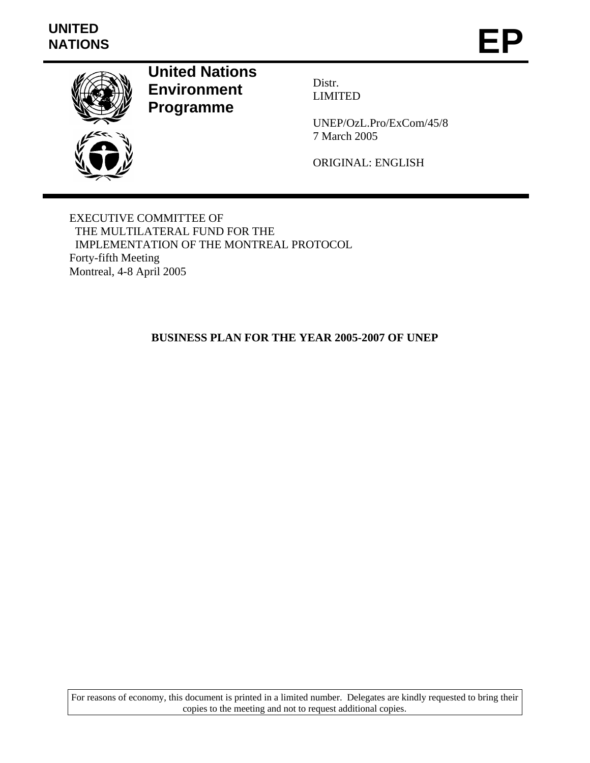# **UNITED**  UNITED<br>NATIONS **EP**



**United Nations Environment Programme** 

Distr. LIMITED

UNEP/OzL.Pro/ExCom/45/8 7 March 2005

ORIGINAL: ENGLISH

EXECUTIVE COMMITTEE OF THE MULTILATERAL FUND FOR THE IMPLEMENTATION OF THE MONTREAL PROTOCOL Forty-fifth Meeting Montreal, 4-8 April 2005

# **BUSINESS PLAN FOR THE YEAR 2005-2007 OF UNEP**

For reasons of economy, this document is printed in a limited number. Delegates are kindly requested to bring their copies to the meeting and not to request additional copies.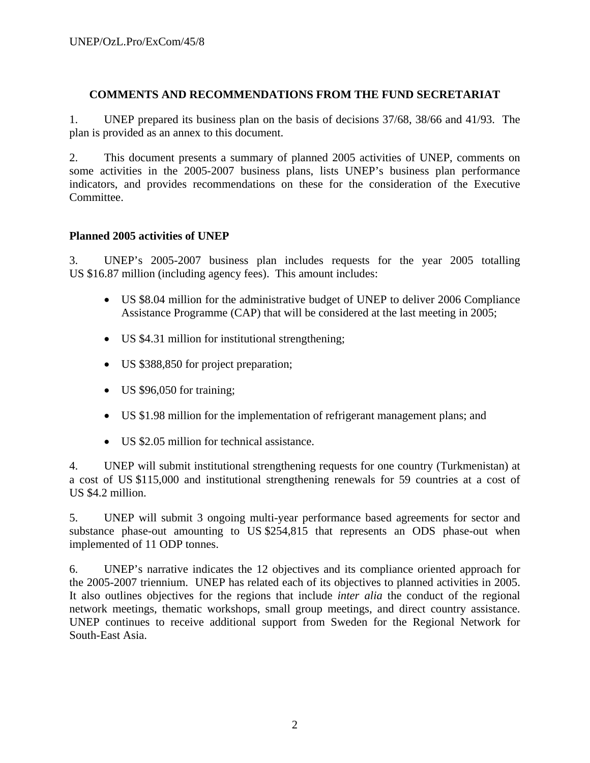#### **COMMENTS AND RECOMMENDATIONS FROM THE FUND SECRETARIAT**

1. UNEP prepared its business plan on the basis of decisions 37/68, 38/66 and 41/93. The plan is provided as an annex to this document.

2. This document presents a summary of planned 2005 activities of UNEP, comments on some activities in the 2005-2007 business plans, lists UNEP's business plan performance indicators, and provides recommendations on these for the consideration of the Executive Committee.

## **Planned 2005 activities of UNEP**

3. UNEP's 2005-2007 business plan includes requests for the year 2005 totalling US \$16.87 million (including agency fees). This amount includes:

- US \$8.04 million for the administrative budget of UNEP to deliver 2006 Compliance Assistance Programme (CAP) that will be considered at the last meeting in 2005;
- US \$4.31 million for institutional strengthening;
- US \$388,850 for project preparation;
- US \$96,050 for training;
- US \$1.98 million for the implementation of refrigerant management plans; and
- US \$2.05 million for technical assistance.

4. UNEP will submit institutional strengthening requests for one country (Turkmenistan) at a cost of US \$115,000 and institutional strengthening renewals for 59 countries at a cost of US \$4.2 million.

5. UNEP will submit 3 ongoing multi-year performance based agreements for sector and substance phase-out amounting to US \$254,815 that represents an ODS phase-out when implemented of 11 ODP tonnes.

6. UNEP's narrative indicates the 12 objectives and its compliance oriented approach for the 2005-2007 triennium. UNEP has related each of its objectives to planned activities in 2005. It also outlines objectives for the regions that include *inter alia* the conduct of the regional network meetings, thematic workshops, small group meetings, and direct country assistance. UNEP continues to receive additional support from Sweden for the Regional Network for South-East Asia.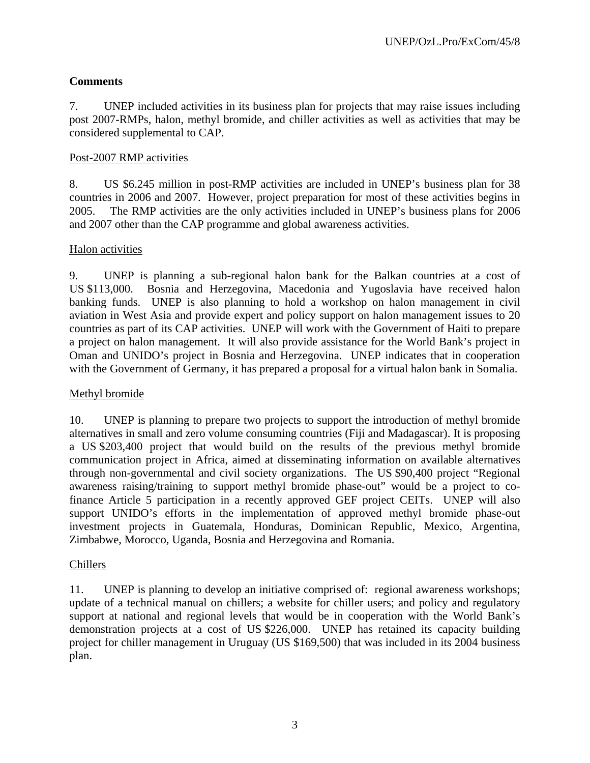# **Comments**

7. UNEP included activities in its business plan for projects that may raise issues including post 2007-RMPs, halon, methyl bromide, and chiller activities as well as activities that may be considered supplemental to CAP.

#### Post-2007 RMP activities

8. US \$6.245 million in post-RMP activities are included in UNEP's business plan for 38 countries in 2006 and 2007. However, project preparation for most of these activities begins in 2005. The RMP activities are the only activities included in UNEP's business plans for 2006 and 2007 other than the CAP programme and global awareness activities.

#### Halon activities

9. UNEP is planning a sub-regional halon bank for the Balkan countries at a cost of US \$113,000. Bosnia and Herzegovina, Macedonia and Yugoslavia have received halon banking funds. UNEP is also planning to hold a workshop on halon management in civil aviation in West Asia and provide expert and policy support on halon management issues to 20 countries as part of its CAP activities. UNEP will work with the Government of Haiti to prepare a project on halon management. It will also provide assistance for the World Bank's project in Oman and UNIDO's project in Bosnia and Herzegovina. UNEP indicates that in cooperation with the Government of Germany, it has prepared a proposal for a virtual halon bank in Somalia.

#### Methyl bromide

10. UNEP is planning to prepare two projects to support the introduction of methyl bromide alternatives in small and zero volume consuming countries (Fiji and Madagascar). It is proposing a US \$203,400 project that would build on the results of the previous methyl bromide communication project in Africa, aimed at disseminating information on available alternatives through non-governmental and civil society organizations. The US \$90,400 project "Regional awareness raising/training to support methyl bromide phase-out" would be a project to cofinance Article 5 participation in a recently approved GEF project CEITs. UNEP will also support UNIDO's efforts in the implementation of approved methyl bromide phase-out investment projects in Guatemala, Honduras, Dominican Republic, Mexico, Argentina, Zimbabwe, Morocco, Uganda, Bosnia and Herzegovina and Romania.

#### Chillers

11. UNEP is planning to develop an initiative comprised of: regional awareness workshops; update of a technical manual on chillers; a website for chiller users; and policy and regulatory support at national and regional levels that would be in cooperation with the World Bank's demonstration projects at a cost of US \$226,000. UNEP has retained its capacity building project for chiller management in Uruguay (US \$169,500) that was included in its 2004 business plan.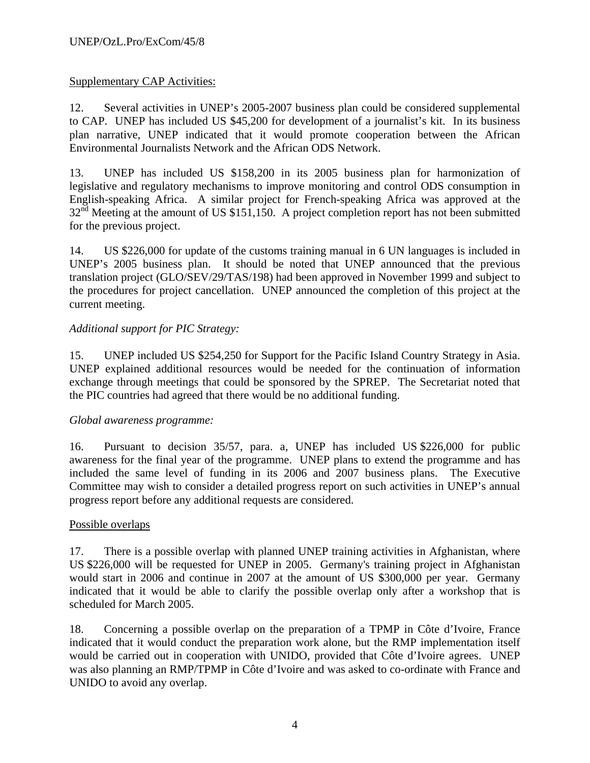# Supplementary CAP Activities:

12. Several activities in UNEP's 2005-2007 business plan could be considered supplemental to CAP. UNEP has included US \$45,200 for development of a journalist's kit. In its business plan narrative, UNEP indicated that it would promote cooperation between the African Environmental Journalists Network and the African ODS Network.

13. UNEP has included US \$158,200 in its 2005 business plan for harmonization of legislative and regulatory mechanisms to improve monitoring and control ODS consumption in English-speaking Africa. A similar project for French-speaking Africa was approved at the  $32<sup>nd</sup>$  Meeting at the amount of US \$151,150. A project completion report has not been submitted for the previous project.

14. US \$226,000 for update of the customs training manual in 6 UN languages is included in UNEP's 2005 business plan. It should be noted that UNEP announced that the previous translation project (GLO/SEV/29/TAS/198) had been approved in November 1999 and subject to the procedures for project cancellation. UNEP announced the completion of this project at the current meeting.

# *Additional support for PIC Strategy:*

15. UNEP included US \$254,250 for Support for the Pacific Island Country Strategy in Asia. UNEP explained additional resources would be needed for the continuation of information exchange through meetings that could be sponsored by the SPREP. The Secretariat noted that the PIC countries had agreed that there would be no additional funding.

## *Global awareness programme:*

16. Pursuant to decision 35/57, para. a, UNEP has included US \$226,000 for public awareness for the final year of the programme. UNEP plans to extend the programme and has included the same level of funding in its 2006 and 2007 business plans. The Executive Committee may wish to consider a detailed progress report on such activities in UNEP's annual progress report before any additional requests are considered.

## Possible overlaps

17. There is a possible overlap with planned UNEP training activities in Afghanistan, where US \$226,000 will be requested for UNEP in 2005. Germany's training project in Afghanistan would start in 2006 and continue in 2007 at the amount of US \$300,000 per year. Germany indicated that it would be able to clarify the possible overlap only after a workshop that is scheduled for March 2005.

18. Concerning a possible overlap on the preparation of a TPMP in Côte d'Ivoire, France indicated that it would conduct the preparation work alone, but the RMP implementation itself would be carried out in cooperation with UNIDO, provided that Côte d'Ivoire agrees. UNEP was also planning an RMP/TPMP in Côte d'Ivoire and was asked to co-ordinate with France and UNIDO to avoid any overlap.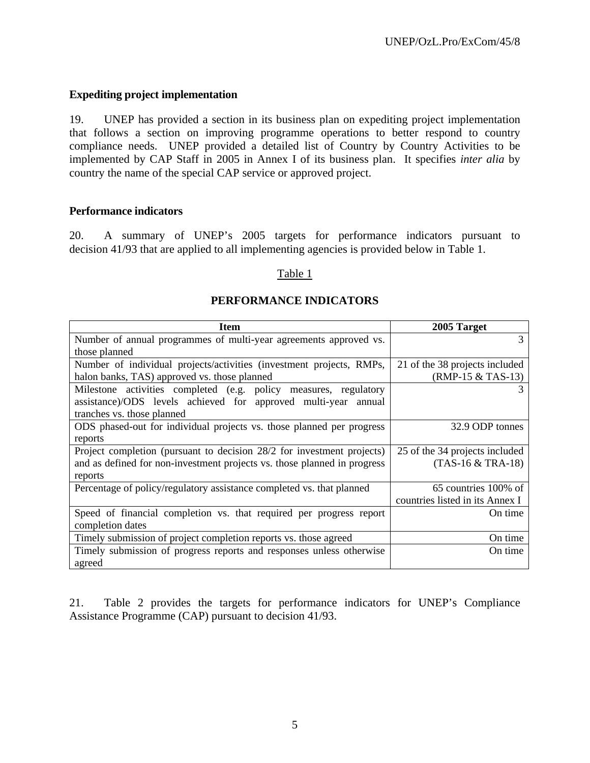#### **Expediting project implementation**

19. UNEP has provided a section in its business plan on expediting project implementation that follows a section on improving programme operations to better respond to country compliance needs. UNEP provided a detailed list of Country by Country Activities to be implemented by CAP Staff in 2005 in Annex I of its business plan. It specifies *inter alia* by country the name of the special CAP service or approved project.

#### **Performance indicators**

20. A summary of UNEP's 2005 targets for performance indicators pursuant to decision 41/93 that are applied to all implementing agencies is provided below in Table 1.

#### Table 1

#### **PERFORMANCE INDICATORS**

| <b>Item</b>                                                              | 2005 Target                     |
|--------------------------------------------------------------------------|---------------------------------|
| Number of annual programmes of multi-year agreements approved vs.        | 3                               |
| those planned                                                            |                                 |
| Number of individual projects/activities (investment projects, RMPs,     | 21 of the 38 projects included  |
| halon banks, TAS) approved vs. those planned                             | $(RMP-15 & TAS-13)$             |
| Milestone activities completed (e.g. policy measures, regulatory         |                                 |
| assistance)/ODS levels achieved for approved multi-year<br>annual        |                                 |
| tranches vs. those planned                                               |                                 |
| ODS phased-out for individual projects vs. those planned per progress    | 32.9 ODP tonnes                 |
| reports                                                                  |                                 |
| Project completion (pursuant to decision 28/2 for investment projects)   | 25 of the 34 projects included  |
| and as defined for non-investment projects vs. those planned in progress | (TAS-16 & TRA-18)               |
| reports                                                                  |                                 |
| Percentage of policy/regulatory assistance completed vs. that planned    | 65 countries 100% of            |
|                                                                          | countries listed in its Annex I |
| Speed of financial completion vs. that required per progress report      | On time                         |
| completion dates                                                         |                                 |
| Timely submission of project completion reports vs. those agreed         | On time                         |
| Timely submission of progress reports and responses unless otherwise     | On time                         |
| agreed                                                                   |                                 |

21. Table 2 provides the targets for performance indicators for UNEP's Compliance Assistance Programme (CAP) pursuant to decision 41/93.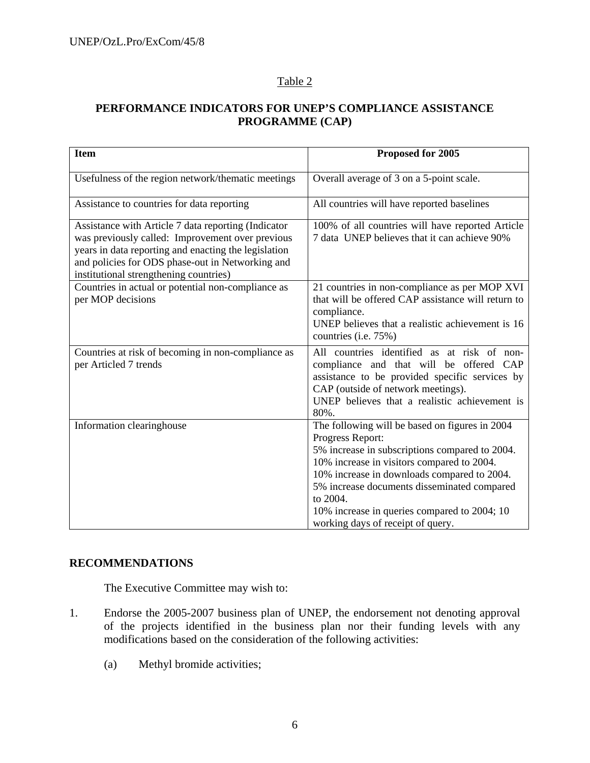# Table 2

# **PERFORMANCE INDICATORS FOR UNEP'S COMPLIANCE ASSISTANCE PROGRAMME (CAP)**

| <b>Item</b>                                                                                                                                                                                                                                                   | Proposed for 2005                                                                                                                                                                                                                                                                                                                                                 |
|---------------------------------------------------------------------------------------------------------------------------------------------------------------------------------------------------------------------------------------------------------------|-------------------------------------------------------------------------------------------------------------------------------------------------------------------------------------------------------------------------------------------------------------------------------------------------------------------------------------------------------------------|
| Usefulness of the region network/thematic meetings                                                                                                                                                                                                            | Overall average of 3 on a 5-point scale.                                                                                                                                                                                                                                                                                                                          |
| Assistance to countries for data reporting                                                                                                                                                                                                                    | All countries will have reported baselines                                                                                                                                                                                                                                                                                                                        |
| Assistance with Article 7 data reporting (Indicator<br>was previously called: Improvement over previous<br>years in data reporting and enacting the legislation<br>and policies for ODS phase-out in Networking and<br>institutional strengthening countries) | 100% of all countries will have reported Article<br>7 data UNEP believes that it can achieve 90%                                                                                                                                                                                                                                                                  |
| Countries in actual or potential non-compliance as<br>per MOP decisions                                                                                                                                                                                       | 21 countries in non-compliance as per MOP XVI<br>that will be offered CAP assistance will return to<br>compliance.<br>UNEP believes that a realistic achievement is 16<br>countries (i.e. 75%)                                                                                                                                                                    |
| Countries at risk of becoming in non-compliance as<br>per Articled 7 trends                                                                                                                                                                                   | All countries identified as at risk of non-<br>compliance and that will be offered CAP<br>assistance to be provided specific services by<br>CAP (outside of network meetings).<br>UNEP believes that a realistic achievement is<br>80%.                                                                                                                           |
| Information clearinghouse                                                                                                                                                                                                                                     | The following will be based on figures in 2004<br>Progress Report:<br>5% increase in subscriptions compared to 2004.<br>10% increase in visitors compared to 2004.<br>10% increase in downloads compared to 2004.<br>5% increase documents disseminated compared<br>to 2004.<br>10% increase in queries compared to 2004; 10<br>working days of receipt of query. |

## **RECOMMENDATIONS**

The Executive Committee may wish to:

- 1. Endorse the 2005-2007 business plan of UNEP, the endorsement not denoting approval of the projects identified in the business plan nor their funding levels with any modifications based on the consideration of the following activities:
	- (a) Methyl bromide activities;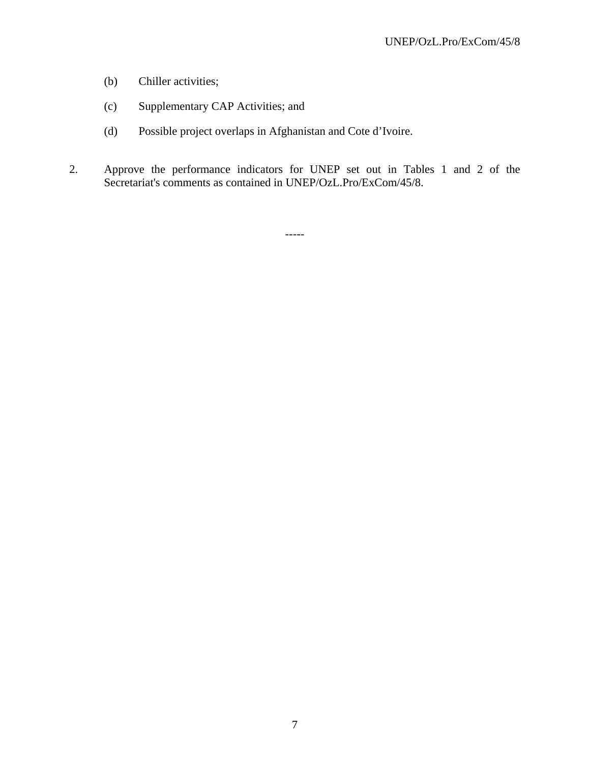- (b) Chiller activities;
- (c) Supplementary CAP Activities; and
- (d) Possible project overlaps in Afghanistan and Cote d'Ivoire.
- 2. Approve the performance indicators for UNEP set out in Tables 1 and 2 of the Secretariat's comments as contained in UNEP/OzL.Pro/ExCom/45/8.

-----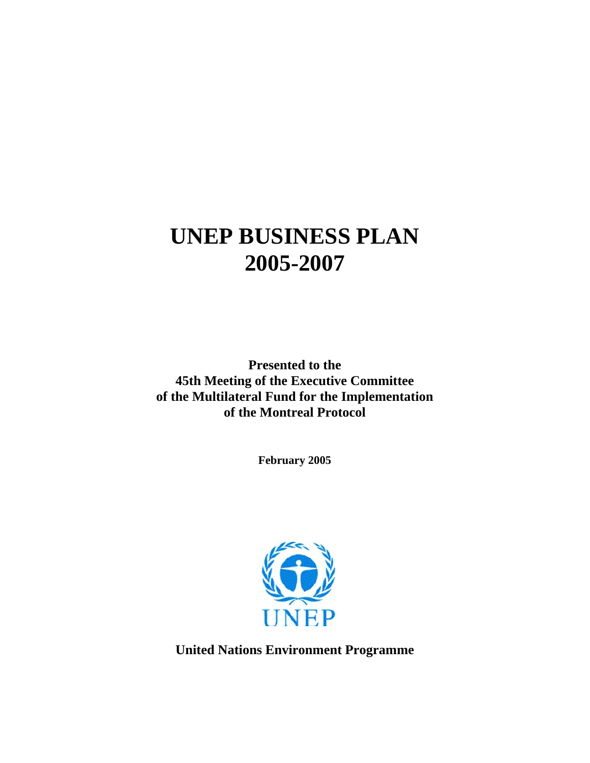# **UNEP BUSINESS PLAN 2005-2007**

**Presented to the 45th Meeting of the Executive Committee of the Multilateral Fund for the Implementation of the Montreal Protocol** 

**February 2005** 



**United Nations Environment Programme**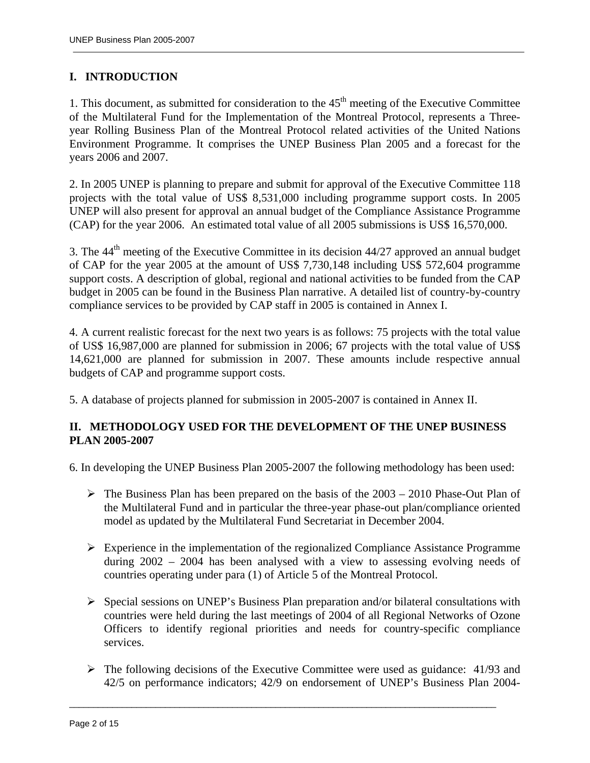# **I. INTRODUCTION**

1. This document, as submitted for consideration to the  $45<sup>th</sup>$  meeting of the Executive Committee of the Multilateral Fund for the Implementation of the Montreal Protocol, represents a Threeyear Rolling Business Plan of the Montreal Protocol related activities of the United Nations Environment Programme. It comprises the UNEP Business Plan 2005 and a forecast for the years 2006 and 2007.

2. In 2005 UNEP is planning to prepare and submit for approval of the Executive Committee 118 projects with the total value of US\$ 8,531,000 including programme support costs. In 2005 UNEP will also present for approval an annual budget of the Compliance Assistance Programme (CAP) for the year 2006. An estimated total value of all 2005 submissions is US\$ 16,570,000.

3. The  $44<sup>th</sup>$  meeting of the Executive Committee in its decision  $44/27$  approved an annual budget of CAP for the year 2005 at the amount of US\$ 7,730,148 including US\$ 572,604 programme support costs. A description of global, regional and national activities to be funded from the CAP budget in 2005 can be found in the Business Plan narrative. A detailed list of country-by-country compliance services to be provided by CAP staff in 2005 is contained in Annex I.

4. A current realistic forecast for the next two years is as follows: 75 projects with the total value of US\$ 16,987,000 are planned for submission in 2006; 67 projects with the total value of US\$ 14,621,000 are planned for submission in 2007. These amounts include respective annual budgets of CAP and programme support costs.

5. A database of projects planned for submission in 2005-2007 is contained in Annex II.

## **II. METHODOLOGY USED FOR THE DEVELOPMENT OF THE UNEP BUSINESS PLAN 2005-2007**

6. In developing the UNEP Business Plan 2005-2007 the following methodology has been used:

- $\triangleright$  The Business Plan has been prepared on the basis of the 2003 2010 Phase-Out Plan of the Multilateral Fund and in particular the three-year phase-out plan/compliance oriented model as updated by the Multilateral Fund Secretariat in December 2004.
- $\triangleright$  Experience in the implementation of the regionalized Compliance Assistance Programme during 2002 – 2004 has been analysed with a view to assessing evolving needs of countries operating under para (1) of Article 5 of the Montreal Protocol.
- ¾ Special sessions on UNEP's Business Plan preparation and/or bilateral consultations with countries were held during the last meetings of 2004 of all Regional Networks of Ozone Officers to identify regional priorities and needs for country-specific compliance services.
- $\triangleright$  The following decisions of the Executive Committee were used as guidance: 41/93 and 42/5 on performance indicators; 42/9 on endorsement of UNEP's Business Plan 2004-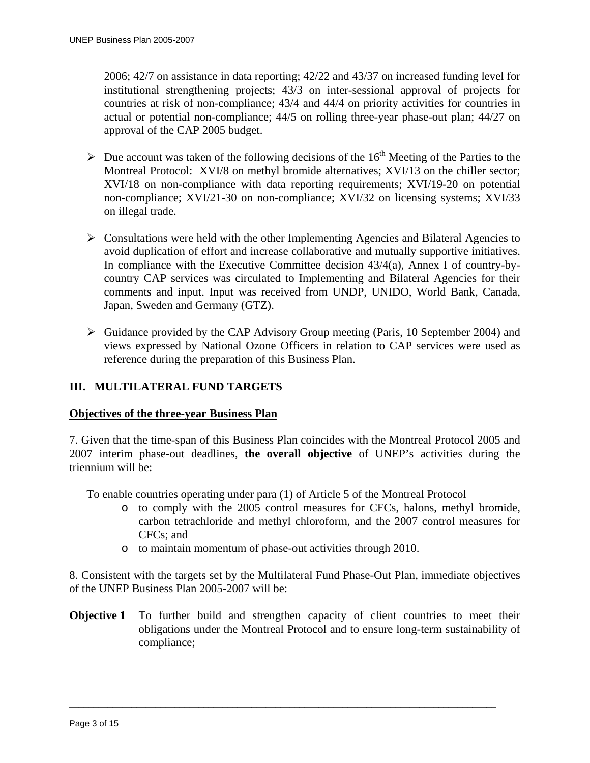2006; 42/7 on assistance in data reporting; 42/22 and 43/37 on increased funding level for institutional strengthening projects; 43/3 on inter-sessional approval of projects for countries at risk of non-compliance; 43/4 and 44/4 on priority activities for countries in actual or potential non-compliance; 44/5 on rolling three-year phase-out plan; 44/27 on approval of the CAP 2005 budget.

- $\triangleright$  Due account was taken of the following decisions of the 16<sup>th</sup> Meeting of the Parties to the Montreal Protocol: XVI/8 on methyl bromide alternatives; XVI/13 on the chiller sector; XVI/18 on non-compliance with data reporting requirements; XVI/19-20 on potential non-compliance; XVI/21-30 on non-compliance; XVI/32 on licensing systems; XVI/33 on illegal trade.
- $\triangleright$  Consultations were held with the other Implementing Agencies and Bilateral Agencies to avoid duplication of effort and increase collaborative and mutually supportive initiatives. In compliance with the Executive Committee decision 43/4(a), Annex I of country-bycountry CAP services was circulated to Implementing and Bilateral Agencies for their comments and input. Input was received from UNDP, UNIDO, World Bank, Canada, Japan, Sweden and Germany (GTZ).
- ¾ Guidance provided by the CAP Advisory Group meeting (Paris, 10 September 2004) and views expressed by National Ozone Officers in relation to CAP services were used as reference during the preparation of this Business Plan.

## **III. MULTILATERAL FUND TARGETS**

#### **Objectives of the three-year Business Plan**

7. Given that the time-span of this Business Plan coincides with the Montreal Protocol 2005 and 2007 interim phase-out deadlines, **the overall objective** of UNEP's activities during the triennium will be:

To enable countries operating under para (1) of Article 5 of the Montreal Protocol

- o to comply with the 2005 control measures for CFCs, halons, methyl bromide, carbon tetrachloride and methyl chloroform, and the 2007 control measures for CFCs; and
- o to maintain momentum of phase-out activities through 2010.

8. Consistent with the targets set by the Multilateral Fund Phase-Out Plan, immediate objectives of the UNEP Business Plan 2005-2007 will be:

**Objective 1** To further build and strengthen capacity of client countries to meet their obligations under the Montreal Protocol and to ensure long-term sustainability of compliance;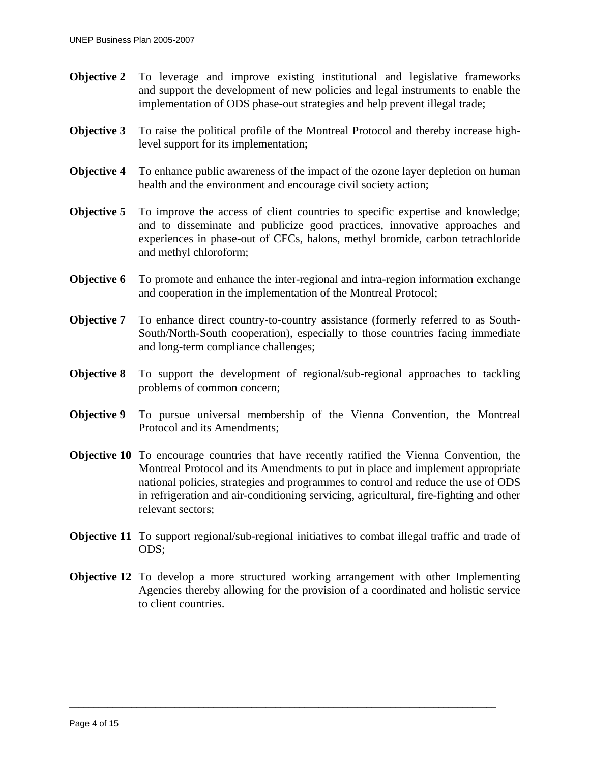- **Objective 2** To leverage and improve existing institutional and legislative frameworks and support the development of new policies and legal instruments to enable the implementation of ODS phase-out strategies and help prevent illegal trade;
- **Objective 3** To raise the political profile of the Montreal Protocol and thereby increase highlevel support for its implementation;
- **Objective 4** To enhance public awareness of the impact of the ozone layer depletion on human health and the environment and encourage civil society action;
- **Objective 5** To improve the access of client countries to specific expertise and knowledge; and to disseminate and publicize good practices, innovative approaches and experiences in phase-out of CFCs, halons, methyl bromide, carbon tetrachloride and methyl chloroform;
- **Objective 6** To promote and enhance the inter-regional and intra-region information exchange and cooperation in the implementation of the Montreal Protocol;
- **Objective 7** To enhance direct country-to-country assistance (formerly referred to as South-South/North-South cooperation), especially to those countries facing immediate and long-term compliance challenges;
- **Objective 8** To support the development of regional/sub-regional approaches to tackling problems of common concern;
- **Objective 9** To pursue universal membership of the Vienna Convention, the Montreal Protocol and its Amendments;
- **Objective 10** To encourage countries that have recently ratified the Vienna Convention, the Montreal Protocol and its Amendments to put in place and implement appropriate national policies, strategies and programmes to control and reduce the use of ODS in refrigeration and air-conditioning servicing, agricultural, fire-fighting and other relevant sectors;
- **Objective 11** To support regional/sub-regional initiatives to combat illegal traffic and trade of ODS;
- **Objective 12** To develop a more structured working arrangement with other Implementing Agencies thereby allowing for the provision of a coordinated and holistic service to client countries.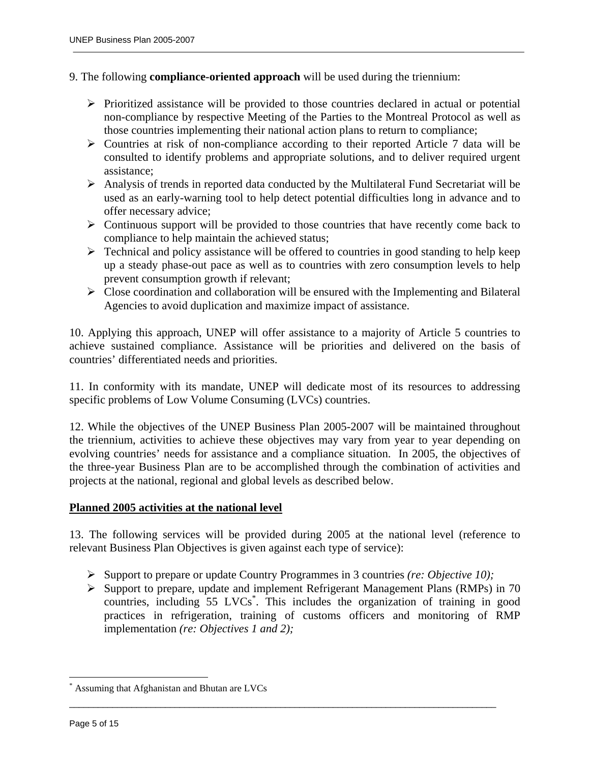#### 9. The following **compliance-oriented approach** will be used during the triennium:

- $\triangleright$  Prioritized assistance will be provided to those countries declared in actual or potential non-compliance by respective Meeting of the Parties to the Montreal Protocol as well as those countries implementing their national action plans to return to compliance;
- $\triangleright$  Countries at risk of non-compliance according to their reported Article 7 data will be consulted to identify problems and appropriate solutions, and to deliver required urgent assistance;
- $\triangleright$  Analysis of trends in reported data conducted by the Multilateral Fund Secretariat will be used as an early-warning tool to help detect potential difficulties long in advance and to offer necessary advice;
- $\triangleright$  Continuous support will be provided to those countries that have recently come back to compliance to help maintain the achieved status;
- $\triangleright$  Technical and policy assistance will be offered to countries in good standing to help keep up a steady phase-out pace as well as to countries with zero consumption levels to help prevent consumption growth if relevant;
- ¾ Close coordination and collaboration will be ensured with the Implementing and Bilateral Agencies to avoid duplication and maximize impact of assistance.

10. Applying this approach, UNEP will offer assistance to a majority of Article 5 countries to achieve sustained compliance. Assistance will be priorities and delivered on the basis of countries' differentiated needs and priorities.

11. In conformity with its mandate, UNEP will dedicate most of its resources to addressing specific problems of Low Volume Consuming (LVCs) countries.

12. While the objectives of the UNEP Business Plan 2005-2007 will be maintained throughout the triennium, activities to achieve these objectives may vary from year to year depending on evolving countries' needs for assistance and a compliance situation. In 2005, the objectives of the three-year Business Plan are to be accomplished through the combination of activities and projects at the national, regional and global levels as described below.

#### **Planned 2005 activities at the national level**

13. The following services will be provided during 2005 at the national level (reference to relevant Business Plan Objectives is given against each type of service):

¾ Support to prepare or update Country Programmes in 3 countries *(re: Objective 10);*

 $\overline{a}$  , and the state of the state of the state of the state of the state of the state of the state of the state of the state of the state of the state of the state of the state of the state of the state of the state o

¾ Support to prepare, update and implement Refrigerant Management Plans (RMPs) in 70 countries, including 55 LVCs<sup>\*</sup>. This includes the organization of training in good practices in refrigeration, training of customs officers and monitoring of RMP implementation *(re: Objectives 1 and 2);*

 $\overline{a}$ 

<sup>\*</sup> Assuming that Afghanistan and Bhutan are LVCs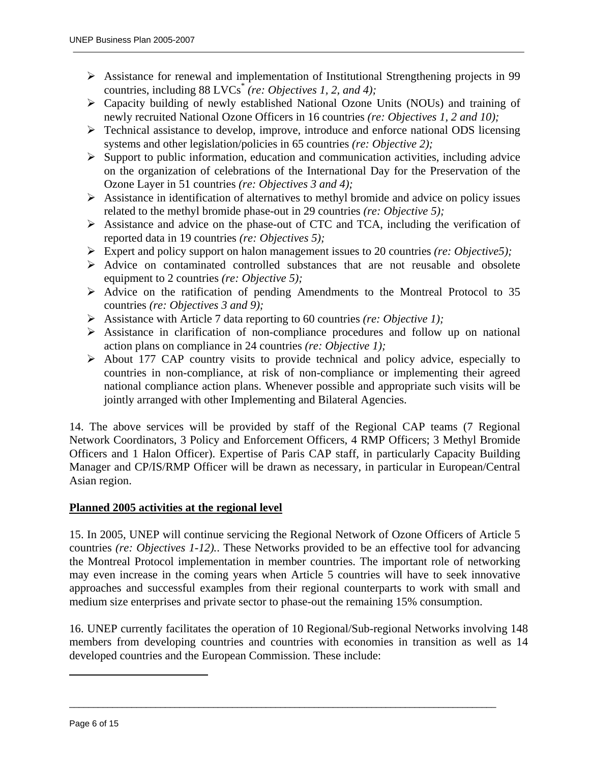- ¾ Assistance for renewal and implementation of Institutional Strengthening projects in 99 countries, including 88 LVCs\* *(re: Objectives 1, 2, and 4);*
- ¾ Capacity building of newly established National Ozone Units (NOUs) and training of newly recruited National Ozone Officers in 16 countries *(re: Objectives 1, 2 and 10);*
- ¾ Technical assistance to develop, improve, introduce and enforce national ODS licensing systems and other legislation/policies in 65 countries *(re: Objective 2);*
- $\triangleright$  Support to public information, education and communication activities, including advice on the organization of celebrations of the International Day for the Preservation of the Ozone Layer in 51 countries *(re: Objectives 3 and 4);*
- $\triangleright$  Assistance in identification of alternatives to methyl bromide and advice on policy issues related to the methyl bromide phase-out in 29 countries *(re: Objective 5);*
- $\triangleright$  Assistance and advice on the phase-out of CTC and TCA, including the verification of reported data in 19 countries *(re: Objectives 5);*
- ¾ Expert and policy support on halon management issues to 20 countries *(re: Objective5);*
- $\triangleright$  Advice on contaminated controlled substances that are not reusable and obsolete equipment to 2 countries *(re: Objective 5);*
- $\triangleright$  Advice on the ratification of pending Amendments to the Montreal Protocol to 35 countries *(re: Objectives 3 and 9);*
- ¾ Assistance with Article 7 data reporting to 60 countries *(re: Objective 1);*
- ¾ Assistance in clarification of non-compliance procedures and follow up on national action plans on compliance in 24 countries *(re: Objective 1);*
- ¾ About 177 CAP country visits to provide technical and policy advice, especially to countries in non-compliance, at risk of non-compliance or implementing their agreed national compliance action plans. Whenever possible and appropriate such visits will be jointly arranged with other Implementing and Bilateral Agencies.

14. The above services will be provided by staff of the Regional CAP teams (7 Regional Network Coordinators, 3 Policy and Enforcement Officers, 4 RMP Officers; 3 Methyl Bromide Officers and 1 Halon Officer). Expertise of Paris CAP staff, in particularly Capacity Building Manager and CP/IS/RMP Officer will be drawn as necessary, in particular in European/Central Asian region.

## **Planned 2005 activities at the regional level**

15. In 2005, UNEP will continue servicing the Regional Network of Ozone Officers of Article 5 countries *(re: Objectives 1-12).*. These Networks provided to be an effective tool for advancing the Montreal Protocol implementation in member countries. The important role of networking may even increase in the coming years when Article 5 countries will have to seek innovative approaches and successful examples from their regional counterparts to work with small and medium size enterprises and private sector to phase-out the remaining 15% consumption.

16. UNEP currently facilitates the operation of 10 Regional/Sub-regional Networks involving 148 members from developing countries and countries with economies in transition as well as 14 developed countries and the European Commission. These include:

 $\overline{a}$  , and the state of the state of the state of the state of the state of the state of the state of the state of the state of the state of the state of the state of the state of the state of the state of the state o

<u>.</u>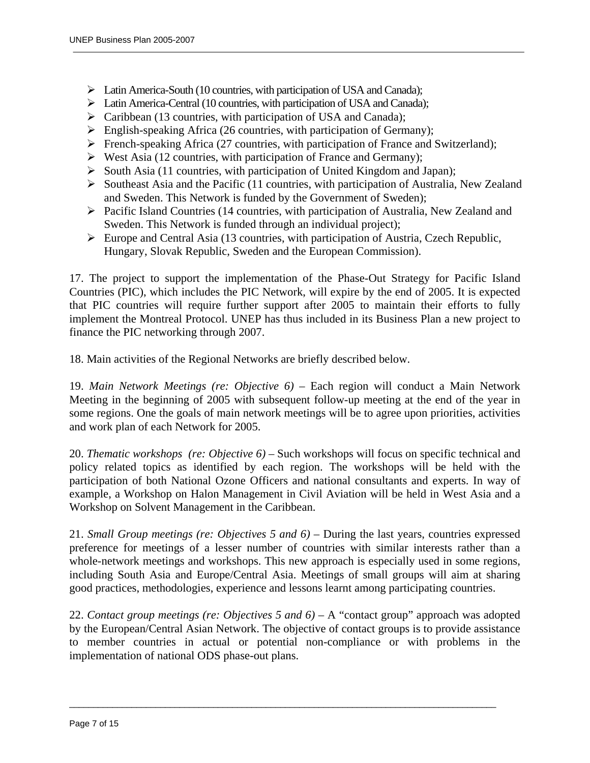- ¾ Latin America-South (10 countries, with participation of USA and Canada);
- ¾ Latin America-Central (10 countries, with participation of USA and Canada);
- $\triangleright$  Caribbean (13 countries, with participation of USA and Canada);
- $\triangleright$  English-speaking Africa (26 countries, with participation of Germany);
- $\triangleright$  French-speaking Africa (27 countries, with participation of France and Switzerland);
- $\triangleright$  West Asia (12 countries, with participation of France and Germany);
- ¾ South Asia (11 countries, with participation of United Kingdom and Japan);
- $\triangleright$  Southeast Asia and the Pacific (11 countries, with participation of Australia, New Zealand and Sweden. This Network is funded by the Government of Sweden);
- ¾ Pacific Island Countries (14 countries, with participation of Australia, New Zealand and Sweden. This Network is funded through an individual project);
- $\triangleright$  Europe and Central Asia (13 countries, with participation of Austria, Czech Republic, Hungary, Slovak Republic, Sweden and the European Commission).

17. The project to support the implementation of the Phase-Out Strategy for Pacific Island Countries (PIC), which includes the PIC Network, will expire by the end of 2005. It is expected that PIC countries will require further support after 2005 to maintain their efforts to fully implement the Montreal Protocol. UNEP has thus included in its Business Plan a new project to finance the PIC networking through 2007.

18. Main activities of the Regional Networks are briefly described below.

19. *Main Network Meetings (re: Objective 6)* – Each region will conduct a Main Network Meeting in the beginning of 2005 with subsequent follow-up meeting at the end of the year in some regions. One the goals of main network meetings will be to agree upon priorities, activities and work plan of each Network for 2005.

20. *Thematic workshops (re: Objective 6) –* Such workshops will focus on specific technical and policy related topics as identified by each region. The workshops will be held with the participation of both National Ozone Officers and national consultants and experts. In way of example, a Workshop on Halon Management in Civil Aviation will be held in West Asia and a Workshop on Solvent Management in the Caribbean.

21. *Small Group meetings (re: Objectives 5 and 6)* – During the last years, countries expressed preference for meetings of a lesser number of countries with similar interests rather than a whole-network meetings and workshops. This new approach is especially used in some regions, including South Asia and Europe/Central Asia. Meetings of small groups will aim at sharing good practices, methodologies, experience and lessons learnt among participating countries.

22. *Contact group meetings (re: Objectives 5 and 6)* – A "contact group" approach was adopted by the European/Central Asian Network. The objective of contact groups is to provide assistance to member countries in actual or potential non-compliance or with problems in the implementation of national ODS phase-out plans.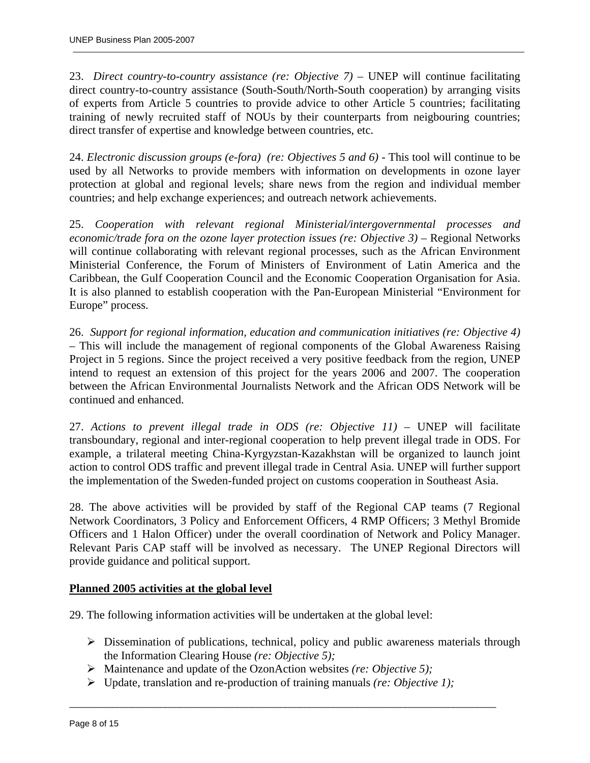23. *Direct country-to-country assistance (re: Objective 7)* – UNEP will continue facilitating direct country-to-country assistance (South-South/North-South cooperation) by arranging visits of experts from Article 5 countries to provide advice to other Article 5 countries; facilitating training of newly recruited staff of NOUs by their counterparts from neigbouring countries; direct transfer of expertise and knowledge between countries, etc.

24. *Electronic discussion groups (e-fora) (re: Objectives 5 and 6) -* This tool will continue to be used by all Networks to provide members with information on developments in ozone layer protection at global and regional levels; share news from the region and individual member countries; and help exchange experiences; and outreach network achievements.

25. *Cooperation with relevant regional Ministerial/intergovernmental processes and economic/trade fora on the ozone layer protection issues (re: Objective 3) – Regional Networks* will continue collaborating with relevant regional processes, such as the African Environment Ministerial Conference, the Forum of Ministers of Environment of Latin America and the Caribbean, the Gulf Cooperation Council and the Economic Cooperation Organisation for Asia. It is also planned to establish cooperation with the Pan-European Ministerial "Environment for Europe" process.

26. *Support for regional information, education and communication initiatives (re: Objective 4) –* This will include the management of regional components of the Global Awareness Raising Project in 5 regions. Since the project received a very positive feedback from the region, UNEP intend to request an extension of this project for the years 2006 and 2007. The cooperation between the African Environmental Journalists Network and the African ODS Network will be continued and enhanced.

27. *Actions to prevent illegal trade in ODS (re: Objective 11) –* UNEP will facilitate transboundary, regional and inter-regional cooperation to help prevent illegal trade in ODS. For example, a trilateral meeting China-Kyrgyzstan-Kazakhstan will be organized to launch joint action to control ODS traffic and prevent illegal trade in Central Asia. UNEP will further support the implementation of the Sweden-funded project on customs cooperation in Southeast Asia.

28. The above activities will be provided by staff of the Regional CAP teams (7 Regional Network Coordinators, 3 Policy and Enforcement Officers, 4 RMP Officers; 3 Methyl Bromide Officers and 1 Halon Officer) under the overall coordination of Network and Policy Manager. Relevant Paris CAP staff will be involved as necessary. The UNEP Regional Directors will provide guidance and political support.

## **Planned 2005 activities at the global level**

29. The following information activities will be undertaken at the global level:

- $\triangleright$  Dissemination of publications, technical, policy and public awareness materials through the Information Clearing House *(re: Objective 5);*
- ¾ Maintenance and update of the OzonAction websites *(re: Objective 5);*
- ¾ Update, translation and re-production of training manuals *(re: Objective 1);*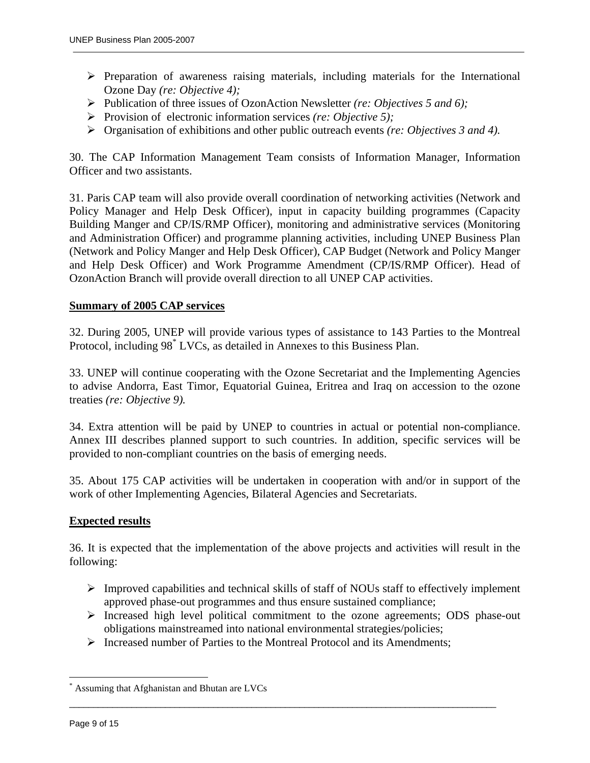- $\triangleright$  Preparation of awareness raising materials, including materials for the International Ozone Day *(re: Objective 4);*
- ¾ Publication of three issues of OzonAction Newsletter *(re: Objectives 5 and 6);*
- ¾ Provision of electronic information services *(re: Objective 5);*
- ¾ Organisation of exhibitions and other public outreach events *(re: Objectives 3 and 4).*

30. The CAP Information Management Team consists of Information Manager, Information Officer and two assistants.

31. Paris CAP team will also provide overall coordination of networking activities (Network and Policy Manager and Help Desk Officer), input in capacity building programmes (Capacity Building Manger and CP/IS/RMP Officer), monitoring and administrative services (Monitoring and Administration Officer) and programme planning activities, including UNEP Business Plan (Network and Policy Manger and Help Desk Officer), CAP Budget (Network and Policy Manger and Help Desk Officer) and Work Programme Amendment (CP/IS/RMP Officer). Head of OzonAction Branch will provide overall direction to all UNEP CAP activities.

#### **Summary of 2005 CAP services**

32. During 2005, UNEP will provide various types of assistance to 143 Parties to the Montreal Protocol, including 98<sup>\*</sup> LVCs, as detailed in Annexes to this Business Plan.

33. UNEP will continue cooperating with the Ozone Secretariat and the Implementing Agencies to advise Andorra, East Timor, Equatorial Guinea, Eritrea and Iraq on accession to the ozone treaties *(re: Objective 9).*

34. Extra attention will be paid by UNEP to countries in actual or potential non-compliance. Annex III describes planned support to such countries. In addition, specific services will be provided to non-compliant countries on the basis of emerging needs.

35. About 175 CAP activities will be undertaken in cooperation with and/or in support of the work of other Implementing Agencies, Bilateral Agencies and Secretariats.

#### **Expected results**

36. It is expected that the implementation of the above projects and activities will result in the following:

- $\triangleright$  Improved capabilities and technical skills of staff of NOUs staff to effectively implement approved phase-out programmes and thus ensure sustained compliance;
- ¾ Increased high level political commitment to the ozone agreements; ODS phase-out obligations mainstreamed into national environmental strategies/policies;
- $\triangleright$  Increased number of Parties to the Montreal Protocol and its Amendments;

 $\overline{a}$  , and the state of the state of the state of the state of the state of the state of the state of the state of the state of the state of the state of the state of the state of the state of the state of the state o

 $\overline{a}$ 

<sup>\*</sup> Assuming that Afghanistan and Bhutan are LVCs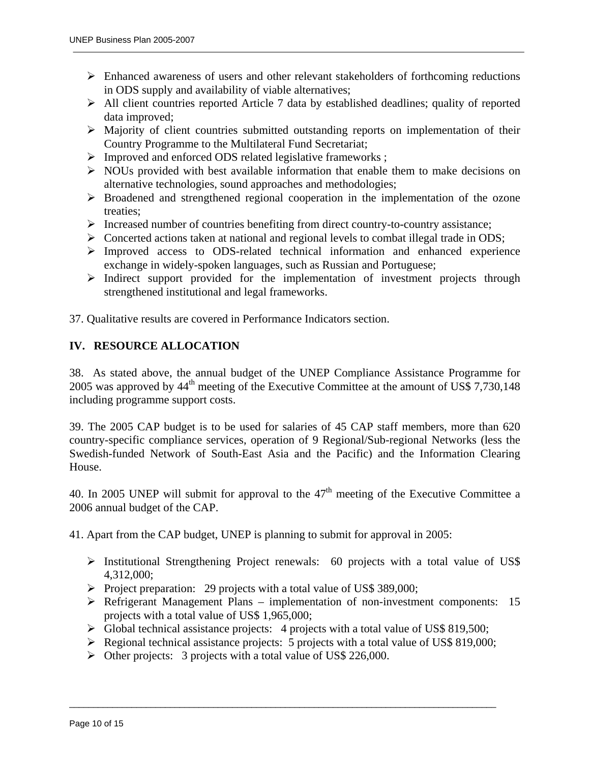- $\triangleright$  Enhanced awareness of users and other relevant stakeholders of forthcoming reductions in ODS supply and availability of viable alternatives;
- $\triangleright$  All client countries reported Article 7 data by established deadlines; quality of reported data improved;
- $\triangleright$  Majority of client countries submitted outstanding reports on implementation of their Country Programme to the Multilateral Fund Secretariat;
- ¾ Improved and enforced ODS related legislative frameworks ;
- $\triangleright$  NOUs provided with best available information that enable them to make decisions on alternative technologies, sound approaches and methodologies;
- ¾ Broadened and strengthened regional cooperation in the implementation of the ozone treaties;
- $\triangleright$  Increased number of countries benefiting from direct country-to-country assistance;
- $\triangleright$  Concerted actions taken at national and regional levels to combat illegal trade in ODS;
- ¾ Improved access to ODS-related technical information and enhanced experience exchange in widely-spoken languages, such as Russian and Portuguese;
- $\triangleright$  Indirect support provided for the implementation of investment projects through strengthened institutional and legal frameworks.

37. Qualitative results are covered in Performance Indicators section.

## **IV. RESOURCE ALLOCATION**

38. As stated above, the annual budget of the UNEP Compliance Assistance Programme for 2005 was approved by  $44<sup>th</sup>$  meeting of the Executive Committee at the amount of US\$ 7,730,148 including programme support costs.

39. The 2005 CAP budget is to be used for salaries of 45 CAP staff members, more than 620 country-specific compliance services, operation of 9 Regional/Sub-regional Networks (less the Swedish-funded Network of South-East Asia and the Pacific) and the Information Clearing House.

40. In 2005 UNEP will submit for approval to the  $47<sup>th</sup>$  meeting of the Executive Committee a 2006 annual budget of the CAP.

41. Apart from the CAP budget, UNEP is planning to submit for approval in 2005:

- ¾ Institutional Strengthening Project renewals: 60 projects with a total value of US\$ 4,312,000;
- ¾ Project preparation: 29 projects with a total value of US\$ 389,000;
- $\triangleright$  Refrigerant Management Plans implementation of non-investment components: 15 projects with a total value of US\$ 1,965,000;
- ¾ Global technical assistance projects: 4 projects with a total value of US\$ 819,500;

- $\triangleright$  Regional technical assistance projects: 5 projects with a total value of US\$ 819,000;
- ¾ Other projects: 3 projects with a total value of US\$ 226,000.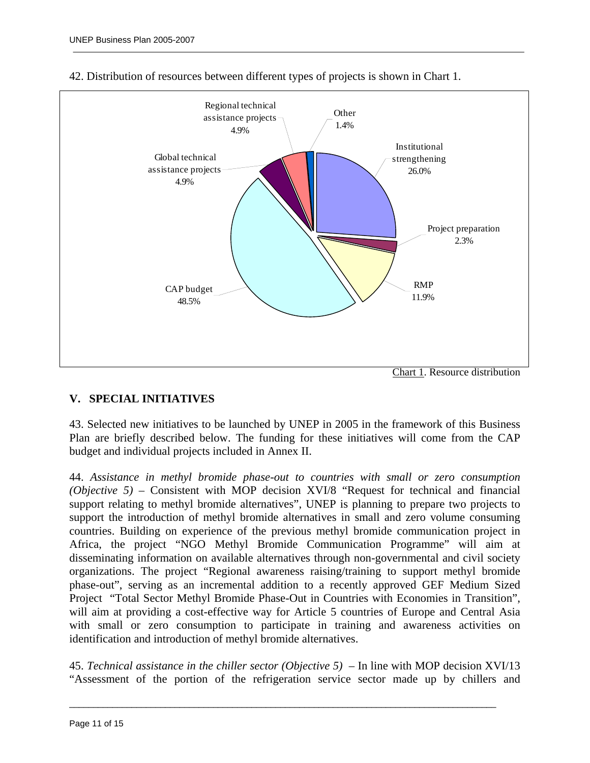

#### 42. Distribution of resources between different types of projects is shown in Chart 1.

## **V. SPECIAL INITIATIVES**

43. Selected new initiatives to be launched by UNEP in 2005 in the framework of this Business Plan are briefly described below. The funding for these initiatives will come from the CAP budget and individual projects included in Annex II.

44. *Assistance in methyl bromide phase-out to countries with small or zero consumption (Objective 5)* – Consistent with MOP decision XVI/8 "Request for technical and financial support relating to methyl bromide alternatives", UNEP is planning to prepare two projects to support the introduction of methyl bromide alternatives in small and zero volume consuming countries. Building on experience of the previous methyl bromide communication project in Africa, the project "NGO Methyl Bromide Communication Programme" will aim at disseminating information on available alternatives through non-governmental and civil society organizations. The project "Regional awareness raising/training to support methyl bromide phase-out", serving as an incremental addition to a recently approved GEF Medium Sized Project "Total Sector Methyl Bromide Phase-Out in Countries with Economies in Transition", will aim at providing a cost-effective way for Article 5 countries of Europe and Central Asia with small or zero consumption to participate in training and awareness activities on identification and introduction of methyl bromide alternatives.

45. *Technical assistance in the chiller sector (Objective 5)* – In line with MOP decision XVI/13 "Assessment of the portion of the refrigeration service sector made up by chillers and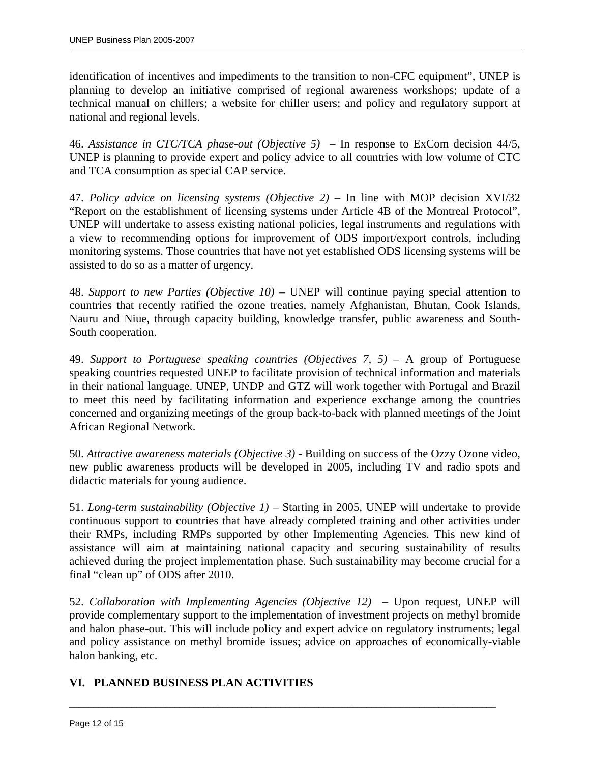identification of incentives and impediments to the transition to non-CFC equipment", UNEP is planning to develop an initiative comprised of regional awareness workshops; update of a technical manual on chillers; a website for chiller users; and policy and regulatory support at national and regional levels.

46. *Assistance in CTC/TCA phase-out (Objective 5)* – In response to ExCom decision 44/5, UNEP is planning to provide expert and policy advice to all countries with low volume of CTC and TCA consumption as special CAP service.

47. *Policy advice on licensing systems (Objective 2)* – In line with MOP decision XVI/32 "Report on the establishment of licensing systems under Article 4B of the Montreal Protocol", UNEP will undertake to assess existing national policies, legal instruments and regulations with a view to recommending options for improvement of ODS import/export controls, including monitoring systems. Those countries that have not yet established ODS licensing systems will be assisted to do so as a matter of urgency.

48. *Support to new Parties (Objective 10)* – UNEP will continue paying special attention to countries that recently ratified the ozone treaties, namely Afghanistan, Bhutan, Cook Islands, Nauru and Niue, through capacity building, knowledge transfer, public awareness and South-South cooperation.

49. *Support to Portuguese speaking countries (Objectives 7, 5)* – A group of Portuguese speaking countries requested UNEP to facilitate provision of technical information and materials in their national language. UNEP, UNDP and GTZ will work together with Portugal and Brazil to meet this need by facilitating information and experience exchange among the countries concerned and organizing meetings of the group back-to-back with planned meetings of the Joint African Regional Network.

50. *Attractive awareness materials (Objective 3)* - Building on success of the Ozzy Ozone video, new public awareness products will be developed in 2005, including TV and radio spots and didactic materials for young audience.

51. *Long-term sustainability (Objective 1)* – Starting in 2005, UNEP will undertake to provide continuous support to countries that have already completed training and other activities under their RMPs, including RMPs supported by other Implementing Agencies. This new kind of assistance will aim at maintaining national capacity and securing sustainability of results achieved during the project implementation phase. Such sustainability may become crucial for a final "clean up" of ODS after 2010.

52. *Collaboration with Implementing Agencies (Objective 12)* – Upon request, UNEP will provide complementary support to the implementation of investment projects on methyl bromide and halon phase-out. This will include policy and expert advice on regulatory instruments; legal and policy assistance on methyl bromide issues; advice on approaches of economically-viable halon banking, etc.

 $\overline{a}$  , and the state of the state of the state of the state of the state of the state of the state of the state of the state of the state of the state of the state of the state of the state of the state of the state o

## **VI. PLANNED BUSINESS PLAN ACTIVITIES**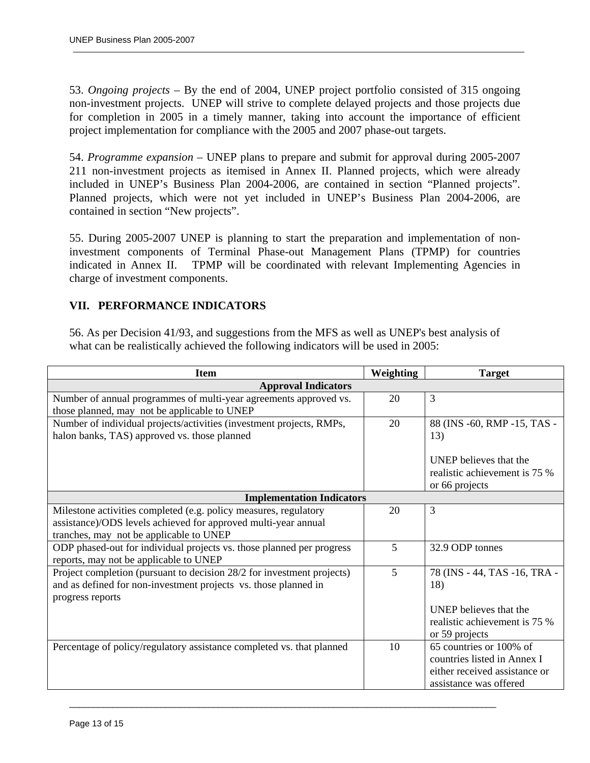53. *Ongoing projects* – By the end of 2004, UNEP project portfolio consisted of 315 ongoing non-investment projects. UNEP will strive to complete delayed projects and those projects due for completion in 2005 in a timely manner, taking into account the importance of efficient project implementation for compliance with the 2005 and 2007 phase-out targets.

54. *Programme expansion* – UNEP plans to prepare and submit for approval during 2005-2007 211 non-investment projects as itemised in Annex II. Planned projects, which were already included in UNEP's Business Plan 2004-2006, are contained in section "Planned projects". Planned projects, which were not yet included in UNEP's Business Plan 2004-2006, are contained in section "New projects".

55. During 2005-2007 UNEP is planning to start the preparation and implementation of noninvestment components of Terminal Phase-out Management Plans (TPMP) for countries indicated in Annex II. TPMP will be coordinated with relevant Implementing Agencies in charge of investment components.

## **VII. PERFORMANCE INDICATORS**

56. As per Decision 41/93, and suggestions from the MFS as well as UNEP's best analysis of what can be realistically achieved the following indicators will be used in 2005:

| <b>Item</b>                                                                                                                                                                   | Weighting | <b>Target</b>                                                                                                           |
|-------------------------------------------------------------------------------------------------------------------------------------------------------------------------------|-----------|-------------------------------------------------------------------------------------------------------------------------|
| <b>Approval Indicators</b>                                                                                                                                                    |           |                                                                                                                         |
| Number of annual programmes of multi-year agreements approved vs.<br>those planned, may not be applicable to UNEP                                                             | 20        | $\overline{3}$                                                                                                          |
| Number of individual projects/activities (investment projects, RMPs,<br>halon banks, TAS) approved vs. those planned                                                          | 20        | 88 (INS -60, RMP -15, TAS -<br>13)                                                                                      |
|                                                                                                                                                                               |           | <b>UNEP</b> believes that the<br>realistic achievement is 75 %<br>or 66 projects                                        |
| <b>Implementation Indicators</b>                                                                                                                                              |           |                                                                                                                         |
| Milestone activities completed (e.g. policy measures, regulatory<br>assistance)/ODS levels achieved for approved multi-year annual<br>tranches, may not be applicable to UNEP | 20        | 3                                                                                                                       |
| ODP phased-out for individual projects vs. those planned per progress<br>reports, may not be applicable to UNEP                                                               | 5         | 32.9 ODP tonnes                                                                                                         |
| Project completion (pursuant to decision 28/2 for investment projects)<br>and as defined for non-investment projects vs. those planned in<br>progress reports                 | 5         | 78 (INS - 44, TAS -16, TRA -<br>18)<br><b>UNEP</b> believes that the<br>realistic achievement is 75 %<br>or 59 projects |
| Percentage of policy/regulatory assistance completed vs. that planned                                                                                                         | 10        | 65 countries or 100% of<br>countries listed in Annex I<br>either received assistance or<br>assistance was offered       |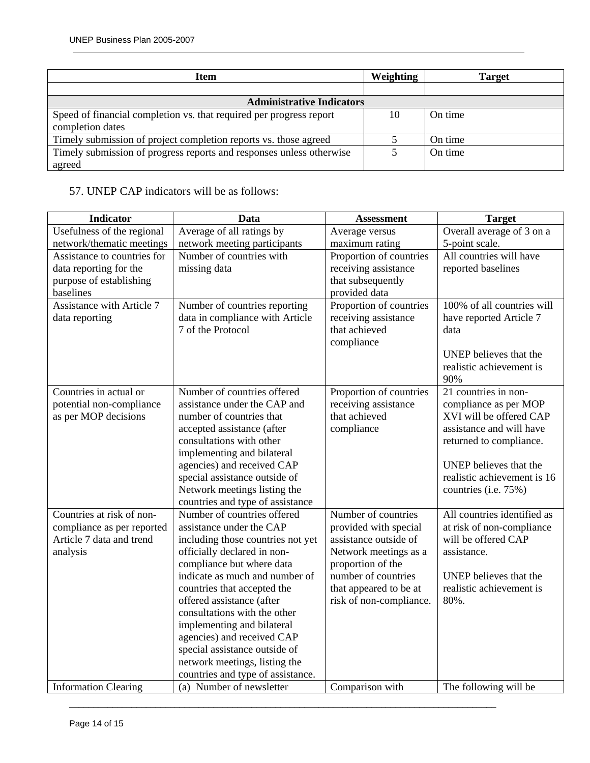| <b>Item</b>                                                          | Weighting | <b>Target</b> |
|----------------------------------------------------------------------|-----------|---------------|
|                                                                      |           |               |
| <b>Administrative Indicators</b>                                     |           |               |
| Speed of financial completion vs. that required per progress report  | 10        | On time       |
| completion dates                                                     |           |               |
| Timely submission of project completion reports vs. those agreed     |           | On time       |
| Timely submission of progress reports and responses unless otherwise |           | On time       |
| agreed                                                               |           |               |

# 57. UNEP CAP indicators will be as follows:

| <b>Indicator</b>                 | Data                              | <b>Assessment</b>       | <b>Target</b>               |
|----------------------------------|-----------------------------------|-------------------------|-----------------------------|
| Usefulness of the regional       | Average of all ratings by         | Average versus          | Overall average of 3 on a   |
| network/thematic meetings        | network meeting participants      | maximum rating          | 5-point scale.              |
| Assistance to countries for      | Number of countries with          | Proportion of countries | All countries will have     |
| data reporting for the           | missing data                      | receiving assistance    | reported baselines          |
| purpose of establishing          |                                   | that subsequently       |                             |
| baselines                        |                                   | provided data           |                             |
| <b>Assistance with Article 7</b> | Number of countries reporting     | Proportion of countries | 100% of all countries will  |
| data reporting                   | data in compliance with Article   | receiving assistance    | have reported Article 7     |
|                                  | 7 of the Protocol                 | that achieved           | data                        |
|                                  |                                   | compliance              |                             |
|                                  |                                   |                         | UNEP believes that the      |
|                                  |                                   |                         | realistic achievement is    |
|                                  |                                   |                         | 90%                         |
| Countries in actual or           | Number of countries offered       | Proportion of countries | 21 countries in non-        |
| potential non-compliance         | assistance under the CAP and      | receiving assistance    | compliance as per MOP       |
| as per MOP decisions             | number of countries that          | that achieved           | XVI will be offered CAP     |
|                                  | accepted assistance (after        | compliance              | assistance and will have    |
|                                  | consultations with other          |                         | returned to compliance.     |
|                                  | implementing and bilateral        |                         |                             |
|                                  | agencies) and received CAP        |                         | UNEP believes that the      |
|                                  | special assistance outside of     |                         | realistic achievement is 16 |
|                                  | Network meetings listing the      |                         | countries (i.e. 75%)        |
|                                  | countries and type of assistance  |                         |                             |
| Countries at risk of non-        | Number of countries offered       | Number of countries     | All countries identified as |
| compliance as per reported       | assistance under the CAP          | provided with special   | at risk of non-compliance   |
| Article 7 data and trend         | including those countries not yet | assistance outside of   | will be offered CAP         |
| analysis                         | officially declared in non-       | Network meetings as a   | assistance.                 |
|                                  | compliance but where data         | proportion of the       |                             |
|                                  | indicate as much and number of    | number of countries     | UNEP believes that the      |
|                                  | countries that accepted the       | that appeared to be at  | realistic achievement is    |
|                                  | offered assistance (after         | risk of non-compliance. | 80%.                        |
|                                  | consultations with the other      |                         |                             |
|                                  | implementing and bilateral        |                         |                             |
|                                  | agencies) and received CAP        |                         |                             |
|                                  | special assistance outside of     |                         |                             |
|                                  | network meetings, listing the     |                         |                             |
|                                  | countries and type of assistance. |                         |                             |
| <b>Information Clearing</b>      | (a) Number of newsletter          | Comparison with         | The following will be       |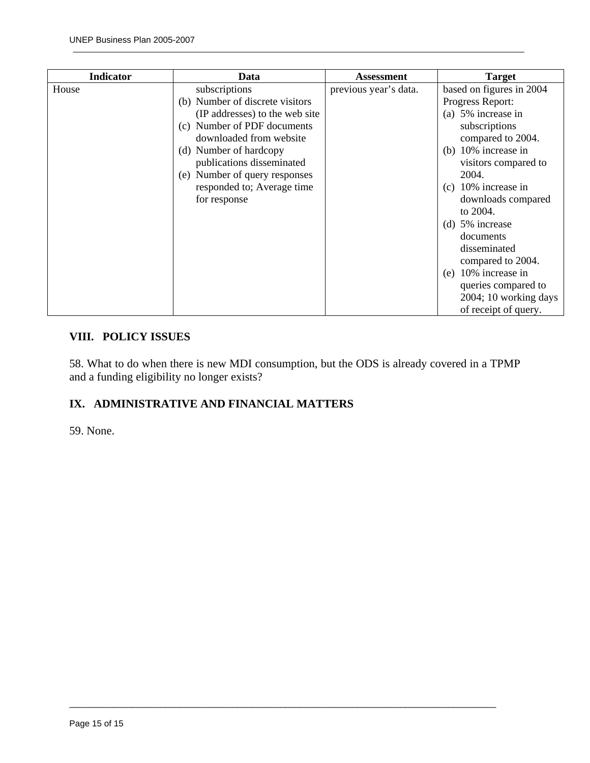| <b>Indicator</b> | Data                            | Assessment            | <b>Target</b>            |
|------------------|---------------------------------|-----------------------|--------------------------|
| House            | subscriptions                   | previous year's data. | based on figures in 2004 |
|                  | (b) Number of discrete visitors |                       | Progress Report:         |
|                  | (IP addresses) to the web site  |                       | (a) 5% increase in       |
|                  | (c) Number of PDF documents     |                       | subscriptions            |
|                  | downloaded from website         |                       | compared to 2004.        |
|                  | (d) Number of hardcopy          |                       | (b) $10\%$ increase in   |
|                  | publications disseminated       |                       | visitors compared to     |
|                  | (e) Number of query responses   |                       | 2004.                    |
|                  | responded to; Average time      |                       | 10% increase in<br>(c)   |
|                  | for response                    |                       | downloads compared       |
|                  |                                 |                       | to 2004.                 |
|                  |                                 |                       | (d) $5\%$ increase       |
|                  |                                 |                       | documents                |
|                  |                                 |                       | disseminated             |
|                  |                                 |                       | compared to 2004.        |
|                  |                                 |                       | $(e)$ 10% increase in    |
|                  |                                 |                       | queries compared to      |
|                  |                                 |                       | 2004; 10 working days    |
|                  |                                 |                       | of receipt of query.     |

# **VIII. POLICY ISSUES**

58. What to do when there is new MDI consumption, but the ODS is already covered in a TPMP and a funding eligibility no longer exists?

 $\overline{a}$  , and the state of the state of the state of the state of the state of the state of the state of the state of the state of the state of the state of the state of the state of the state of the state of the state o

# **IX. ADMINISTRATIVE AND FINANCIAL MATTERS**

59. None.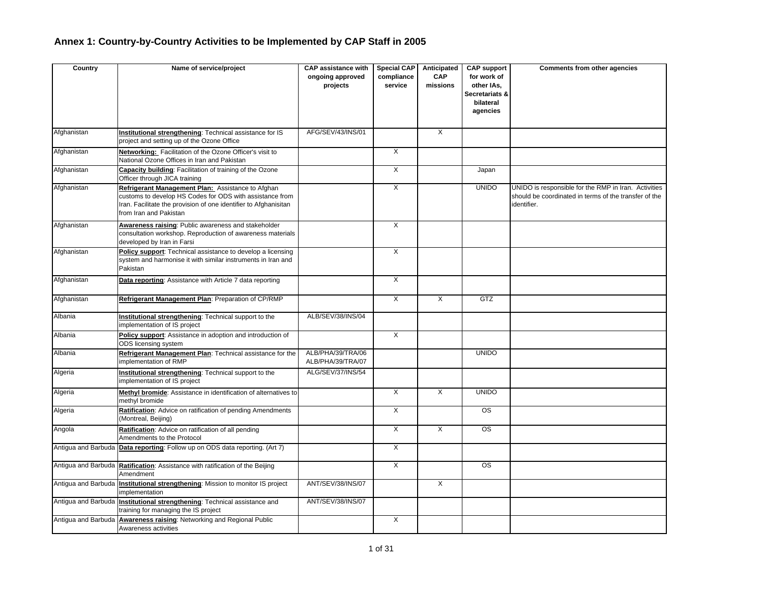# **Annex 1: Country-by-Country Activities to be Implemented by CAP Staff in 2005**

| Country             | Name of service/project                                                                                                                                                                                     | <b>CAP assistance with</b><br>ongoing approved<br>projects | <b>Special CAP</b><br>compliance<br>service | Anticipated<br><b>CAP</b><br>missions | <b>CAP support</b><br>for work of<br>other IAs,<br>Secretariats &<br>bilateral<br>agencies | Comments from other agencies                                                                                                 |
|---------------------|-------------------------------------------------------------------------------------------------------------------------------------------------------------------------------------------------------------|------------------------------------------------------------|---------------------------------------------|---------------------------------------|--------------------------------------------------------------------------------------------|------------------------------------------------------------------------------------------------------------------------------|
| Afghanistan         | Institutional strengthening: Technical assistance for IS<br>project and setting up of the Ozone Office                                                                                                      | AFG/SEV/43/INS/01                                          |                                             | $\overline{\mathsf{x}}$               |                                                                                            |                                                                                                                              |
| Afghanistan         | Networking: Facilitation of the Ozone Officer's visit to<br>National Ozone Offices in Iran and Pakistan                                                                                                     |                                                            | $\overline{X}$                              |                                       |                                                                                            |                                                                                                                              |
| Afghanistan         | Capacity building: Facilitation of training of the Ozone<br>Officer through JICA training                                                                                                                   |                                                            | $\overline{X}$                              |                                       | Japan                                                                                      |                                                                                                                              |
| Afghanistan         | Refrigerant Management Plan: Assistance to Afghan<br>customs to develop HS Codes for ODS with assistance from<br>Iran. Facilitate the provision of one identifier to Afghanisitan<br>from Iran and Pakistan |                                                            | $\overline{X}$                              |                                       | <b>UNIDO</b>                                                                               | UNIDO is responsible for the RMP in Iran. Activities<br>should be coordinated in terms of the transfer of the<br>identifier. |
| Afghanistan         | Awareness raising: Public awareness and stakeholder<br>consultation workshop. Reproduction of awareness materials<br>developed by Iran in Farsi                                                             |                                                            | $\overline{X}$                              |                                       |                                                                                            |                                                                                                                              |
| Afghanistan         | Policy support: Technical assistance to develop a licensing<br>system and harmonise it with similar instruments in Iran and<br>Pakistan                                                                     |                                                            | $\overline{\mathsf{x}}$                     |                                       |                                                                                            |                                                                                                                              |
| Afghanistan         | Data reporting: Assistance with Article 7 data reporting                                                                                                                                                    |                                                            | $\overline{X}$                              |                                       |                                                                                            |                                                                                                                              |
| Afghanistan         | Refrigerant Management Plan: Preparation of CP/RMP                                                                                                                                                          |                                                            | $\overline{X}$                              | $\overline{X}$                        | GTZ                                                                                        |                                                                                                                              |
| Albania             | Institutional strengthening: Technical support to the<br>implementation of IS project                                                                                                                       | ALB/SEV/38/INS/04                                          |                                             |                                       |                                                                                            |                                                                                                                              |
| Albania             | Policy support: Assistance in adoption and introduction of<br>ODS licensing system                                                                                                                          |                                                            | $\mathsf{X}$                                |                                       |                                                                                            |                                                                                                                              |
| Albania             | Refrigerant Management Plan: Technical assistance for the<br>implementation of RMP                                                                                                                          | ALB/PHA/39/TRA/06<br>ALB/PHA/39/TRA/07                     |                                             |                                       | <b>UNIDO</b>                                                                               |                                                                                                                              |
| Algeria             | Institutional strengthening: Technical support to the<br>implementation of IS project                                                                                                                       | ALG/SEV/37/INS/54                                          |                                             |                                       |                                                                                            |                                                                                                                              |
| Algeria             | Methyl bromide: Assistance in identification of alternatives to<br>methyl bromide                                                                                                                           |                                                            | $\overline{X}$                              | X                                     | <b>UNIDO</b>                                                                               |                                                                                                                              |
| Algeria             | Ratification: Advice on ratification of pending Amendments<br>(Montreal, Beijing)                                                                                                                           |                                                            | $\overline{X}$                              |                                       | <b>OS</b>                                                                                  |                                                                                                                              |
| Angola              | Ratification: Advice on ratification of all pending<br>Amendments to the Protocol                                                                                                                           |                                                            | $\overline{X}$                              | $\overline{X}$                        | $\overline{\text{OS}}$                                                                     |                                                                                                                              |
|                     | Antigua and Barbuda Data reporting: Follow up on ODS data reporting. (Art 7)                                                                                                                                |                                                            | $\overline{X}$                              |                                       |                                                                                            |                                                                                                                              |
|                     | Antigua and Barbuda Ratification: Assistance with ratification of the Beijing<br>Amendment                                                                                                                  |                                                            | $\overline{X}$                              |                                       | $\overline{\text{os}}$                                                                     |                                                                                                                              |
| Antigua and Barbuda | Institutional strengthening: Mission to monitor IS project<br>implementation                                                                                                                                | ANT/SEV/38/INS/07                                          |                                             | X                                     |                                                                                            |                                                                                                                              |
| Antigua and Barbuda | Institutional strengthening: Technical assistance and<br>training for managing the IS project                                                                                                               | ANT/SEV/38/INS/07                                          |                                             |                                       |                                                                                            |                                                                                                                              |
| Antigua and Barbuda | <b>Awareness raising: Networking and Regional Public</b><br>Awareness activities                                                                                                                            |                                                            | $\overline{X}$                              |                                       |                                                                                            |                                                                                                                              |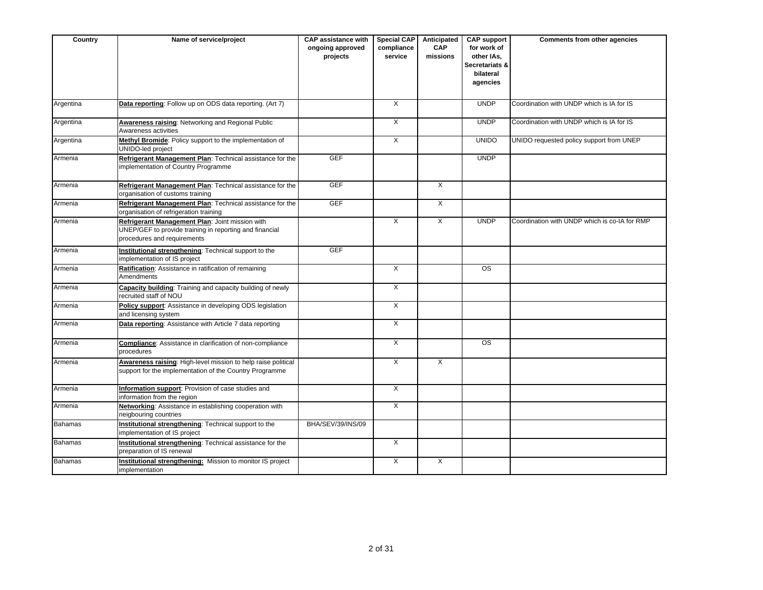| Country        | Name of service/project                                                                                                                   | <b>CAP assistance with</b><br>ongoing approved<br>projects | <b>Special CAP</b><br>compliance<br>service | Anticipated<br><b>CAP</b><br>missions | <b>CAP support</b><br>for work of<br>other IAs,<br>Secretariats &<br>bilateral<br>agencies | <b>Comments from other agencies</b>           |
|----------------|-------------------------------------------------------------------------------------------------------------------------------------------|------------------------------------------------------------|---------------------------------------------|---------------------------------------|--------------------------------------------------------------------------------------------|-----------------------------------------------|
| Argentina      | Data reporting: Follow up on ODS data reporting. (Art 7)                                                                                  |                                                            | $\overline{X}$                              |                                       | <b>UNDP</b>                                                                                | Coordination with UNDP which is IA for IS     |
| Argentina      | Awareness raising: Networking and Regional Public<br>Awareness activities                                                                 |                                                            | X                                           |                                       | <b>UNDP</b>                                                                                | Coordination with UNDP which is IA for IS     |
| Argentina      | Methyl Bromide: Policy support to the implementation of<br>UNIDO-led project                                                              |                                                            | X                                           |                                       | <b>UNIDO</b>                                                                               | UNIDO requested policy support from UNEP      |
| Armenia        | Refrigerant Management Plan: Technical assistance for the<br>implementation of Country Programme                                          | <b>GEF</b>                                                 |                                             |                                       | <b>UNDP</b>                                                                                |                                               |
| Armenia        | Refrigerant Management Plan: Technical assistance for the<br>organisation of customs training                                             | <b>GEF</b>                                                 |                                             | $\times$                              |                                                                                            |                                               |
| Armenia        | Refrigerant Management Plan: Technical assistance for the<br>organisation of refrigeration training                                       | <b>GEF</b>                                                 |                                             | $\overline{\mathsf{x}}$               |                                                                                            |                                               |
| Armenia        | Refrigerant Management Plan: Joint mission with<br>UNEP/GEF to provide training in reporting and financial<br>procedures and requirements |                                                            | X                                           | $\overline{X}$                        | <b>UNDP</b>                                                                                | Coordination with UNDP which is co-IA for RMP |
| Armenia        | Institutional strengthening: Technical support to the<br>implementation of IS project                                                     | <b>GEF</b>                                                 |                                             |                                       |                                                                                            |                                               |
| Armenia        | Ratification: Assistance in ratification of remaining<br>Amendments                                                                       |                                                            | $\overline{X}$                              |                                       | $\overline{\text{OS}}$                                                                     |                                               |
| Armenia        | Capacity building: Training and capacity building of newly<br>recruited staff of NOU                                                      |                                                            | $\overline{X}$                              |                                       |                                                                                            |                                               |
| Armenia        | Policy support: Assistance in developing ODS legislation<br>and licensing system                                                          |                                                            | $\overline{X}$                              |                                       |                                                                                            |                                               |
| Armenia        | Data reporting: Assistance with Article 7 data reporting                                                                                  |                                                            | $\overline{X}$                              |                                       |                                                                                            |                                               |
| Armenia        | <b>Compliance:</b> Assistance in clarification of non-compliance<br>procedures                                                            |                                                            | X                                           |                                       | <b>OS</b>                                                                                  |                                               |
| Armenia        | Awareness raising: High-level mission to help raise political<br>support for the implementation of the Country Programme                  |                                                            | X                                           | $\mathsf{X}$                          |                                                                                            |                                               |
| Armenia        | Information support: Provision of case studies and<br>information from the region                                                         |                                                            | X                                           |                                       |                                                                                            |                                               |
| Armenia        | Networking: Assistance in establishing cooperation with<br>neigbouring countries                                                          |                                                            | X                                           |                                       |                                                                                            |                                               |
| <b>Bahamas</b> | Institutional strengthening: Technical support to the<br>implementation of IS project                                                     | BHA/SEV/39/INS/09                                          |                                             |                                       |                                                                                            |                                               |
| <b>Bahamas</b> | Institutional strengthening: Technical assistance for the<br>preparation of IS renewal                                                    |                                                            | $\mathsf{X}$                                |                                       |                                                                                            |                                               |
| <b>Bahamas</b> | Institutional strengthening: Mission to monitor IS project<br>implementation                                                              |                                                            | $\overline{X}$                              | $\overline{\mathsf{x}}$               |                                                                                            |                                               |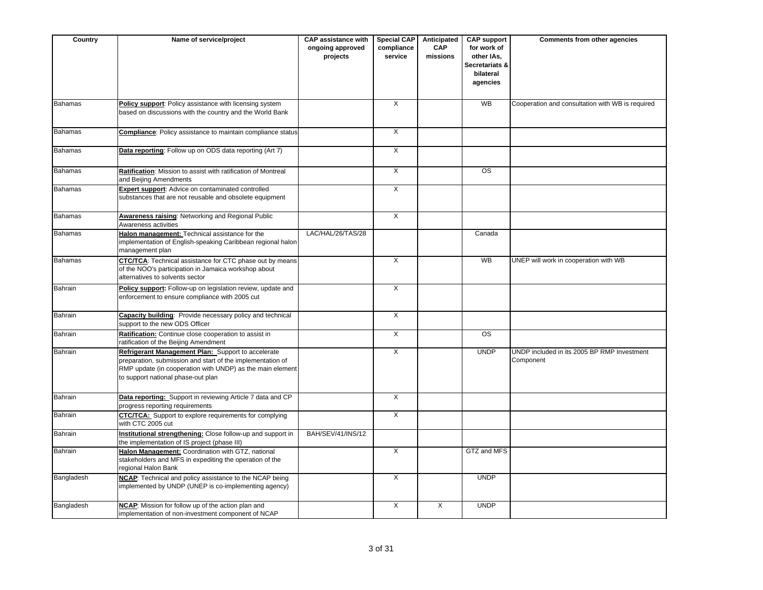| Country        | Name of service/project                                                                                                                                                                                             | <b>CAP</b> assistance with<br>ongoing approved<br>projects | <b>Special CAP</b><br>compliance<br>service | Anticipated<br><b>CAP</b><br>missions | <b>CAP support</b><br>for work of<br>other IAs,<br>Secretariats &<br>bilateral<br>agencies | <b>Comments from other agencies</b>                      |
|----------------|---------------------------------------------------------------------------------------------------------------------------------------------------------------------------------------------------------------------|------------------------------------------------------------|---------------------------------------------|---------------------------------------|--------------------------------------------------------------------------------------------|----------------------------------------------------------|
| Bahamas        | Policy support: Policy assistance with licensing system<br>based on discussions with the country and the World Bank                                                                                                 |                                                            | X                                           |                                       | <b>WB</b>                                                                                  | Cooperation and consultation with WB is required         |
| <b>Bahamas</b> | Compliance: Policy assistance to maintain compliance status                                                                                                                                                         |                                                            | $\mathsf{X}$                                |                                       |                                                                                            |                                                          |
| <b>Bahamas</b> | Data reporting: Follow up on ODS data reporting (Art 7)                                                                                                                                                             |                                                            | $\overline{X}$                              |                                       |                                                                                            |                                                          |
| <b>Bahamas</b> | Ratification: Mission to assist with ratification of Montreal<br>and Beijing Amendments                                                                                                                             |                                                            | $\overline{X}$                              |                                       | $\overline{\text{os}}$                                                                     |                                                          |
| Bahamas        | Expert support: Advice on contaminated controlled<br>substances that are not reusable and obsolete equipment                                                                                                        |                                                            | X                                           |                                       |                                                                                            |                                                          |
| <b>Bahamas</b> | Awareness raising: Networking and Regional Public<br>Awareness activities                                                                                                                                           |                                                            | $\overline{X}$                              |                                       |                                                                                            |                                                          |
| <b>Bahamas</b> | Halon management: Technical assistance for the<br>implementation of English-speaking Caribbean regional halon<br>management plan                                                                                    | LAC/HAL/26/TAS/28                                          |                                             |                                       | Canada                                                                                     |                                                          |
| Bahamas        | CTC/TCA: Technical assistance for CTC phase out by means<br>of the NOO's participation in Jamaica workshop about<br>alternatives to solvents sector                                                                 |                                                            | X                                           |                                       | <b>WB</b>                                                                                  | UNEP will work in cooperation with WB                    |
| Bahrain        | Policy support: Follow-up on legislation review, update and<br>enforcement to ensure compliance with 2005 cut                                                                                                       |                                                            | $\times$                                    |                                       |                                                                                            |                                                          |
| Bahrain        | Capacity building: Provide necessary policy and technical<br>support to the new ODS Officer                                                                                                                         |                                                            | $\overline{X}$                              |                                       |                                                                                            |                                                          |
| Bahrain        | Ratification: Continue close cooperation to assist in<br>ratification of the Beijing Amendment                                                                                                                      |                                                            | X                                           |                                       | <b>OS</b>                                                                                  |                                                          |
| Bahrain        | Refrigerant Management Plan: Support to accelerate<br>preparation, submission and start of the implementation of<br>RMP update (in cooperation with UNDP) as the main element<br>to support national phase-out plan |                                                            | X                                           |                                       | <b>UNDP</b>                                                                                | UNDP included in its 2005 BP RMP Investment<br>Component |
| Bahrain        | Data reporting: Support in reviewing Article 7 data and CP<br>progress reporting requirements                                                                                                                       |                                                            | $\overline{X}$                              |                                       |                                                                                            |                                                          |
| Bahrain        | <b>CTC/TCA:</b> Support to explore requirements for complying<br>with CTC 2005 cut                                                                                                                                  |                                                            | X                                           |                                       |                                                                                            |                                                          |
| Bahrain        | Institutional strengthening: Close follow-up and support in<br>the implementation of IS project (phase III)                                                                                                         | BAH/SEV/41/INS/12                                          |                                             |                                       |                                                                                            |                                                          |
| Bahrain        | Halon Management: Coordination with GTZ, national<br>stakeholders and MFS in expediting the operation of the<br>regional Halon Bank                                                                                 |                                                            | X                                           |                                       | GTZ and MFS                                                                                |                                                          |
| Bangladesh     | NCAP: Technical and policy assistance to the NCAP being<br>implemented by UNDP (UNEP is co-implementing agency)                                                                                                     |                                                            | X                                           |                                       | <b>UNDP</b>                                                                                |                                                          |
| Bangladesh     | NCAP: Mission for follow up of the action plan and<br>implementation of non-investment component of NCAP                                                                                                            |                                                            | X                                           | X                                     | <b>UNDP</b>                                                                                |                                                          |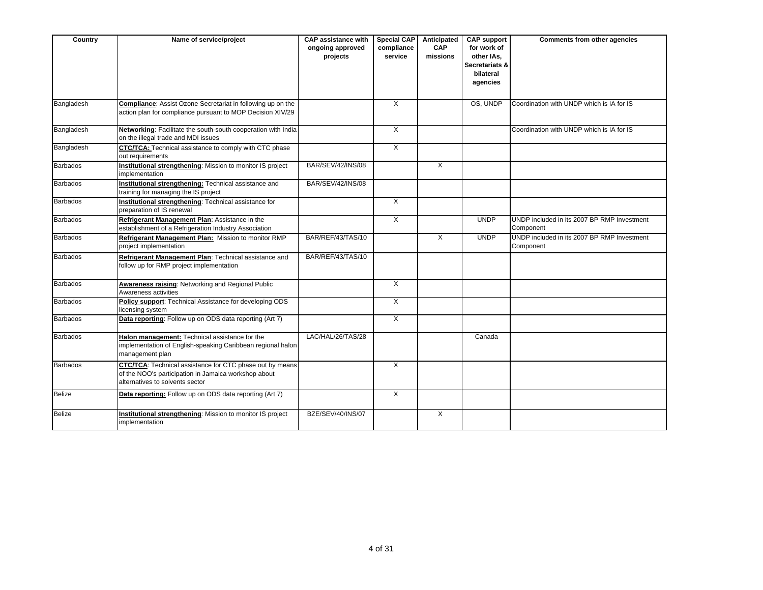| Country         | Name of service/project                                                                                                                                    | <b>CAP assistance with</b><br>ongoing approved<br>projects | <b>Special CAP</b><br>compliance<br>service | Anticipated<br>CAP<br>missions | <b>CAP support</b><br>for work of<br>other IAs.<br>Secretariats &<br>bilateral<br>agencies | Comments from other agencies                             |
|-----------------|------------------------------------------------------------------------------------------------------------------------------------------------------------|------------------------------------------------------------|---------------------------------------------|--------------------------------|--------------------------------------------------------------------------------------------|----------------------------------------------------------|
| Bangladesh      | <b>Compliance:</b> Assist Ozone Secretariat in following up on the<br>action plan for compliance pursuant to MOP Decision XIV/29                           |                                                            | X                                           |                                | OS. UNDP                                                                                   | Coordination with UNDP which is IA for IS                |
| Bangladesh      | Networking: Facilitate the south-south cooperation with India<br>on the illegal trade and MDI issues                                                       |                                                            | X                                           |                                |                                                                                            | Coordination with UNDP which is IA for IS                |
| Bangladesh      | CTC/TCA: Technical assistance to comply with CTC phase<br>out requirements                                                                                 |                                                            | X                                           |                                |                                                                                            |                                                          |
| <b>Barbados</b> | Institutional strengthening: Mission to monitor IS project<br>implementation                                                                               | <b>BAR/SEV/42/INS/08</b>                                   |                                             | $\mathsf{X}$                   |                                                                                            |                                                          |
| <b>Barbados</b> | Institutional strengthening: Technical assistance and<br>training for managing the IS project                                                              | <b>BAR/SEV/42/INS/08</b>                                   |                                             |                                |                                                                                            |                                                          |
| <b>Barbados</b> | Institutional strengthening: Technical assistance for<br>preparation of IS renewal                                                                         |                                                            | $\overline{X}$                              |                                |                                                                                            |                                                          |
| <b>Barbados</b> | Refrigerant Management Plan: Assistance in the<br>establishment of a Refrigeration Industry Association                                                    |                                                            | X                                           |                                | <b>UNDP</b>                                                                                | UNDP included in its 2007 BP RMP Investment<br>Component |
| <b>Barbados</b> | Refrigerant Management Plan: Mission to monitor RMP<br>project implementation                                                                              | BAR/REF/43/TAS/10                                          |                                             | X                              | <b>UNDP</b>                                                                                | UNDP included in its 2007 BP RMP Investment<br>Component |
| <b>Barbados</b> | Refrigerant Management Plan: Technical assistance and<br>follow up for RMP project implementation                                                          | BAR/REF/43/TAS/10                                          |                                             |                                |                                                                                            |                                                          |
| <b>Barbados</b> | Awareness raising: Networking and Regional Public<br>Awareness activities                                                                                  |                                                            | X                                           |                                |                                                                                            |                                                          |
| <b>Barbados</b> | Policy support: Technical Assistance for developing ODS<br>licensing system                                                                                |                                                            | X                                           |                                |                                                                                            |                                                          |
| <b>Barbados</b> | Data reporting: Follow up on ODS data reporting (Art 7)                                                                                                    |                                                            | $\overline{\mathsf{x}}$                     |                                |                                                                                            |                                                          |
| <b>Barbados</b> | Halon management: Technical assistance for the<br>implementation of English-speaking Caribbean regional halon<br>management plan                           | LAC/HAL/26/TAS/28                                          |                                             |                                | Canada                                                                                     |                                                          |
| <b>Barbados</b> | <b>CTC/TCA:</b> Technical assistance for CTC phase out by means<br>of the NOO's participation in Jamaica workshop about<br>alternatives to solvents sector |                                                            | X                                           |                                |                                                                                            |                                                          |
| <b>Belize</b>   | Data reporting: Follow up on ODS data reporting (Art 7)                                                                                                    |                                                            | X                                           |                                |                                                                                            |                                                          |
| <b>Belize</b>   | Institutional strengthening: Mission to monitor IS project<br>implementation                                                                               | BZE/SEV/40/INS/07                                          |                                             | X                              |                                                                                            |                                                          |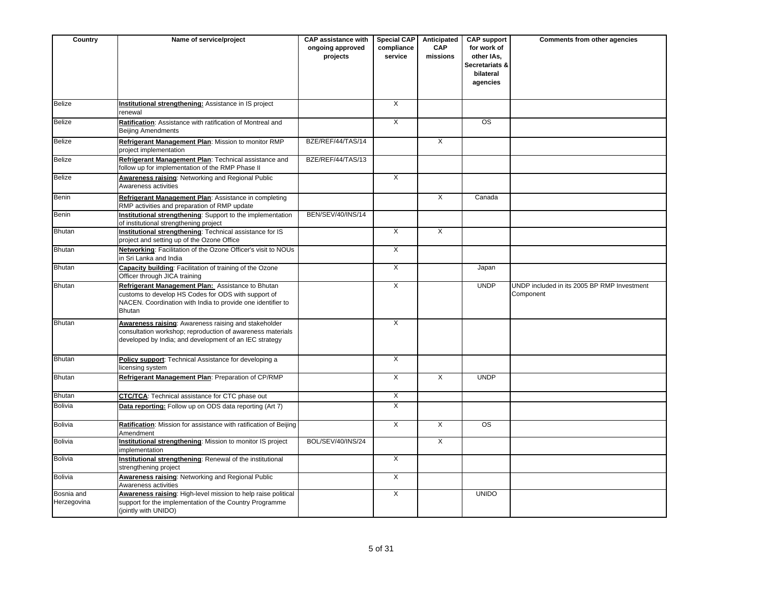| Country                   | Name of service/project                                                                                                                                                                  | <b>CAP assistance with</b><br>ongoing approved<br>projects | <b>Special CAP</b><br>compliance<br>service | Anticipated<br><b>CAP</b><br>missions | <b>CAP support</b><br>for work of<br>other IAs,<br>Secretariats &<br>bilateral<br>agencies | <b>Comments from other agencies</b>                      |
|---------------------------|------------------------------------------------------------------------------------------------------------------------------------------------------------------------------------------|------------------------------------------------------------|---------------------------------------------|---------------------------------------|--------------------------------------------------------------------------------------------|----------------------------------------------------------|
| <b>Belize</b>             | Institutional strengthening: Assistance in IS project<br>renewal                                                                                                                         |                                                            | $\overline{X}$                              |                                       |                                                                                            |                                                          |
| <b>Belize</b>             | Ratification: Assistance with ratification of Montreal and<br><b>Beijing Amendments</b>                                                                                                  |                                                            | $\overline{X}$                              |                                       | $\overline{\text{os}}$                                                                     |                                                          |
| <b>Belize</b>             | Refrigerant Management Plan: Mission to monitor RMP<br>project implementation                                                                                                            | BZE/REF/44/TAS/14                                          |                                             | $\overline{X}$                        |                                                                                            |                                                          |
| <b>Belize</b>             | Refrigerant Management Plan: Technical assistance and<br>follow up for implementation of the RMP Phase II                                                                                | BZE/REF/44/TAS/13                                          |                                             |                                       |                                                                                            |                                                          |
| <b>Belize</b>             | <b>Awareness raising: Networking and Regional Public</b><br>Awareness activities                                                                                                         |                                                            | $\mathsf{X}$                                |                                       |                                                                                            |                                                          |
| Benin                     | Refrigerant Management Plan: Assistance in completing<br>RMP activities and preparation of RMP update                                                                                    |                                                            |                                             | $\overline{X}$                        | Canada                                                                                     |                                                          |
| Benin                     | Institutional strengthening: Support to the implementation<br>of institutional strengthening project                                                                                     | BEN/SEV/40/INS/14                                          |                                             |                                       |                                                                                            |                                                          |
| <b>Bhutan</b>             | Institutional strengthening: Technical assistance for IS<br>project and setting up of the Ozone Office                                                                                   |                                                            | $\times$                                    | X                                     |                                                                                            |                                                          |
| <b>Bhutan</b>             | Networking: Facilitation of the Ozone Officer's visit to NOUs<br>in Sri Lanka and India                                                                                                  |                                                            | $\overline{X}$                              |                                       |                                                                                            |                                                          |
| <b>Bhutan</b>             | Capacity building: Facilitation of training of the Ozone<br>Officer through JICA training                                                                                                |                                                            | X                                           |                                       | Japan                                                                                      |                                                          |
| <b>Bhutan</b>             | Refrigerant Management Plan: Assistance to Bhutan<br>customs to develop HS Codes for ODS with support of<br>NACEN. Coordination with India to provide one identifier to<br><b>Bhutan</b> |                                                            | $\overline{X}$                              |                                       | <b>UNDP</b>                                                                                | UNDP included in its 2005 BP RMP Investment<br>Component |
| <b>Bhutan</b>             | Awareness raising: Awareness raising and stakeholder<br>consultation workshop; reproduction of awareness materials<br>developed by India; and development of an IEC strategy             |                                                            | X                                           |                                       |                                                                                            |                                                          |
| <b>Bhutan</b>             | Policy support: Technical Assistance for developing a<br>licensing system                                                                                                                |                                                            | $\overline{X}$                              |                                       |                                                                                            |                                                          |
| <b>Bhutan</b>             | Refrigerant Management Plan: Preparation of CP/RMP                                                                                                                                       |                                                            | $\overline{X}$                              | $\overline{X}$                        | <b>UNDP</b>                                                                                |                                                          |
| <b>Bhutan</b>             | <b>CTC/TCA:</b> Technical assistance for CTC phase out                                                                                                                                   |                                                            | X                                           |                                       |                                                                                            |                                                          |
| <b>Bolivia</b>            | Data reporting: Follow up on ODS data reporting (Art 7)                                                                                                                                  |                                                            | $\overline{X}$                              |                                       |                                                                                            |                                                          |
| <b>Bolivia</b>            | Ratification: Mission for assistance with ratification of Beijing<br>Amendment                                                                                                           |                                                            | $\overline{X}$                              | $\overline{X}$                        | <b>OS</b>                                                                                  |                                                          |
| <b>Bolivia</b>            | Institutional strengthening: Mission to monitor IS project<br>implementation                                                                                                             | BOL/SEV/40/INS/24                                          |                                             | $\overline{X}$                        |                                                                                            |                                                          |
| <b>Bolivia</b>            | Institutional strengthening: Renewal of the institutional<br>strengthening project                                                                                                       |                                                            | $\overline{X}$                              |                                       |                                                                                            |                                                          |
| <b>Bolivia</b>            | Awareness raising: Networking and Regional Public<br>Awareness activities                                                                                                                |                                                            | X                                           |                                       |                                                                                            |                                                          |
| Bosnia and<br>Herzegovina | Awareness raising: High-level mission to help raise political<br>support for the implementation of the Country Programme<br>(jointly with UNIDO)                                         |                                                            | $\overline{X}$                              |                                       | <b>UNIDO</b>                                                                               |                                                          |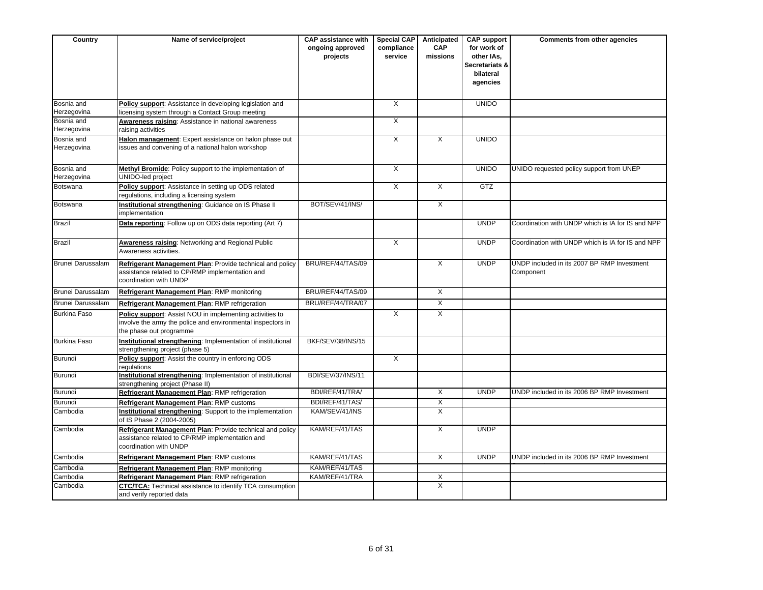| Country                   | Name of service/project                                                                                                                            | <b>CAP assistance with</b><br>ongoing approved<br>projects | <b>Special CAP</b><br>compliance<br>service | Anticipated<br>CAP<br>missions | <b>CAP support</b><br>for work of<br>other IAs,<br><b>Secretariats &amp;</b><br>bilateral<br>agencies | Comments from other agencies                             |
|---------------------------|----------------------------------------------------------------------------------------------------------------------------------------------------|------------------------------------------------------------|---------------------------------------------|--------------------------------|-------------------------------------------------------------------------------------------------------|----------------------------------------------------------|
| Bosnia and<br>Herzegovina | Policy support: Assistance in developing legislation and<br>licensing system through a Contact Group meeting                                       |                                                            | X                                           |                                | <b>UNIDO</b>                                                                                          |                                                          |
| Bosnia and<br>Herzegovina | Awareness raising: Assistance in national awareness<br>raising activities                                                                          |                                                            | X                                           |                                |                                                                                                       |                                                          |
| Bosnia and<br>Herzegovina | Halon management: Expert assistance on halon phase out<br>issues and convening of a national halon workshop                                        |                                                            | $\overline{X}$                              | X                              | <b>UNIDO</b>                                                                                          |                                                          |
| Bosnia and<br>Herzegovina | Methyl Bromide: Policy support to the implementation of<br>UNIDO-led project                                                                       |                                                            | $\times$                                    |                                | <b>UNIDO</b>                                                                                          | UNIDO requested policy support from UNEP                 |
| Botswana                  | Policy support: Assistance in setting up ODS related<br>regulations, including a licensing system                                                  |                                                            | $\overline{X}$                              | $\overline{X}$                 | GTZ                                                                                                   |                                                          |
| Botswana                  | Institutional strengthening: Guidance on IS Phase II<br>implementation                                                                             | BOT/SEV/41/INS/                                            |                                             | $\overline{X}$                 |                                                                                                       |                                                          |
| <b>Brazil</b>             | Data reporting: Follow up on ODS data reporting (Art 7)                                                                                            |                                                            |                                             |                                | <b>UNDP</b>                                                                                           | Coordination with UNDP which is IA for IS and NPP        |
| <b>Brazil</b>             | <b>Awareness raising: Networking and Regional Public</b><br>Awareness activities.                                                                  |                                                            | $\overline{X}$                              |                                | <b>UNDP</b>                                                                                           | Coordination with UNDP which is IA for IS and NPP        |
| Brunei Darussalam         | Refrigerant Management Plan: Provide technical and policy<br>assistance related to CP/RMP implementation and<br>coordination with UNDP             | BRU/REF/44/TAS/09                                          |                                             | $\overline{X}$                 | <b>UNDP</b>                                                                                           | UNDP included in its 2007 BP RMP Investment<br>Component |
| Brunei Darussalam         | Refrigerant Management Plan: RMP monitoring                                                                                                        | BRU/REF/44/TAS/09                                          |                                             | $\overline{X}$                 |                                                                                                       |                                                          |
| Brunei Darussalam         | Refrigerant Management Plan: RMP refrigeration                                                                                                     | BRU/REF/44/TRA/07                                          |                                             | X                              |                                                                                                       |                                                          |
| Burkina Faso              | Policy support: Assist NOU in implementing activities to<br>involve the army the police and environmental inspectors in<br>the phase out programme |                                                            | $\overline{X}$                              | $\overline{X}$                 |                                                                                                       |                                                          |
| Burkina Faso              | Institutional strengthening: Implementation of institutional<br>strengthening project (phase 5)                                                    | BKF/SEV/38/INS/15                                          |                                             |                                |                                                                                                       |                                                          |
| Burundi                   | Policy support: Assist the country in enforcing ODS<br>regulations                                                                                 |                                                            | X                                           |                                |                                                                                                       |                                                          |
| Burundi                   | Institutional strengthening: Implementation of institutional<br>strengthening project (Phase II)                                                   | <b>BDI/SEV/37/INS/11</b>                                   |                                             |                                |                                                                                                       |                                                          |
| Burundi                   | Refrigerant Management Plan: RMP refrigeration                                                                                                     | BDI/REF/41/TRA/                                            |                                             | X                              | <b>UNDP</b>                                                                                           | UNDP included in its 2006 BP RMP Investment              |
| Burundi                   | Refrigerant Management Plan: RMP customs                                                                                                           | BDI/REF/41/TAS/                                            |                                             | X                              |                                                                                                       |                                                          |
| Cambodia                  | Institutional strengthening: Support to the implementation<br>of IS Phase 2 (2004-2005)                                                            | KAM/SEV/41/INS                                             |                                             | $\overline{\mathsf{x}}$        |                                                                                                       |                                                          |
| Cambodia                  | Refrigerant Management Plan: Provide technical and policy<br>assistance related to CP/RMP implementation and<br>coordination with UNDP             | KAM/REF/41/TAS                                             |                                             | $\overline{X}$                 | <b>UNDP</b>                                                                                           |                                                          |
| Cambodia                  | Refrigerant Management Plan: RMP customs                                                                                                           | KAM/REF/41/TAS                                             |                                             | $\overline{X}$                 | <b>UNDP</b>                                                                                           | UNDP included in its 2006 BP RMP Investment              |
| Cambodia                  | Refrigerant Management Plan: RMP monitoring                                                                                                        | KAM/REF/41/TAS                                             |                                             |                                |                                                                                                       |                                                          |
| Cambodia                  | Refrigerant Management Plan: RMP refrigeration                                                                                                     | KAM/REF/41/TRA                                             |                                             | Χ                              |                                                                                                       |                                                          |
| Cambodia                  | <b>CTC/TCA:</b> Technical assistance to identify TCA consumption<br>and verify reported data                                                       |                                                            |                                             | $\overline{X}$                 |                                                                                                       |                                                          |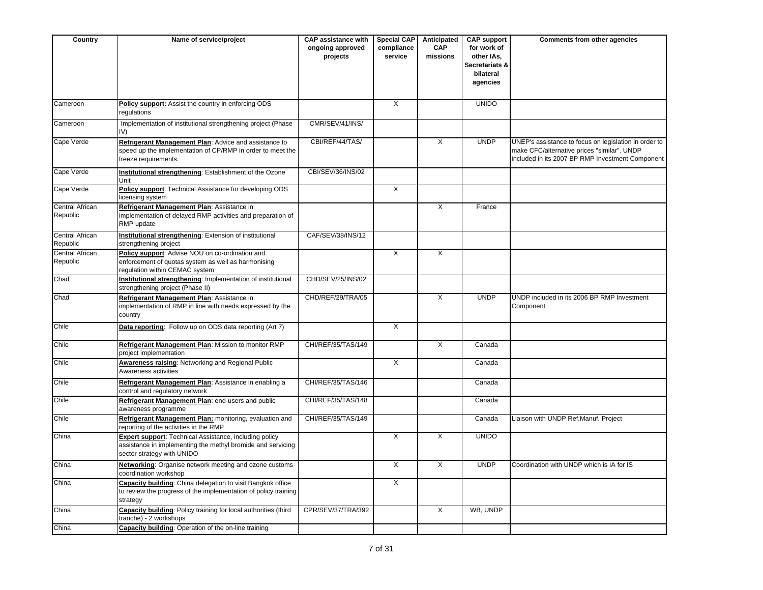| Country                            | Name of service/project                                                                                                                             | <b>CAP assistance with</b><br>ongoing approved<br>projects | Special CAP<br>compliance<br>service | Anticipated<br><b>CAP</b><br>missions | <b>CAP support</b><br>for work of<br>other IAs,<br>Secretariats &<br>bilateral<br>agencies | Comments from other agencies                                                                                                                             |
|------------------------------------|-----------------------------------------------------------------------------------------------------------------------------------------------------|------------------------------------------------------------|--------------------------------------|---------------------------------------|--------------------------------------------------------------------------------------------|----------------------------------------------------------------------------------------------------------------------------------------------------------|
| Cameroon                           | Policy support: Assist the country in enforcing ODS<br>requlations                                                                                  |                                                            | X                                    |                                       | <b>UNIDO</b>                                                                               |                                                                                                                                                          |
| Cameroon                           | Implementation of institutional strengthening project (Phase<br>IV)                                                                                 | CMR/SEV/41/INS/                                            |                                      |                                       |                                                                                            |                                                                                                                                                          |
| Cape Verde                         | Refrigerant Management Plan: Advice and assistance to<br>speed up the implementation of CP/RMP in order to meet the<br>freeze requirements.         | CBI/REF/44/TAS/                                            |                                      | X                                     | <b>UNDP</b>                                                                                | UNEP's assistance to focus on legislation in order to<br>make CFC/alternative prices "similar". UNDP<br>included in its 2007 BP RMP Investment Component |
| Cape Verde                         | Institutional strengthening: Establishment of the Ozone<br>Unit                                                                                     | CBI/SEV/36/INS/02                                          |                                      |                                       |                                                                                            |                                                                                                                                                          |
| Cape Verde                         | Policy support: Technical Assistance for developing ODS<br>licensing system                                                                         |                                                            | $\times$                             |                                       |                                                                                            |                                                                                                                                                          |
| Central African<br>Republic        | Refrigerant Management Plan: Assistance in<br>implementation of delayed RMP activities and preparation of<br>RMP update                             |                                                            |                                      | $\overline{X}$                        | France                                                                                     |                                                                                                                                                          |
| <b>Central African</b><br>Republic | Institutional strengthening: Extension of institutional<br>strengthening project                                                                    | CAF/SEV/38/INS/12                                          |                                      |                                       |                                                                                            |                                                                                                                                                          |
| Central African<br>Republic        | Policy support: Advise NOU on co-ordination and<br>enforcement of quotas system as well as harmonising<br>regulation within CEMAC system            |                                                            | X                                    | X                                     |                                                                                            |                                                                                                                                                          |
| Chad                               | Institutional strengthening: Implementation of institutional<br>strengthening project (Phase II)                                                    | CHD/SEV/25/INS/02                                          |                                      |                                       |                                                                                            |                                                                                                                                                          |
| Chad                               | Refrigerant Management Plan: Assistance in<br>implementation of RMP in line with needs expressed by the<br>country                                  | CHD/REF/29/TRA/05                                          |                                      | $\overline{X}$                        | <b>UNDP</b>                                                                                | UNDP included in its 2006 BP RMP Investment<br>Component                                                                                                 |
| Chile                              | Data reporting: Follow up on ODS data reporting (Art 7)                                                                                             |                                                            | $\overline{X}$                       |                                       |                                                                                            |                                                                                                                                                          |
| Chile                              | Refrigerant Management Plan: Mission to monitor RMP<br>project implementation                                                                       | CHI/REF/35/TAS/149                                         |                                      | $\overline{X}$                        | Canada                                                                                     |                                                                                                                                                          |
| Chile                              | Awareness raising: Networking and Regional Public<br>Awareness activities                                                                           |                                                            | $\overline{X}$                       |                                       | Canada                                                                                     |                                                                                                                                                          |
| Chile                              | Refrigerant Management Plan: Assistance in enabling a<br>control and regulatory network                                                             | CHI/REF/35/TAS/146                                         |                                      |                                       | Canada                                                                                     |                                                                                                                                                          |
| Chile                              | Refrigerant Management Plan: end-users and public<br>awareness programme                                                                            | CHI/REF/35/TAS/148                                         |                                      |                                       | Canada                                                                                     |                                                                                                                                                          |
| Chile                              | Refrigerant Management Plan: monitoring, evaluation and<br>reporting of the activities in the RMP                                                   | CHI/REF/35/TAS/149                                         |                                      |                                       | Canada                                                                                     | Liaison with UNDP Ref.Manuf. Project                                                                                                                     |
| China                              | Expert support: Technical Assistance, including policy<br>assistance in implementing the methyl bromide and servicing<br>sector strategy with UNIDO |                                                            | X                                    | X                                     | <b>UNIDO</b>                                                                               |                                                                                                                                                          |
| China                              | Networking: Organise network meeting and ozone customs<br>coordination workshop                                                                     |                                                            | $\overline{X}$                       | $\overline{X}$                        | <b>UNDP</b>                                                                                | Coordination with UNDP which is IA for IS                                                                                                                |
| China                              | Capacity building: China delegation to visit Bangkok office<br>to review the progress of the implementation of policy training<br>strategy          |                                                            | X                                    |                                       |                                                                                            |                                                                                                                                                          |
| China                              | Capacity building: Policy training for local authorities (third<br>tranche) - 2 workshops                                                           | CPR/SEV/37/TRA/392                                         |                                      | $\overline{X}$                        | WB, UNDP                                                                                   |                                                                                                                                                          |
| China                              | Capacity building: Operation of the on-line training                                                                                                |                                                            |                                      |                                       |                                                                                            |                                                                                                                                                          |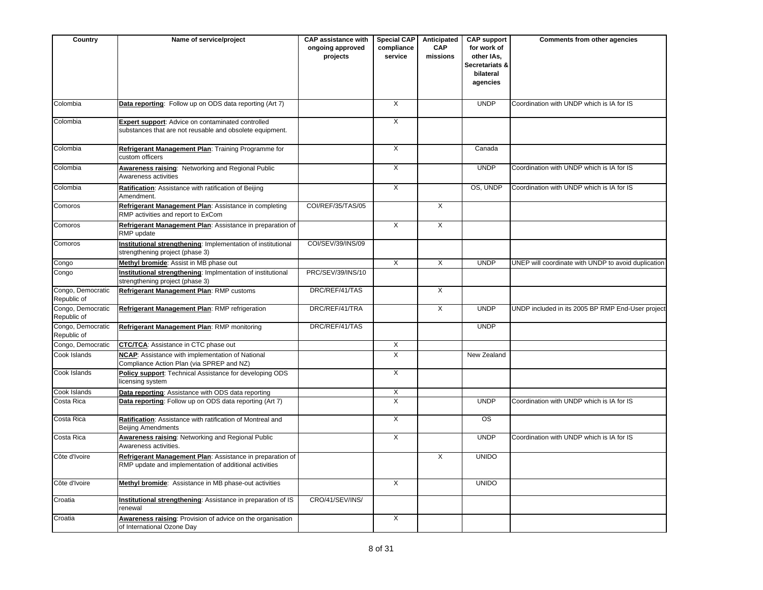| Country                          | Name of service/project                                                                                              | <b>CAP</b> assistance with<br>ongoing approved<br>projects | <b>Special CAP</b><br>compliance<br>service | Anticipated<br>CAP<br>missions | <b>CAP support</b><br>for work of<br>other IAs,<br>Secretariats &<br>bilateral<br>agencies | Comments from other agencies                        |
|----------------------------------|----------------------------------------------------------------------------------------------------------------------|------------------------------------------------------------|---------------------------------------------|--------------------------------|--------------------------------------------------------------------------------------------|-----------------------------------------------------|
| Colombia                         | Data reporting: Follow up on ODS data reporting (Art 7)                                                              |                                                            | $\overline{X}$                              |                                | <b>UNDP</b>                                                                                | Coordination with UNDP which is IA for IS           |
| Colombia                         | <b>Expert support:</b> Advice on contaminated controlled<br>substances that are not reusable and obsolete equipment. |                                                            | $\overline{\mathsf{x}}$                     |                                |                                                                                            |                                                     |
| Colombia                         | Refrigerant Management Plan: Training Programme for<br>custom officers                                               |                                                            | $\overline{\mathsf{x}}$                     |                                | Canada                                                                                     |                                                     |
| Colombia                         | Awareness raising: Networking and Regional Public<br>Awareness activities                                            |                                                            | X                                           |                                | <b>UNDP</b>                                                                                | Coordination with UNDP which is IA for IS           |
| Colombia                         | Ratification: Assistance with ratification of Beijing<br>Amendment.                                                  |                                                            | $\overline{\mathsf{x}}$                     |                                | OS, UNDP                                                                                   | Coordination with UNDP which is IA for IS           |
| Comoros                          | Refrigerant Management Plan: Assistance in completing<br>RMP activities and report to ExCom                          | COI/REF/35/TAS/05                                          |                                             | $\overline{X}$                 |                                                                                            |                                                     |
| Comoros                          | Refrigerant Management Plan: Assistance in preparation of<br>RMP update                                              |                                                            | $\overline{\mathsf{x}}$                     | $\overline{X}$                 |                                                                                            |                                                     |
| Comoros                          | Institutional strengthening: Implementation of institutional<br>strengthening project (phase 3)                      | COI/SEV/39/INS/09                                          |                                             |                                |                                                                                            |                                                     |
| Congo                            | Methyl bromide: Assist in MB phase out                                                                               |                                                            | $\overline{X}$                              | $\overline{\mathsf{x}}$        | <b>UNDP</b>                                                                                | UNEP will coordinate with UNDP to avoid duplication |
| Congo                            | Institutional strengthening: Implmentation of institutional<br>strengthening project (phase 3)                       | PRC/SEV/39/INS/10                                          |                                             |                                |                                                                                            |                                                     |
| Congo, Democratic<br>Republic of | Refrigerant Management Plan: RMP customs                                                                             | DRC/REF/41/TAS                                             |                                             | X                              |                                                                                            |                                                     |
| Congo, Democratic<br>Republic of | Refrigerant Management Plan: RMP refrigeration                                                                       | DRC/REF/41/TRA                                             |                                             | X                              | <b>UNDP</b>                                                                                | UNDP included in its 2005 BP RMP End-User project   |
| Congo, Democratic<br>Republic of | Refrigerant Management Plan: RMP monitoring                                                                          | DRC/REF/41/TAS                                             |                                             |                                | <b>UNDP</b>                                                                                |                                                     |
| Congo, Democratic                | <b>CTC/TCA:</b> Assistance in CTC phase out                                                                          |                                                            | $\overline{X}$                              |                                |                                                                                            |                                                     |
| Cook Islands                     | <b>NCAP:</b> Assistance with implementation of National<br>Compliance Action Plan (via SPREP and NZ)                 |                                                            | X                                           |                                | New Zealand                                                                                |                                                     |
| Cook Islands                     | Policy support: Technical Assistance for developing ODS<br>licensing system                                          |                                                            | X                                           |                                |                                                                                            |                                                     |
| Cook Islands                     | Data reporting: Assistance with ODS data reporting                                                                   |                                                            | X                                           |                                |                                                                                            |                                                     |
| Costa Rica                       | Data reporting: Follow up on ODS data reporting (Art 7)                                                              |                                                            | $\overline{X}$                              |                                | <b>UNDP</b>                                                                                | Coordination with UNDP which is IA for IS           |
| Costa Rica                       | Ratification: Assistance with ratification of Montreal and<br><b>Beijing Amendments</b>                              |                                                            | $\mathsf{X}$                                |                                | <b>OS</b>                                                                                  |                                                     |
| Costa Rica                       | Awareness raising: Networking and Regional Public<br>Awareness activities.                                           |                                                            | $\overline{X}$                              |                                | <b>UNDP</b>                                                                                | Coordination with UNDP which is IA for IS           |
| Côte d'Ivoire                    | Refrigerant Management Plan: Assistance in preparation of<br>RMP update and implementation of additional activities  |                                                            |                                             | X                              | <b>UNIDO</b>                                                                               |                                                     |
| Côte d'Ivoire                    | Methyl bromide: Assistance in MB phase-out activities                                                                |                                                            | X                                           |                                | <b>UNIDO</b>                                                                               |                                                     |
| Croatia                          | Institutional strengthening: Assistance in preparation of IS<br>renewal                                              | CRO/41/SEV/INS/                                            |                                             |                                |                                                                                            |                                                     |
| Croatia                          | Awareness raising: Provision of advice on the organisation<br>of International Ozone Day                             |                                                            | $\overline{X}$                              |                                |                                                                                            |                                                     |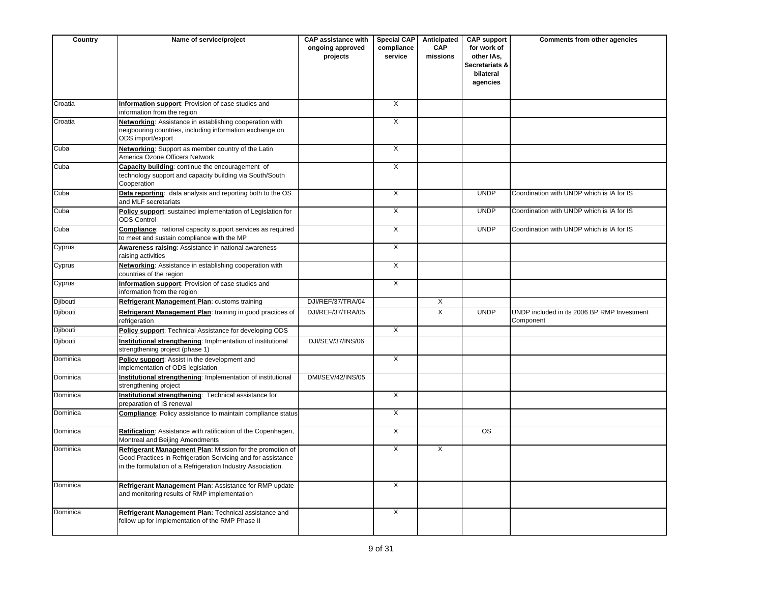| Country  | Name of service/project                                                                                                                                                                  | <b>CAP assistance with</b><br>ongoing approved<br>projects | <b>Special CAP</b><br>compliance<br>service | Anticipated<br>CAP<br>missions | <b>CAP support</b><br>for work of<br>other IAs,<br>Secretariats &<br>bilateral<br>agencies | Comments from other agencies                             |
|----------|------------------------------------------------------------------------------------------------------------------------------------------------------------------------------------------|------------------------------------------------------------|---------------------------------------------|--------------------------------|--------------------------------------------------------------------------------------------|----------------------------------------------------------|
| Croatia  | Information support: Provision of case studies and<br>information from the region                                                                                                        |                                                            | $\overline{\mathsf{x}}$                     |                                |                                                                                            |                                                          |
| Croatia  | Networking: Assistance in establishing cooperation with<br>neigbouring countries, including information exchange on<br>ODS import/export                                                 |                                                            | $\overline{X}$                              |                                |                                                                                            |                                                          |
| Cuba     | Networking: Support as member country of the Latin<br>America Ozone Officers Network                                                                                                     |                                                            | X                                           |                                |                                                                                            |                                                          |
| Cuba     | Capacity building: continue the encouragement of<br>technology support and capacity building via South/South<br>Cooperation                                                              |                                                            | $\overline{X}$                              |                                |                                                                                            |                                                          |
| Cuba     | Data reporting: data analysis and reporting both to the OS<br>and MLF secretariats                                                                                                       |                                                            | $\overline{X}$                              |                                | <b>UNDP</b>                                                                                | Coordination with UNDP which is IA for IS                |
| Cuba     | Policy support: sustained implementation of Legislation for<br><b>ODS Control</b>                                                                                                        |                                                            | X                                           |                                | <b>UNDP</b>                                                                                | Coordination with UNDP which is IA for IS                |
| Cuba     | Compliance: national capacity support services as required<br>to meet and sustain compliance with the MP                                                                                 |                                                            | $\overline{X}$                              |                                | <b>UNDP</b>                                                                                | Coordination with UNDP which is IA for IS                |
| Cyprus   | Awareness raising: Assistance in national awareness<br>raising activities                                                                                                                |                                                            | $\overline{X}$                              |                                |                                                                                            |                                                          |
| Cyprus   | Networking: Assistance in establishing cooperation with<br>countries of the region                                                                                                       |                                                            | $\overline{\mathsf{x}}$                     |                                |                                                                                            |                                                          |
| Cyprus   | Information support: Provision of case studies and<br>information from the region                                                                                                        |                                                            | X                                           |                                |                                                                                            |                                                          |
| Djibouti | Refrigerant Management Plan: customs training                                                                                                                                            | DJI/REF/37/TRA/04                                          |                                             | X                              |                                                                                            |                                                          |
| Djibouti | Refrigerant Management Plan: training in good practices of<br>refrigeration                                                                                                              | DJI/REF/37/TRA/05                                          |                                             | $\overline{X}$                 | <b>UNDP</b>                                                                                | UNDP included in its 2006 BP RMP Investment<br>Component |
| Djibouti | Policy support: Technical Assistance for developing ODS                                                                                                                                  |                                                            | $\mathsf{X}$                                |                                |                                                                                            |                                                          |
| Djibouti | Institutional strengthening: Implmentation of institutional<br>strengthening project (phase 1)                                                                                           | DJI/SEV/37/INS/06                                          |                                             |                                |                                                                                            |                                                          |
| Dominica | Policy support: Assist in the development and<br>implementation of ODS legislation                                                                                                       |                                                            | $\overline{\mathsf{x}}$                     |                                |                                                                                            |                                                          |
| Dominica | Institutional strengthening: Implementation of institutional<br>strengthening project                                                                                                    | <b>DMI/SEV/42/INS/05</b>                                   |                                             |                                |                                                                                            |                                                          |
| Dominica | Institutional strengthening: Technical assistance for<br>preparation of IS renewal                                                                                                       |                                                            | X                                           |                                |                                                                                            |                                                          |
| Dominica | Compliance: Policy assistance to maintain compliance status                                                                                                                              |                                                            | X                                           |                                |                                                                                            |                                                          |
| Dominica | Ratification: Assistance with ratification of the Copenhagen,<br>Montreal and Beijing Amendments                                                                                         |                                                            | $\overline{X}$                              |                                | OS                                                                                         |                                                          |
| Dominica | Refrigerant Management Plan: Mission for the promotion of<br>Good Practices in Refrigeration Servicing and for assistance<br>in the formulation of a Refrigeration Industry Association. |                                                            | $\overline{\mathsf{x}}$                     | $\overline{\mathsf{x}}$        |                                                                                            |                                                          |
| Dominica | Refrigerant Management Plan: Assistance for RMP update<br>and monitoring results of RMP implementation                                                                                   |                                                            | $\overline{X}$                              |                                |                                                                                            |                                                          |
| Dominica | Refrigerant Management Plan: Technical assistance and<br>follow up for implementation of the RMP Phase II                                                                                |                                                            | $\overline{X}$                              |                                |                                                                                            |                                                          |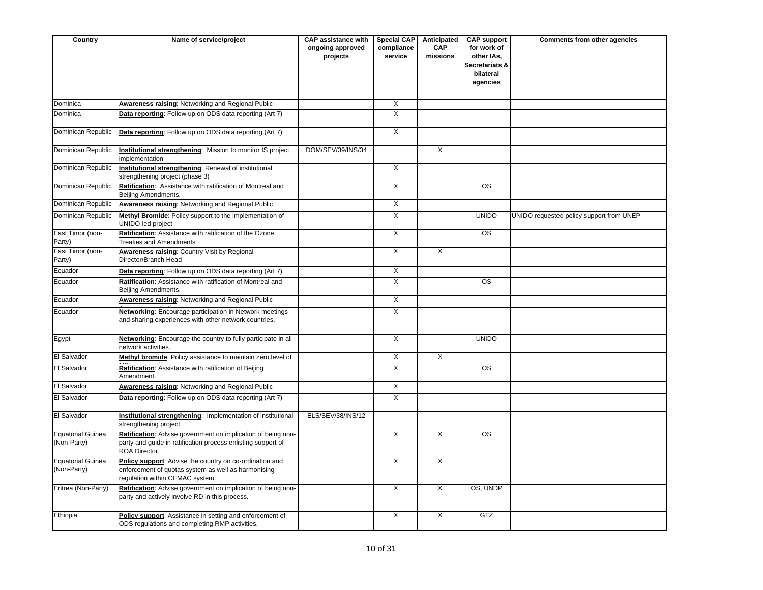| Country                          | Name of service/project                                                                                                                           | <b>CAP assistance with</b><br>ongoing approved<br>projects | <b>Special CAP</b><br>compliance<br>service | Anticipated<br><b>CAP</b><br>missions | <b>CAP support</b><br>for work of<br>other IAs,<br>Secretariats &<br>bilateral<br>agencies | Comments from other agencies             |
|----------------------------------|---------------------------------------------------------------------------------------------------------------------------------------------------|------------------------------------------------------------|---------------------------------------------|---------------------------------------|--------------------------------------------------------------------------------------------|------------------------------------------|
| Dominica                         | Awareness raising: Networking and Regional Public                                                                                                 |                                                            | X                                           |                                       |                                                                                            |                                          |
| Dominica                         | Data reporting: Follow up on ODS data reporting (Art 7)                                                                                           |                                                            | X                                           |                                       |                                                                                            |                                          |
| Dominican Republic               | Data reporting: Follow up on ODS data reporting (Art 7)                                                                                           |                                                            | $\overline{X}$                              |                                       |                                                                                            |                                          |
| Dominican Republic               | Institutional strengthening: Mission to monitor IS project<br>implementation                                                                      | DOM/SEV/39/INS/34                                          |                                             | X                                     |                                                                                            |                                          |
| Dominican Republic               | Institutional strengthening: Renewal of institutional<br>strengthening project (phase 3)                                                          |                                                            | $\overline{X}$                              |                                       |                                                                                            |                                          |
| Dominican Republic               | Ratification: Assistance with ratification of Montreal and<br>Beijing Amendments.                                                                 |                                                            | $\overline{X}$                              |                                       | $\overline{\text{os}}$                                                                     |                                          |
| Dominican Republic               | Awareness raising: Networking and Regional Public                                                                                                 |                                                            | $\overline{\mathsf{x}}$                     |                                       |                                                                                            |                                          |
| Dominican Republic               | Methyl Bromide: Policy support to the implementation of<br>UNIDO-led project                                                                      |                                                            | $\overline{X}$                              |                                       | <b>UNIDO</b>                                                                               | UNIDO requested policy support from UNEP |
| East Timor (non-<br>Party)       | Ratification: Assistance with ratification of the Ozone<br><b>Treaties and Amendments</b>                                                         |                                                            | X                                           |                                       | <b>OS</b>                                                                                  |                                          |
| East Timor (non-<br>Party)       | Awareness raising: Country Visit by Regional<br>Director/Branch Head                                                                              |                                                            | $\overline{X}$                              | $\overline{X}$                        |                                                                                            |                                          |
| Ecuador                          | Data reporting: Follow up on ODS data reporting (Art 7)                                                                                           |                                                            | X                                           |                                       |                                                                                            |                                          |
| Ecuador                          | Ratification: Assistance with ratification of Montreal and<br>Beijing Amendments.                                                                 |                                                            | $\overline{X}$                              |                                       | <b>OS</b>                                                                                  |                                          |
| Ecuador                          | Awareness raising: Networking and Regional Public                                                                                                 |                                                            | X                                           |                                       |                                                                                            |                                          |
| Ecuador                          | <b>Networking:</b> Encourage participation in Network meetings<br>and sharing experiences with other network countries.                           |                                                            | $\overline{X}$                              |                                       |                                                                                            |                                          |
| Egypt                            | Networking: Encourage the country to fully participate in all<br>network activities.                                                              |                                                            | $\overline{X}$                              |                                       | <b>UNIDO</b>                                                                               |                                          |
| El Salvador                      | Methyl bromide: Policy assistance to maintain zero level of                                                                                       |                                                            | X                                           | X                                     |                                                                                            |                                          |
| El Salvador                      | Ratification: Assistance with ratification of Beijing<br>Amendment.                                                                               |                                                            | $\overline{X}$                              |                                       | <b>OS</b>                                                                                  |                                          |
| <b>El Salvador</b>               | <b>Awareness raising: Networking and Regional Public</b>                                                                                          |                                                            | $\overline{X}$                              |                                       |                                                                                            |                                          |
| El Salvador                      | Data reporting: Follow up on ODS data reporting (Art 7)                                                                                           |                                                            | $\overline{X}$                              |                                       |                                                                                            |                                          |
| El Salvador                      | Institutional strengthening: Implementation of institutional<br>strengthening project                                                             | ELS/SEV/38/INS/12                                          |                                             |                                       |                                                                                            |                                          |
| Equatorial Guinea<br>(Non-Party) | Ratification: Advise government on implication of being non-<br>party and guide in ratification process enlisting support of<br>ROA Director.     |                                                            | $\overline{X}$                              | $\overline{X}$                        | $\overline{\text{os}}$                                                                     |                                          |
| Equatorial Guinea<br>(Non-Party) | Policy support: Advise the country on co-ordination and<br>enforcement of quotas system as well as harmonising<br>regulation within CEMAC system. |                                                            | $\overline{X}$                              | $\overline{X}$                        |                                                                                            |                                          |
| Eritrea (Non-Party)              | Ratification: Advise government on implication of being non-<br>party and actively involve RD in this process.                                    |                                                            | X                                           | X                                     | OS, UNDP                                                                                   |                                          |
| Ethiopia                         | Policy support: Assistance in setting and enforcement of<br>ODS regulations and completing RMP activities.                                        |                                                            | X                                           | X                                     | GTZ                                                                                        |                                          |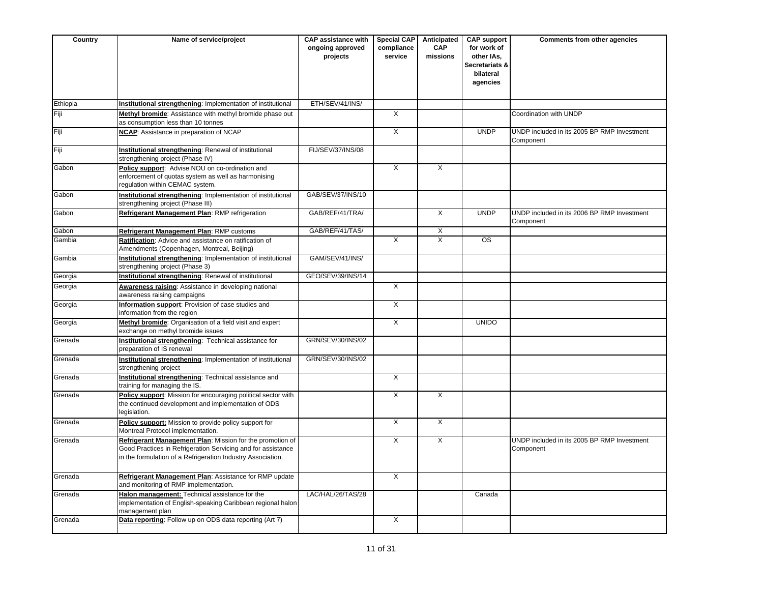| Country  | Name of service/project                                                                                                                                                                  | <b>CAP</b> assistance with<br>ongoing approved<br>projects | Special CAP<br>compliance<br>service | Anticipated<br><b>CAP</b><br>missions | <b>CAP</b> support<br>for work of<br>other IAs,<br>Secretariats &<br>bilateral<br>agencies | <b>Comments from other agencies</b>                      |
|----------|------------------------------------------------------------------------------------------------------------------------------------------------------------------------------------------|------------------------------------------------------------|--------------------------------------|---------------------------------------|--------------------------------------------------------------------------------------------|----------------------------------------------------------|
| Ethiopia | Institutional strengthening: Implementation of institutional                                                                                                                             | ETH/SEV/41/INS/                                            |                                      |                                       |                                                                                            |                                                          |
| Fiji     | Methyl bromide: Assistance with methyl bromide phase out<br>as consumption less than 10 tonnes                                                                                           |                                                            | X                                    |                                       |                                                                                            | Coordination with UNDP                                   |
| Fiji     | <b>NCAP:</b> Assistance in preparation of NCAP                                                                                                                                           |                                                            | X                                    |                                       | <b>UNDP</b>                                                                                | UNDP included in its 2005 BP RMP Investment<br>Component |
| Fiji     | Institutional strengthening: Renewal of institutional<br>strengthening project (Phase IV)                                                                                                | FIJ/SEV/37/INS/08                                          |                                      |                                       |                                                                                            |                                                          |
| Gabon    | Policy support: Advise NOU on co-ordination and<br>enforcement of quotas system as well as harmonising<br>regulation within CEMAC system.                                                |                                                            | $\mathsf{X}$                         | X                                     |                                                                                            |                                                          |
| Gabon    | Institutional strengthening: Implementation of institutional<br>strengthening project (Phase III)                                                                                        | GAB/SEV/37/INS/10                                          |                                      |                                       |                                                                                            |                                                          |
| Gabon    | Refrigerant Management Plan: RMP refrigeration                                                                                                                                           | GAB/REF/41/TRA/                                            |                                      | $\overline{X}$                        | <b>UNDP</b>                                                                                | UNDP included in its 2006 BP RMP Investment<br>Component |
| Gabon    | Refrigerant Management Plan: RMP customs                                                                                                                                                 | GAB/REF/41/TAS/                                            |                                      | X                                     |                                                                                            |                                                          |
| Gambia   | Ratification: Advice and assistance on ratification of<br>Amendments (Copenhagen, Montreal, Beijing)                                                                                     |                                                            | $\overline{\mathsf{x}}$              | $\overline{X}$                        | <b>OS</b>                                                                                  |                                                          |
| Gambia   | Institutional strengthening: Implementation of institutional<br>strengthening project (Phase 3)                                                                                          | GAM/SEV/41/INS/                                            |                                      |                                       |                                                                                            |                                                          |
| Georgia  | <b>Institutional strengthening:</b> Renewal of institutional                                                                                                                             | GEO/SEV/39/INS/14                                          |                                      |                                       |                                                                                            |                                                          |
| Georgia  | Awareness raising: Assistance in developing national<br>awareness raising campaigns                                                                                                      |                                                            | $\overline{X}$                       |                                       |                                                                                            |                                                          |
| Georgia  | Information support: Provision of case studies and<br>information from the region                                                                                                        |                                                            | $\overline{X}$                       |                                       |                                                                                            |                                                          |
| Georgia  | Methyl bromide: Organisation of a field visit and expert<br>exchange on methyl bromide issues                                                                                            |                                                            | $\overline{X}$                       |                                       | <b>UNIDO</b>                                                                               |                                                          |
| Grenada  | Institutional strengthening: Technical assistance for<br>preparation of IS renewal                                                                                                       | GRN/SEV/30/INS/02                                          |                                      |                                       |                                                                                            |                                                          |
| Grenada  | Institutional strengthening: Implementation of institutional<br>strengthening project                                                                                                    | GRN/SEV/30/INS/02                                          |                                      |                                       |                                                                                            |                                                          |
| Grenada  | Institutional strengthening: Technical assistance and<br>training for managing the IS.                                                                                                   |                                                            | $\overline{X}$                       |                                       |                                                                                            |                                                          |
| Grenada  | Policy support: Mission for encouraging political sector with<br>the continued development and implementation of ODS<br>legislation.                                                     |                                                            | $\overline{X}$                       | X                                     |                                                                                            |                                                          |
| Grenada  | Policy support: Mission to provide policy support for<br>Montreal Protocol implementation.                                                                                               |                                                            | X                                    | X                                     |                                                                                            |                                                          |
| Grenada  | Refrigerant Management Plan: Mission for the promotion of<br>Good Practices in Refrigeration Servicing and for assistance<br>in the formulation of a Refrigeration Industry Association. |                                                            | $\overline{X}$                       | $\overline{X}$                        |                                                                                            | UNDP included in its 2005 BP RMP Investment<br>Component |
| Grenada  | Refrigerant Management Plan: Assistance for RMP update<br>and monitoring of RMP implementation.                                                                                          |                                                            | $\overline{X}$                       |                                       |                                                                                            |                                                          |
| Grenada  | Halon management: Technical assistance for the<br>implementation of English-speaking Caribbean regional halon<br>management plan                                                         | LAC/HAL/26/TAS/28                                          |                                      |                                       | Canada                                                                                     |                                                          |
| Grenada  | Data reporting: Follow up on ODS data reporting (Art 7)                                                                                                                                  |                                                            | X                                    |                                       |                                                                                            |                                                          |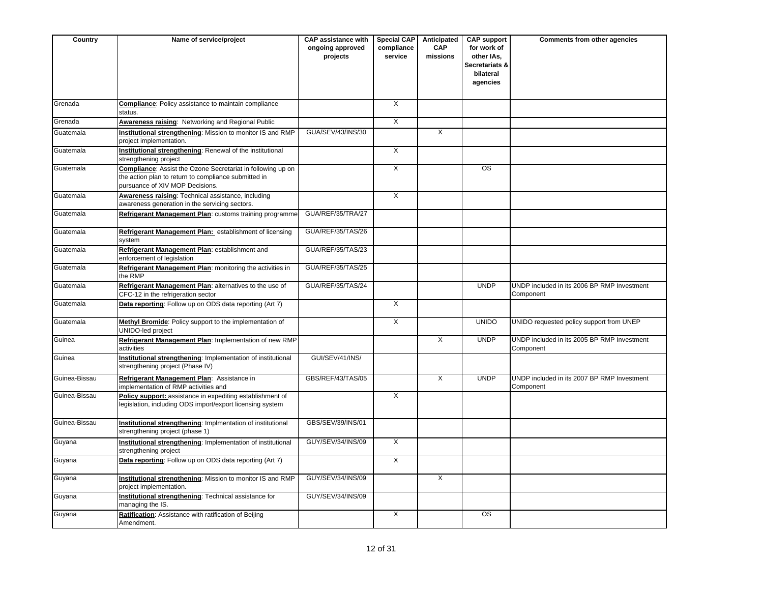| Country       | Name of service/project                                                                                                                                       | <b>CAP assistance with</b><br>ongoing approved<br>projects | <b>Special CAP</b><br>compliance<br>service | Anticipated<br><b>CAP</b><br>missions | <b>CAP support</b><br>for work of<br>other IAs,<br>Secretariats &<br>bilateral<br>agencies | Comments from other agencies                             |
|---------------|---------------------------------------------------------------------------------------------------------------------------------------------------------------|------------------------------------------------------------|---------------------------------------------|---------------------------------------|--------------------------------------------------------------------------------------------|----------------------------------------------------------|
| Grenada       | <b>Compliance:</b> Policy assistance to maintain compliance<br>status.                                                                                        |                                                            | $\overline{\mathsf{x}}$                     |                                       |                                                                                            |                                                          |
| Grenada       | Awareness raising: Networking and Regional Public                                                                                                             |                                                            | $\overline{X}$                              |                                       |                                                                                            |                                                          |
| Guatemala     | Institutional strengthening: Mission to monitor IS and RMP<br>project implementation.                                                                         | GUA/SEV/43/INS/30                                          |                                             | $\times$                              |                                                                                            |                                                          |
| Guatemala     | Institutional strengthening: Renewal of the institutional<br>strengthening project                                                                            |                                                            | $\overline{\mathsf{x}}$                     |                                       |                                                                                            |                                                          |
| Guatemala     | <b>Compliance:</b> Assist the Ozone Secretariat in following up on<br>the action plan to return to compliance submitted in<br>pursuance of XIV MOP Decisions. |                                                            | $\overline{X}$                              |                                       | OS                                                                                         |                                                          |
| Guatemala     | Awareness raising: Technical assistance, including<br>awareness generation in the servicing sectors.                                                          |                                                            | $\times$                                    |                                       |                                                                                            |                                                          |
| Guatemala     | Refrigerant Management Plan: customs training programme                                                                                                       | GUA/REF/35/TRA/27                                          |                                             |                                       |                                                                                            |                                                          |
| Guatemala     | Refrigerant Management Plan: establishment of licensing<br>system                                                                                             | GUA/REF/35/TAS/26                                          |                                             |                                       |                                                                                            |                                                          |
| Guatemala     | Refrigerant Management Plan: establishment and<br>enforcement of legislation                                                                                  | GUA/REF/35/TAS/23                                          |                                             |                                       |                                                                                            |                                                          |
| Guatemala     | Refrigerant Management Plan: monitoring the activities in<br>the RMP                                                                                          | GUA/REF/35/TAS/25                                          |                                             |                                       |                                                                                            |                                                          |
| Guatemala     | Refrigerant Management Plan: alternatives to the use of<br>CFC-12 in the refrigeration sector                                                                 | GUA/REF/35/TAS/24                                          |                                             |                                       | <b>UNDP</b>                                                                                | UNDP included in its 2006 BP RMP Investment<br>Component |
| Guatemala     | Data reporting: Follow up on ODS data reporting (Art 7)                                                                                                       |                                                            | $\overline{X}$                              |                                       |                                                                                            |                                                          |
| Guatemala     | Methyl Bromide: Policy support to the implementation of<br>UNIDO-led project                                                                                  |                                                            | $\overline{\mathsf{x}}$                     |                                       | <b>UNIDO</b>                                                                               | UNIDO requested policy support from UNEP                 |
| Guinea        | Refrigerant Management Plan: Implementation of new RMP<br>activities                                                                                          |                                                            |                                             | $\overline{X}$                        | <b>UNDP</b>                                                                                | UNDP included in its 2005 BP RMP Investment<br>Component |
| Guinea        | Institutional strengthening: Implementation of institutional<br>strengthening project (Phase IV)                                                              | GUI/SEV/41/INS/                                            |                                             |                                       |                                                                                            |                                                          |
| Guinea-Bissau | Refrigerant Management Plan: Assistance in<br>implementation of RMP activities and                                                                            | GBS/REF/43/TAS/05                                          |                                             | X                                     | <b>UNDP</b>                                                                                | UNDP included in its 2007 BP RMP Investment<br>Component |
| Guinea-Bissau | Policy support: assistance in expediting establishment of<br>legislation, including ODS import/export licensing system                                        |                                                            | $\overline{\mathsf{x}}$                     |                                       |                                                                                            |                                                          |
| Guinea-Bissau | Institutional strengthening: Implmentation of institutional<br>strengthening project (phase 1)                                                                | GBS/SEV/39/INS/01                                          |                                             |                                       |                                                                                            |                                                          |
| Guyana        | Institutional strengthening: Implementation of institutional<br>strengthening project                                                                         | GUY/SEV/34/INS/09                                          | $\overline{\mathsf{x}}$                     |                                       |                                                                                            |                                                          |
| Guyana        | Data reporting: Follow up on ODS data reporting (Art 7)                                                                                                       |                                                            | $\overline{\mathsf{x}}$                     |                                       |                                                                                            |                                                          |
| Guyana        | Institutional strengthening: Mission to monitor IS and RMP<br>project implementation.                                                                         | GUY/SEV/34/INS/09                                          |                                             | $\overline{X}$                        |                                                                                            |                                                          |
| Guyana        | Institutional strengthening: Technical assistance for<br>managing the IS.                                                                                     | GUY/SEV/34/INS/09                                          |                                             |                                       |                                                                                            |                                                          |
| Guyana        | Ratification: Assistance with ratification of Beijing<br>Amendment.                                                                                           |                                                            | $\overline{X}$                              |                                       | $\overline{\text{OS}}$                                                                     |                                                          |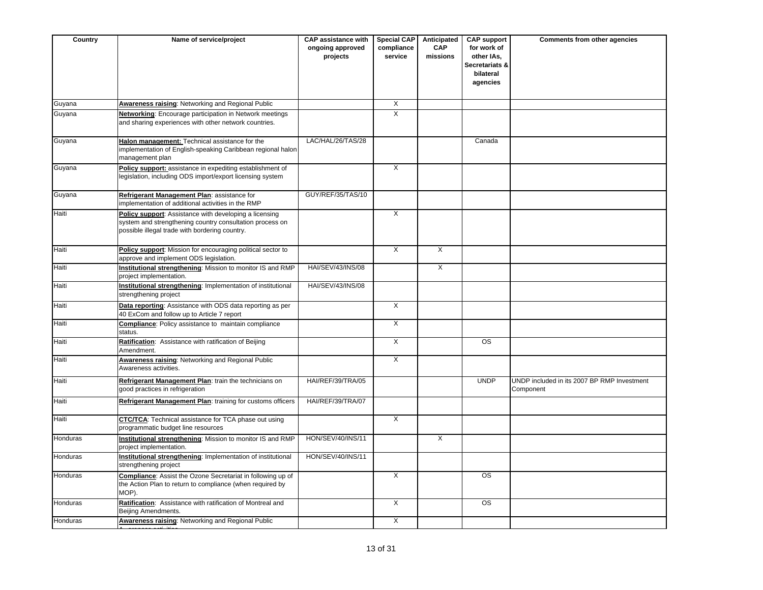| Country  | Name of service/project                                                                                                                                              | <b>CAP assistance with</b><br>ongoing approved<br>projects | <b>Special CAP</b><br>compliance<br>service | Anticipated<br><b>CAP</b><br>missions | <b>CAP support</b><br>for work of<br>other IAs,<br>Secretariats &<br>bilateral<br>agencies | Comments from other agencies                             |
|----------|----------------------------------------------------------------------------------------------------------------------------------------------------------------------|------------------------------------------------------------|---------------------------------------------|---------------------------------------|--------------------------------------------------------------------------------------------|----------------------------------------------------------|
| Guyana   | <b>Awareness raising: Networking and Regional Public</b>                                                                                                             |                                                            | $\overline{X}$                              |                                       |                                                                                            |                                                          |
| Guyana   | Networking: Encourage participation in Network meetings<br>and sharing experiences with other network countries.                                                     |                                                            | $\overline{X}$                              |                                       |                                                                                            |                                                          |
| Guyana   | Halon management: Technical assistance for the<br>implementation of English-speaking Caribbean regional halon<br>management plan                                     | LAC/HAL/26/TAS/28                                          |                                             |                                       | Canada                                                                                     |                                                          |
| Guyana   | Policy support: assistance in expediting establishment of<br>legislation, including ODS import/export licensing system                                               |                                                            | X                                           |                                       |                                                                                            |                                                          |
| Guyana   | Refrigerant Management Plan: assistance for<br>implementation of additional activities in the RMP                                                                    | GUY/REF/35/TAS/10                                          |                                             |                                       |                                                                                            |                                                          |
| Haiti    | Policy support: Assistance with developing a licensing<br>system and strengthening country consultation process on<br>possible illegal trade with bordering country. |                                                            | X                                           |                                       |                                                                                            |                                                          |
| Haiti    | Policy support: Mission for encouraging political sector to<br>approve and implement ODS legislation.                                                                |                                                            | X                                           | $\overline{X}$                        |                                                                                            |                                                          |
| Haiti    | Institutional strengthening: Mission to monitor IS and RMP<br>project implementation.                                                                                | <b>HAI/SEV/43/INS/08</b>                                   |                                             | X                                     |                                                                                            |                                                          |
| Haiti    | Institutional strengthening: Implementation of institutional<br>strengthening project                                                                                | <b>HAI/SEV/43/INS/08</b>                                   |                                             |                                       |                                                                                            |                                                          |
| Haiti    | Data reporting: Assistance with ODS data reporting as per<br>40 ExCom and follow up to Article 7 report                                                              |                                                            | $\overline{\mathsf{x}}$                     |                                       |                                                                                            |                                                          |
| Haiti    | Compliance: Policy assistance to maintain compliance<br>status.                                                                                                      |                                                            | $\overline{X}$                              |                                       |                                                                                            |                                                          |
| Haiti    | Ratification: Assistance with ratification of Beijing<br>Amendment.                                                                                                  |                                                            | $\overline{X}$                              |                                       | $\overline{\text{os}}$                                                                     |                                                          |
| Haiti    | Awareness raising: Networking and Regional Public<br>Awareness activities.                                                                                           |                                                            | X                                           |                                       |                                                                                            |                                                          |
| Haiti    | Refrigerant Management Plan: train the technicians on<br>good practices in refrigeration                                                                             | HAI/REF/39/TRA/05                                          |                                             |                                       | <b>UNDP</b>                                                                                | UNDP included in its 2007 BP RMP Investment<br>Component |
| Haiti    | Refrigerant Management Plan: training for customs officers                                                                                                           | HAI/REF/39/TRA/07                                          |                                             |                                       |                                                                                            |                                                          |
| Haiti    | <b>CTC/TCA:</b> Technical assistance for TCA phase out using<br>programmatic budget line resources                                                                   |                                                            | $\overline{\mathsf{x}}$                     |                                       |                                                                                            |                                                          |
| Honduras | Institutional strengthening: Mission to monitor IS and RMP<br>project implementation.                                                                                | HON/SEV/40/INS/11                                          |                                             | $\overline{X}$                        |                                                                                            |                                                          |
| Honduras | Institutional strengthening: Implementation of institutional<br>strengthening project                                                                                | HON/SEV/40/INS/11                                          |                                             |                                       |                                                                                            |                                                          |
| Honduras | Compliance: Assist the Ozone Secretariat in following up of<br>the Action Plan to return to compliance (when required by<br>MOP).                                    |                                                            | X                                           |                                       | $\overline{\text{OS}}$                                                                     |                                                          |
| Honduras | Ratification: Assistance with ratification of Montreal and<br>Beijing Amendments.                                                                                    |                                                            | X                                           |                                       | $\overline{\text{os}}$                                                                     |                                                          |
| Honduras | Awareness raising: Networking and Regional Public                                                                                                                    |                                                            | $\overline{X}$                              |                                       |                                                                                            |                                                          |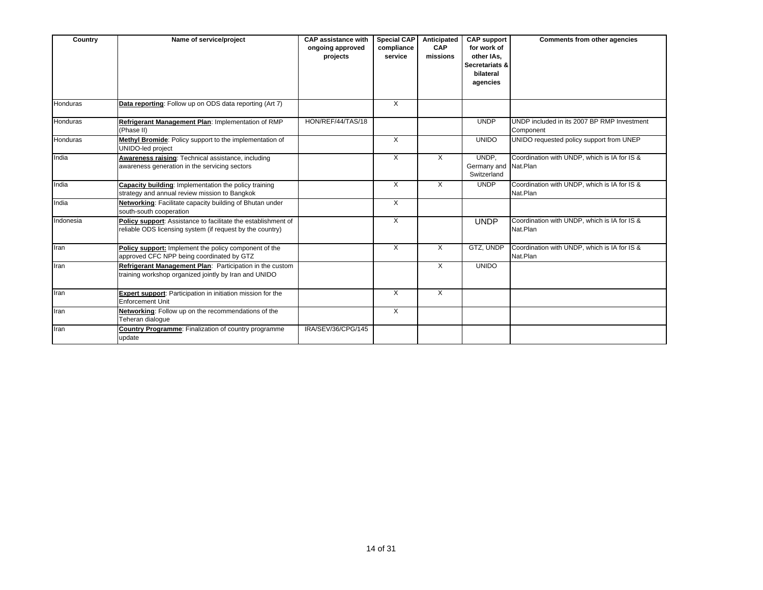| Country         | Name of service/project                                                                                                    | <b>CAP assistance with</b><br>ongoing approved<br>projects | <b>Special CAP</b><br>compliance<br>service | Anticipated<br>CAP<br>missions | <b>CAP</b> support<br>for work of<br>other IAs.<br><b>Secretariats &amp;</b><br>bilateral<br>agencies | <b>Comments from other agencies</b>                      |
|-----------------|----------------------------------------------------------------------------------------------------------------------------|------------------------------------------------------------|---------------------------------------------|--------------------------------|-------------------------------------------------------------------------------------------------------|----------------------------------------------------------|
| Honduras        | Data reporting: Follow up on ODS data reporting (Art 7)                                                                    |                                                            | X                                           |                                |                                                                                                       |                                                          |
| Honduras        | Refrigerant Management Plan: Implementation of RMP<br>(Phase II)                                                           | HON/REF/44/TAS/18                                          |                                             |                                | <b>UNDP</b>                                                                                           | UNDP included in its 2007 BP RMP Investment<br>Component |
| <b>Honduras</b> | Methyl Bromide: Policy support to the implementation of<br>UNIDO-led project                                               |                                                            | X                                           |                                | <b>UNIDO</b>                                                                                          | UNIDO requested policy support from UNEP                 |
| India           | Awareness raising: Technical assistance, including<br>awareness generation in the servicing sectors                        |                                                            | X                                           | Χ                              | UNDP,<br>Germany and Nat.Plan<br>Switzerland                                                          | Coordination with UNDP, which is IA for IS &             |
| India           | <b>Capacity building:</b> Implementation the policy training<br>strategy and annual review mission to Bangkok              |                                                            | X                                           | X                              | <b>UNDP</b>                                                                                           | Coordination with UNDP, which is IA for IS &<br>Nat.Plan |
| India           | Networking: Facilitate capacity building of Bhutan under<br>south-south cooperation                                        |                                                            | X                                           |                                |                                                                                                       |                                                          |
| Indonesia       | Policy support: Assistance to facilitate the establishment of<br>reliable ODS licensing system (if request by the country) |                                                            | X                                           |                                | <b>UNDP</b>                                                                                           | Coordination with UNDP, which is IA for IS &<br>Nat.Plan |
| Iran            | Policy support: Implement the policy component of the<br>approved CFC NPP being coordinated by GTZ                         |                                                            | X                                           | X                              | GTZ, UNDP                                                                                             | Coordination with UNDP, which is IA for IS &<br>Nat.Plan |
| Iran            | Refrigerant Management Plan: Participation in the custom<br>training workshop organized jointly by Iran and UNIDO          |                                                            |                                             | X                              | <b>UNIDO</b>                                                                                          |                                                          |
| Iran            | Expert support: Participation in initiation mission for the<br><b>Enforcement Unit</b>                                     |                                                            | X                                           | X                              |                                                                                                       |                                                          |
| Iran            | Networking: Follow up on the recommendations of the<br>Teheran dialogue                                                    |                                                            | $\overline{X}$                              |                                |                                                                                                       |                                                          |
| Iran            | Country Programme: Finalization of country programme<br>update                                                             | IRA/SEV/36/CPG/145                                         |                                             |                                |                                                                                                       |                                                          |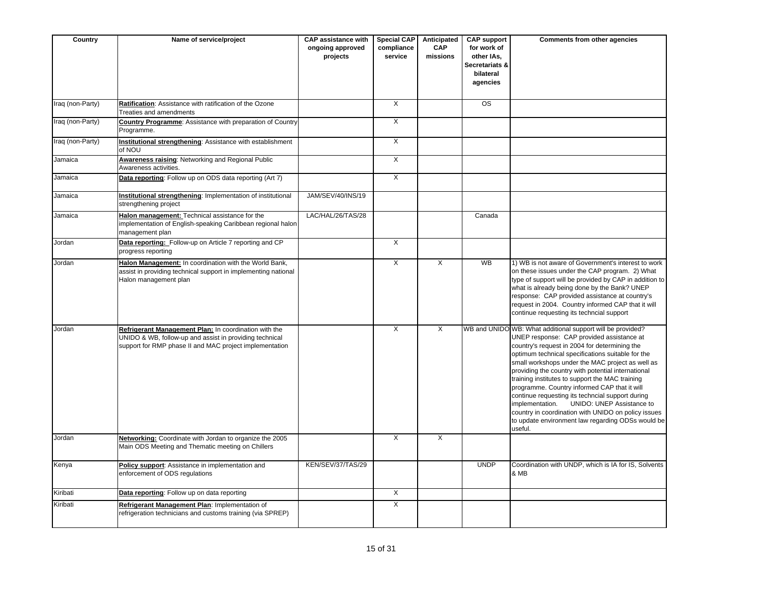| Country          | Name of service/project                                                                                                                                                     | <b>CAP assistance with</b><br>ongoing approved<br>projects | <b>Special CAP</b><br>compliance<br>service | Anticipated<br><b>CAP</b><br>missions | <b>CAP support</b><br>for work of<br>other IAs,<br>Secretariats &<br>bilateral<br>agencies | Comments from other agencies                                                                                                                                                                                                                                                                                                                                                                                                                                                                                                                                                                                                                          |
|------------------|-----------------------------------------------------------------------------------------------------------------------------------------------------------------------------|------------------------------------------------------------|---------------------------------------------|---------------------------------------|--------------------------------------------------------------------------------------------|-------------------------------------------------------------------------------------------------------------------------------------------------------------------------------------------------------------------------------------------------------------------------------------------------------------------------------------------------------------------------------------------------------------------------------------------------------------------------------------------------------------------------------------------------------------------------------------------------------------------------------------------------------|
| Iraq (non-Party) | Ratification: Assistance with ratification of the Ozone<br>Treaties and amendments                                                                                          |                                                            | $\times$                                    |                                       | $\overline{\text{os}}$                                                                     |                                                                                                                                                                                                                                                                                                                                                                                                                                                                                                                                                                                                                                                       |
| Iraq (non-Party) | <b>Country Programme:</b> Assistance with preparation of Country<br>Programme.                                                                                              |                                                            | $\overline{X}$                              |                                       |                                                                                            |                                                                                                                                                                                                                                                                                                                                                                                                                                                                                                                                                                                                                                                       |
| Iraq (non-Party) | Institutional strengthening: Assistance with establishment<br>of NOU                                                                                                        |                                                            | $\overline{X}$                              |                                       |                                                                                            |                                                                                                                                                                                                                                                                                                                                                                                                                                                                                                                                                                                                                                                       |
| Jamaica          | <b>Awareness raising: Networking and Regional Public</b><br>Awareness activities.                                                                                           |                                                            | $\overline{X}$                              |                                       |                                                                                            |                                                                                                                                                                                                                                                                                                                                                                                                                                                                                                                                                                                                                                                       |
| Jamaica          | Data reporting: Follow up on ODS data reporting (Art 7)                                                                                                                     |                                                            | X                                           |                                       |                                                                                            |                                                                                                                                                                                                                                                                                                                                                                                                                                                                                                                                                                                                                                                       |
| Jamaica          | Institutional strengthening: Implementation of institutional<br>strengthening project                                                                                       | JAM/SEV/40/INS/19                                          |                                             |                                       |                                                                                            |                                                                                                                                                                                                                                                                                                                                                                                                                                                                                                                                                                                                                                                       |
| Jamaica          | Halon management: Technical assistance for the<br>implementation of English-speaking Caribbean regional halon<br>management plan                                            | LAC/HAL/26/TAS/28                                          |                                             |                                       | Canada                                                                                     |                                                                                                                                                                                                                                                                                                                                                                                                                                                                                                                                                                                                                                                       |
| Jordan           | Data reporting: Follow-up on Article 7 reporting and CP<br>progress reporting                                                                                               |                                                            | X                                           |                                       |                                                                                            |                                                                                                                                                                                                                                                                                                                                                                                                                                                                                                                                                                                                                                                       |
| Jordan           | Halon Management: In coordination with the World Bank,<br>assist in providing technical support in implementing national<br>Halon management plan                           |                                                            | $\overline{X}$                              | $\overline{X}$                        | <b>WB</b>                                                                                  | 1) WB is not aware of Government's interest to work<br>on these issues under the CAP program. 2) What<br>type of support will be provided by CAP in addition to<br>what is already being done by the Bank? UNEP<br>response: CAP provided assistance at country's<br>request in 2004. Country informed CAP that it will<br>continue requesting its techncial support                                                                                                                                                                                                                                                                                  |
| Jordan           | Refrigerant Management Plan: In coordination with the<br>UNIDO & WB, follow-up and assist in providing technical<br>support for RMP phase II and MAC project implementation |                                                            | $\overline{\mathsf{x}}$                     | $\overline{\mathsf{x}}$               |                                                                                            | WB and UNIDO WB: What additional support will be provided?<br>UNEP response: CAP provided assistance at<br>country's request in 2004 for determining the<br>optimum technical specifications suitable for the<br>small workshops under the MAC project as well as<br>providing the country with potential international<br>training institutes to support the MAC training<br>programme. Country informed CAP that it will<br>continue requesting its techncial support during<br>implementation.<br>UNIDO: UNEP Assistance to<br>country in coordination with UNIDO on policy issues<br>to update environment law regarding ODSs would be<br>useful. |
| Jordan           | Networking: Coordinate with Jordan to organize the 2005<br>Main ODS Meeting and Thematic meeting on Chillers                                                                |                                                            | $\overline{\mathsf{x}}$                     | $\overline{X}$                        |                                                                                            |                                                                                                                                                                                                                                                                                                                                                                                                                                                                                                                                                                                                                                                       |
| Kenya            | Policy support: Assistance in implementation and<br>enforcement of ODS regulations                                                                                          | KEN/SEV/37/TAS/29                                          |                                             |                                       | <b>UNDP</b>                                                                                | Coordination with UNDP, which is IA for IS, Solvents<br>& MB                                                                                                                                                                                                                                                                                                                                                                                                                                                                                                                                                                                          |
| Kiribati         | Data reporting: Follow up on data reporting                                                                                                                                 |                                                            | $\overline{X}$                              |                                       |                                                                                            |                                                                                                                                                                                                                                                                                                                                                                                                                                                                                                                                                                                                                                                       |
| Kiribati         | Refrigerant Management Plan: Implementation of<br>refrigeration technicians and customs training (via SPREP)                                                                |                                                            | X                                           |                                       |                                                                                            |                                                                                                                                                                                                                                                                                                                                                                                                                                                                                                                                                                                                                                                       |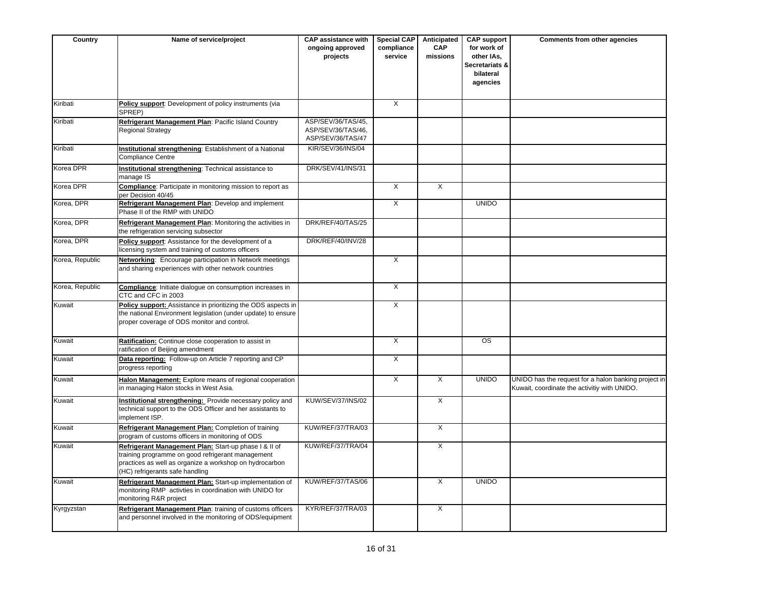| Country         | Name of service/project                                                                                                                                                                                  | <b>CAP assistance with</b><br>ongoing approved<br>projects    | <b>Special CAP</b><br>compliance<br>service | Anticipated<br><b>CAP</b><br>missions | <b>CAP support</b><br>for work of<br>other IAs,<br>Secretariats &<br>bilateral<br>agencies | Comments from other agencies                                                                         |
|-----------------|----------------------------------------------------------------------------------------------------------------------------------------------------------------------------------------------------------|---------------------------------------------------------------|---------------------------------------------|---------------------------------------|--------------------------------------------------------------------------------------------|------------------------------------------------------------------------------------------------------|
| Kiribati        | Policy support: Development of policy instruments (via<br>SPREP)                                                                                                                                         |                                                               | $\overline{X}$                              |                                       |                                                                                            |                                                                                                      |
| Kiribati        | Refrigerant Management Plan: Pacific Island Country<br><b>Regional Strategy</b>                                                                                                                          | ASP/SEV/36/TAS/45,<br>ASP/SEV/36/TAS/46,<br>ASP/SEV/36/TAS/47 |                                             |                                       |                                                                                            |                                                                                                      |
| Kiribati        | Institutional strengthening: Establishment of a National<br><b>Compliance Centre</b>                                                                                                                     | KIR/SEV/36/INS/04                                             |                                             |                                       |                                                                                            |                                                                                                      |
| Korea DPR       | Institutional strengthening: Technical assistance to<br>manage IS                                                                                                                                        | DRK/SEV/41/INS/31                                             |                                             |                                       |                                                                                            |                                                                                                      |
| Korea DPR       | <b>Compliance:</b> Participate in monitoring mission to report as<br>per Decision 40/45                                                                                                                  |                                                               | $\times$                                    | X                                     |                                                                                            |                                                                                                      |
| Korea, DPR      | Refrigerant Management Plan: Develop and implement<br>Phase II of the RMP with UNIDO                                                                                                                     |                                                               | $\overline{X}$                              |                                       | <b>UNIDO</b>                                                                               |                                                                                                      |
| Korea, DPR      | Refrigerant Management Plan: Monitoring the activities in<br>the refrigeration servicing subsector                                                                                                       | DRK/REF/40/TAS/25                                             |                                             |                                       |                                                                                            |                                                                                                      |
| Korea, DPR      | Policy support: Assistance for the development of a<br>licensing system and training of customs officers                                                                                                 | DRK/REF/40/INV/28                                             |                                             |                                       |                                                                                            |                                                                                                      |
| Korea, Republic | Networking: Encourage participation in Network meetings<br>and sharing experiences with other network countries                                                                                          |                                                               | $\overline{X}$                              |                                       |                                                                                            |                                                                                                      |
| Korea, Republic | Compliance: Initiate dialogue on consumption increases in<br>CTC and CFC in 2003                                                                                                                         |                                                               | X                                           |                                       |                                                                                            |                                                                                                      |
| Kuwait          | Policy support: Assistance in prioritizing the ODS aspects in<br>the national Environment legislation (under update) to ensure<br>proper coverage of ODS monitor and control.                            |                                                               | X                                           |                                       |                                                                                            |                                                                                                      |
| Kuwait          | Ratification: Continue close cooperation to assist in<br>ratification of Beijing amendment                                                                                                               |                                                               | $\overline{X}$                              |                                       | $\overline{\text{os}}$                                                                     |                                                                                                      |
| Kuwait          | Data reporting: Follow-up on Article 7 reporting and CP<br>progress reporting                                                                                                                            |                                                               | $\overline{X}$                              |                                       |                                                                                            |                                                                                                      |
| Kuwait          | Halon Management: Explore means of regional cooperation<br>in managing Halon stocks in West Asia.                                                                                                        |                                                               | $\overline{X}$                              | $\overline{X}$                        | <b>UNIDO</b>                                                                               | UNIDO has the request for a halon banking project in<br>Kuwait, coordinate the activitiy with UNIDO. |
| Kuwait          | Institutional strengthening: Provide necessary policy and<br>technical support to the ODS Officer and her assistants to<br>implement ISP.                                                                | KUW/SEV/37/INS/02                                             |                                             | $\overline{\mathsf{x}}$               |                                                                                            |                                                                                                      |
| Kuwait          | Refrigerant Management Plan: Completion of training<br>program of customs officers in monitoring of ODS                                                                                                  | KUW/REF/37/TRA/03                                             |                                             | $\times$                              |                                                                                            |                                                                                                      |
| Kuwait          | Refrigerant Management Plan: Start-up phase I & II of<br>training programme on good refrigerant management<br>practices as well as organize a workshop on hydrocarbon<br>(HC) refrigerants safe handling | KUW/REF/37/TRA/04                                             |                                             | X                                     |                                                                                            |                                                                                                      |
| Kuwait          | Refrigerant Management Plan: Start-up implementation of<br>monitoring RMP activties in coordination with UNIDO for<br>monitoring R&R project                                                             | KUW/REF/37/TAS/06                                             |                                             | X                                     | <b>UNIDO</b>                                                                               |                                                                                                      |
| Kyrgyzstan      | Refrigerant Management Plan: training of customs officers<br>and personnel involved in the monitoring of ODS/equipment                                                                                   | KYR/REF/37/TRA/03                                             |                                             | X                                     |                                                                                            |                                                                                                      |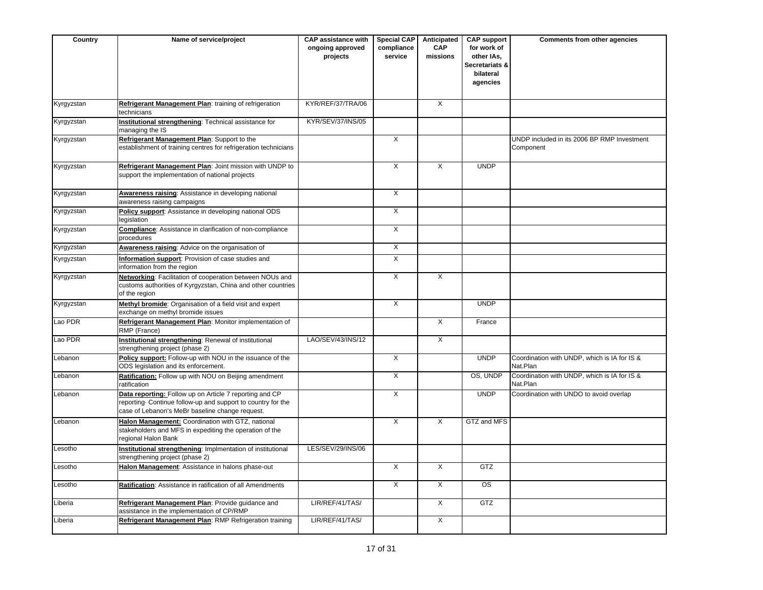| Country    | Name of service/project                                                                                                                                                    | <b>CAP assistance with</b><br>ongoing approved<br>projects | <b>Special CAP</b><br>compliance<br>service | Anticipated<br><b>CAP</b><br>missions | <b>CAP support</b><br>for work of<br>other IAs,<br>Secretariats &<br>bilateral<br>agencies | Comments from other agencies                             |
|------------|----------------------------------------------------------------------------------------------------------------------------------------------------------------------------|------------------------------------------------------------|---------------------------------------------|---------------------------------------|--------------------------------------------------------------------------------------------|----------------------------------------------------------|
| Kyrgyzstan | Refrigerant Management Plan: training of refrigeration<br>technicians                                                                                                      | KYR/REF/37/TRA/06                                          |                                             | $\overline{\mathsf{x}}$               |                                                                                            |                                                          |
| Kyrgyzstan | Institutional strengthening: Technical assistance for<br>managing the IS                                                                                                   | KYR/SEV/37/INS/05                                          |                                             |                                       |                                                                                            |                                                          |
| Kyrgyzstan | Refrigerant Management Plan: Support to the<br>establishment of training centres for refrigeration technicians                                                             |                                                            | $\mathsf{X}$                                |                                       |                                                                                            | UNDP included in its 2006 BP RMP Investment<br>Component |
| Kyrgyzstan | Refrigerant Management Plan: Joint mission with UNDP to<br>support the implementation of national projects                                                                 |                                                            | $\overline{X}$                              | $\overline{X}$                        | <b>UNDP</b>                                                                                |                                                          |
| Kyrgyzstan | Awareness raising: Assistance in developing national<br>awareness raising campaigns                                                                                        |                                                            | $\overline{X}$                              |                                       |                                                                                            |                                                          |
| Kyrgyzstan | Policy support: Assistance in developing national ODS<br>legislation                                                                                                       |                                                            | $\overline{X}$                              |                                       |                                                                                            |                                                          |
| Kyrgyzstan | <b>Compliance:</b> Assistance in clarification of non-compliance<br>procedures                                                                                             |                                                            | $\overline{X}$                              |                                       |                                                                                            |                                                          |
| Kyrgyzstan | Awareness raising: Advice on the organisation of                                                                                                                           |                                                            | X                                           |                                       |                                                                                            |                                                          |
| Kyrgyzstan | Information support: Provision of case studies and<br>information from the region                                                                                          |                                                            | X                                           |                                       |                                                                                            |                                                          |
| Kyrgyzstan | Networking: Facilitation of cooperation between NOUs and<br>customs authorities of Kyrgyzstan, China and other countries<br>of the region                                  |                                                            | $\overline{X}$                              | $\overline{X}$                        |                                                                                            |                                                          |
| Kyrgyzstan | Methyl bromide: Organisation of a field visit and expert<br>exchange on methyl bromide issues                                                                              |                                                            | $\overline{X}$                              |                                       | <b>UNDP</b>                                                                                |                                                          |
| Lao PDR    | Refrigerant Management Plan: Monitor implementation of<br>RMP (France)                                                                                                     |                                                            |                                             | $\overline{X}$                        | France                                                                                     |                                                          |
| Lao PDR    | <b>Institutional strengthening: Renewal of institutional</b><br>strengthening project (phase 2)                                                                            | LAO/SEV/43/INS/12                                          |                                             | $\overline{X}$                        |                                                                                            |                                                          |
| Lebanon    | Policy support: Follow-up with NOU in the issuance of the<br>ODS legislation and its enforcement.                                                                          |                                                            | $\overline{X}$                              |                                       | <b>UNDP</b>                                                                                | Coordination with UNDP, which is IA for IS &<br>Nat.Plan |
| Lebanon    | Ratification: Follow up with NOU on Beijing amendment<br>ratification                                                                                                      |                                                            | $\times$                                    |                                       | OS, UNDP                                                                                   | Coordination with UNDP, which is IA for IS &<br>Nat.Plan |
| Lebanon    | Data reporting: Follow up on Article 7 reporting and CP<br>reporting. Continue follow-up and support to country for the<br>case of Lebanon's MeBr baseline change request. |                                                            | $\overline{X}$                              |                                       | <b>UNDP</b>                                                                                | Coordination with UNDO to avoid overlap                  |
| Lebanon    | Halon Management: Coordination with GTZ, national<br>stakeholders and MFS in expediting the operation of the<br>regional Halon Bank                                        |                                                            | $\mathsf{X}$                                | X                                     | GTZ and MFS                                                                                |                                                          |
| Lesotho    | Institutional strengthening: Implmentation of institutional<br>strengthening project (phase 2)                                                                             | LES/SEV/29/INS/06                                          |                                             |                                       |                                                                                            |                                                          |
| Lesotho    | Halon Management: Assistance in halons phase-out                                                                                                                           |                                                            | $\overline{\mathsf{x}}$                     | $\overline{X}$                        | GTZ                                                                                        |                                                          |
| Lesotho    | Ratification: Assistance in ratification of all Amendments                                                                                                                 |                                                            | $\overline{X}$                              | $\overline{X}$                        | OS                                                                                         |                                                          |
| Liberia    | Refrigerant Management Plan: Provide guidance and<br>assistance in the implementation of CP/RMP                                                                            | LIR/REF/41/TAS/                                            |                                             | $\overline{X}$                        | <b>GTZ</b>                                                                                 |                                                          |
| Liberia    | Refrigerant Management Plan: RMP Refrigeration training                                                                                                                    | LIR/REF/41/TAS/                                            |                                             | $\times$                              |                                                                                            |                                                          |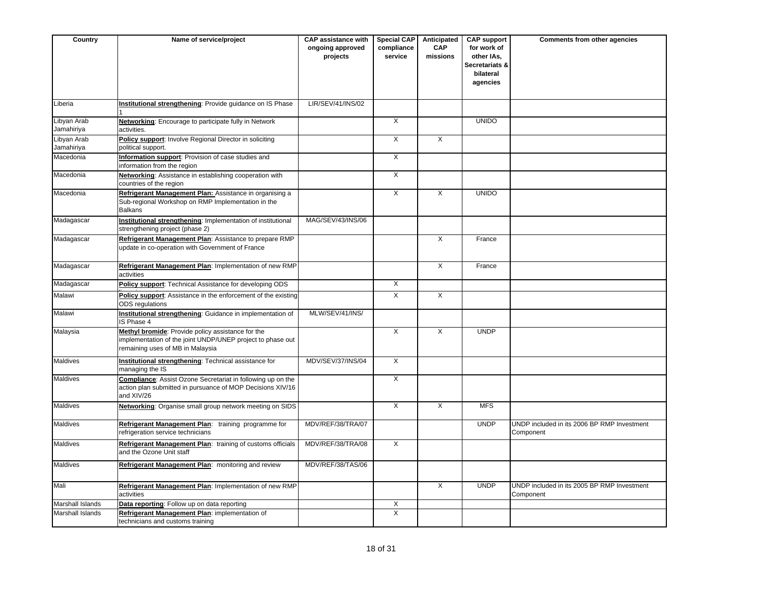| Country                   | Name of service/project                                                                                                                             | <b>CAP assistance with</b><br>ongoing approved<br>projects | <b>Special CAP</b><br>compliance<br>service | Anticipated<br><b>CAP</b><br>missions | <b>CAP support</b><br>for work of<br>other IAs,<br>Secretariats &<br>bilateral<br>agencies | Comments from other agencies                             |
|---------------------------|-----------------------------------------------------------------------------------------------------------------------------------------------------|------------------------------------------------------------|---------------------------------------------|---------------------------------------|--------------------------------------------------------------------------------------------|----------------------------------------------------------|
| Liberia                   | Institutional strengthening: Provide guidance on IS Phase                                                                                           | LIR/SEV/41/INS/02                                          |                                             |                                       |                                                                                            |                                                          |
| Libyan Arab<br>Jamahiriya | Networking: Encourage to participate fully in Network<br>activities.                                                                                |                                                            | $\overline{X}$                              |                                       | <b>UNIDO</b>                                                                               |                                                          |
| Libyan Arab<br>Jamahiriya | Policy support: Involve Regional Director in soliciting<br>political support.                                                                       |                                                            | X                                           | X                                     |                                                                                            |                                                          |
| Macedonia                 | Information support: Provision of case studies and<br>information from the region                                                                   |                                                            | X                                           |                                       |                                                                                            |                                                          |
| Macedonia                 | Networking: Assistance in establishing cooperation with<br>countries of the region                                                                  |                                                            | X                                           |                                       |                                                                                            |                                                          |
| Macedonia                 | Refrigerant Management Plan: Assistance in organising a<br>Sub-regional Workshop on RMP Implementation in the<br><b>Balkans</b>                     |                                                            | $\overline{X}$                              | $\overline{\mathsf{x}}$               | <b>UNIDO</b>                                                                               |                                                          |
| Madagascar                | Institutional strengthening: Implementation of institutional<br>strengthening project (phase 2)                                                     | MAG/SEV/43/INS/06                                          |                                             |                                       |                                                                                            |                                                          |
| Madagascar                | Refrigerant Management Plan: Assistance to prepare RMP<br>update in co-operation with Government of France                                          |                                                            |                                             | X                                     | France                                                                                     |                                                          |
| Madagascar                | Refrigerant Management Plan: Implementation of new RMP<br>activities                                                                                |                                                            |                                             | X                                     | France                                                                                     |                                                          |
| Madagascar                | Policy support: Technical Assistance for developing ODS                                                                                             |                                                            | X                                           |                                       |                                                                                            |                                                          |
| Malawi                    | Policy support: Assistance in the enforcement of the existing<br><b>ODS</b> regulations                                                             |                                                            | $\overline{X}$                              | X                                     |                                                                                            |                                                          |
| Malawi                    | Institutional strengthening: Guidance in implementation of<br>IS Phase 4                                                                            | MLW/SEV/41/INS/                                            |                                             |                                       |                                                                                            |                                                          |
| Malaysia                  | Methyl bromide: Provide policy assistance for the<br>implementation of the joint UNDP/UNEP project to phase out<br>remaining uses of MB in Malaysia |                                                            | $\mathsf{X}$                                | X                                     | <b>UNDP</b>                                                                                |                                                          |
| Maldives                  | Institutional strengthening: Technical assistance for<br>managing the IS                                                                            | MDV/SEV/37/INS/04                                          | $\overline{\mathsf{x}}$                     |                                       |                                                                                            |                                                          |
| Maldives                  | <b>Compliance:</b> Assist Ozone Secretariat in following up on the<br>action plan submitted in pursuance of MOP Decisions XIV/16<br>and XIV/26      |                                                            | $\overline{X}$                              |                                       |                                                                                            |                                                          |
| <b>Maldives</b>           | Networking: Organise small group network meeting on SIDS                                                                                            |                                                            | $\overline{X}$                              | $\overline{X}$                        | <b>MFS</b>                                                                                 |                                                          |
| Maldives                  | Refrigerant Management Plan: training programme for<br>refrigeration service technicians                                                            | MDV/REF/38/TRA/07                                          |                                             |                                       | <b>UNDP</b>                                                                                | UNDP included in its 2006 BP RMP Investment<br>Component |
| Maldives                  | Refrigerant Management Plan: training of customs officials<br>and the Ozone Unit staff                                                              | MDV/REF/38/TRA/08                                          | $\overline{X}$                              |                                       |                                                                                            |                                                          |
| <b>Maldives</b>           | Refrigerant Management Plan: monitoring and review                                                                                                  | MDV/REF/38/TAS/06                                          |                                             |                                       |                                                                                            |                                                          |
| Mali                      | Refrigerant Management Plan: Implementation of new RMP<br>activities                                                                                |                                                            |                                             | X                                     | <b>UNDP</b>                                                                                | UNDP included in its 2005 BP RMP Investment<br>Component |
| Marshall Islands          | Data reporting: Follow up on data reporting                                                                                                         |                                                            | Χ                                           |                                       |                                                                                            |                                                          |
| Marshall Islands          | Refrigerant Management Plan: implementation of<br>technicians and customs training                                                                  |                                                            | X                                           |                                       |                                                                                            |                                                          |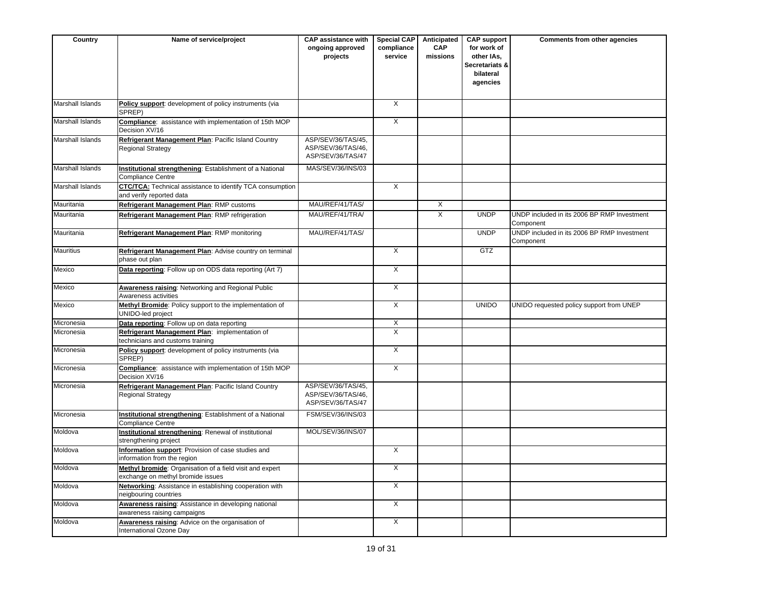| Country                 | Name of service/project                                                                       | <b>CAP assistance with</b><br>ongoing approved<br>projects    | Special CAP<br>compliance<br>service | Anticipated<br><b>CAP</b><br>missions | <b>CAP support</b><br>for work of<br>other IAs,<br>Secretariats &<br>bilateral<br>agencies | Comments from other agencies                             |
|-------------------------|-----------------------------------------------------------------------------------------------|---------------------------------------------------------------|--------------------------------------|---------------------------------------|--------------------------------------------------------------------------------------------|----------------------------------------------------------|
| <b>Marshall Islands</b> | Policy support: development of policy instruments (via<br>SPREP)                              |                                                               | $\overline{X}$                       |                                       |                                                                                            |                                                          |
| <b>Marshall Islands</b> | Compliance: assistance with implementation of 15th MOP<br>Decision XV/16                      |                                                               | $\overline{X}$                       |                                       |                                                                                            |                                                          |
| Marshall Islands        | Refrigerant Management Plan: Pacific Island Country<br><b>Regional Strategy</b>               | ASP/SEV/36/TAS/45,<br>ASP/SEV/36/TAS/46,<br>ASP/SEV/36/TAS/47 |                                      |                                       |                                                                                            |                                                          |
| Marshall Islands        | Institutional strengthening: Establishment of a National<br><b>Compliance Centre</b>          | MAS/SEV/36/INS/03                                             |                                      |                                       |                                                                                            |                                                          |
| Marshall Islands        | <b>CTC/TCA:</b> Technical assistance to identify TCA consumption<br>and verify reported data  |                                                               | X                                    |                                       |                                                                                            |                                                          |
| Mauritania              | Refrigerant Management Plan: RMP customs                                                      | MAU/REF/41/TAS/                                               |                                      | X                                     |                                                                                            |                                                          |
| Mauritania              | Refrigerant Management Plan: RMP refrigeration                                                | MAU/REF/41/TRA/                                               |                                      | X                                     | <b>UNDP</b>                                                                                | UNDP included in its 2006 BP RMP Investment<br>Component |
| Mauritania              | Refrigerant Management Plan: RMP monitoring                                                   | MAU/REF/41/TAS/                                               |                                      |                                       | <b>UNDP</b>                                                                                | UNDP included in its 2006 BP RMP Investment<br>Component |
| <b>Mauritius</b>        | Refrigerant Management Plan: Advise country on terminal<br>phase out plan                     |                                                               | $\overline{X}$                       |                                       | GTZ                                                                                        |                                                          |
| Mexico                  | Data reporting: Follow up on ODS data reporting (Art 7)                                       |                                                               | $\overline{X}$                       |                                       |                                                                                            |                                                          |
| Mexico                  | Awareness raising: Networking and Regional Public<br>Awareness activities                     |                                                               | $\overline{X}$                       |                                       |                                                                                            |                                                          |
| Mexico                  | Methyl Bromide: Policy support to the implementation of<br>UNIDO-led project                  |                                                               | $\overline{X}$                       |                                       | <b>UNIDO</b>                                                                               | UNIDO requested policy support from UNEP                 |
| Micronesia              | Data reporting: Follow up on data reporting                                                   |                                                               | X                                    |                                       |                                                                                            |                                                          |
| Micronesia              | Refrigerant Management Plan: implementation of<br>technicians and customs training            |                                                               | $\overline{X}$                       |                                       |                                                                                            |                                                          |
| Micronesia              | Policy support: development of policy instruments (via<br>SPREP)                              |                                                               | X                                    |                                       |                                                                                            |                                                          |
| Micronesia              | Compliance: assistance with implementation of 15th MOP<br>Decision XV/16                      |                                                               | $\overline{X}$                       |                                       |                                                                                            |                                                          |
| Micronesia              | Refrigerant Management Plan: Pacific Island Country<br><b>Regional Strategy</b>               | ASP/SEV/36/TAS/45,<br>ASP/SEV/36/TAS/46.<br>ASP/SEV/36/TAS/47 |                                      |                                       |                                                                                            |                                                          |
| Micronesia              | Institutional strengthening: Establishment of a National<br><b>Compliance Centre</b>          | FSM/SEV/36/INS/03                                             |                                      |                                       |                                                                                            |                                                          |
| Moldova                 | <b>Institutional strengthening:</b> Renewal of institutional<br>strengthening project         | MOL/SEV/36/INS/07                                             |                                      |                                       |                                                                                            |                                                          |
| Moldova                 | Information support: Provision of case studies and<br>information from the region             |                                                               | $\overline{X}$                       |                                       |                                                                                            |                                                          |
| Moldova                 | Methyl bromide: Organisation of a field visit and expert<br>exchange on methyl bromide issues |                                                               | X                                    |                                       |                                                                                            |                                                          |
| Moldova                 | Networking: Assistance in establishing cooperation with<br>neigbouring countries              |                                                               | X                                    |                                       |                                                                                            |                                                          |
| Moldova                 | Awareness raising: Assistance in developing national<br>awareness raising campaigns           |                                                               | $\overline{X}$                       |                                       |                                                                                            |                                                          |
| Moldova                 | Awareness raising: Advice on the organisation of<br>International Ozone Day                   |                                                               | X                                    |                                       |                                                                                            |                                                          |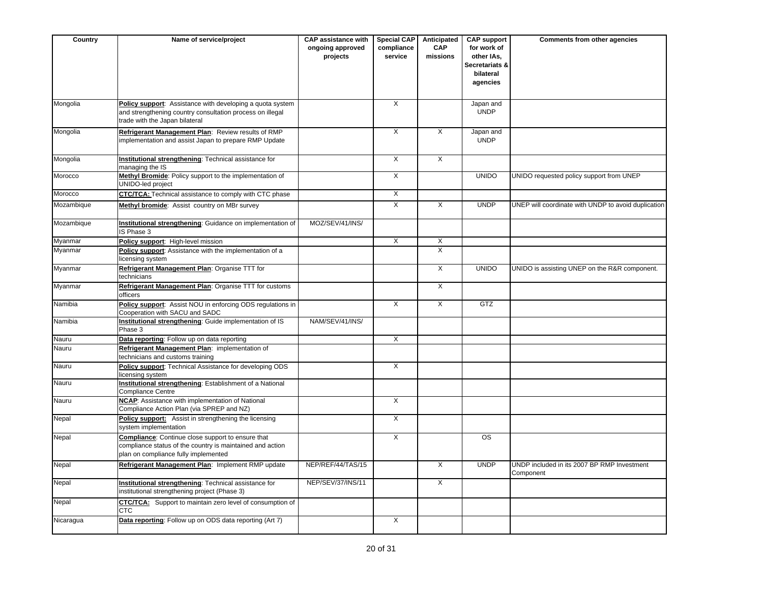| Country    | Name of service/project                                                                                                                                       | <b>CAP assistance with</b><br>ongoing approved<br>projects | <b>Special CAP</b><br>compliance<br>service | Anticipated<br><b>CAP</b><br>missions | <b>CAP support</b><br>for work of<br>other IAs,<br>Secretariats &<br>bilateral<br>agencies | Comments from other agencies                             |
|------------|---------------------------------------------------------------------------------------------------------------------------------------------------------------|------------------------------------------------------------|---------------------------------------------|---------------------------------------|--------------------------------------------------------------------------------------------|----------------------------------------------------------|
| Mongolia   | Policy support: Assistance with developing a quota system<br>and strengthening country consultation process on illegal<br>trade with the Japan bilateral      |                                                            | X                                           |                                       | Japan and<br><b>UNDP</b>                                                                   |                                                          |
| Mongolia   | Refrigerant Management Plan: Review results of RMP<br>implementation and assist Japan to prepare RMP Update                                                   |                                                            | X                                           | X                                     | Japan and<br><b>UNDP</b>                                                                   |                                                          |
| Mongolia   | Institutional strengthening: Technical assistance for<br>managing the IS                                                                                      |                                                            | $\overline{X}$                              | $\overline{X}$                        |                                                                                            |                                                          |
| Morocco    | Methyl Bromide: Policy support to the implementation of<br>UNIDO-led project                                                                                  |                                                            | $\overline{X}$                              |                                       | <b>UNIDO</b>                                                                               | UNIDO requested policy support from UNEP                 |
| Morocco    | <b>CTC/TCA:</b> Technical assistance to comply with CTC phase                                                                                                 |                                                            | X                                           |                                       |                                                                                            |                                                          |
| Mozambique | Methyl bromide: Assist country on MBr survey                                                                                                                  |                                                            | $\overline{X}$                              | $\overline{X}$                        | <b>UNDP</b>                                                                                | UNEP will coordinate with UNDP to avoid duplication      |
| Mozambique | Institutional strengthening: Guidance on implementation of<br>IS Phase 3                                                                                      | MOZ/SEV/41/INS/                                            |                                             |                                       |                                                                                            |                                                          |
| Myanmar    | Policy support: High-level mission                                                                                                                            |                                                            | X                                           | X                                     |                                                                                            |                                                          |
| Myanmar    | Policy support: Assistance with the implementation of a<br>licensing system                                                                                   |                                                            |                                             | $\overline{\mathsf{x}}$               |                                                                                            |                                                          |
| Myanmar    | Refrigerant Management Plan: Organise TTT for<br>technicians                                                                                                  |                                                            |                                             | $\overline{X}$                        | <b>UNIDO</b>                                                                               | UNIDO is assisting UNEP on the R&R component.            |
| Myanmar    | Refrigerant Management Plan: Organise TTT for customs<br>officers                                                                                             |                                                            |                                             | $\overline{X}$                        |                                                                                            |                                                          |
| Namibia    | Policy support: Assist NOU in enforcing ODS regulations in<br>Cooperation with SACU and SADC                                                                  |                                                            | X                                           | X                                     | GTZ                                                                                        |                                                          |
| Namibia    | Institutional strengthening: Guide implementation of IS<br>Phase 3                                                                                            | NAM/SEV/41/INS/                                            |                                             |                                       |                                                                                            |                                                          |
| Nauru      | Data reporting: Follow up on data reporting                                                                                                                   |                                                            | $\overline{\mathsf{x}}$                     |                                       |                                                                                            |                                                          |
| Nauru      | Refrigerant Management Plan: implementation of<br>technicians and customs training                                                                            |                                                            |                                             |                                       |                                                                                            |                                                          |
| Nauru      | Policy support: Technical Assistance for developing ODS<br>icensing system                                                                                    |                                                            | $\overline{X}$                              |                                       |                                                                                            |                                                          |
| Nauru      | Institutional strengthening: Establishment of a National<br><b>Compliance Centre</b>                                                                          |                                                            |                                             |                                       |                                                                                            |                                                          |
| Nauru      | <b>NCAP:</b> Assistance with implementation of National<br>Compliance Action Plan (via SPREP and NZ)                                                          |                                                            | $\overline{X}$                              |                                       |                                                                                            |                                                          |
| Nepal      | Policy support: Assist in strengthening the licensing<br>system implementation                                                                                |                                                            | $\overline{X}$                              |                                       |                                                                                            |                                                          |
| Nepal      | <b>Compliance:</b> Continue close support to ensure that<br>compliance status of the country is maintained and action<br>plan on compliance fully implemented |                                                            | X                                           |                                       | <b>OS</b>                                                                                  |                                                          |
| Nepal      | Refrigerant Management Plan: Implement RMP update                                                                                                             | NEP/REF/44/TAS/15                                          |                                             | $\overline{\mathsf{x}}$               | <b>UNDP</b>                                                                                | UNDP included in its 2007 BP RMP Investment<br>Component |
| Nepal      | Institutional strengthening: Technical assistance for<br>institutional strengthening project (Phase 3)                                                        | NEP/SEV/37/INS/11                                          |                                             | X                                     |                                                                                            |                                                          |
| Nepal      | CTC/TCA: Support to maintain zero level of consumption of<br><b>CTC</b>                                                                                       |                                                            |                                             |                                       |                                                                                            |                                                          |
| Nicaragua  | Data reporting: Follow up on ODS data reporting (Art 7)                                                                                                       |                                                            | $\overline{X}$                              |                                       |                                                                                            |                                                          |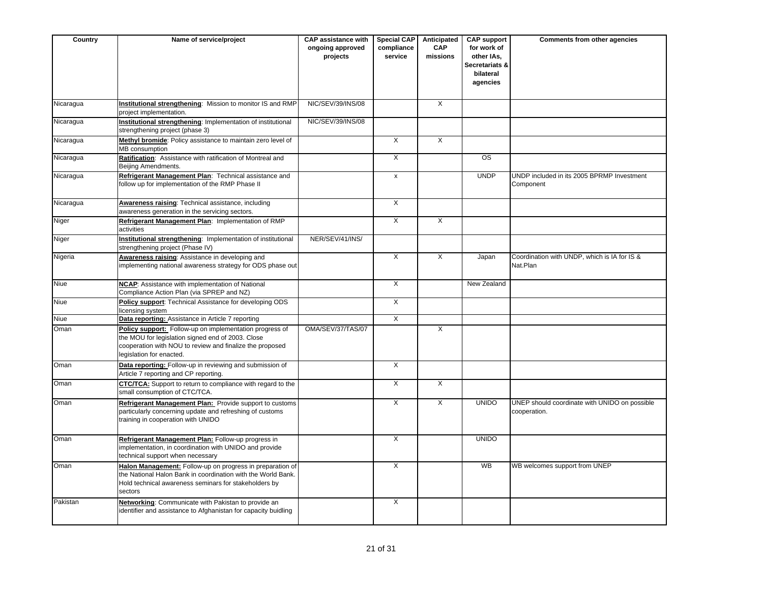| Country   | Name of service/project                                                                                                                                                                              | <b>CAP assistance with</b><br>ongoing approved<br>projects | <b>Special CAP</b><br>compliance<br>service | Anticipated<br><b>CAP</b><br>missions | <b>CAP support</b><br>for work of<br>other IAs,<br>Secretariats &<br>bilateral<br>agencies | Comments from other agencies                                  |
|-----------|------------------------------------------------------------------------------------------------------------------------------------------------------------------------------------------------------|------------------------------------------------------------|---------------------------------------------|---------------------------------------|--------------------------------------------------------------------------------------------|---------------------------------------------------------------|
| Nicaragua | Institutional strengthening: Mission to monitor IS and RMP<br>project implementation.                                                                                                                | NIC/SEV/39/INS/08                                          |                                             | $\overline{X}$                        |                                                                                            |                                                               |
| Nicaragua | Institutional strengthening: Implementation of institutional<br>strengthening project (phase 3)                                                                                                      | NIC/SEV/39/INS/08                                          |                                             |                                       |                                                                                            |                                                               |
| Nicaragua | Methyl bromide: Policy assistance to maintain zero level of<br>MB consumption                                                                                                                        |                                                            | $\overline{X}$                              | $\overline{X}$                        |                                                                                            |                                                               |
| Nicaragua | Ratification: Assistance with ratification of Montreal and<br>Beijing Amendments.                                                                                                                    |                                                            | $\overline{X}$                              |                                       | $\overline{\text{os}}$                                                                     |                                                               |
| Nicaragua | Refrigerant Management Plan: Technical assistance and<br>follow up for implementation of the RMP Phase II                                                                                            |                                                            | $\pmb{\mathsf{x}}$                          |                                       | <b>UNDP</b>                                                                                | UNDP included in its 2005 BPRMP Investment<br>Component       |
| Nicaragua | Awareness raising: Technical assistance, including<br>awareness generation in the servicing sectors.                                                                                                 |                                                            | X                                           |                                       |                                                                                            |                                                               |
| Niger     | Refrigerant Management Plan: Implementation of RMP<br>activities                                                                                                                                     |                                                            | X                                           | X                                     |                                                                                            |                                                               |
| Niger     | Institutional strengthening: Implementation of institutional<br>strengthening project (Phase IV)                                                                                                     | NER/SEV/41/INS/                                            |                                             |                                       |                                                                                            |                                                               |
| Nigeria   | Awareness raising: Assistance in developing and<br>implementing national awareness strategy for ODS phase out                                                                                        |                                                            | X                                           | X                                     | Japan                                                                                      | Coordination with UNDP, which is IA for IS &<br>Nat.Plan      |
| Niue      | NCAP: Assistance with implementation of National<br>Compliance Action Plan (via SPREP and NZ)                                                                                                        |                                                            | $\times$                                    |                                       | New Zealand                                                                                |                                                               |
| Niue      | Policy support: Technical Assistance for developing ODS<br>licensing system                                                                                                                          |                                                            | $\overline{X}$                              |                                       |                                                                                            |                                                               |
| Niue      | Data reporting: Assistance in Article 7 reporting                                                                                                                                                    |                                                            | X                                           |                                       |                                                                                            |                                                               |
| Oman      | Policy support: Follow-up on implementation progress of<br>the MOU for legislation signed end of 2003. Close<br>cooperation with NOU to review and finalize the proposed<br>legislation for enacted. | OMA/SEV/37/TAS/07                                          |                                             | $\overline{\mathsf{x}}$               |                                                                                            |                                                               |
| Oman      | Data reporting: Follow-up in reviewing and submission of<br>Article 7 reporting and CP reporting.                                                                                                    |                                                            | $\overline{X}$                              |                                       |                                                                                            |                                                               |
| Oman      | <b>CTC/TCA:</b> Support to return to compliance with regard to the<br>small consumption of CTC/TCA.                                                                                                  |                                                            | $\overline{X}$                              | $\overline{X}$                        |                                                                                            |                                                               |
| Oman      | Refrigerant Management Plan: Provide support to customs<br>particularly concerning update and refreshing of customs<br>training in cooperation with UNIDO                                            |                                                            | X                                           | $\overline{\mathsf{x}}$               | <b>UNIDO</b>                                                                               | UNEP should coordinate with UNIDO on possible<br>cooperation. |
| Oman      | Refrigerant Management Plan: Follow-up progress in<br>implementation, in coordination with UNIDO and provide<br>technical support when necessary                                                     |                                                            | X                                           |                                       | <b>UNIDO</b>                                                                               |                                                               |
| Oman      | Halon Management: Follow-up on progress in preparation of<br>the National Halon Bank in coordination with the World Bank.<br>Hold technical awareness seminars for stakeholders by<br>sectors        |                                                            | X                                           |                                       | <b>WB</b>                                                                                  | WB welcomes support from UNEP                                 |
| Pakistan  | Networking: Communicate with Pakistan to provide an<br>identifier and assistance to Afghanistan for capacity buidling                                                                                |                                                            | $\overline{\mathsf{x}}$                     |                                       |                                                                                            |                                                               |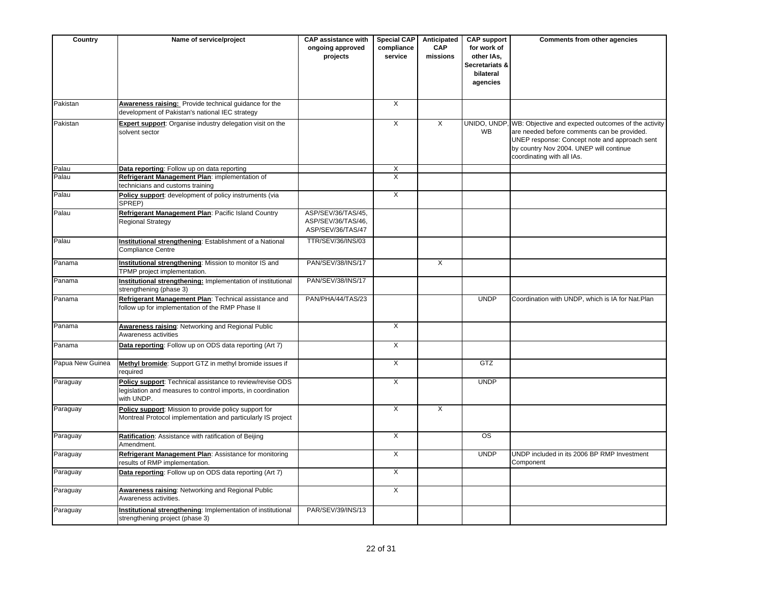| Country          | Name of service/project                                                                                                                 | <b>CAP assistance with</b><br>ongoing approved<br>projects    | <b>Special CAP</b><br>compliance<br>service | Anticipated<br><b>CAP</b><br>missions | <b>CAP support</b><br>for work of<br>other IAs,<br>Secretariats &<br>bilateral<br>agencies | Comments from other agencies                                                                                                                                                                                                              |
|------------------|-----------------------------------------------------------------------------------------------------------------------------------------|---------------------------------------------------------------|---------------------------------------------|---------------------------------------|--------------------------------------------------------------------------------------------|-------------------------------------------------------------------------------------------------------------------------------------------------------------------------------------------------------------------------------------------|
| Pakistan         | Awareness raising: Provide technical guidance for the<br>development of Pakistan's national IEC strategy                                |                                                               | $\overline{X}$                              |                                       |                                                                                            |                                                                                                                                                                                                                                           |
| Pakistan         | Expert support: Organise industry delegation visit on the<br>solvent sector                                                             |                                                               | $\overline{X}$                              | $\overline{\mathsf{x}}$               | <b>WB</b>                                                                                  | UNIDO, UNDP, WB: Objective and expected outcomes of the activity<br>are needed before comments can be provided.<br>UNEP response: Concept note and approach sent<br>by country Nov 2004. UNEP will continue<br>coordinating with all IAs. |
| Palau            | Data reporting: Follow up on data reporting                                                                                             |                                                               | X                                           |                                       |                                                                                            |                                                                                                                                                                                                                                           |
| Palau            | Refrigerant Management Plan: implementation of<br>technicians and customs training                                                      |                                                               | $\overline{\mathsf{x}}$                     |                                       |                                                                                            |                                                                                                                                                                                                                                           |
| Palau            | Policy support: development of policy instruments (via<br>SPREP)                                                                        |                                                               | X                                           |                                       |                                                                                            |                                                                                                                                                                                                                                           |
| Palau            | Refrigerant Management Plan: Pacific Island Country<br><b>Regional Strategy</b>                                                         | ASP/SEV/36/TAS/45,<br>ASP/SEV/36/TAS/46,<br>ASP/SEV/36/TAS/47 |                                             |                                       |                                                                                            |                                                                                                                                                                                                                                           |
| Palau            | Institutional strengthening: Establishment of a National<br><b>Compliance Centre</b>                                                    | TTR/SEV/36/INS/03                                             |                                             |                                       |                                                                                            |                                                                                                                                                                                                                                           |
| Panama           | Institutional strengthening: Mission to monitor IS and<br>TPMP project implementation.                                                  | PAN/SEV/38/INS/17                                             |                                             | $\overline{\mathsf{x}}$               |                                                                                            |                                                                                                                                                                                                                                           |
| Panama           | Institutional strengthening: Implementation of institutional<br>strengthening (phase 3)                                                 | PAN/SEV/38/INS/17                                             |                                             |                                       |                                                                                            |                                                                                                                                                                                                                                           |
| Panama           | Refrigerant Management Plan: Technical assistance and<br>follow up for implementation of the RMP Phase II                               | PAN/PHA/44/TAS/23                                             |                                             |                                       | <b>UNDP</b>                                                                                | Coordination with UNDP, which is IA for Nat.Plan                                                                                                                                                                                          |
| Panama           | <b>Awareness raising: Networking and Regional Public</b><br>Awareness activities                                                        |                                                               | $\overline{X}$                              |                                       |                                                                                            |                                                                                                                                                                                                                                           |
| Panama           | Data reporting: Follow up on ODS data reporting (Art 7)                                                                                 |                                                               | $\overline{X}$                              |                                       |                                                                                            |                                                                                                                                                                                                                                           |
| Papua New Guinea | Methyl bromide: Support GTZ in methyl bromide issues if<br>required                                                                     |                                                               | $\overline{X}$                              |                                       | <b>GTZ</b>                                                                                 |                                                                                                                                                                                                                                           |
| Paraguay         | Policy support: Technical assistance to review/revise ODS<br>legislation and measures to control imports, in coordination<br>with UNDP. |                                                               | $\overline{X}$                              |                                       | <b>UNDP</b>                                                                                |                                                                                                                                                                                                                                           |
| Paraguay         | Policy support: Mission to provide policy support for<br>Montreal Protocol implementation and particularly IS project                   |                                                               | X                                           | $\overline{\mathsf{x}}$               |                                                                                            |                                                                                                                                                                                                                                           |
| Paraguay         | Ratification: Assistance with ratification of Beijing<br>Amendment.                                                                     |                                                               | $\times$                                    |                                       | OS                                                                                         |                                                                                                                                                                                                                                           |
| Paraguay         | Refrigerant Management Plan: Assistance for monitoring<br>results of RMP implementation.                                                |                                                               | X                                           |                                       | <b>UNDP</b>                                                                                | UNDP included in its 2006 BP RMP Investment<br>Component                                                                                                                                                                                  |
| Paraguay         | Data reporting: Follow up on ODS data reporting (Art 7)                                                                                 |                                                               | X                                           |                                       |                                                                                            |                                                                                                                                                                                                                                           |
| Paraguay         | Awareness raising: Networking and Regional Public<br>Awareness activities.                                                              |                                                               | $\overline{X}$                              |                                       |                                                                                            |                                                                                                                                                                                                                                           |
| Paraguay         | Institutional strengthening: Implementation of institutional<br>strengthening project (phase 3)                                         | PAR/SEV/39/INS/13                                             |                                             |                                       |                                                                                            |                                                                                                                                                                                                                                           |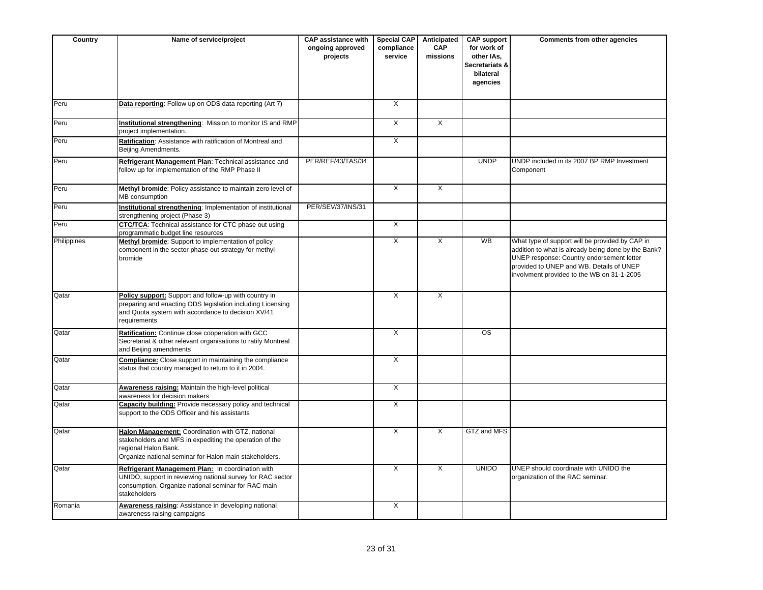| Country     | Name of service/project                                                                                                                                                                        | <b>CAP</b> assistance with<br>ongoing approved<br>projects | <b>Special CAP</b><br>compliance<br>service | Anticipated<br><b>CAP</b><br>missions | <b>CAP support</b><br>for work of<br>other IAs,<br>Secretariats &<br>bilateral<br>agencies | Comments from other agencies                                                                                                                                                                                                                  |
|-------------|------------------------------------------------------------------------------------------------------------------------------------------------------------------------------------------------|------------------------------------------------------------|---------------------------------------------|---------------------------------------|--------------------------------------------------------------------------------------------|-----------------------------------------------------------------------------------------------------------------------------------------------------------------------------------------------------------------------------------------------|
| Peru        | Data reporting: Follow up on ODS data reporting (Art 7)                                                                                                                                        |                                                            | $\overline{X}$                              |                                       |                                                                                            |                                                                                                                                                                                                                                               |
| Peru        | Institutional strengthening: Mission to monitor IS and RMP<br>project implementation.                                                                                                          |                                                            | X                                           | X                                     |                                                                                            |                                                                                                                                                                                                                                               |
| Peru        | Ratification: Assistance with ratification of Montreal and<br>Beijing Amendments.                                                                                                              |                                                            | X                                           |                                       |                                                                                            |                                                                                                                                                                                                                                               |
| Peru        | Refrigerant Management Plan: Technical assistance and<br>follow up for implementation of the RMP Phase II                                                                                      | PER/REF/43/TAS/34                                          |                                             |                                       | <b>UNDP</b>                                                                                | UNDP included in its 2007 BP RMP Investment<br>Component                                                                                                                                                                                      |
| Peru        | Methyl bromide: Policy assistance to maintain zero level of<br><b>MB</b> consumption                                                                                                           |                                                            | $\overline{X}$                              | $\overline{X}$                        |                                                                                            |                                                                                                                                                                                                                                               |
| Peru        | Institutional strengthening: Implementation of institutional<br>strengthening project (Phase 3)                                                                                                | PER/SEV/37/INS/31                                          |                                             |                                       |                                                                                            |                                                                                                                                                                                                                                               |
| Peru        | <b>CTC/TCA:</b> Technical assistance for CTC phase out using<br>programmatic budget line resources                                                                                             |                                                            | $\overline{X}$                              |                                       |                                                                                            |                                                                                                                                                                                                                                               |
| Philippines | Methyl bromide: Support to implementation of policy<br>component in the sector phase out strategy for methyl<br>bromide                                                                        |                                                            | X                                           | X                                     | <b>WB</b>                                                                                  | What type of support will be provided by CAP in<br>addition to what is already being done by the Bank?<br>UNEP response: Country endorsement letter<br>provided to UNEP and WB. Details of UNEP<br>involvment provided to the WB on 31-1-2005 |
| Qatar       | Policy support: Support and follow-up with country in<br>preparing and enacting ODS legislation including Licensing<br>and Quota system with accordance to decision XV/41<br>requirements      |                                                            | X                                           | X                                     |                                                                                            |                                                                                                                                                                                                                                               |
| Qatar       | Ratification: Continue close cooperation with GCC<br>Secretariat & other relevant organisations to ratify Montreal<br>and Beijing amendments                                                   |                                                            | X                                           |                                       | <b>OS</b>                                                                                  |                                                                                                                                                                                                                                               |
| Qatar       | <b>Compliance:</b> Close support in maintaining the compliance<br>status that country managed to return to it in 2004.                                                                         |                                                            | X                                           |                                       |                                                                                            |                                                                                                                                                                                                                                               |
| Qatar       | Awareness raising: Maintain the high-level political<br>awareness for decision makers                                                                                                          |                                                            | $\overline{\mathsf{x}}$                     |                                       |                                                                                            |                                                                                                                                                                                                                                               |
| Qatar       | Capacity building: Provide necessary policy and technical<br>support to the ODS Officer and his assistants                                                                                     |                                                            | X                                           |                                       |                                                                                            |                                                                                                                                                                                                                                               |
| Qatar       | Halon Management: Coordination with GTZ, national<br>stakeholders and MFS in expediting the operation of the<br>regional Halon Bank.<br>Organize national seminar for Halon main stakeholders. |                                                            | $\overline{X}$                              | $\overline{X}$                        | GTZ and MFS                                                                                |                                                                                                                                                                                                                                               |
| Qatar       | Refrigerant Management Plan: In coordination with<br>UNIDO, support in reviewing national survey for RAC sector<br>consumption. Organize national seminar for RAC main<br>stakeholders         |                                                            | $\overline{X}$                              | $\overline{X}$                        | <b>UNIDO</b>                                                                               | UNEP should coordinate with UNIDO the<br>organization of the RAC seminar.                                                                                                                                                                     |
| Romania     | Awareness raising: Assistance in developing national<br>awareness raising campaigns                                                                                                            |                                                            | $\mathsf{X}$                                |                                       |                                                                                            |                                                                                                                                                                                                                                               |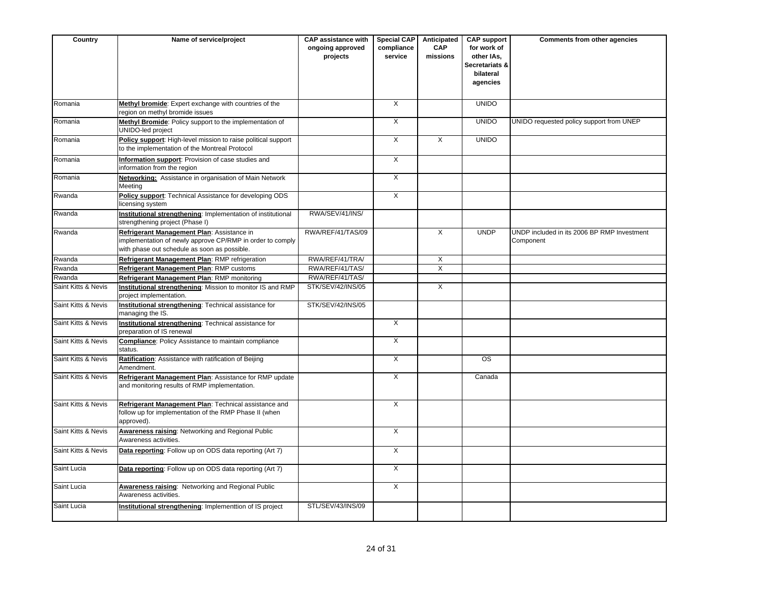| Country             | Name of service/project                                                                                                                                 | <b>CAP assistance with</b><br>ongoing approved<br>projects | <b>Special CAP</b><br>compliance<br>service | Anticipated<br><b>CAP</b><br>missions | <b>CAP support</b><br>for work of<br>other IAs,<br>Secretariats &<br>bilateral<br>agencies | Comments from other agencies                             |
|---------------------|---------------------------------------------------------------------------------------------------------------------------------------------------------|------------------------------------------------------------|---------------------------------------------|---------------------------------------|--------------------------------------------------------------------------------------------|----------------------------------------------------------|
| Romania             | Methyl bromide: Expert exchange with countries of the<br>region on methyl bromide issues                                                                |                                                            | $\overline{X}$                              |                                       | <b>UNIDO</b>                                                                               |                                                          |
| Romania             | Methyl Bromide: Policy support to the implementation of<br>UNIDO-led project                                                                            |                                                            | $\overline{X}$                              |                                       | <b>UNIDO</b>                                                                               | UNIDO requested policy support from UNEP                 |
| Romania             | Policy support: High-level mission to raise political support<br>to the implementation of the Montreal Protocol                                         |                                                            | $\overline{X}$                              | $\overline{X}$                        | <b>UNIDO</b>                                                                               |                                                          |
| Romania             | Information support: Provision of case studies and<br>information from the region                                                                       |                                                            | $\overline{X}$                              |                                       |                                                                                            |                                                          |
| Romania             | <b>Networking:</b> Assistance in organisation of Main Network<br>Meeting                                                                                |                                                            | X                                           |                                       |                                                                                            |                                                          |
| Rwanda              | Policy support: Technical Assistance for developing ODS<br>licensing system                                                                             |                                                            | $\overline{X}$                              |                                       |                                                                                            |                                                          |
| Rwanda              | Institutional strengthening: Implementation of institutional<br>strengthening project (Phase I)                                                         | RWA/SEV/41/INS/                                            |                                             |                                       |                                                                                            |                                                          |
| Rwanda              | Refrigerant Management Plan: Assistance in<br>implementation of newly approve CP/RMP in order to comply<br>with phase out schedule as soon as possible. | RWA/REF/41/TAS/09                                          |                                             | $\times$                              | <b>UNDP</b>                                                                                | UNDP included in its 2006 BP RMP Investment<br>Component |
| Rwanda              | Refrigerant Management Plan: RMP refrigeration                                                                                                          | RWA/REF/41/TRA/                                            |                                             | X                                     |                                                                                            |                                                          |
| Rwanda              | Refrigerant Management Plan: RMP customs                                                                                                                | RWA/REF/41/TAS/                                            |                                             | X                                     |                                                                                            |                                                          |
| Rwanda              | Refrigerant Management Plan: RMP monitoring                                                                                                             | RWA/REF/41/TAS/                                            |                                             |                                       |                                                                                            |                                                          |
| Saint Kitts & Nevis | Institutional strengthening: Mission to monitor IS and RMP<br>project implementation.                                                                   | STK/SEV/42/INS/05                                          |                                             | $\overline{X}$                        |                                                                                            |                                                          |
| Saint Kitts & Nevis | Institutional strengthening: Technical assistance for<br>managing the IS.                                                                               | STK/SEV/42/INS/05                                          |                                             |                                       |                                                                                            |                                                          |
| Saint Kitts & Nevis | Institutional strengthening: Technical assistance for<br>preparation of IS renewal                                                                      |                                                            | $\overline{X}$                              |                                       |                                                                                            |                                                          |
| Saint Kitts & Nevis | <b>Compliance:</b> Policy Assistance to maintain compliance<br>status.                                                                                  |                                                            | $\overline{X}$                              |                                       |                                                                                            |                                                          |
| Saint Kitts & Nevis | Ratification: Assistance with ratification of Beijing<br>Amendment.                                                                                     |                                                            | $\overline{X}$                              |                                       | <b>OS</b>                                                                                  |                                                          |
| Saint Kitts & Nevis | Refrigerant Management Plan: Assistance for RMP update<br>and monitoring results of RMP implementation.                                                 |                                                            | X                                           |                                       | Canada                                                                                     |                                                          |
| Saint Kitts & Nevis | Refrigerant Management Plan: Technical assistance and<br>follow up for implementation of the RMP Phase II (when<br>approved).                           |                                                            | $\mathsf{X}$                                |                                       |                                                                                            |                                                          |
| Saint Kitts & Nevis | <b>Awareness raising: Networking and Regional Public</b><br>Awareness activities.                                                                       |                                                            | $\overline{X}$                              |                                       |                                                                                            |                                                          |
| Saint Kitts & Nevis | Data reporting: Follow up on ODS data reporting (Art 7)                                                                                                 |                                                            | $\overline{X}$                              |                                       |                                                                                            |                                                          |
| Saint Lucia         | Data reporting: Follow up on ODS data reporting (Art 7)                                                                                                 |                                                            | $\overline{X}$                              |                                       |                                                                                            |                                                          |
| Saint Lucia         | Awareness raising: Networking and Regional Public<br>Awareness activities.                                                                              |                                                            | $\overline{X}$                              |                                       |                                                                                            |                                                          |
| Saint Lucia         | Institutional strengthening: Implementtion of IS project                                                                                                | STL/SEV/43/INS/09                                          |                                             |                                       |                                                                                            |                                                          |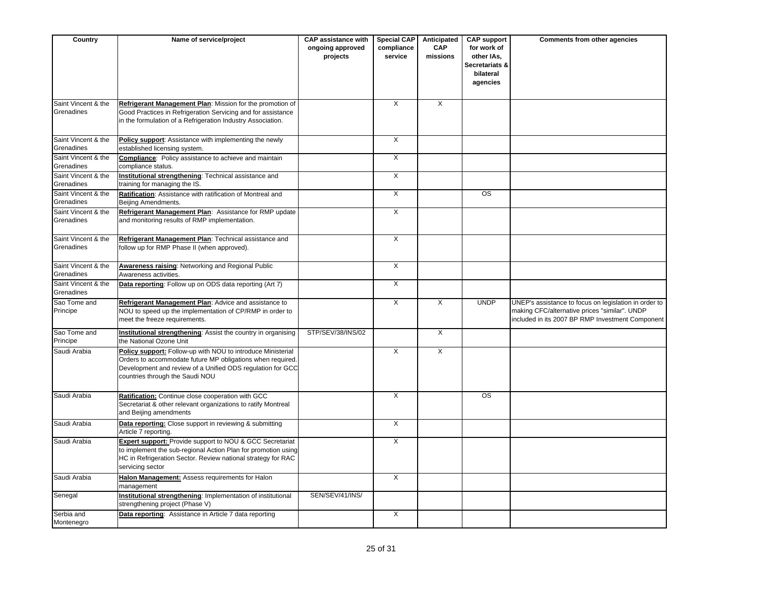| Country                           | Name of service/project                                                                                                                                                                                                    | <b>CAP assistance with</b><br>ongoing approved<br>projects | <b>Special CAP</b><br>compliance<br>service | Anticipated<br><b>CAP</b><br>missions | <b>CAP support</b><br>for work of<br>other IAs,<br>Secretariats &<br>bilateral<br>agencies | Comments from other agencies                                                                                                                               |
|-----------------------------------|----------------------------------------------------------------------------------------------------------------------------------------------------------------------------------------------------------------------------|------------------------------------------------------------|---------------------------------------------|---------------------------------------|--------------------------------------------------------------------------------------------|------------------------------------------------------------------------------------------------------------------------------------------------------------|
| Saint Vincent & the<br>Grenadines | Refrigerant Management Plan: Mission for the promotion of<br>Good Practices in Refrigeration Servicing and for assistance<br>in the formulation of a Refrigeration Industry Association.                                   |                                                            | $\overline{X}$                              | X                                     |                                                                                            |                                                                                                                                                            |
| Saint Vincent & the<br>Grenadines | Policy support: Assistance with implementing the newly<br>established licensing system.                                                                                                                                    |                                                            | $\overline{X}$                              |                                       |                                                                                            |                                                                                                                                                            |
| Saint Vincent & the<br>Grenadines | Compliance: Policy assistance to achieve and maintain<br>compliance status.                                                                                                                                                |                                                            | $\overline{X}$                              |                                       |                                                                                            |                                                                                                                                                            |
| Saint Vincent & the<br>Grenadines | Institutional strengthening: Technical assistance and<br>training for managing the IS.                                                                                                                                     |                                                            | $\overline{X}$                              |                                       |                                                                                            |                                                                                                                                                            |
| Saint Vincent & the<br>Grenadines | Ratification: Assistance with ratification of Montreal and<br>Beijing Amendments.                                                                                                                                          |                                                            | X                                           |                                       | <b>OS</b>                                                                                  |                                                                                                                                                            |
| Saint Vincent & the<br>Grenadines | Refrigerant Management Plan: Assistance for RMP update<br>and monitoring results of RMP implementation.                                                                                                                    |                                                            | X                                           |                                       |                                                                                            |                                                                                                                                                            |
| Saint Vincent & the<br>Grenadines | Refrigerant Management Plan: Technical assistance and<br>follow up for RMP Phase II (when approved).                                                                                                                       |                                                            | X                                           |                                       |                                                                                            |                                                                                                                                                            |
| Saint Vincent & the<br>Grenadines | Awareness raising: Networking and Regional Public<br>Awareness activities.                                                                                                                                                 |                                                            | X                                           |                                       |                                                                                            |                                                                                                                                                            |
| Saint Vincent & the<br>Grenadines | Data reporting: Follow up on ODS data reporting (Art 7)                                                                                                                                                                    |                                                            | $\overline{X}$                              |                                       |                                                                                            |                                                                                                                                                            |
| Sao Tome and<br>Principe          | Refrigerant Management Plan: Advice and assistance to<br>NOU to speed up the implementation of CP/RMP in order to<br>meet the freeze requirements.                                                                         |                                                            | X                                           | X                                     | <b>UNDP</b>                                                                                | UNEP's assistance to focus on legislation in order to<br>making CFC/alternative prices "similar". UNDP<br>included in its 2007 BP RMP Investment Component |
| Sao Tome and<br>Principe          | Institutional strengthening: Assist the country in organising<br>the National Ozone Unit                                                                                                                                   | STP/SEV/38/INS/02                                          |                                             | $\overline{X}$                        |                                                                                            |                                                                                                                                                            |
| Saudi Arabia                      | Policy support: Follow-up with NOU to introduce Ministerial<br>Orders to accommodate future MP obligations when required.<br>Development and review of a Unified ODS regulation for GCC<br>countries through the Saudi NOU |                                                            | X                                           | X                                     |                                                                                            |                                                                                                                                                            |
| Saudi Arabia                      | Ratification: Continue close cooperation with GCC<br>Secretariat & other relevant organizations to ratify Montreal<br>and Beijing amendments                                                                               |                                                            | $\overline{\mathsf{x}}$                     |                                       | $\overline{\text{OS}}$                                                                     |                                                                                                                                                            |
| Saudi Arabia                      | Data reporting: Close support in reviewing & submitting<br>Article 7 reporting.                                                                                                                                            |                                                            | X                                           |                                       |                                                                                            |                                                                                                                                                            |
| Saudi Arabia                      | Expert support: Provide support to NOU & GCC Secretariat<br>to implement the sub-regional Action Plan for promotion using<br>HC in Refrigeration Sector. Review national strategy for RAC<br>servicing sector              |                                                            | X                                           |                                       |                                                                                            |                                                                                                                                                            |
| Saudi Arabia                      | Halon Management: Assess requirements for Halon<br>management                                                                                                                                                              |                                                            | X                                           |                                       |                                                                                            |                                                                                                                                                            |
| Senegal                           | Institutional strengthening: Implementation of institutional<br>strengthening project (Phase V)                                                                                                                            | SEN/SEV/41/INS/                                            |                                             |                                       |                                                                                            |                                                                                                                                                            |
| Serbia and<br>Montenegro          | Data reporting: Assistance in Article 7 data reporting                                                                                                                                                                     |                                                            | X                                           |                                       |                                                                                            |                                                                                                                                                            |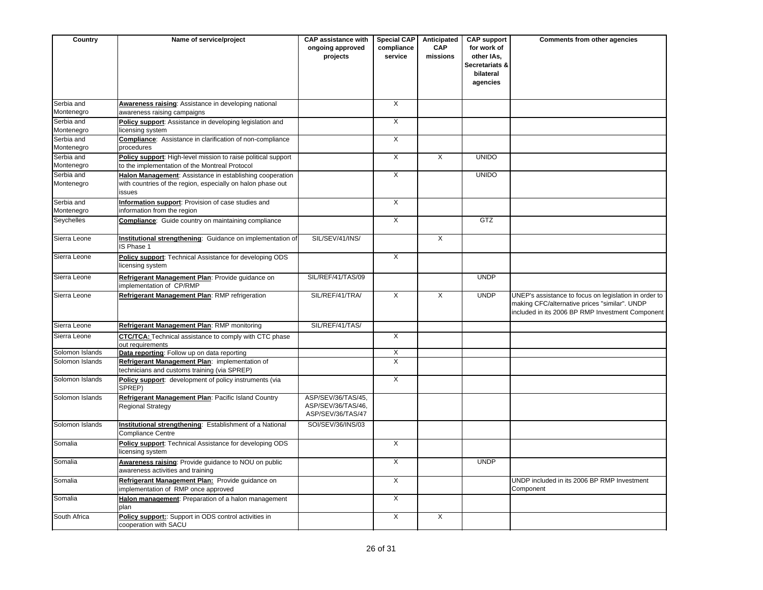| Country                  | Name of service/project                                                                                                           | <b>CAP</b> assistance with<br>ongoing approved<br>projects    | <b>Special CAP</b><br>compliance<br>service | Anticipated<br><b>CAP</b><br>missions | <b>CAP support</b><br>for work of<br>other IAs,<br>Secretariats &<br>bilateral<br>agencies | Comments from other agencies                                                                                                                               |
|--------------------------|-----------------------------------------------------------------------------------------------------------------------------------|---------------------------------------------------------------|---------------------------------------------|---------------------------------------|--------------------------------------------------------------------------------------------|------------------------------------------------------------------------------------------------------------------------------------------------------------|
| Serbia and               | Awareness raising: Assistance in developing national                                                                              |                                                               | $\overline{X}$                              |                                       |                                                                                            |                                                                                                                                                            |
| Montenegro               | awareness raising campaigns                                                                                                       |                                                               |                                             |                                       |                                                                                            |                                                                                                                                                            |
| Serbia and<br>Montenegro | Policy support: Assistance in developing legislation and<br>icensing system                                                       |                                                               | $\overline{X}$                              |                                       |                                                                                            |                                                                                                                                                            |
| Serbia and               | Compliance: Assistance in clarification of non-compliance                                                                         |                                                               | X                                           |                                       |                                                                                            |                                                                                                                                                            |
| Montenegro               | procedures                                                                                                                        |                                                               |                                             |                                       |                                                                                            |                                                                                                                                                            |
| Serbia and               | Policy support: High-level mission to raise political support                                                                     |                                                               | $\overline{X}$                              | $\overline{X}$                        | <b>UNIDO</b>                                                                               |                                                                                                                                                            |
| Montenegro               | to the implementation of the Montreal Protocol                                                                                    |                                                               |                                             |                                       |                                                                                            |                                                                                                                                                            |
| Serbia and<br>Montenegro | Halon Management: Assistance in establishing cooperation<br>with countries of the region, especially on halon phase out<br>issues |                                                               | $\overline{X}$                              |                                       | <b>UNIDO</b>                                                                               |                                                                                                                                                            |
| Serbia and<br>Montenegro | Information support: Provision of case studies and<br>information from the region                                                 |                                                               | $\overline{X}$                              |                                       |                                                                                            |                                                                                                                                                            |
| Seychelles               | Compliance: Guide country on maintaining compliance                                                                               |                                                               | X                                           |                                       | <b>GTZ</b>                                                                                 |                                                                                                                                                            |
| Sierra Leone             | Institutional strengthening: Guidance on implementation of<br>IS Phase 1                                                          | SIL/SEV/41/INS/                                               |                                             | $\overline{X}$                        |                                                                                            |                                                                                                                                                            |
| Sierra Leone             | Policy support: Technical Assistance for developing ODS<br>icensing system                                                        |                                                               | $\mathsf{X}$                                |                                       |                                                                                            |                                                                                                                                                            |
| Sierra Leone             | Refrigerant Management Plan: Provide guidance on<br>implementation of CP/RMP                                                      | SIL/REF/41/TAS/09                                             |                                             |                                       | <b>UNDP</b>                                                                                |                                                                                                                                                            |
| Sierra Leone             | Refrigerant Management Plan: RMP refrigeration                                                                                    | SIL/REF/41/TRA/                                               | $\overline{X}$                              | $\overline{X}$                        | <b>UNDP</b>                                                                                | UNEP's assistance to focus on legislation in order to<br>making CFC/alternative prices "similar". UNDP<br>included in its 2006 BP RMP Investment Component |
| Sierra Leone             | Refrigerant Management Plan: RMP monitoring                                                                                       | SIL/REF/41/TAS/                                               |                                             |                                       |                                                                                            |                                                                                                                                                            |
| Sierra Leone             | CTC/TCA: Technical assistance to comply with CTC phase<br>out requirements                                                        |                                                               | $\overline{X}$                              |                                       |                                                                                            |                                                                                                                                                            |
| Solomon Islands          | Data reporting: Follow up on data reporting                                                                                       |                                                               | X                                           |                                       |                                                                                            |                                                                                                                                                            |
| Solomon Islands          | Refrigerant Management Plan: implementation of<br>technicians and customs training (via SPREP)                                    |                                                               | $\overline{X}$                              |                                       |                                                                                            |                                                                                                                                                            |
| Solomon Islands          | Policy support: development of policy instruments (via<br>SPREP)                                                                  |                                                               | $\overline{X}$                              |                                       |                                                                                            |                                                                                                                                                            |
| Solomon Islands          | Refrigerant Management Plan: Pacific Island Country<br>Regional Strategy                                                          | ASP/SEV/36/TAS/45,<br>ASP/SEV/36/TAS/46,<br>ASP/SEV/36/TAS/47 |                                             |                                       |                                                                                            |                                                                                                                                                            |
| Solomon Islands          | Institutional strengthening: Establishment of a National<br><b>Compliance Centre</b>                                              | SOI/SEV/36/INS/03                                             |                                             |                                       |                                                                                            |                                                                                                                                                            |
| Somalia                  | Policy support: Technical Assistance for developing ODS<br>licensing system                                                       |                                                               | $\overline{X}$                              |                                       |                                                                                            |                                                                                                                                                            |
| Somalia                  | Awareness raising: Provide guidance to NOU on public<br>awareness activities and training                                         |                                                               | X                                           |                                       | <b>UNDP</b>                                                                                |                                                                                                                                                            |
| Somalia                  | Refrigerant Management Plan: Provide guidance on<br>implementation of RMP once approved                                           |                                                               | $\overline{X}$                              |                                       |                                                                                            | UNDP included in its 2006 BP RMP Investment<br>Component                                                                                                   |
| Somalia                  | Halon management: Preparation of a halon management<br>plan                                                                       |                                                               | X                                           |                                       |                                                                                            |                                                                                                                                                            |
| South Africa             | Policy support:: Support in ODS control activities in<br>cooperation with SACU                                                    |                                                               | $\overline{X}$                              | $\overline{X}$                        |                                                                                            |                                                                                                                                                            |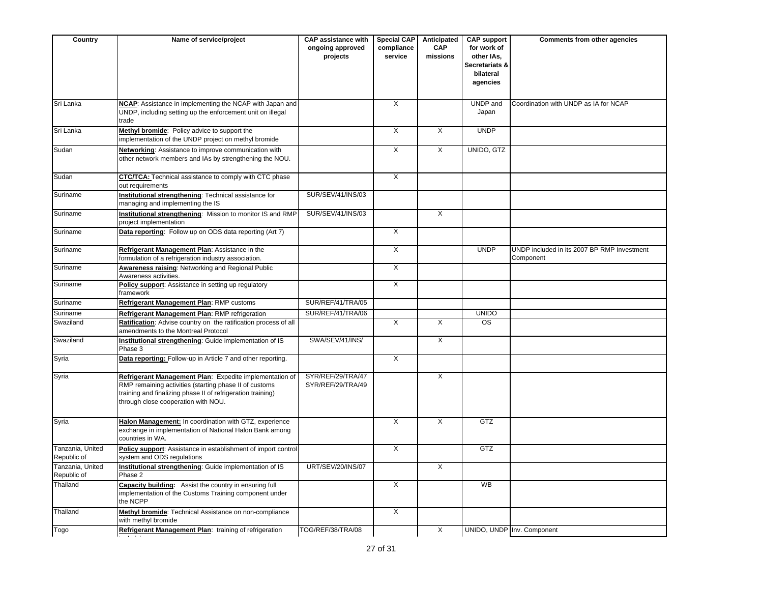| Country                         | Name of service/project                                                                                                                                                                                                 | <b>CAP assistance with</b><br>ongoing approved<br>projects | <b>Special CAP</b><br>compliance<br>service | Anticipated<br><b>CAP</b><br>missions | <b>CAP support</b><br>for work of<br>other IAs,<br>Secretariats &<br>bilateral<br>agencies | <b>Comments from other agencies</b>                      |
|---------------------------------|-------------------------------------------------------------------------------------------------------------------------------------------------------------------------------------------------------------------------|------------------------------------------------------------|---------------------------------------------|---------------------------------------|--------------------------------------------------------------------------------------------|----------------------------------------------------------|
| Sri Lanka                       | NCAP: Assistance in implementing the NCAP with Japan and<br>UNDP, including setting up the enforcement unit on illegal<br>trade                                                                                         |                                                            | X                                           |                                       | UNDP and<br>Japan                                                                          | Coordination with UNDP as IA for NCAP                    |
| Sri Lanka                       | Methyl bromide: Policy advice to support the<br>implementation of the UNDP project on methyl bromide                                                                                                                    |                                                            | $\overline{X}$                              | $\overline{X}$                        | <b>UNDP</b>                                                                                |                                                          |
| Sudan                           | Networking: Assistance to improve communication with<br>other network members and IAs by strengthening the NOU.                                                                                                         |                                                            | X                                           | X                                     | UNIDO, GTZ                                                                                 |                                                          |
| Sudan                           | CTC/TCA: Technical assistance to comply with CTC phase<br>out requirements                                                                                                                                              |                                                            | $\overline{\mathsf{x}}$                     |                                       |                                                                                            |                                                          |
| Suriname                        | Institutional strengthening: Technical assistance for<br>managing and implementing the IS                                                                                                                               | SUR/SEV/41/INS/03                                          |                                             |                                       |                                                                                            |                                                          |
| Suriname                        | Institutional strengthening: Mission to monitor IS and RMP<br>project implementation                                                                                                                                    | SUR/SEV/41/INS/03                                          |                                             | X                                     |                                                                                            |                                                          |
| Suriname                        | Data reporting: Follow up on ODS data reporting (Art 7)                                                                                                                                                                 |                                                            | X                                           |                                       |                                                                                            |                                                          |
| Suriname                        | Refrigerant Management Plan: Assistance in the<br>formulation of a refrigeration industry association.                                                                                                                  |                                                            | X                                           |                                       | <b>UNDP</b>                                                                                | UNDP included in its 2007 BP RMP Investment<br>Component |
| Suriname                        | Awareness raising: Networking and Regional Public<br>Awareness activities.                                                                                                                                              |                                                            | $\times$                                    |                                       |                                                                                            |                                                          |
| Suriname                        | Policy support: Assistance in setting up regulatory<br>framework                                                                                                                                                        |                                                            | $\overline{\mathsf{x}}$                     |                                       |                                                                                            |                                                          |
| Suriname                        | Refrigerant Management Plan: RMP customs                                                                                                                                                                                | SUR/REF/41/TRA/05                                          |                                             |                                       |                                                                                            |                                                          |
| Suriname                        | Refrigerant Management Plan: RMP refrigeration                                                                                                                                                                          | SUR/REF/41/TRA/06                                          |                                             |                                       | <b>UNIDO</b>                                                                               |                                                          |
| Swaziland                       | Ratification: Advise country on the ratification process of all<br>amendments to the Montreal Protocol                                                                                                                  |                                                            | X                                           | X                                     | <b>OS</b>                                                                                  |                                                          |
| Swaziland                       | Institutional strengthening: Guide implementation of IS<br>Phase 3                                                                                                                                                      | SWA/SEV/41/INS/                                            |                                             | X                                     |                                                                                            |                                                          |
| Syria                           | Data reporting: Follow-up in Article 7 and other reporting.                                                                                                                                                             |                                                            | X                                           |                                       |                                                                                            |                                                          |
| Syria                           | Refrigerant Management Plan: Expedite implementation of<br>RMP remaining activities (starting phase II of customs<br>training and finalizing phase II of refrigeration training)<br>through close cooperation with NOU. | SYR/REF/29/TRA/47<br>SYR/REF/29/TRA/49                     |                                             | X                                     |                                                                                            |                                                          |
| Syria                           | Halon Management: In coordination with GTZ, experience<br>exchange in implementation of National Halon Bank among<br>countries in WA.                                                                                   |                                                            | X                                           | X                                     | GTZ                                                                                        |                                                          |
| Tanzania, United<br>Republic of | Policy support: Assistance in establishment of import control<br>system and ODS regulations                                                                                                                             |                                                            | $\overline{X}$                              |                                       | GTZ                                                                                        |                                                          |
| Tanzania, United<br>Republic of | <b>Institutional strengthening:</b> Guide implementation of IS<br>Phase 2                                                                                                                                               | UR1/SEV/20/INS/07                                          |                                             | X                                     |                                                                                            |                                                          |
| Thailand                        | Capacity building: Assist the country in ensuring full<br>implementation of the Customs Training component under<br>the NCPP                                                                                            |                                                            | X                                           |                                       | <b>WB</b>                                                                                  |                                                          |
| Thailand                        | Methyl bromide: Technical Assistance on non-compliance<br>with methyl bromide                                                                                                                                           |                                                            | X                                           |                                       |                                                                                            |                                                          |
| Togo                            | Refrigerant Management Plan: training of refrigeration                                                                                                                                                                  | TOG/REF/38/TRA/08                                          |                                             | X                                     |                                                                                            | UNIDO, UNDP Inv. Component                               |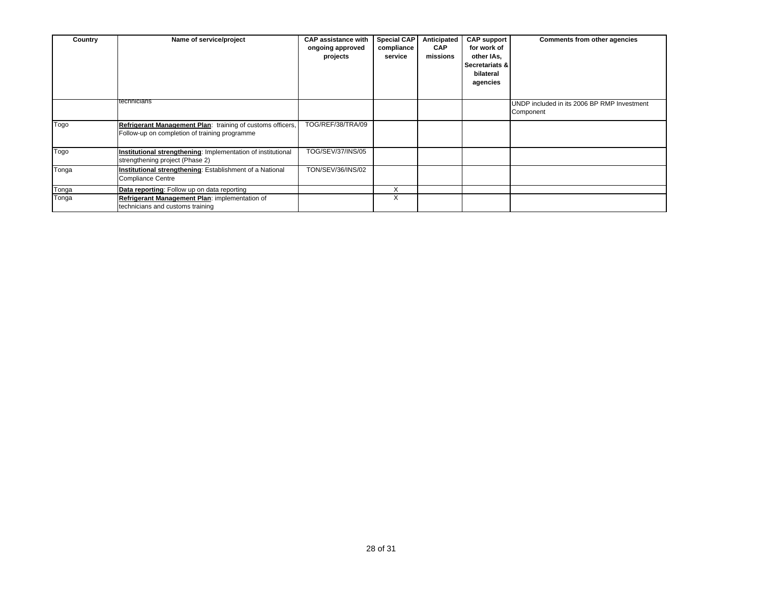| Country | Name of service/project                                                                                     | <b>CAP assistance with</b><br>ongoing approved<br>projects | <b>Special CAP</b><br>compliance<br>service | Anticipated<br><b>CAP</b><br>missions | <b>CAP support</b><br>for work of<br>other IAs,<br>Secretariats &<br>bilateral<br>agencies | Comments from other agencies                             |
|---------|-------------------------------------------------------------------------------------------------------------|------------------------------------------------------------|---------------------------------------------|---------------------------------------|--------------------------------------------------------------------------------------------|----------------------------------------------------------|
|         | technicians                                                                                                 |                                                            |                                             |                                       |                                                                                            | UNDP included in its 2006 BP RMP Investment<br>Component |
| Togo    | Refrigerant Management Plan: training of customs officers,<br>Follow-up on completion of training programme | TOG/REF/38/TRA/09                                          |                                             |                                       |                                                                                            |                                                          |
| Togo    | Institutional strengthening: Implementation of institutional<br>strengthening project (Phase 2)             | TOG/SEV/37/INS/05                                          |                                             |                                       |                                                                                            |                                                          |
| Tonga   | Institutional strengthening: Establishment of a National<br><b>Compliance Centre</b>                        | TON/SEV/36/INS/02                                          |                                             |                                       |                                                                                            |                                                          |
| Tonga   | Data reporting: Follow up on data reporting                                                                 |                                                            | X                                           |                                       |                                                                                            |                                                          |
| Tonga   | Refrigerant Management Plan: implementation of<br>technicians and customs training                          |                                                            | $\checkmark$<br>v                           |                                       |                                                                                            |                                                          |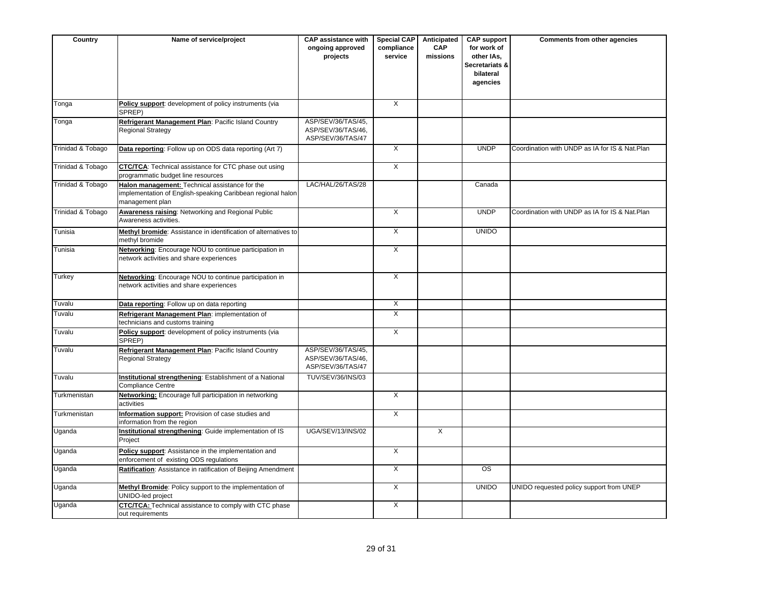| Country           | Name of service/project                                                                                                          | <b>CAP assistance with</b><br>ongoing approved<br>projects    | <b>Special CAP</b><br>compliance<br>service | Anticipated<br><b>CAP</b><br>missions | <b>CAP support</b><br>for work of<br>other IAs,<br>Secretariats &<br>bilateral<br>agencies | Comments from other agencies                   |
|-------------------|----------------------------------------------------------------------------------------------------------------------------------|---------------------------------------------------------------|---------------------------------------------|---------------------------------------|--------------------------------------------------------------------------------------------|------------------------------------------------|
| Tonga             | Policy support: development of policy instruments (via<br>SPREP)                                                                 |                                                               | $\overline{X}$                              |                                       |                                                                                            |                                                |
| Tonga             | Refrigerant Management Plan: Pacific Island Country<br>Regional Strategy                                                         | ASP/SEV/36/TAS/45,<br>ASP/SEV/36/TAS/46,<br>ASP/SEV/36/TAS/47 |                                             |                                       |                                                                                            |                                                |
| Trinidad & Tobago | Data reporting: Follow up on ODS data reporting (Art 7)                                                                          |                                                               | $\overline{X}$                              |                                       | <b>UNDP</b>                                                                                | Coordination with UNDP as IA for IS & Nat.Plan |
| Trinidad & Tobago | CTC/TCA: Technical assistance for CTC phase out using<br>programmatic budget line resources                                      |                                                               | X                                           |                                       |                                                                                            |                                                |
| Trinidad & Tobago | Halon management: Technical assistance for the<br>implementation of English-speaking Caribbean regional halon<br>management plan | LAC/HAL/26/TAS/28                                             |                                             |                                       | Canada                                                                                     |                                                |
| Trinidad & Tobago | <b>Awareness raising: Networking and Regional Public</b><br>Awareness activities.                                                |                                                               | $\mathsf{X}$                                |                                       | <b>UNDP</b>                                                                                | Coordination with UNDP as IA for IS & Nat.Plan |
| Tunisia           | Methyl bromide: Assistance in identification of alternatives to<br>methyl bromide                                                |                                                               | X                                           |                                       | <b>UNIDO</b>                                                                               |                                                |
| Tunisia           | Networking: Encourage NOU to continue participation in<br>network activities and share experiences                               |                                                               | $\overline{X}$                              |                                       |                                                                                            |                                                |
| Turkey            | Networking: Encourage NOU to continue participation in<br>network activities and share experiences                               |                                                               | $\overline{X}$                              |                                       |                                                                                            |                                                |
| Tuvalu            | Data reporting: Follow up on data reporting                                                                                      |                                                               | $\overline{X}$                              |                                       |                                                                                            |                                                |
| Tuvalu            | Refrigerant Management Plan: implementation of<br>technicians and customs training                                               |                                                               | $\mathsf{X}$                                |                                       |                                                                                            |                                                |
| Tuvalu            | Policy support: development of policy instruments (via<br>SPREP)                                                                 |                                                               | X                                           |                                       |                                                                                            |                                                |
| Tuvalu            | Refrigerant Management Plan: Pacific Island Country<br>Regional Strategy                                                         | ASP/SEV/36/TAS/45,<br>ASP/SEV/36/TAS/46,<br>ASP/SEV/36/TAS/47 |                                             |                                       |                                                                                            |                                                |
| Tuvalu            | Institutional strengthening: Establishment of a National<br><b>Compliance Centre</b>                                             | TUV/SEV/36/INS/03                                             |                                             |                                       |                                                                                            |                                                |
| Turkmenistan      | Networking: Encourage full participation in networking<br>activities                                                             |                                                               | $\times$                                    |                                       |                                                                                            |                                                |
| Turkmenistan      | Information support: Provision of case studies and<br>information from the region                                                |                                                               | X                                           |                                       |                                                                                            |                                                |
| Uganda            | Institutional strengthening: Guide implementation of IS<br>Project                                                               | <b>UGA/SEV/13/INS/02</b>                                      |                                             | $\overline{X}$                        |                                                                                            |                                                |
| Uganda            | Policy support: Assistance in the implementation and<br>enforcement of existing ODS regulations                                  |                                                               | $\overline{X}$                              |                                       |                                                                                            |                                                |
| Uganda            | Ratification: Assistance in ratification of Beijing Amendment                                                                    |                                                               | X                                           |                                       | $\overline{\text{os}}$                                                                     |                                                |
| Uganda            | Methyl Bromide: Policy support to the implementation of<br>UNIDO-led project                                                     |                                                               | $\overline{X}$                              |                                       | <b>UNIDO</b>                                                                               | UNIDO requested policy support from UNEP       |
| Uganda            | CTC/TCA: Technical assistance to comply with CTC phase<br>out requirements                                                       |                                                               | X                                           |                                       |                                                                                            |                                                |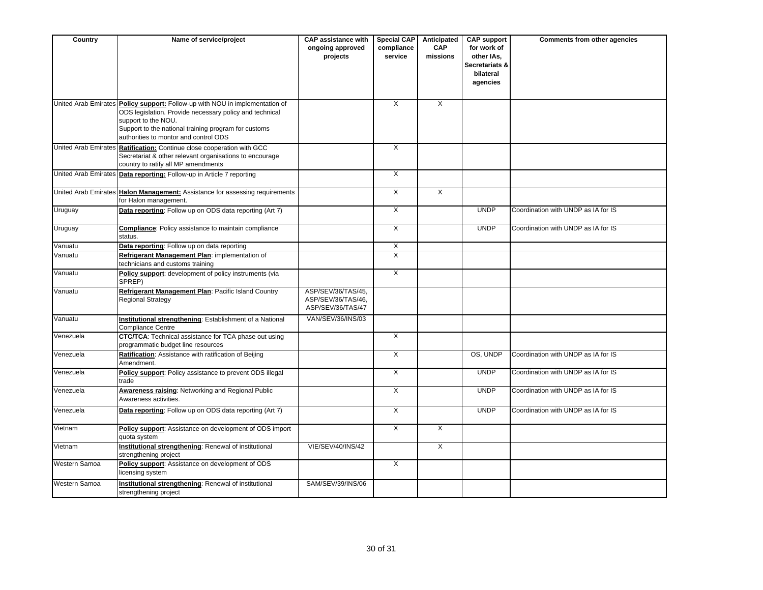| Country              | Name of service/project                                                                                                                                                                                                                                         | <b>CAP assistance with</b><br>ongoing approved<br>projects    | <b>Special CAP</b><br>compliance<br>service | Anticipated<br><b>CAP</b><br>missions | <b>CAP support</b><br>for work of<br>other IAs,<br>Secretariats &<br>bilateral<br>agencies | <b>Comments from other agencies</b> |
|----------------------|-----------------------------------------------------------------------------------------------------------------------------------------------------------------------------------------------------------------------------------------------------------------|---------------------------------------------------------------|---------------------------------------------|---------------------------------------|--------------------------------------------------------------------------------------------|-------------------------------------|
|                      | United Arab Emirates Policy support: Follow-up with NOU in implementation of<br>ODS legislation. Provide necessary policy and technical<br>support to the NOU.<br>Support to the national training program for customs<br>authorities to montor and control ODS |                                                               | $\overline{X}$                              | $\overline{X}$                        |                                                                                            |                                     |
|                      | United Arab Emirates Ratification: Continue close cooperation with GCC<br>Secretariat & other relevant organisations to encourage<br>country to ratify all MP amendments                                                                                        |                                                               | $\overline{X}$                              |                                       |                                                                                            |                                     |
|                      | United Arab Emirates Data reporting: Follow-up in Article 7 reporting                                                                                                                                                                                           |                                                               | $\times$                                    |                                       |                                                                                            |                                     |
|                      | United Arab Emirates Halon Management: Assistance for assessing requirements<br>for Halon management.                                                                                                                                                           |                                                               | $\overline{X}$                              | $\overline{X}$                        |                                                                                            |                                     |
| Uruguay              | Data reporting: Follow up on ODS data reporting (Art 7)                                                                                                                                                                                                         |                                                               | X                                           |                                       | <b>UNDP</b>                                                                                | Coordination with UNDP as IA for IS |
| Uruguay              | <b>Compliance:</b> Policy assistance to maintain compliance<br>status.                                                                                                                                                                                          |                                                               | $\overline{X}$                              |                                       | <b>UNDP</b>                                                                                | Coordination with UNDP as IA for IS |
| Vanuatu              | Data reporting: Follow up on data reporting                                                                                                                                                                                                                     |                                                               | X                                           |                                       |                                                                                            |                                     |
| Vanuatu              | Refrigerant Management Plan: implementation of<br>technicians and customs training                                                                                                                                                                              |                                                               | $\overline{X}$                              |                                       |                                                                                            |                                     |
| Vanuatu              | Policy support: development of policy instruments (via<br>SPREP)                                                                                                                                                                                                |                                                               | $\overline{\mathsf{x}}$                     |                                       |                                                                                            |                                     |
| Vanuatu              | Refrigerant Management Plan: Pacific Island Country<br>Regional Strategy                                                                                                                                                                                        | ASP/SEV/36/TAS/45,<br>ASP/SEV/36/TAS/46,<br>ASP/SEV/36/TAS/47 |                                             |                                       |                                                                                            |                                     |
| Vanuatu              | Institutional strengthening: Establishment of a National<br><b>Compliance Centre</b>                                                                                                                                                                            | VAN/SEV/36/INS/03                                             |                                             |                                       |                                                                                            |                                     |
| Venezuela            | <b>CTC/TCA:</b> Technical assistance for TCA phase out using<br>programmatic budget line resources                                                                                                                                                              |                                                               | $\overline{X}$                              |                                       |                                                                                            |                                     |
| Venezuela            | Ratification: Assistance with ratification of Beijing<br>Amendment.                                                                                                                                                                                             |                                                               | $\times$                                    |                                       | OS, UNDP                                                                                   | Coordination with UNDP as IA for IS |
| Venezuela            | Policy support: Policy assistance to prevent ODS illegal<br>trade                                                                                                                                                                                               |                                                               | $\overline{X}$                              |                                       | <b>UNDP</b>                                                                                | Coordination with UNDP as IA for IS |
| Venezuela            | Awareness raising: Networking and Regional Public<br>Awareness activities.                                                                                                                                                                                      |                                                               | $\overline{X}$                              |                                       | <b>UNDP</b>                                                                                | Coordination with UNDP as IA for IS |
| Venezuela            | Data reporting: Follow up on ODS data reporting (Art 7)                                                                                                                                                                                                         |                                                               | X                                           |                                       | <b>UNDP</b>                                                                                | Coordination with UNDP as IA for IS |
| Vietnam              | Policy support: Assistance on development of ODS import<br>quota system                                                                                                                                                                                         |                                                               | $\overline{X}$                              | $\overline{X}$                        |                                                                                            |                                     |
| Vietnam              | Institutional strengthening: Renewal of institutional<br>strengthening project                                                                                                                                                                                  | <b>VIE/SEV/40/INS/42</b>                                      |                                             | $\overline{X}$                        |                                                                                            |                                     |
| <b>Western Samoa</b> | Policy support: Assistance on development of ODS<br>licensing system                                                                                                                                                                                            |                                                               | $\overline{X}$                              |                                       |                                                                                            |                                     |
| Western Samoa        | Institutional strengthening: Renewal of institutional<br>strengthening project                                                                                                                                                                                  | SAM/SEV/39/INS/06                                             |                                             |                                       |                                                                                            |                                     |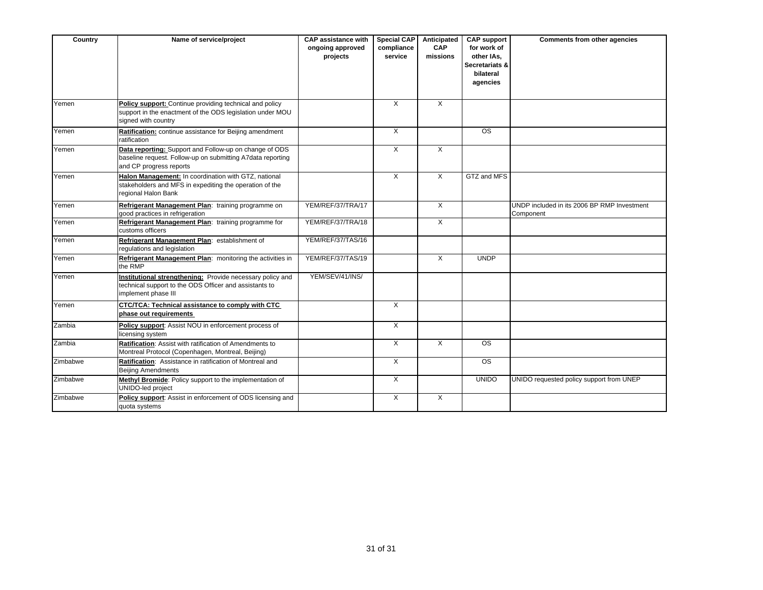| Country  | Name of service/project                                                                                                                         | <b>CAP assistance with</b><br>ongoing approved<br>projects | <b>Special CAP</b><br>compliance<br>service | Anticipated<br><b>CAP</b><br>missions | <b>CAP support</b><br>for work of<br>other IAs.<br>Secretariats &<br>bilateral<br>agencies | Comments from other agencies                             |
|----------|-------------------------------------------------------------------------------------------------------------------------------------------------|------------------------------------------------------------|---------------------------------------------|---------------------------------------|--------------------------------------------------------------------------------------------|----------------------------------------------------------|
| Yemen    | Policy support: Continue providing technical and policy<br>support in the enactment of the ODS legislation under MOU<br>signed with country     |                                                            | $\overline{X}$                              | X                                     |                                                                                            |                                                          |
| Yemen    | Ratification: continue assistance for Beijing amendment<br>ratification                                                                         |                                                            | $\overline{X}$                              |                                       | <b>OS</b>                                                                                  |                                                          |
| Yemen    | Data reporting: Support and Follow-up on change of ODS<br>baseline request. Follow-up on submitting A7data reporting<br>and CP progress reports |                                                            | X                                           | $\mathsf{X}$                          |                                                                                            |                                                          |
| Yemen    | Halon Management: In coordination with GTZ, national<br>stakeholders and MFS in expediting the operation of the<br>regional Halon Bank          |                                                            | $\mathsf{X}$                                | $\times$                              | GTZ and MFS                                                                                |                                                          |
| Yemen    | Refrigerant Management Plan: training programme on<br>good practices in refrigeration                                                           | YEM/REF/37/TRA/17                                          |                                             | $\mathsf{X}$                          |                                                                                            | UNDP included in its 2006 BP RMP Investment<br>Component |
| Yemen    | Refrigerant Management Plan: training programme for<br>customs officers                                                                         | YEM/REF/37/TRA/18                                          |                                             | X                                     |                                                                                            |                                                          |
| Yemen    | Refrigerant Management Plan: establishment of<br>regulations and legislation                                                                    | YEM/REF/37/TAS/16                                          |                                             |                                       |                                                                                            |                                                          |
| Yemen    | Refrigerant Management Plan: monitoring the activities in<br>the RMP                                                                            | YEM/REF/37/TAS/19                                          |                                             | $\times$                              | <b>UNDP</b>                                                                                |                                                          |
| Yemen    | Institutional strengthening: Provide necessary policy and<br>technical support to the ODS Officer and assistants to<br>implement phase III      | YEM/SEV/41/INS/                                            |                                             |                                       |                                                                                            |                                                          |
| Yemen    | CTC/TCA: Technical assistance to comply with CTC<br>phase out requirements                                                                      |                                                            | $\overline{X}$                              |                                       |                                                                                            |                                                          |
| Zambia   | Policy support: Assist NOU in enforcement process of<br>licensing system                                                                        |                                                            | $\overline{X}$                              |                                       |                                                                                            |                                                          |
| Zambia   | Ratification: Assist with ratification of Amendments to<br>Montreal Protocol (Copenhagen, Montreal, Beijing)                                    |                                                            | $\overline{X}$                              | $\overline{X}$                        | OS                                                                                         |                                                          |
| Zimbabwe | Ratification: Assistance in ratification of Montreal and<br><b>Beijing Amendments</b>                                                           |                                                            | X                                           |                                       | OS                                                                                         |                                                          |
| Zimbabwe | Methyl Bromide: Policy support to the implementation of<br>UNIDO-led project                                                                    |                                                            | X                                           |                                       | <b>UNIDO</b>                                                                               | UNIDO requested policy support from UNEP                 |
| Zimbabwe | Policy support: Assist in enforcement of ODS licensing and<br>quota systems                                                                     |                                                            | $\overline{X}$                              | $\overline{X}$                        |                                                                                            |                                                          |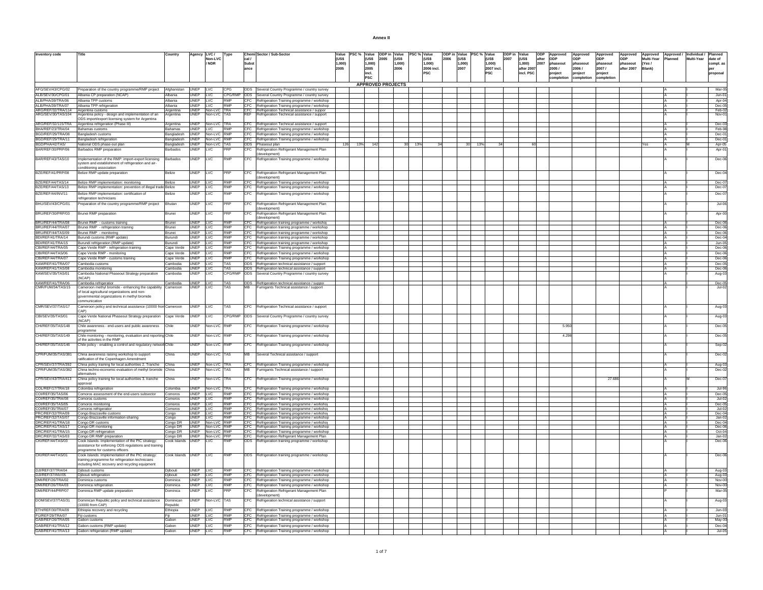| <b>Annex II</b> |  |
|-----------------|--|
|                 |  |

| Inventory code                                                                   | Title                                                                                                        | Country               |                      | Agency LVC /                         | Type                       |                      | Chemi Sector / Sub-Sector                                                                           | Value PSC % Value  |                | ODP in Value             | PSC % Value |                      |      | ODP in Value PSC % Value |     |                     | ODP in Value |                      | ODP   | Approved          | Approved          | Approved          | Approved               | Approved Approved / Individual / Planned |         |            |                    |
|----------------------------------------------------------------------------------|--------------------------------------------------------------------------------------------------------------|-----------------------|----------------------|--------------------------------------|----------------------------|----------------------|-----------------------------------------------------------------------------------------------------|--------------------|----------------|--------------------------|-------------|----------------------|------|--------------------------|-----|---------------------|--------------|----------------------|-------|-------------------|-------------------|-------------------|------------------------|------------------------------------------|---------|------------|--------------------|
|                                                                                  |                                                                                                              |                       |                      | Non-LVC                              |                            | cal /                |                                                                                                     | <b><i>IUSS</i></b> | <b>IUSS</b>    | <b>RUSS</b><br>2005      |             | <b>TUSS</b>          | 2006 | <b>IUSS</b>              |     | <b>AUSS</b>         | 2007         | <b><i>IUSS</i></b>   | after | <b>ODP</b>        | ODP               | ODP               | ODP                    | Multi-Year                               | Planned | Multi-Year | date of            |
|                                                                                  |                                                                                                              |                       |                      | / NDR                                |                            | <b>Subst</b><br>ance |                                                                                                     | 1.000)<br>2005     | 1.000)<br>2005 | 1.000)<br>2006           |             | 1.000)<br>2006 incl. |      | 1.000)<br>2007           |     | 1,000<br>2007 incl. |              | 1.000)<br>after 2007 | 2007  | phaseout<br>2005/ | phaseout<br>2006/ | phaseout<br>2007/ | phaseout<br>after 2007 | (Yes/<br>Blank)                          |         |            | compl. as<br>ber   |
|                                                                                  |                                                                                                              |                       |                      |                                      |                            |                      |                                                                                                     |                    | incl.          |                          |             | <b>PSC</b>           |      |                          |     | PSC                 |              | incl. PSC            |       | project           | project           | project           |                        |                                          |         |            | proposal           |
|                                                                                  |                                                                                                              |                       |                      |                                      |                            |                      |                                                                                                     |                    | PSC            |                          |             |                      |      |                          |     |                     |              |                      |       | ompletion         | completion        | completion        |                        |                                          |         |            |                    |
|                                                                                  |                                                                                                              |                       |                      |                                      |                            |                      |                                                                                                     |                    |                | <b>APPROVED PROJECTS</b> |             |                      |      |                          |     |                     |              |                      |       |                   |                   |                   |                        |                                          |         |            |                    |
| AFG/SEV/43/CPG/02                                                                | Preparation of the country programme/RMP project                                                             | Afghanistan           | UNEP IVC             |                                      | CPG                        |                      | ODS Several Country Programme / country survey                                                      |                    |                |                          |             |                      |      |                          |     |                     |              |                      |       |                   |                   |                   |                        |                                          |         |            | Mar-0              |
| ALB/SEV/30/CPG/01                                                                | Albania CP preparation (NCAP)                                                                                | Albania               | UNEP LVC             |                                      | CPG/RMP<br><b>RMP</b>      |                      | ODS Several Country Programme / country survey                                                      |                    |                |                          |             |                      |      |                          |     |                     |              |                      |       |                   |                   |                   |                        |                                          |         |            | $Jun-0$            |
| ALB/PHA/39/TRA/06<br>ALB/PHA/39/TRA/07                                           | Albania TPP customs<br>Albania TPP refrigeration                                                             | Albania<br>Albania    | UNEP IVC             | UNEP LVC                             | RMP                        |                      | CFC Refrigeration Training programme / workshop<br>CFC Refrigeration Training programme / workshop  |                    |                |                          |             |                      |      |                          |     |                     |              |                      |       |                   |                   |                   |                        |                                          |         |            | Apr-0<br>$Dec-0$   |
| ARG/REF/32/TRA/114 Argentina customs                                             |                                                                                                              | Argentina             |                      | UNEP Non-LVC TRA                     |                            |                      | CFC Refrigeration Technical assistance / suppor                                                     |                    |                |                          |             |                      |      |                          |     |                     |              |                      |       |                   |                   |                   |                        |                                          |         |            | Feb-0              |
| ARG/SEV/30/TAS/104                                                               | Argentina policy - design and implementation of an                                                           | Argentina             | UNEP                 | Non-LVC TAS                          |                            | REF                  | Refrigeration Technical assistance / support                                                        |                    |                |                          |             |                      |      |                          |     |                     |              |                      |       |                   |                   |                   |                        |                                          |         |            | Nov-0              |
| ARG/REF/32/115/TRA                                                               | ODS import/export licensing system for Argentina                                                             |                       |                      |                                      |                            |                      |                                                                                                     |                    |                |                          |             |                      |      |                          |     |                     |              |                      |       |                   |                   |                   |                        |                                          |         |            | $Dec-03$           |
|                                                                                  | Argentina refrigeration (Phase III)<br>Bahamas customs                                                       | Argentina<br>Bahamas  |                      | UNEP Non-LVC TRA<br>UNEP LVC         | RMP                        |                      | CFC Refrigeration Technical assistance / support<br>CFC Refrigeration Training programme / workshop |                    |                |                          |             |                      |      |                          |     |                     |              |                      |       |                   |                   |                   |                        |                                          |         |            | Feb-98             |
| BHA/REF/23/TRA/04<br>BGD/REF/29/TRA/08                                           | Bangladesh customs                                                                                           | angladesh             | <b>JNEP</b>          | Non-LVC RMP                          |                            |                      | CFC Refrigeration Training programme / workshop                                                     |                    |                |                          |             |                      |      |                          |     |                     |              |                      |       |                   |                   |                   |                        |                                          |         |            | $Dec-0$            |
| BGD/REF/29/TRA/11                                                                | Bangladesh refrigeration                                                                                     | Bangladesh            |                      | UNEP Non-LVC RMP                     |                            |                      | CFC Refrigeration Training programme / workshop                                                     |                    |                |                          |             |                      |      |                          |     |                     |              |                      |       |                   |                   |                   |                        |                                          |         |            | Dec-0              |
| BGD/PHA/42/TAS/<br>BAR/REF/30/PRP/06                                             | National ODS phase-out plan                                                                                  | Bangladesh            |                      | UNEP Non-LVC TAS                     |                            |                      | ODS Phaseout plan                                                                                   | 13%<br>126         | 142            |                          | 30I<br>13%  |                      |      | 30I                      | 13% |                     |              |                      |       |                   |                   |                   |                        | Yes                                      |         |            | Apr-05             |
|                                                                                  | Barbados RMP preparation                                                                                     | arbados               | UNEP                 | LVC                                  | 'RF                        | CFC                  | Refrigeration Refrigerant Management Plan<br>(development)                                          |                    |                |                          |             |                      |      |                          |     |                     |              |                      |       |                   |                   |                   |                        |                                          |         |            | Apr-0              |
| BAR/REF/43/TAS/10                                                                | Implementation of the RMP: import-export licensing                                                           | Barbados              | UNEP                 | <b>LVC</b>                           | RMP                        |                      | CFC Refrigeration Training programme / workshop                                                     |                    |                |                          |             |                      |      |                          |     |                     |              |                      |       |                   |                   |                   |                        |                                          |         |            | Dec-06             |
|                                                                                  | system and establishment of refrigeration and air-                                                           |                       |                      |                                      |                            |                      |                                                                                                     |                    |                |                          |             |                      |      |                          |     |                     |              |                      |       |                   |                   |                   |                        |                                          |         |            |                    |
|                                                                                  | conditioning association                                                                                     |                       |                      |                                      | PRF                        |                      |                                                                                                     |                    |                |                          |             |                      |      |                          |     |                     |              |                      |       |                   |                   |                   |                        |                                          |         |            |                    |
| BZE/REF/41/PRP/08                                                                | Belize RMP update preparation                                                                                | lelize                | <b>UNEP</b>          | <b>LVC</b>                           |                            | CFC                  | Refrigeration Refrigerant Management Plan<br>(development)                                          |                    |                |                          |             |                      |      |                          |     |                     |              |                      |       |                   |                   |                   |                        |                                          |         |            | Dec-04             |
| BZE/REF/44/TAS/14                                                                | Belize RMP implementation: monitoring                                                                        | Belize                | UNEP                 | <b>LVC</b>                           | <b>RMP</b>                 |                      | CFC Refrigeration Training programme / workshop                                                     |                    |                |                          |             |                      |      |                          |     |                     |              |                      |       |                   |                   |                   |                        |                                          |         |            | Dec-0              |
| BZE/REF/44/TAS/13                                                                | Belize RMP implementation: prevention of illegal trade Belize                                                |                       | UNEP LVC             |                                      | RMP                        |                      | CFC Refrigeration Training programme / workshop                                                     |                    |                |                          |             |                      |      |                          |     |                     |              |                      |       |                   |                   |                   |                        |                                          |         |            | Dec-0              |
| BZE/REF/44/INV/11                                                                | Belize RMP implementation: certification of                                                                  | Belize                | UNEP                 | <b>LVC</b>                           | <b>RMP</b>                 |                      | CFC Refrigeration Training programme / workshop                                                     |                    |                |                          |             |                      |      |                          |     |                     |              |                      |       |                   |                   |                   |                        |                                          |         |            | $Dec-0$            |
|                                                                                  | refrigeration technicians                                                                                    |                       |                      |                                      |                            |                      |                                                                                                     |                    |                |                          |             |                      |      |                          |     |                     |              |                      |       |                   |                   |                   |                        |                                          |         |            |                    |
| BHU/SEV/43/CPG/01                                                                | Preparation of the country programme/RMP project                                                             | Bhutan                | UNEP                 | LVC                                  | PRP                        | CFC                  | Refrigeration Refrigerant Management Plan                                                           |                    |                |                          |             |                      |      |                          |     |                     |              |                      |       |                   |                   |                   |                        |                                          |         |            | $Jul-06$           |
| BRU/REF/30/PRP/03                                                                | Brunei RMP preparation                                                                                       | Brunei                | UNEP                 | LVC                                  | PRP                        | CFC                  | (development)<br>Refrigeration Refrigerant Management Plan                                          |                    |                |                          |             |                      |      |                          |     |                     |              |                      |       |                   |                   |                   |                        |                                          |         |            | Apr-00             |
|                                                                                  |                                                                                                              |                       |                      |                                      |                            |                      | (development)                                                                                       |                    |                |                          |             |                      |      |                          |     |                     |              |                      |       |                   |                   |                   |                        |                                          |         |            |                    |
| BRU/REF/44/TRA/08<br>BRU/REF/44/TRA/07                                           | Brunei RMP - customs training                                                                                | Brunei                | <b>UNEP</b>          | LVC                                  | <b>RMF</b>                 |                      | Refrigeration training programme / workshop                                                         |                    |                |                          |             |                      |      |                          |     |                     |              |                      |       |                   |                   |                   |                        |                                          |         |            | Dec-06             |
|                                                                                  | Brunei RMP - refrigeration training                                                                          | Brunei                | <b>UNFP</b>          | II VC                                | <b>RMP</b><br>RMP          |                      | CFC Refrigeration training programme / workshop                                                     |                    |                |                          |             |                      |      |                          |     |                     |              |                      |       |                   |                   |                   |                        |                                          |         |            | Dec-0              |
| BRU/REF/44/TAS/09<br>BDI/REF/41/TRA/14                                           | Brunei RMP - monitoring<br>Burundi customs (RMP update)                                                      | Brunei<br>Burundi     | UNEP LVC<br>UNEP     | <b>LVC</b>                           | RMP                        |                      | CFC Refrigeration training programme / workshop                                                     |                    |                |                          |             |                      |      |                          |     |                     |              |                      |       |                   |                   |                   |                        |                                          |         |            | Dec-06<br>Dec-0    |
|                                                                                  | Burundi refrigeration (RMP update)                                                                           | Burundi               | UNEP LVC             |                                      | RMP                        |                      | CFC Refrigeration training programme / workshop<br>CFC Refrigeration training programme / workshop  |                    |                |                          |             |                      |      |                          |     |                     |              |                      |       |                   |                   |                   |                        |                                          |         |            | $Jun-0$            |
| BDI/REF/41/TRA/15<br>CBI/REF/44/TRA/05                                           | Cape Verde RMP - refrigeration training                                                                      | Cape Verde            | UNEP LVC             |                                      | RMP                        |                      | CFC Refrigeration Training programme / workshop                                                     |                    |                |                          |             |                      |      |                          |     |                     |              |                      |       |                   |                   |                   |                        |                                          |         |            | Dec-06             |
| CBI/REF/44/TAS/06                                                                | Cane Verde RMP - monitoring                                                                                  | Cape Verde            | UNEP IVC             |                                      | RMP                        |                      | CFC Refrigeration Training programme / workshop                                                     |                    |                |                          |             |                      |      |                          |     |                     |              |                      |       |                   |                   |                   |                        |                                          |         |            | Dec-0              |
| CBI/REF/44/TRA/07                                                                | Cape Verde RMP - customs training                                                                            | Cape Verde            | UNEP LVC             |                                      | RMP                        |                      | CFC Refrigeration Training programme / workshop                                                     |                    |                |                          |             |                      |      |                          |     |                     |              |                      |       |                   |                   |                   |                        |                                          |         |            | Dec-06             |
| KAM/REF/41/TRA/07                                                                | Cambodia customs                                                                                             | Cambodia              | UNEP LVC             |                                      | <b>TAS</b>                 |                      | ODS Refrigeration technical assistance / support                                                    |                    |                |                          |             |                      |      |                          |     |                     |              |                      |       |                   |                   |                   |                        |                                          |         |            | Dec-05             |
| KAM/REF/41/TAS/08<br>KAM/SEV/35/TAS/01                                           | Cambodia monitoring                                                                                          | Cambodia              | UNEP LVC             |                                      | <b>TAS</b>                 |                      | ODS Refrigeration technical assistance / support                                                    |                    |                |                          |             |                      |      |                          |     |                     |              |                      |       |                   |                   |                   |                        |                                          |         |            | $Dec-06$           |
|                                                                                  | Cambodia National Phaseout Strategy preparation<br>(NCAP)                                                    | Cambodia              | UNEP                 | LVC                                  | CPG/RMP                    |                      | ODS Several Country Programme / country survey                                                      |                    |                |                          |             |                      |      |                          |     |                     |              |                      |       |                   |                   |                   |                        |                                          |         |            | Aug-03             |
| KAM/REF/41/TRA/06<br>CMR/FUM/34/TAS/15                                           | Cambodia refrigeration                                                                                       | Cambodia              | UNEP LVC             |                                      | TAS<br>TAS                 |                      | ODS Refrigeration technical assistance / suppor                                                     |                    |                |                          |             |                      |      |                          |     |                     |              |                      |       |                   |                   |                   |                        |                                          |         |            | Dec-05             |
|                                                                                  | Cameroon methyl bromide - enhancing the capability                                                           | Cameroon              | UNEP                 | <b>LVC</b>                           |                            | <b>MB</b>            | Fumigants Technical assistance / suppor                                                             |                    |                |                          |             |                      |      |                          |     |                     |              |                      |       |                   |                   |                   |                        |                                          |         |            | $Jul-0$            |
|                                                                                  | of local agricultural organizations and non-<br>governmental organizations in methyl bromide                 |                       |                      |                                      |                            |                      |                                                                                                     |                    |                |                          |             |                      |      |                          |     |                     |              |                      |       |                   |                   |                   |                        |                                          |         |            |                    |
|                                                                                  | communication                                                                                                |                       |                      |                                      |                            |                      |                                                                                                     |                    |                |                          |             |                      |      |                          |     |                     |              |                      |       |                   |                   |                   |                        |                                          |         |            |                    |
| CMR/SEV/37/TAS/17                                                                | Cameroon policy and technical assistance (10000 from Cameroon                                                |                       | UNEP                 | <b>LVC</b>                           | <b>TAS</b>                 |                      | CFC Refrigeration Technical assistance / support                                                    |                    |                |                          |             |                      |      |                          |     |                     |              |                      |       |                   |                   |                   |                        |                                          |         |            | Aug-03             |
|                                                                                  | CAP)                                                                                                         |                       |                      |                                      |                            |                      |                                                                                                     |                    |                |                          |             |                      |      |                          |     |                     |              |                      |       |                   |                   |                   |                        |                                          |         |            |                    |
| CBI/SEV/35/TAS/01                                                                | Cape Verde National Phaseout Strategy preparation<br>(NCAP)                                                  | Cape Verde            | <b>UNEP</b>          | <b>LVC</b>                           | CPG/RMP                    |                      | ODS Several Country Programme / country survey                                                      |                    |                |                          |             |                      |      |                          |     |                     |              |                      |       |                   |                   |                   |                        |                                          |         |            | Aug-03             |
| CHI/REF/35/TAS/148                                                               | Chile awareness - end-users and public awareness                                                             | Chile                 | UNEP                 | Non-LVC                              | RMP                        | CFC                  | Refrigeration Training programme / workshop                                                         |                    |                |                          |             |                      |      |                          |     |                     |              |                      |       | 5.950             |                   |                   |                        |                                          |         |            | Dec-05             |
|                                                                                  | programme                                                                                                    |                       |                      |                                      |                            |                      |                                                                                                     |                    |                |                          |             |                      |      |                          |     |                     |              |                      |       |                   |                   |                   |                        |                                          |         |            |                    |
| CHI/REF/35/TAS/149                                                               | Chile monitoring - monitoring, evaluation and reporting Chile                                                |                       | <b>UNFP</b>          |                                      | Non-LVC RMP                | CEC.                 | Refrigeration Training programme / workshop                                                         |                    |                |                          |             |                      |      |                          |     |                     |              |                      |       | 4 2 9 8           |                   |                   |                        |                                          |         |            | Dec-05             |
| CHI/REF/35/TAS/146                                                               | of the activities in the RMP<br>Chile policy - enabling a control and regulatory network Chile               |                       | <b>UNFP</b>          |                                      | Non-LVC RMP                | CFC.                 | Refrigeration Training programme / workshop                                                         |                    |                |                          |             |                      |      |                          |     |                     |              |                      |       |                   |                   |                   |                        |                                          |         |            | Sep-02             |
|                                                                                  |                                                                                                              |                       |                      |                                      |                            |                      |                                                                                                     |                    |                |                          |             |                      |      |                          |     |                     |              |                      |       |                   |                   |                   |                        |                                          |         |            |                    |
| CPR/FUM/35/TAS/381                                                               | China awareness raising workshop to support                                                                  | China                 | UNEP                 |                                      | Non-LVC TAS                | M <sub>B</sub>       | Several Technical assistance / support                                                              |                    |                |                          |             |                      |      |                          |     |                     |              |                      |       |                   |                   |                   |                        |                                          |         |            | Dec-02             |
|                                                                                  | ratification of the Copenhagen Amendment                                                                     |                       | <b>UNFP</b>          |                                      |                            |                      |                                                                                                     |                    |                |                          |             |                      |      |                          |     |                     |              |                      |       |                   |                   |                   |                        |                                          |         |            |                    |
| CPR/SEV/37/TRA/392<br>CPR/FUM/35/TAS/382                                         | China policy training for local authorities 2. Tranche<br>China techno-economic evaluation of methyl bromide | China<br>China        | UNEP                 |                                      | Non-LVC TRA<br>Non-LVC TAS | MВ                   | CFC Refrigeration Training programme / workshop<br>Fumigants Technical assistance / support         |                    |                |                          |             |                      |      |                          |     |                     |              |                      |       |                   |                   |                   |                        |                                          |         |            | Aug-03<br>Dec-02   |
|                                                                                  | alternatives                                                                                                 |                       |                      |                                      |                            |                      |                                                                                                     |                    |                |                          |             |                      |      |                          |     |                     |              |                      |       |                   |                   |                   |                        |                                          |         |            |                    |
| CPR/SEV/43/TRA/413                                                               | China policy training for local authorities 3. tranche                                                       | China                 | UNEP                 |                                      | Non-LVC TRA                | CFC.                 | Refrigeration Training programme / workshop                                                         |                    |                |                          |             |                      |      |                          |     |                     |              |                      |       |                   |                   | 27,686            |                        |                                          |         |            | Dec-07             |
|                                                                                  | approval                                                                                                     |                       |                      |                                      |                            |                      |                                                                                                     |                    |                |                          |             |                      |      |                          |     |                     |              |                      |       |                   |                   |                   |                        |                                          |         |            |                    |
| COL/REF/17/TRA/18<br>COI/REF/35/TAS/06                                           | Colombia refrigeration                                                                                       | Colombia<br>Comoros   | <b>UNEP</b>          | Non-LVC TRA<br>UNEP LVC              | RMP                        |                      | CFC Refrigeration Training programme / workshop<br>CFC Refrigeration Training programme / workshop  |                    |                |                          |             |                      |      |                          |     |                     |              |                      |       |                   |                   |                   |                        |                                          |         |            | $Jul-96$<br>Dec-05 |
| COI/REF/35/TRA/08                                                                | Comoros assessment of the end-users subsector<br>Comoros customs                                             | omoros                | UNEP                 | <b>LVC</b>                           | RMP                        |                      | CFC Refrigeration Training programme / workshop                                                     |                    |                |                          |             |                      |      |                          |     |                     |              |                      |       |                   |                   |                   |                        |                                          |         |            | Jul-02             |
|                                                                                  | Comoros monitoring                                                                                           | Comoros               | UNEP LVC             |                                      | RMP                        |                      | CFC Refrigeration Training programme / workshop                                                     |                    |                |                          |             |                      |      |                          |     |                     |              |                      |       |                   |                   |                   |                        |                                          |         |            |                    |
| COI/REF/35/TAS/05<br>COI/REF/35/TRA/07<br>PRC/REF/32/TRA/09<br>PRC/REF/32/TAS/07 | Comoros refrigeration                                                                                        | Comoros               | UNEP LVC             |                                      | RMP<br>RMP                 |                      | CFC Refrigeration Training programme / workshop                                                     |                    |                |                          |             |                      |      |                          |     |                     |              |                      |       |                   |                   |                   |                        |                                          |         |            | Dec-05<br>Jul-02   |
|                                                                                  | Congo Brazzaville custom:<br>Congo Brazzaville information-sharing                                           | Congo<br>Congo        | UNEP LVC<br>UNEP LVC |                                      | <b>RMP</b>                 |                      | CFC Refrigeration Training programme / workshop<br>CFC Refrigeration Training programme / workshop  |                    |                |                          |             |                      |      |                          |     |                     |              |                      |       |                   |                   |                   |                        |                                          |         |            | Dec-0<br>Jan-0.    |
| DRC/REF/41/TRA/18<br>DRC/REF/41/TAS/17                                           | Congo DR customs                                                                                             | Congo DR              |                      | UNEP Non-LVC RMP                     |                            |                      | CFC Refrigeration Training programme / workshop                                                     |                    |                |                          |             |                      |      |                          |     |                     |              |                      |       |                   |                   |                   |                        |                                          |         |            |                    |
|                                                                                  | Congo DR monitoring                                                                                          | Congo DR              |                      | UNEP Non-LVC RMP                     |                            |                      | CFC Refrigeration Training programme / workshop                                                     |                    |                |                          |             |                      |      |                          |     |                     |              |                      |       |                   |                   |                   |                        |                                          |         |            | Dec-04<br>Dec-06   |
| DRC/REF/41/TRA/15<br>DRC/REF/32/TAS/03                                           | Congo DR refrigeration<br>Congo DR RMP preparation                                                           | Congo DR<br>Congo DR  |                      | UNEP Non-LVC RMP<br>UNEP Non-LVC PRP |                            |                      | CFC Refrigeration Training programme / workshop<br>CFC Refrigeration Refrigerant Management Plan    |                    |                |                          |             |                      |      |                          |     |                     |              |                      |       |                   |                   |                   |                        |                                          |         |            | Oct-0<br>$Jan-0$   |
| CKI/REF/44/TAS/03                                                                | Cook Islands: Implementation of the PIC strategy:                                                            | Cook Islands          | UNEP                 | LVC                                  | <b>RMP</b>                 |                      | ODS Refrigeration training programme / workshop                                                     |                    |                |                          |             |                      |      |                          |     |                     |              |                      |       |                   |                   |                   |                        |                                          |         |            | $Dec-0$            |
|                                                                                  | assistance for enforcing ODS regulations and training                                                        |                       |                      |                                      |                            |                      |                                                                                                     |                    |                |                          |             |                      |      |                          |     |                     |              |                      |       |                   |                   |                   |                        |                                          |         |            |                    |
| CKI/REF/44/TAS/01                                                                | programme for customs officers                                                                               |                       |                      |                                      |                            |                      |                                                                                                     |                    |                |                          |             |                      |      |                          |     |                     |              |                      |       |                   |                   |                   |                        |                                          |         |            |                    |
|                                                                                  | Cook Islands: Implementation of the PIC strategy:<br>training programme for refrigeration technicians        | Cook Islands UNEP LVC |                      |                                      | <b>RMP</b>                 |                      | ODS Refrigeration training programme / workshop                                                     |                    |                |                          |             |                      |      |                          |     |                     |              |                      |       |                   |                   |                   |                        |                                          |         |            | Dec-06             |
|                                                                                  | including MAC recovery and recycling equipment                                                               |                       |                      |                                      |                            |                      |                                                                                                     |                    |                |                          |             |                      |      |                          |     |                     |              |                      |       |                   |                   |                   |                        |                                          |         |            |                    |
| DJI/REF/37/TRA/04                                                                | Djibouti customs                                                                                             | Djibouti              | UNEP LVC             |                                      | <b>RMP</b>                 |                      | CFC Refrigeration Training programme / workshop                                                     |                    |                |                          |             |                      |      |                          |     |                     |              |                      |       |                   |                   |                   |                        |                                          |         |            | Aug-0              |
| DJI/REF/37/INV/05                                                                | Djibouti refrigeration                                                                                       | Djibouti              | UNEP LVC             |                                      | RMP                        |                      | CFC Refrigeration Training programme / workshop                                                     |                    |                |                          |             |                      |      |                          |     |                     |              |                      |       |                   |                   |                   |                        |                                          |         |            | Aug-03             |
| DMI/REF/26/TRA/02<br>DMI/REF/26/TRA/03                                           | Dominica customs                                                                                             | Dominica<br>Dominica  | UNEP LVC<br>UNEP LVC |                                      | RMP<br>RMP                 |                      | CFC Refrigeration Training programme / workshop<br>CFC Refrigeration Training programme / workshop  |                    |                |                          |             |                      |      |                          |     |                     |              |                      |       |                   |                   |                   |                        |                                          |         |            | Nov-0<br>Nov-00    |
| DMI/REF/44/PRP/07                                                                | Dominica refrigeration<br>Dominica RMP update preparation                                                    | Dominica              | <b>UNFP</b>          | ll vc                                | PRP                        |                      | CFC Refrigeration Refrigerant Management Plan                                                       |                    |                |                          |             |                      |      |                          |     |                     |              |                      |       |                   |                   |                   |                        |                                          |         |            | Mar-0              |
|                                                                                  |                                                                                                              |                       |                      |                                      |                            |                      | (development)                                                                                       |                    |                |                          |             |                      |      |                          |     |                     |              |                      |       |                   |                   |                   |                        |                                          |         |            |                    |
| DOM/SEV/37/TAS/31                                                                | Dominican Republic policy and technical assistance                                                           | Dominican             | UNEP                 | Non-LVC TAS                          |                            |                      | CFC Refrigeration technical assistance / support                                                    |                    |                |                          |             |                      |      |                          |     |                     |              |                      |       |                   |                   |                   |                        |                                          |         |            | Aug-03             |
| ETH/REF/30/TRA/09                                                                | (10000 from CAP)                                                                                             | Republic              | UNEP                 |                                      |                            |                      |                                                                                                     |                    |                |                          |             |                      |      |                          |     |                     |              |                      |       |                   |                   |                   |                        |                                          |         |            |                    |
|                                                                                  | Ethiopia recovery and recycling<br>Fiji customs                                                              | Ethiopia              | UNEP LVC             | LVC                                  | <b>RMP</b><br>RMP          |                      | CFC Refrigeration Training programme / workshop<br>CFC Refrigeration Training programme / workshop  |                    |                |                          |             |                      |      |                          |     |                     |              |                      |       |                   |                   |                   |                        |                                          |         |            | Jun-03             |
| FIJ/REF/29/TRA/07<br>GAB/REF/26/TRA/05                                           | Gabon customs                                                                                                | Gabon                 | INEP                 | <b>LVC</b>                           | RMP                        |                      | CFC Refrigeration Training programme / workshop                                                     |                    |                |                          |             |                      |      |                          |     |                     |              |                      |       |                   |                   |                   |                        |                                          |         |            | $Jun-01$<br>May-00 |
| GAB/REF/41/TRA/12                                                                | Gabon customs (RMP update)                                                                                   | Gabon                 | <b>UNEP</b>          | <b>LVC</b>                           | RMP                        |                      | CFC Refrigeration Training programme / workshop                                                     |                    |                |                          |             |                      |      |                          |     |                     |              |                      |       |                   |                   |                   |                        |                                          |         |            | Dec-04             |
| GAB/REF/41/TRA/13                                                                | Gabon refrigeration (RMP update)                                                                             | Gabon                 | UNEP LVC             |                                      | RMP                        |                      | CFC Refrigeration Training programme / workshop                                                     |                    |                |                          |             |                      |      |                          |     |                     |              |                      |       |                   |                   |                   |                        |                                          |         |            | Jul-05             |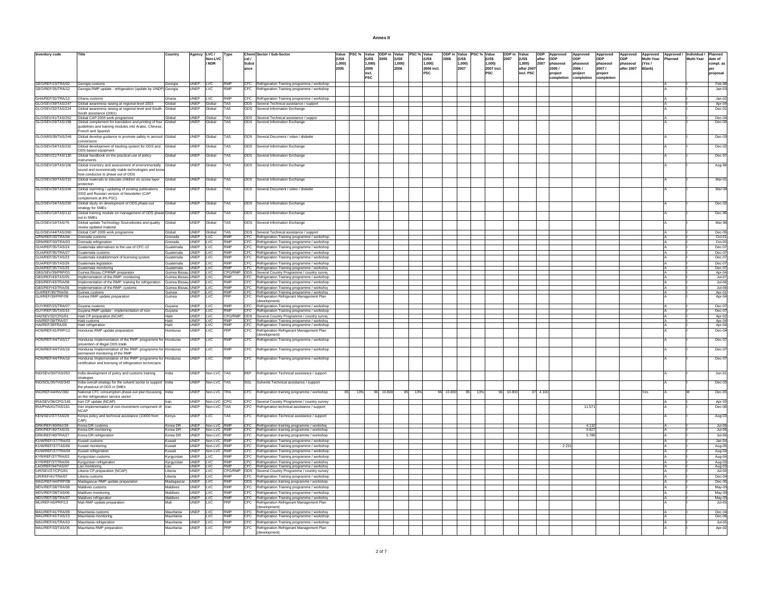| Annex II |  |
|----------|--|
|          |  |

| Inventory code                                              |                                                                                                                                           | Country                         |                        | Agency LVC /<br>Non-LVC   | Type              | Chemi Sector / Sub-Sector                                                                                                                         | Value<br><b>IUSS</b> |     | <b>(USS</b> | PSC % Value ODP in Value<br>2005 | <b>lruss</b> | PSC % Value | (US\$      | ODP in Value PSC % Value<br><b>I</b> russ |           | (US\$          | ODP in Value<br>(US\$ | <b>ODP</b>    | Approved<br>Approved<br>lopp | Approved               | Approved               | Approved            | Approved / Individual / |            | <b>Planned</b>       |
|-------------------------------------------------------------|-------------------------------------------------------------------------------------------------------------------------------------------|---------------------------------|------------------------|---------------------------|-------------------|---------------------------------------------------------------------------------------------------------------------------------------------------|----------------------|-----|-------------|----------------------------------|--------------|-------------|------------|-------------------------------------------|-----------|----------------|-----------------------|---------------|------------------------------|------------------------|------------------------|---------------------|-------------------------|------------|----------------------|
|                                                             |                                                                                                                                           |                                 |                        | / NDR                     |                   | cal /<br><b>Subst</b>                                                                                                                             | 1.000)               |     | 1.000)      |                                  | 1.000)       |             | 1.000)     | 2006<br>1.000)                            |           | 2007<br>1.000) | 1.000)                | after<br>2007 | ODP<br>phaseout<br>phaseout  | <b>ODP</b><br>phaseout | <b>ODP</b><br>phaseout | Multi-Year<br>(Yes/ | Planned                 | Multi-Year | date of<br>compl. as |
|                                                             |                                                                                                                                           |                                 |                        |                           |                   | ance                                                                                                                                              | 2005                 |     | 2005        |                                  | 2006         |             | 2006 incl. | 2007                                      |           | 2007 incl.     | after 2007            |               | 2005/<br>2006/               | 2007/                  | after 2007             | Blank)              |                         |            | ner                  |
|                                                             |                                                                                                                                           |                                 |                        |                           |                   |                                                                                                                                                   |                      |     | incl.       |                                  |              |             | <b>PSC</b> |                                           |           | <b>PSC</b>     | incl. PSC             |               | project<br>project           | project                |                        |                     |                         |            | proposal             |
|                                                             |                                                                                                                                           |                                 |                        |                           |                   |                                                                                                                                                   |                      |     | PSC         |                                  |              |             |            |                                           |           |                |                       |               | completion<br>completion     | completion             |                        |                     |                         |            |                      |
| GEO/REF/23/TRA/02 Georgia customs<br>GEO/REF/35/TRA/12      |                                                                                                                                           | Georgia                         | UNEP LVC               | LVC                       | RMP<br><b>RMP</b> | CFC Refrigeration Training programme / workshop                                                                                                   |                      |     |             |                                  |              |             |            |                                           |           |                |                       |               |                              |                        |                        |                     |                         |            | Feb-98               |
|                                                             | Georgia RMP update - refrigeration (update by UNDP) Georgia                                                                               |                                 | UNEP                   |                           |                   | CFC Refrigeration Training programme / workshop                                                                                                   |                      |     |             |                                  |              |             |            |                                           |           |                |                       |               |                              |                        |                        |                     |                         |            | $Jan-03$             |
| GHA/REF/32/TRA/13                                           | Ghana customs                                                                                                                             | Ghana                           | UNEP LVC               |                           | RMP               | CFC Refrigeration Training programme / workshop                                                                                                   |                      |     |             |                                  |              |             |            |                                           |           |                |                       |               |                              |                        |                        |                     |                         |            | Jan-02               |
|                                                             | GLO/SEV/39/TAS/247 Global awareness raising at regional level 2003<br>GLO/SEV/32/TAS/224 Global awareness raising at regional level and S | Global                          |                        | UNEP Global               | <b>TAS</b>        | ODS Several Technical assistance / support                                                                                                        |                      |     |             |                                  |              |             |            |                                           |           |                |                       |               |                              |                        |                        |                     |                         |            | Apr-04               |
|                                                             | Global awareness raising at regional level and South                                                                                      | <b>Global</b>                   | <b>JNEP</b>            | Global                    | TAS               | ODS<br>Several Information Exchange                                                                                                               |                      |     |             |                                  |              |             |            |                                           |           |                |                       |               |                              |                        |                        |                     |                         |            | Dec-0                |
|                                                             | South assistance (2001)<br>Global CAP 2004 work programme                                                                                 | Global                          |                        | UNEP Global               |                   | ODS Several Technical assistance / suppor                                                                                                         |                      |     |             |                                  |              |             |            |                                           |           |                |                       |               |                              |                        |                        |                     |                         |            | $Dec-04$             |
| GLO/SEV/41/TAS/252<br>GLO/SEV/29/TAS/198                    | Global complement for translation and printing of four Global                                                                             |                                 | UNEP                   | Global                    | <b>TAS</b>        | ODS<br>Several Information Exchange                                                                                                               |                      |     |             |                                  |              |             |            |                                           |           |                |                       |               |                              |                        |                        |                     |                         |            | Dec-0                |
|                                                             | guidelines and training modules into Arabic, Chinese,                                                                                     |                                 |                        |                           |                   |                                                                                                                                                   |                      |     |             |                                  |              |             |            |                                           |           |                |                       |               |                              |                        |                        |                     |                         |            |                      |
| GLO/ARS/39/TAS/246                                          | French and Spanish                                                                                                                        |                                 | UNEP                   | Global                    | TAS               | ODS Several Document / video / diskette                                                                                                           |                      |     |             |                                  |              |             |            |                                           |           |                |                       |               |                              |                        |                        |                     |                         |            | Dec-03               |
|                                                             | Global develop guidance to promote safety in aerosol Global<br>conversions                                                                |                                 |                        |                           |                   |                                                                                                                                                   |                      |     |             |                                  |              |             |            |                                           |           |                |                       |               |                              |                        |                        |                     |                         |            |                      |
| GLO/SEV/34/TAS/232                                          | Global development of tracking system for ODS and Global                                                                                  |                                 | <b>UNFP</b>            | Global                    | <b>TAS</b>        | ODS Several Information Exchange                                                                                                                  |                      |     |             |                                  |              |             |            |                                           |           |                |                       |               |                              |                        |                        |                     |                         |            | Dec-02               |
|                                                             | ODS-based equipment                                                                                                                       |                                 |                        |                           |                   |                                                                                                                                                   |                      |     |             |                                  |              |             |            |                                           |           |                |                       |               |                              |                        |                        |                     |                         |            |                      |
| GLO/SEV/21/TAS/130                                          | Global handbook on the practical use of policy<br><b>struments</b>                                                                        | Global                          | UNEP                   | Global                    | TAS               | ODS Several Information Exchange                                                                                                                  |                      |     |             |                                  |              |             |            |                                           |           |                |                       |               |                              |                        |                        |                     |                         |            | Dec-9                |
| GLO/SEV/19/TAS/106                                          | Global inventory and assessment of environmentally Global                                                                                 |                                 | UNEP                   | Global                    | <b>TAS</b>        | ODS Several Information Exchange                                                                                                                  |                      |     |             |                                  |              |             |            |                                           |           |                |                       |               |                              |                        |                        |                     |                         |            | Aug-96               |
|                                                             | sound and economically viable technologies and know                                                                                       |                                 |                        |                           |                   |                                                                                                                                                   |                      |     |             |                                  |              |             |            |                                           |           |                |                       |               |                              |                        |                        |                     |                         |            |                      |
|                                                             | how conducive to phase out of ODS                                                                                                         |                                 |                        |                           |                   |                                                                                                                                                   |                      |     |             |                                  |              |             |            |                                           |           |                |                       |               |                              |                        |                        |                     |                         |            |                      |
| GLO/SEV/30/TAS/210                                          | Global materials to educate children on ozone layer<br>rotection                                                                          | Global                          | UNEP                   | Global                    | <b>TAS</b>        | ODS Several Information Exchange                                                                                                                  |                      |     |             |                                  |              |             |            |                                           |           |                |                       |               |                              |                        |                        |                     |                         |            | Mar-0                |
| GLO/SEV/39/TAS/248                                          | Global reprinting / updating of existing publications                                                                                     | Global                          | <b>UNFP</b>            | Global                    | <b>TAS</b>        | ODS Several Document / video / diskette                                                                                                           |                      |     |             |                                  |              |             |            |                                           |           |                |                       |               |                              |                        |                        |                     |                         |            | Mar-O                |
|                                                             | 2003 and Russian version of Newsletter (CAP                                                                                               |                                 |                        |                           |                   |                                                                                                                                                   |                      |     |             |                                  |              |             |            |                                           |           |                |                       |               |                              |                        |                        |                     |                         |            |                      |
|                                                             | complement at 8% PSC)                                                                                                                     |                                 |                        |                           |                   |                                                                                                                                                   |                      |     |             |                                  |              |             |            |                                           |           |                |                       |               |                              |                        |                        |                     |                         |            |                      |
| GLO/SEV/34/TAS/230                                          | Global study on development of ODS phase-out<br>strategy for SMEs                                                                         | <b>Global</b>                   | UNEP                   | Global                    | TAS               | ODS Several Information Exchange                                                                                                                  |                      |     |             |                                  |              |             |            |                                           |           |                |                       |               |                              |                        |                        |                     |                         |            | $Dec-0$              |
| GLO/SEV/19/TAS/112                                          | Global training module on management of ODS phase-Global                                                                                  |                                 | UNEP                   | Global                    | TAS               | ODS Several Information Exchange                                                                                                                  |                      |     |             |                                  |              |             |            |                                           |           |                |                       |               |                              |                        |                        |                     |                         |            | Dec-9                |
|                                                             | out in SMEs                                                                                                                               |                                 |                        |                           |                   |                                                                                                                                                   |                      |     |             |                                  |              |             |            |                                           |           |                |                       |               |                              |                        |                        |                     |                         |            |                      |
| GLO/SEV/16/TAS/76                                           | Global update Technology Sourcebooks and quality                                                                                          | <b>Global</b>                   | UNEP                   | Global                    | TAS               | ODS<br>Several Information Exchange                                                                                                               |                      |     |             |                                  |              |             |            |                                           |           |                |                       |               |                              |                        |                        |                     |                         |            | Mar-9                |
| GLO/SEV/44/TAS/260                                          | review updated material<br>Global CAP 2005 work programme                                                                                 |                                 | UNEP                   |                           | <b>ITAS</b>       | ODS Several Technical assistance / support                                                                                                        |                      |     |             |                                  |              |             |            |                                           |           |                |                       |               |                              |                        |                        |                     |                         |            | $Dec-0$              |
| GRN/REF/30/TRA/04                                           | Grenada customs                                                                                                                           | Global<br>Grenada               | UNEP LVC               | Global                    | <b>RMP</b>        | CFC Refrigeration Training programme / workshop                                                                                                   |                      |     |             |                                  |              |             |            |                                           |           |                |                       |               |                              |                        |                        |                     |                         |            | Oct-01               |
| GRN/REF/30/TRA/03                                           | Grenada refrigeration                                                                                                                     | Grenada                         | UNEP LVC               |                           | RMP               | CFC Refrigeration Training programme / workshop                                                                                                   |                      |     |             |                                  |              |             |            |                                           |           |                |                       |               |                              |                        |                        |                     |                         |            | Oct-00               |
| GUA/REF/35/TAS/24                                           | Guatemala alternatives to the use of CFC-12                                                                                               | Guatemala                       | UNEP                   | <b>LVC</b>                | RMP               | CFC Refrigeration Training programme / workshop                                                                                                   |                      |     |             |                                  |              |             |            |                                           |           |                |                       |               |                              |                        |                        |                     |                         |            | Dec-07               |
| GUA/REF/35/TRA/27                                           | Guatemala customs                                                                                                                         | Guatemala                       | UNEP LVC               |                           | RMP               | CFC Refrigeration Training programme / workshop                                                                                                   |                      |     |             |                                  |              |             |            |                                           |           |                |                       |               |                              |                        |                        |                     |                         |            | $Dec-07$             |
| GUA/REF/35/TAS/23                                           | Guatemala establishment of licensing systen                                                                                               | Guatemala                       | UNEP                   | LVC                       | <b>RMP</b>        | CFC Refrigeration Training programme / workshop                                                                                                   |                      |     |             |                                  |              |             |            |                                           |           |                |                       |               |                              |                        |                        |                     |                         |            | Dec-07               |
| GUA/REF/35/TAS/26                                           | Guatemala legislation<br>Guatemala monitorino                                                                                             | Guatemala<br><b>Rightermala</b> | UNEP IVC<br>UNEP II VC |                           | RMP<br>RMP        | CFC Refrigeration Training programme / workshop                                                                                                   |                      |     |             |                                  |              |             |            |                                           |           |                |                       |               |                              |                        |                        |                     |                         |            | $Dec-0$<br>$Dec-0$   |
| GUA/REF/35/TAS/25<br>GBS/SEV/39/PRP/03<br>GBS/REF/43/TAS/05 | Guinea Bissau CP/RMP preparation                                                                                                          | Guinea Bissau                   | UNEP LVC               |                           | CPG/RMP           | CFC Refrigeration Training programme / workshop<br>ODS Several Country Programme / country surver                                                 |                      |     |             |                                  |              |             |            |                                           |           |                |                       |               |                              |                        |                        |                     |                         |            | Apr-0                |
|                                                             | Implementation of the RMP: monitoring                                                                                                     | <b>Suinea Bissa</b>             | UNEP                   |                           | <b>RMP</b>        | <b>CFC</b><br>Refrigeration Training programme / workshop                                                                                         |                      |     |             |                                  |              |             |            |                                           |           |                |                       |               |                              |                        |                        |                     |                         |            | $Jul-0$              |
| GBS/REF/43/TRA/08                                           | Implementation of the RMP: training for refrigeration                                                                                     | Guinea Bissau UNEP              |                        | <b>LVC</b>                | RMP               | CFC Refrigeration Training programme / workshop                                                                                                   |                      |     |             |                                  |              |             |            |                                           |           |                |                       |               |                              |                        |                        |                     |                         |            | $Jul-06$             |
| GBS/REF/43/TRA/06<br>GUI/REF/30/TRA/06                      | Implementation of the RMP: customs<br>Guinea customs                                                                                      | <b>Guinea Bissar</b><br>Guinea  | UNEP LVC<br>UNEP LVC   |                           | RMP<br><b>RMP</b> | CFC Refrigeration Training programme / workshop                                                                                                   |                      |     |             |                                  |              |             |            |                                           |           |                |                       |               |                              |                        |                        |                     |                         |            | $Jul-06$             |
| GUI/REF/39/PRP/09                                           | Guinea RMP update preparation                                                                                                             | Guinea                          | UNEP                   | LVC                       | PRP               | CFC Refrigeration Training programme / workshop<br>Refrigeration Refrigerant Management Plan<br>CFC                                               |                      |     |             |                                  |              |             |            |                                           |           |                |                       |               |                              |                        |                        |                     |                         |            | Apr-01<br>Apr-0      |
|                                                             |                                                                                                                                           |                                 |                        |                           |                   | (development)                                                                                                                                     |                      |     |             |                                  |              |             |            |                                           |           |                |                       |               |                              |                        |                        |                     |                         |            |                      |
| GUY/REF/23/TRA/07                                           | Guyana customs                                                                                                                            | Guyana                          | UNEP LVC               |                           | RMF<br>RMP        | CFC Refrigeration Training programme / workshop                                                                                                   |                      |     |             |                                  |              |             |            |                                           |           |                |                       |               |                              |                        |                        |                     |                         |            | Dec-07               |
| GUY/REF/35/TAS/10<br>HAI/SEV/32/CPG/01                      | Guyana RMP update - implementation of non-<br>Haiti CP preparation (NCAP)                                                                 | Guyana<br>Haiti                 | UNEP LVC<br>UNEP LVC   |                           | CPG/RMP           | CFC Refrigeration Training programme / workshop                                                                                                   |                      |     |             |                                  |              |             |            |                                           |           |                |                       |               |                              |                        |                        |                     |                         |            | $Dec-07$<br>Apr-02   |
| HAI/REF/39/TRA/07<br>HAI/REF/39TRA/05                       | Haiti customs                                                                                                                             | Haiti                           |                        |                           | RMP               | ODS Several Country Programme / country surver                                                                                                    |                      |     |             |                                  |              |             |            |                                           |           |                |                       |               |                              |                        |                        |                     |                         |            |                      |
|                                                             | Haiti refrigeration                                                                                                                       | Hait                            | UNEP LVC               |                           | RMP               | CFC Refrigeration Training programme / workshop<br>CFC Refrigeration Training programme / workshop<br>Refrigeration Training programme / workshop |                      |     |             |                                  |              |             |            |                                           |           |                |                       |               |                              |                        |                        |                     |                         |            | Apr-04<br>Apr-04     |
| HON/REF/41/PRP/12                                           | Honduras RMP update preparation                                                                                                           | Honduras                        | UNEP                   | LVC                       | PRP               | CFC Refrigeration Refrigerant Management Plan<br>(development)                                                                                    |                      |     |             |                                  |              |             |            |                                           |           |                |                       |               |                              |                        |                        |                     |                         |            | Dec-04               |
| HON/REF/44/TAS/17                                           | Honduras Implementation of the RMP: programme for Honduras                                                                                |                                 | UNEP                   | LVC                       | <b>RMP</b>        | CFC<br>Refrigeration Training programme / workshop                                                                                                |                      |     |             |                                  |              |             |            |                                           |           |                |                       |               |                              |                        |                        |                     |                         |            | Dec-07               |
|                                                             | prevention of illegal ODS trade                                                                                                           |                                 |                        |                           |                   |                                                                                                                                                   |                      |     |             |                                  |              |             |            |                                           |           |                |                       |               |                              |                        |                        |                     |                         |            |                      |
| HON/REF/44/TAS/18                                           | Honduras Implementation of the RMP: programme for Honduras                                                                                |                                 | UNEP                   | <b>LVC</b>                | RMP               | CFC<br>Refrigeration Training programme / workshop                                                                                                |                      |     |             |                                  |              |             |            |                                           |           |                |                       |               |                              |                        |                        |                     |                         |            | Dec-07               |
| HON/REF/44/TRA/16                                           | ermanent monitoring of the RMP<br>Honduras Implementation of the RMP: programme for Honduras                                              |                                 | UNEP                   | <b>LVC</b>                | RMP               |                                                                                                                                                   |                      |     |             |                                  |              |             |            |                                           |           |                |                       |               |                              |                        |                        |                     |                         |            | $Dec-0$              |
|                                                             | certification and licensing of refrigeration technicians                                                                                  |                                 |                        |                           |                   | CFC Refrigeration Training programme / workshop                                                                                                   |                      |     |             |                                  |              |             |            |                                           |           |                |                       |               |                              |                        |                        |                     |                         |            |                      |
|                                                             |                                                                                                                                           |                                 |                        |                           |                   |                                                                                                                                                   |                      |     |             |                                  |              |             |            |                                           |           |                |                       |               |                              |                        |                        |                     |                         |            |                      |
| IND/SEV/30/TAS/253                                          | India development of policy and customs training                                                                                          |                                 | UNEP                   | Non-LVC TAS               |                   | <b>REF</b><br>Refrigeration Technical assistance / support                                                                                        |                      |     |             |                                  |              |             |            |                                           |           |                |                       |               |                              |                        |                        |                     |                         |            | $Jun-01$             |
| IND/SOL/35/TAS/343                                          | strategies                                                                                                                                |                                 | UNEP                   | Non-LVC TAS               |                   |                                                                                                                                                   |                      |     |             |                                  |              |             |            |                                           |           |                |                       |               |                              |                        |                        |                     |                         |            |                      |
|                                                             | India overall strategy for the solvent sector to support<br>the phaseout of ODS in SMEs                                                   | ndia                            |                        |                           |                   | Solvents Technical assistance / support<br>SOL                                                                                                    |                      |     |             |                                  |              |             |            |                                           |           |                |                       |               |                              |                        |                        |                     |                         |            | Dec-03               |
| IND/REF/44/INV/382                                          | National CFC consumption phase-out plan focussing India                                                                                   |                                 | UNEP                   | Non-LVC TRA               |                   | CFC<br>Refrigeration training programme / workshop                                                                                                | 85                   | 13% |             | 96 10.800                        | 85           | 13%         |            | 96 10.800                                 | 85<br>13% | 10.800         |                       | 37 4.100      |                              |                        |                        |                     |                         |            | Dec-05               |
|                                                             | on the refrigeration service sector                                                                                                       |                                 |                        | UNEP Non-LVC CPG          |                   |                                                                                                                                                   |                      |     |             |                                  |              |             |            |                                           |           |                |                       |               |                              |                        |                        |                     |                         |            |                      |
| IRA/SEV/36/CPG/145<br>IRA/PHA/41/TAS/161                    | Iran CP update (NCAP)<br>Iran implementation of non-investment component of                                                               | Iran                            | <b>UNFP</b>            | Non-LVC TAS               |                   | CFC Several Country Programme / country survey<br>CFC.<br>Refrigeration technical assistance / support                                            |                      |     |             |                                  |              |             |            |                                           |           |                |                       |               |                              | 11.57                  |                        |                     |                         |            | Apr-03<br>Dec-0      |
|                                                             | <b>NCAP</b>                                                                                                                               |                                 |                        |                           |                   |                                                                                                                                                   |                      |     |             |                                  |              |             |            |                                           |           |                |                       |               |                              |                        |                        |                     |                         |            |                      |
| KEN/SEV/37/TAS/29                                           | Kenya policy and technical assistance (10000 from                                                                                         | Kenya                           | UNEP                   | <b>LVC</b>                | <b>TAS</b>        | CFC Refrigeration Technical assistance / support                                                                                                  |                      |     |             |                                  |              |             |            |                                           |           |                |                       |               |                              |                        |                        |                     |                         |            | Aug-03               |
|                                                             | CAP)<br>Korea DR customs                                                                                                                  | Korea DR                        |                        | UNEP Non-LVC              | RMP               |                                                                                                                                                   |                      |     |             |                                  |              |             |            |                                           |           |                |                       |               |                              | 4.13                   |                        |                     |                         |            |                      |
| DRK/REF/40/INV/28<br>DRK/REF/40/TAS/25                      | Korea DR monitoring                                                                                                                       | Korea DR                        | UNEP                   | Non-LVC RMP               |                   | CFC Refrigeration training programme / workshor<br>CFC Refrigeration training programme / workshop                                                |                      |     |             |                                  |              |             |            |                                           |           |                |                       |               |                              | 0.827                  |                        |                     |                         |            | $Jul-06$<br>Jul-06   |
| DRK/REF/40/TRA/27                                           | Korea DR refrigeration                                                                                                                    | Korea DR                        | <b>UNFP</b>            | Non-LVC RMP               |                   | CFC Refrigeration training programme / workshop                                                                                                   |                      |     |             |                                  |              |             |            |                                           |           |                |                       |               |                              | 5785                   |                        |                     |                         |            | $Jul-06$             |
| KUW/REF/37/TRA/03                                           | Kuwait customs                                                                                                                            | Kuwait                          |                        | UNEP Non-LVC RMP          |                   | CFC Refrigeration Training programme / workshop                                                                                                   |                      |     |             |                                  |              |             |            |                                           |           |                |                       |               |                              |                        |                        |                     |                         |            | $Jan-04$             |
| KUW/REF/37/TAS/06                                           | Kuwait monitoring                                                                                                                         | Kuwait                          | UNEP                   | Non-LVC RMP               |                   | CFC Refrigeration Training programme / workshop                                                                                                   |                      |     |             |                                  |              |             |            |                                           |           |                |                       |               | 2.231                        |                        |                        |                     |                         |            | Aug-05               |
| KUW/REF/37/TRA/04<br>KYR/REF/37/TRA/03                      | Kuwait refrigeration<br>Kyrgyzstan customs                                                                                                | Kuwait<br>Kyrgyzstan            | <b>UNEP</b><br>UNEP    | Non-LVC RMP<br><b>LVC</b> | RMP               | CFC Refrigeration Training programme / workshop                                                                                                   |                      |     |             |                                  |              |             |            |                                           |           |                |                       |               |                              |                        |                        |                     |                         |            | Aug-0                |
| KYR/REF/37/TRA/06                                           | Kyrgyzstan refrigeration                                                                                                                  | Kyrgyzstan                      | UNEP LVC               |                           | RMP               | CFC Refrigeration Training programme / workshop<br>CFC Refrigeration Training programme / workshop                                                |                      |     |             |                                  |              |             |            |                                           |           |                |                       |               |                              |                        |                        |                     |                         |            | Aug-04<br>Aug-03     |
| LAO/REF/34/TAS/07<br>LIR/SEV/27/CPG/01                      | Lao monitoring                                                                                                                            | Lao                             | JNEP LVC               |                           | RMP               | CFC Refrigeration Training programme / workshop                                                                                                   |                      |     |             |                                  |              |             |            |                                           |           |                |                       |               |                              |                        |                        |                     |                         |            | Aug-03               |
|                                                             | Liberia CP preparation (NCAP)                                                                                                             | I iheria                        | <b>UNEP</b>            | II VC                     | CPG/RMP           | ODS Several Country Programme / country survey                                                                                                    |                      |     |             |                                  |              |             |            |                                           |           |                |                       |               |                              |                        |                        |                     |                         |            | $Jul-0$              |
| LIR/REF/41/TRA/07                                           | Liberia customs                                                                                                                           | Liberia                         | UNEP                   | <b>LVC</b>                | <b>RMP</b><br>RMP | CFC Refrigeration Training programme / workshop                                                                                                   |                      |     |             |                                  |              |             |            |                                           |           |                |                       |               |                              |                        |                        |                     |                         |            | Dec-04               |
| MAG/REF/44/PRP/08<br>MDV/REF/38/TRA/08                      | Madagascar RMP update preparation<br>Maldives customs                                                                                     | Madagascar<br>Maldives          | UNEP<br><b>UNFP</b>    | <b>LVC</b><br><b>LVC</b>  | RMP               | ODS Refrigeration training programme / workshop                                                                                                   |                      |     |             |                                  |              |             |            |                                           |           |                |                       |               |                              |                        |                        |                     |                         |            | Dec-05               |
| MDV/REF/38/TAS/06                                           | Maldives monitoring                                                                                                                       | Maldives                        | UNEP                   | <b>LVC</b>                | <b>RMP</b>        | CFC Refrigeration Training programme / workshop<br>CFC Refrigeration Training programme / workshop                                                |                      |     |             |                                  |              |             |            |                                           |           |                |                       |               |                              |                        |                        |                     |                         |            | May-05<br>May-05     |
| MDV/REF/38/TRA/07                                           | Maldives refrigeration                                                                                                                    | Maldives                        | UNEP LVC               |                           | <b>RMP</b>        | CFC Refrigeration Training programme / workshop                                                                                                   |                      |     |             |                                  |              |             |            |                                           |           |                |                       |               |                              |                        |                        |                     |                         |            | May-05               |
|                                                             | Mali RMP update preparation                                                                                                               | Mali                            | UNEP                   | <b>LVC</b>                | PRP               | CFC<br>Refrigeration Refrigerant Management Plan                                                                                                  |                      |     |             |                                  |              |             |            |                                           |           |                |                       |               |                              |                        |                        |                     |                         |            | Jul-05               |
|                                                             |                                                                                                                                           |                                 |                        |                           | RMF               | (development)                                                                                                                                     |                      |     |             |                                  |              |             |            |                                           |           |                |                       |               |                              |                        |                        |                     |                         |            |                      |
| MAU/REF/41/TRA/09<br>MAU/REF/41/TAS/13                      | Mauritania customs<br>Mauritania monitoring                                                                                               | Mauritania<br>Mauritania        | UNEP LVC               | <b>LVC</b>                | RMP               | CFC Refrigeration Training programme / workshop<br>CFC Refrigeration Training programme / workshop                                                |                      |     |             |                                  |              |             |            |                                           |           |                |                       |               |                              |                        |                        |                     |                         |            | Dec-04<br>Dec-06     |
| MAU/REF/41/TRA/10                                           | Mauritania refrigeration                                                                                                                  | Mauritania                      | <b>UNFP</b>            | II VC                     | RMP               | CFC Refrigeration Training programme / workshop                                                                                                   |                      |     |             |                                  |              |             |            |                                           |           |                |                       |               |                              |                        |                        |                     |                         |            | $Jul-05$             |
| MAU/REF/33/TAS/06                                           | Mauritania RMP preparation                                                                                                                | Mauritania                      | UNEP                   | <b>LVC</b>                | PRP               | CFC Refrigeration Refrigerant Management Plan                                                                                                     |                      |     |             |                                  |              |             |            |                                           |           |                |                       |               |                              |                        |                        |                     |                         |            | Apr-02               |
|                                                             |                                                                                                                                           |                                 |                        |                           |                   |                                                                                                                                                   |                      |     |             |                                  |              |             |            |                                           |           |                |                       |               |                              |                        |                        |                     |                         |            |                      |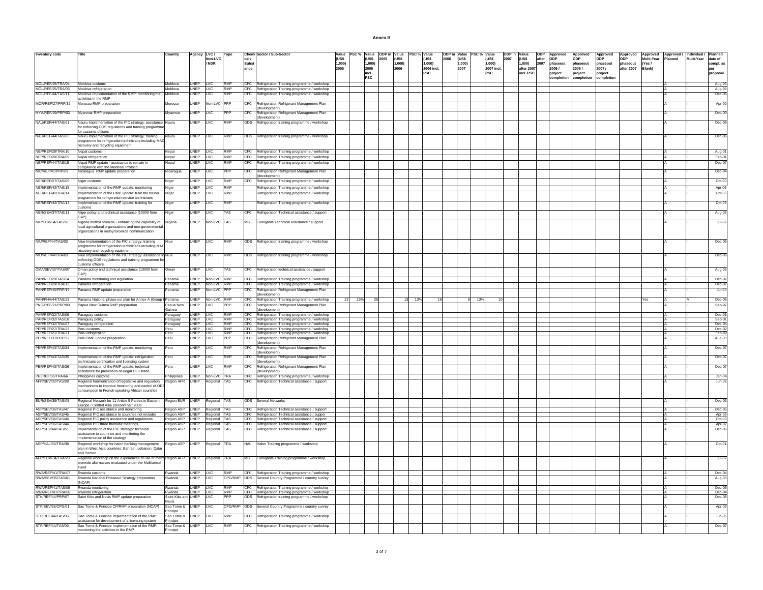| MOL/REF/25/TRA/04 Moldova customs<br>Moldova<br>UNEP LVC<br><b>RMP</b><br>CFC Refrigeration Training programme / workshop<br>MOL/REF/25/TRA/03 Moldova refrigeration<br>Moldova<br>UNEP LVC<br>RMP<br>CFC Refrigeration Training programme / workshop<br>MOL/REF/44/TAS/11<br>Moldova Implementation of the RMP: monitoring the<br>Moldova<br>UNEP<br>RMP<br>LVC<br>CFC.<br>activities in the RMP<br>MOR/REF/27/PRP/32<br>Morocco RMP preparation<br>UNEP<br>CFC<br><b>Jon-LVC</b><br>Aorocco<br>development)<br>MYA/REF/29/PRP/03<br>Myanmar RMP preparation<br>UNEP<br>Myanmar<br>LVC<br>PRF<br>CFC<br>(development)<br>NAU/REF/44/TAS/01<br>Nauru Implementation of the PIC strategy: assistance<br>UNEP<br>LVC<br>ODS Refrigeration training programme / workshop<br>Nauru<br>RMF<br>for enforcing ODS regulations and training programm<br>for customs officers | Refrigeration Training programme / workshop<br>Refrigeration Refrigerant Management Plan<br>Refrigeration Refrigerant Management Plan |           |     |  |     | Aug-99<br>Aug-99<br>Dec-06<br>Apr-00<br>Dec-00 |
|----------------------------------------------------------------------------------------------------------------------------------------------------------------------------------------------------------------------------------------------------------------------------------------------------------------------------------------------------------------------------------------------------------------------------------------------------------------------------------------------------------------------------------------------------------------------------------------------------------------------------------------------------------------------------------------------------------------------------------------------------------------------------------------------------------------------------------------------------------------------|---------------------------------------------------------------------------------------------------------------------------------------|-----------|-----|--|-----|------------------------------------------------|
|                                                                                                                                                                                                                                                                                                                                                                                                                                                                                                                                                                                                                                                                                                                                                                                                                                                                      |                                                                                                                                       |           |     |  |     |                                                |
|                                                                                                                                                                                                                                                                                                                                                                                                                                                                                                                                                                                                                                                                                                                                                                                                                                                                      |                                                                                                                                       |           |     |  |     |                                                |
|                                                                                                                                                                                                                                                                                                                                                                                                                                                                                                                                                                                                                                                                                                                                                                                                                                                                      |                                                                                                                                       |           |     |  |     |                                                |
|                                                                                                                                                                                                                                                                                                                                                                                                                                                                                                                                                                                                                                                                                                                                                                                                                                                                      |                                                                                                                                       |           |     |  |     |                                                |
|                                                                                                                                                                                                                                                                                                                                                                                                                                                                                                                                                                                                                                                                                                                                                                                                                                                                      |                                                                                                                                       |           |     |  |     |                                                |
|                                                                                                                                                                                                                                                                                                                                                                                                                                                                                                                                                                                                                                                                                                                                                                                                                                                                      |                                                                                                                                       |           |     |  |     | Dec-06                                         |
|                                                                                                                                                                                                                                                                                                                                                                                                                                                                                                                                                                                                                                                                                                                                                                                                                                                                      |                                                                                                                                       |           |     |  |     |                                                |
| NAU/REF/44/TAS/03<br><b>RMP</b><br>Nauru Implementation of the PIC strategy: training<br>UNEP<br><b>LVC</b><br>ODS Refrigeration training programme / workshop<br>Nauru<br>programme for refrigeration technicians including MAC<br>recovery and recycling equipment                                                                                                                                                                                                                                                                                                                                                                                                                                                                                                                                                                                                 |                                                                                                                                       |           |     |  |     | Dec-06                                         |
| NEP/REF/28/TRA/10<br>Nepal customs<br>UNEP<br><b>LVC</b><br><b>RMP</b><br>CFC Refrigeration Training programme / workshop<br>Nepal                                                                                                                                                                                                                                                                                                                                                                                                                                                                                                                                                                                                                                                                                                                                   |                                                                                                                                       |           |     |  |     | Aug-01                                         |
| <b>RMP</b><br>NEP/REF/28/TRA/09<br>UNEP LVC<br>CFC Refrigeration Training programme / workshop<br>Nepal refrigeration<br>Nepal                                                                                                                                                                                                                                                                                                                                                                                                                                                                                                                                                                                                                                                                                                                                       |                                                                                                                                       |           |     |  |     | Feb-01                                         |
| NEP/REF/44/TAS/15<br>Nepal RMP update - assistance to remain in<br>UNEP<br><b>LVC</b><br><b>RMP</b><br>CFC<br>Refrigeration Training programme / workshop<br>Nepal<br>ompliance with the Montreal Protoco                                                                                                                                                                                                                                                                                                                                                                                                                                                                                                                                                                                                                                                            |                                                                                                                                       |           |     |  |     | Dec-07                                         |
| NIC/REF/41/PRP/09<br>CFC<br>Vicaragua RMP update preparation<br>UNEP<br>LVC<br>RF<br>licaragua                                                                                                                                                                                                                                                                                                                                                                                                                                                                                                                                                                                                                                                                                                                                                                       | Refrigeration Refrigerant Management Plan                                                                                             |           |     |  |     | Dec-04                                         |
| (development)<br>NER/REF/27/TAS/05<br>RMP<br>UNEP<br><b>LVC</b><br>CFC Refrigeration Training programme / workshop<br>Niger customs<br>Niger                                                                                                                                                                                                                                                                                                                                                                                                                                                                                                                                                                                                                                                                                                                         |                                                                                                                                       |           |     |  |     | Oct-00                                         |
| <b>RMP</b><br>NFR/RFF/42/TAS/15<br><b>UNFP</b><br>Implementation of the RMP update: monitoring<br>Niger<br>LVC                                                                                                                                                                                                                                                                                                                                                                                                                                                                                                                                                                                                                                                                                                                                                       | Refrigeration Training programme / workshop                                                                                           |           |     |  |     | Apr-06                                         |
| NER/REF/42/TRA/14<br>Implementation of the RMP update: train the trainer<br>UNEP<br><b>LVC</b><br><b>RMP</b><br>liger<br>programme for refrigeration service technicians                                                                                                                                                                                                                                                                                                                                                                                                                                                                                                                                                                                                                                                                                             | Refrigeration Training programme / workshop                                                                                           |           |     |  |     | Oct-05                                         |
| NER/REF/42/TRA/13<br>Implementation of the RMP update: training for<br>UNEP<br>LVC<br>RMP<br>Niger                                                                                                                                                                                                                                                                                                                                                                                                                                                                                                                                                                                                                                                                                                                                                                   | efrigeration Training programme / workshop                                                                                            |           |     |  |     | Oct-05                                         |
| ustoms<br>NER/SEV/37/TAS/11<br>Niger policy and technical assistance (10000 from<br>UNEP<br>TAS<br><b>LVC</b><br>CFC<br>lige                                                                                                                                                                                                                                                                                                                                                                                                                                                                                                                                                                                                                                                                                                                                         | Refrigeration Technical assistance / support                                                                                          |           |     |  |     | Aug-03                                         |
| CAP)<br>NIR/FUM/34/TAS/90<br>UNEP<br>Non-LVC TAS<br>MB<br>Nigeria methyl bromide - enhancing the capability of<br>Fumigants Technical assistance / support<br>Nigeria                                                                                                                                                                                                                                                                                                                                                                                                                                                                                                                                                                                                                                                                                                |                                                                                                                                       |           |     |  |     | $Jul-02$                                       |
| local agricultural organizations and non-governmental<br>organizations in methyl bromide communication                                                                                                                                                                                                                                                                                                                                                                                                                                                                                                                                                                                                                                                                                                                                                               |                                                                                                                                       |           |     |  |     |                                                |
| NIU/REF/44/TAS/02<br>Niue Implementation of the PIC strategy: training<br>UNEP LVC<br><b>RMP</b><br>ODS Refrigeration training programme / workshop<br>Niue<br>programme for refrigeration technicians including MAC<br>ecovery and recycling equipment                                                                                                                                                                                                                                                                                                                                                                                                                                                                                                                                                                                                              |                                                                                                                                       |           |     |  |     | Dec-06                                         |
| NIU/REF/44/TRA/03<br>Niue Implementation of the PIC strategy: assistance fo Niue<br><b>UNEP</b><br>LVC<br>RMP<br>ODS Refrigeration training programme / workshop<br>enforcing ODS regulations and training programme for<br>customs officers                                                                                                                                                                                                                                                                                                                                                                                                                                                                                                                                                                                                                         |                                                                                                                                       |           |     |  |     | Dec-06                                         |
| OMA/SEV/37/TAS/07<br><b>UNEP</b><br>TAS<br>Oman policy and technical assistance (10000 from<br><b>LVC</b><br>CFC.<br>Oman<br>CAP)                                                                                                                                                                                                                                                                                                                                                                                                                                                                                                                                                                                                                                                                                                                                    | Refrigeration technical assistance / support                                                                                          |           |     |  |     | Aug-03                                         |
| PAN/REF/29/TAS/14<br><b>UNFP</b><br>Non-LVC RMP<br>CFC Refrigeration Training programme / workshop<br>Panama monitoring and legislation<br>Panama                                                                                                                                                                                                                                                                                                                                                                                                                                                                                                                                                                                                                                                                                                                    |                                                                                                                                       |           |     |  |     | $Dec-02$                                       |
| PAN/REF/29/TRA/13<br>Panama refrigeration<br>Panama<br>UNEP Non-LVC RMP<br>CFC Refrigeration Training programme / workshop                                                                                                                                                                                                                                                                                                                                                                                                                                                                                                                                                                                                                                                                                                                                           |                                                                                                                                       |           |     |  |     | Dec-02                                         |
| PAN/REF/40/PRP/19<br>UNEP<br>PRP<br>Panama RMP update preparation<br>Non-LVC<br>CFC<br>anama<br>(development)                                                                                                                                                                                                                                                                                                                                                                                                                                                                                                                                                                                                                                                                                                                                                        | Refrigeration Refrigerant Management Plan                                                                                             |           |     |  |     | $Jul-04$                                       |
| PAN/PHA/44/TAS/23<br>Panama National phase-out plan for Annex A (Group I) Panama<br>UNEP<br>CFC Refrigeration Training programme / workshop<br>Non-LVC                                                                                                                                                                                                                                                                                                                                                                                                                                                                                                                                                                                                                                                                                                               | 13%<br>22                                                                                                                             | 13%<br>25 | 13% |  | Yes | Dec-05                                         |
| PNG/REF/21/PRP/03<br>Papua New Guinea RMP preparation<br>Panua New<br><b>UNEP</b><br>li vc<br>PRP<br>CFC Refrigeration Refrigerant Management Plan<br>Guinea<br>(development)                                                                                                                                                                                                                                                                                                                                                                                                                                                                                                                                                                                                                                                                                        |                                                                                                                                       |           |     |  |     | Sep-97                                         |
| PAR/REF/32/TAS/06 Paraguay customs<br>UNEP IVC<br>CFC Refrigeration Training programme / workshop<br>RMP<br>Paraguay                                                                                                                                                                                                                                                                                                                                                                                                                                                                                                                                                                                                                                                                                                                                                 |                                                                                                                                       |           |     |  |     | Dec-01                                         |
| PAR/REF/32/TAS/10 Paraguay policy<br>Paraguay<br><b>LINEP IVC</b><br><b>RMP</b><br>CFC Refrigeration Training programme / workshop<br><b>RMP</b>                                                                                                                                                                                                                                                                                                                                                                                                                                                                                                                                                                                                                                                                                                                     |                                                                                                                                       |           |     |  |     | Sep-01                                         |
| PAR/REE/32/TRA/07<br>Paraguay refrigeration<br>Paraguay<br>UNEP LVC<br>CFC Refrigeration Training programme / workshop<br>PER/REF/27/TRA/23<br>Peru customs<br>UNEP LVC<br><b>RMP</b><br>CFC Refrigeration Training programme / workshop<br>Peru                                                                                                                                                                                                                                                                                                                                                                                                                                                                                                                                                                                                                     |                                                                                                                                       |           |     |  |     | Dec-04                                         |
| CFC Refrigeration Training programme / workshop<br>PER/REF/21/TRA/21<br>UNEP LVC<br><b>RMP</b><br>Peru<br>Peru refrigeration                                                                                                                                                                                                                                                                                                                                                                                                                                                                                                                                                                                                                                                                                                                                         |                                                                                                                                       |           |     |  |     | Dec-02<br>Feb-99                               |
| PER/REF/37/PRP/32<br><b>UNEP</b><br>PRP<br>Peru RMP update preparation<br>CFC Refrigeration Refrigerant Management Plan<br>Peru<br>LVC                                                                                                                                                                                                                                                                                                                                                                                                                                                                                                                                                                                                                                                                                                                               |                                                                                                                                       |           |     |  |     | Aug-03                                         |
| (development)<br>PER/REF/43/TAS/34<br>UNEP<br>Implementation of the RMP update: monitoring<br>LVC<br><b>RMP</b><br>CFC<br>eru                                                                                                                                                                                                                                                                                                                                                                                                                                                                                                                                                                                                                                                                                                                                        | Refrigeration Refrigerant Management Plan                                                                                             |           |     |  |     | Dec-07                                         |
| (development)<br>PER/REF/43/TAS/35<br>Implementation of the RMP update: refrigeration<br>UNEP<br><b>RMP</b><br>LVC<br>CFC<br>Peru                                                                                                                                                                                                                                                                                                                                                                                                                                                                                                                                                                                                                                                                                                                                    | Refrigeration Refrigerant Management Plan                                                                                             |           |     |  |     | Dec-07                                         |
| echnicians certification and licensing system<br>development)<br>PER/REF/43/TAS/36<br>Implementation of the RMP update: technical<br>UNEP<br>RMF<br>CFC<br>LVC<br>eru                                                                                                                                                                                                                                                                                                                                                                                                                                                                                                                                                                                                                                                                                                | Refrigeration Refrigerant Management Plan                                                                                             |           |     |  |     | Dec-07                                         |
| ssistance for prevention of illegal CFC trade<br>(development)<br>PHI/REF/35/TRA/66<br><b>UNEP</b><br>Philippines customs<br>Philippines<br>Non-LVC TRA<br>CFC Refrigeration Training programme / workshop                                                                                                                                                                                                                                                                                                                                                                                                                                                                                                                                                                                                                                                           |                                                                                                                                       |           |     |  |     | $Jan-04$                                       |
| AFR/SEV/32/TAS/28<br><b>UNEP</b><br>TAS<br><b>CFC</b><br><b>Region AFR</b><br>Regional harmonization of legislative and regulatory<br>Regional<br>nechanisms to improve monitoring and control of ODS<br>consumption in French-speaking African countries                                                                                                                                                                                                                                                                                                                                                                                                                                                                                                                                                                                                            | Refrigeration Technical assistance / support                                                                                          |           |     |  |     | $Jun-02$                                       |
| EUR/SEV/39/TAS/05<br>Regional Network for 11 Article 5 Parties in Eastern<br>Region EUR UNEP<br>Regional TAS<br>ODS Several Networks                                                                                                                                                                                                                                                                                                                                                                                                                                                                                                                                                                                                                                                                                                                                 |                                                                                                                                       |           |     |  |     | Dec-03                                         |
| Europe / Central Asia (second half 2003<br>ASP/SEV/36/TAS/47<br>Regional PIC assistance and monitoring<br>Region ASP UNEP Regional TAS<br>CFC Refrigeration Technical assistance / support                                                                                                                                                                                                                                                                                                                                                                                                                                                                                                                                                                                                                                                                           |                                                                                                                                       |           |     |  |     | Dec-05                                         |
| ASP/SEV/36/TAS/45<br>ASP/SEV/36/TAS/46<br>Regional PIC assistance to countries not includer.<br>Region ASP UNEP Regional TAS<br>CFC Refrigeration Technical assistance / suppor                                                                                                                                                                                                                                                                                                                                                                                                                                                                                                                                                                                                                                                                                      |                                                                                                                                       |           |     |  |     | Apr-05                                         |
| Regional PIC policy assistance and regulations<br>Region ASP UNEP<br>Regional<br><b>TAS</b><br>CFC Refrigeration Technical assistance / support<br>ASP/SEV/36/TAS/44                                                                                                                                                                                                                                                                                                                                                                                                                                                                                                                                                                                                                                                                                                 |                                                                                                                                       |           |     |  |     | $Oct-02$<br>Apr-02                             |
| Regional PIC three thematic meetings<br>Region ASP UNEP Regional TAS<br>CFC Refrigeration Technical assistance / support<br>ASP/SEV/44/TAS/51<br>mplementation of the PIC strategy: technical<br>egion ASP<br>UNEP<br><b>TAS</b><br>CFC Refrigeration Technical assistance / support<br>Regional                                                                                                                                                                                                                                                                                                                                                                                                                                                                                                                                                                     |                                                                                                                                       |           |     |  |     | Dec-06                                         |
| assistance to countries and monitoring the<br>mplementation of the strategy<br>ASP/HAL/30/TRA/38<br><b>UNEP</b><br>Regional TRA<br>Regional workshop for halon banking management                                                                                                                                                                                                                                                                                                                                                                                                                                                                                                                                                                                                                                                                                    |                                                                                                                                       |           |     |  |     | Oct-01                                         |
| Region ASP<br>HAL Halon Training programme / workshop<br>plan in West Asia countries: Bahrain, Lebanon, Qatar<br>and Yemen<br>AFR/FUM/34/TRA/28<br><b>UNEP</b><br>Regional TRA<br><b>MB</b>                                                                                                                                                                                                                                                                                                                                                                                                                                                                                                                                                                                                                                                                          |                                                                                                                                       |           |     |  |     | $Jul-02$                                       |
| Regional workshop on the experiences of use of methy Region AFR<br>bromide alternatives evaluated under the Multilateral<br>Fund<br><b>UNEP</b><br>RMP                                                                                                                                                                                                                                                                                                                                                                                                                                                                                                                                                                                                                                                                                                               | Fumigants Training programme / workshop                                                                                               |           |     |  |     |                                                |
| RWA/REF/41/TRA/07<br>Rwanda customs<br><b>LVC</b><br>CFC Refrigeration Training programme / workshop<br>Rwanda<br>CPG/RMP<br>RWA/SEV/35/TAS/01<br><b>UNEP</b><br>ODS<br>Rwanda National Phaseout Strategy preparation<br>Rwanda<br><b>LVC</b><br>(NCAP)                                                                                                                                                                                                                                                                                                                                                                                                                                                                                                                                                                                                              | Several Country Programme / country survey                                                                                            |           |     |  |     | Dec-04<br>Aug-03                               |
| RMP<br>RWA/REF/41/TAS/09 Rwanda monitoring<br>RWA/REF/41/TRA/06 Rwanda refrigeration<br>Rwanda<br>LINEP IVC<br>CFC Refrigeration Training programme / workshop                                                                                                                                                                                                                                                                                                                                                                                                                                                                                                                                                                                                                                                                                                       |                                                                                                                                       |           |     |  |     | Dec-06                                         |
| RMP<br>UNEP LVC<br>CFC Refrigeration Training programme / workshop<br>Rwanda<br>STK/REF/44/PRP/07<br>PRP<br>Saint Kitts and Nevis RMP update preparation<br>Saint Kitts and UNEP<br>ODS<br><b>LVC</b>                                                                                                                                                                                                                                                                                                                                                                                                                                                                                                                                                                                                                                                                |                                                                                                                                       |           |     |  |     | $Dec-04$<br>Dec-05                             |
|                                                                                                                                                                                                                                                                                                                                                                                                                                                                                                                                                                                                                                                                                                                                                                                                                                                                      | Refrigeration training programme / workshop                                                                                           |           |     |  |     |                                                |
| STP/SEV/36/CPG/01<br>Sao Tome & Principe CP/RMP preparation (NCAP)<br><b>UNEP</b><br>CPG/RMP<br>ODS Several Country Programme / country survey<br>Sao Tome &<br>LVC<br>Principe                                                                                                                                                                                                                                                                                                                                                                                                                                                                                                                                                                                                                                                                                      |                                                                                                                                       |           |     |  |     | Apr-03                                         |
| STP/REF/44/TAS/06<br><b>UNEP</b><br><b>RMP</b><br><b>CFC</b><br>Sao Tome & Principe Implementation of the RMP:<br>Sao Tome &<br><b>LVC</b><br>assistance for development of a licensing system<br>Principe<br>STP/REF/44/TAS/09<br><b>RMP</b><br>Sao Tome & Principe Implementation of the RMP:<br>Sao Tome &<br>UNEP<br>LVC<br>CFC Refrigeration Training programme / workshop<br>monitoring the activities in the RMP<br>Principe                                                                                                                                                                                                                                                                                                                                                                                                                                  | Refrigeration Training programme / workshop                                                                                           |           |     |  |     | Jun-05<br>Dec-07                               |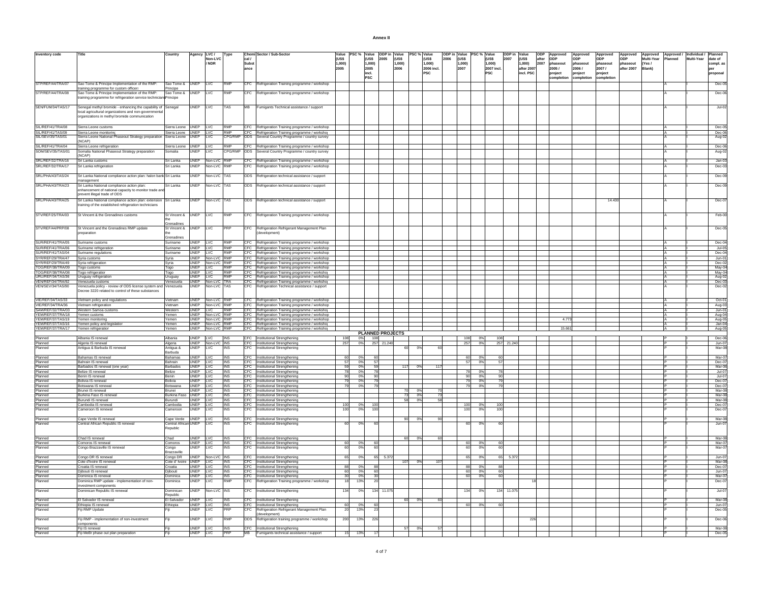| <b>Inventory code</b>                  | Title                                                                           | Country                        | Agency LVC /         |                                      | Type                     |                      | Chemi Sector / Sub-Sector                                                                          | Value          | PSC % Value | ODP in Value                   |                 |              | PSC % Value         | ODP in Value |                | PSC % Value |                    | ODP in Value |                      | lopp  | Approved          | Approved          | Approved          | Approved        | Approved        | Approved / | Individual / | Planned              |
|----------------------------------------|---------------------------------------------------------------------------------|--------------------------------|----------------------|--------------------------------------|--------------------------|----------------------|----------------------------------------------------------------------------------------------------|----------------|-------------|--------------------------------|-----------------|--------------|---------------------|--------------|----------------|-------------|--------------------|--------------|----------------------|-------|-------------------|-------------------|-------------------|-----------------|-----------------|------------|--------------|----------------------|
|                                        |                                                                                 |                                |                      | Non-LVC<br>/ NDR                     |                          | cal /                |                                                                                                    | (US\$          |             | (US\$<br>2005                  | (US\$           |              | (US\$               | 2006         | (US\$          |             | (US\$              | 2007         | $($ US\$             | after | ODP               | ODP               | ODP               | ODP<br>phaseout | Multi-Year      | Planned    | Multi-Year   | date of              |
|                                        |                                                                                 |                                |                      |                                      |                          | <b>Subst</b><br>ance |                                                                                                    | 1,000)<br>2005 |             | 1,000)<br>2005                 | 1,000<br>2006   |              | 1,000<br>2006 incl. |              | 1,000)<br>2007 |             | 1,000)<br>2007 inc |              | 1,000)<br>after 2007 | 2007  | phaseout<br>2005/ | phaseout<br>2006/ | phaseout<br>2007/ | after 2007      | (Yes/<br>Blank) |            |              | compl. as<br>per     |
|                                        |                                                                                 |                                |                      |                                      |                          |                      |                                                                                                    |                |             | incl.                          |                 |              | PSC                 |              |                |             | PSC                |              | incl. PSC            |       | project           | project           | project           |                 |                 |            |              | proposal             |
|                                        |                                                                                 |                                |                      |                                      |                          |                      |                                                                                                    |                |             | <b>PSC</b>                     |                 |              |                     |              |                |             |                    |              |                      |       | completion        | completion        | :ompletio         |                 |                 |            |              |                      |
| STP/REF/44/TRA/07                      | Sao Tome & Principe Implementation of the RMP:                                  | Sao Tome & UNEP                |                      | <b>LVC</b>                           | <b>RMP</b>               |                      | CFC Refrigeration Training programme / workshop                                                    |                |             |                                |                 |              |                     |              |                |             |                    |              |                      |       |                   |                   |                   |                 |                 |            |              | $Dec-05$             |
|                                        | raining programme for custom officers                                           | Principe<br>Sao Tome &         |                      |                                      |                          |                      |                                                                                                    |                |             |                                |                 |              |                     |              |                |             |                    |              |                      |       |                   |                   |                   |                 |                 |            |              |                      |
| STP/REF/44/TRA/08                      | Sao Tome & Principe Implementation of the RMP:                                  |                                | UNEP                 | LVC                                  | RMP                      | CFC                  | Refrigeration Training programme / workshop                                                        |                |             |                                |                 |              |                     |              |                |             |                    |              |                      |       |                   |                   |                   |                 |                 |            |              | Dec-06               |
|                                        | training programme for refrigeration service techniciar                         | rincipe                        |                      |                                      |                          |                      |                                                                                                    |                |             |                                |                 |              |                     |              |                |             |                    |              |                      |       |                   |                   |                   |                 |                 |            |              |                      |
| SEN/FUM/34/TAS/17                      | Senegal methyl bromide - enhancing the capability of Senegal                    |                                | <b>UNEP</b>          | <b>LVC</b>                           | <b>TAS</b>               | <b>MB</b>            | Fumigants Technical assistance / support                                                           |                |             |                                |                 |              |                     |              |                |             |                    |              |                      |       |                   |                   |                   |                 |                 |            |              | $Jul-02$             |
|                                        | local agricultural organizations and non-governmental                           |                                |                      |                                      |                          |                      |                                                                                                    |                |             |                                |                 |              |                     |              |                |             |                    |              |                      |       |                   |                   |                   |                 |                 |            |              |                      |
|                                        | organizations in methyl bromide communication                                   |                                |                      |                                      |                          |                      |                                                                                                    |                |             |                                |                 |              |                     |              |                |             |                    |              |                      |       |                   |                   |                   |                 |                 |            |              |                      |
|                                        |                                                                                 |                                |                      |                                      |                          |                      |                                                                                                    |                |             |                                |                 |              |                     |              |                |             |                    |              |                      |       |                   |                   |                   |                 |                 |            |              |                      |
| SIL/REF/41/TRA/08                      | Sierra Leone customs                                                            | Sierra Leone UNEP LVC          |                      |                                      | RMP                      |                      | CFC Refrigeration Training programme / workshop                                                    |                |             |                                |                 |              |                     |              |                |             |                    |              |                      |       |                   |                   |                   |                 |                 |            |              | Dec-05               |
| SIL/REF/41/TAS/09                      | Sierra Leone monitoring                                                         | Sierra Leone UNEP LVC          |                      |                                      | RMP                      |                      | CFC Refrigeration Training programme / workshop                                                    |                |             |                                |                 |              |                     |              |                |             |                    |              |                      |       |                   |                   |                   |                 |                 |            |              | Dec-06               |
| SIL/SEV/35/TAS/01                      | Sierra Leone National Phaseout Strategy preparation Sierra Leone UNEP<br>(NCAP) |                                |                      | LVC                                  | CPG/RM                   |                      | ODS Several Country Programme / country survey                                                     |                |             |                                |                 |              |                     |              |                |             |                    |              |                      |       |                   |                   |                   |                 |                 |            |              | Aug-02               |
| SIL/REF/41/TRA/04                      | Sierra Leone refrigeration                                                      | Sierra Leone UNEP LVC          |                      |                                      | <b>RMP</b>               |                      | CFC Refrigeration Training programme / workshop                                                    |                |             |                                |                 |              |                     |              |                |             |                    |              |                      |       |                   |                   |                   |                 |                 |            |              | Dec-06               |
| SOM/SEV/35/TAS/01                      | Somalia National Phaseout Strategy preparation                                  | Somalia                        | <b>UNEP</b>          | LVC                                  | CPG/RMP                  |                      | ODS Several Country Programme / country survey                                                     |                |             |                                |                 |              |                     |              |                |             |                    |              |                      |       |                   |                   |                   |                 |                 |            |              | Aug-02               |
|                                        | (NCAP)                                                                          |                                |                      |                                      |                          |                      |                                                                                                    |                |             |                                |                 |              |                     |              |                |             |                    |              |                      |       |                   |                   |                   |                 |                 |            |              |                      |
| SRL/REF/32/TRA/16                      | Sri Lanka customs                                                               | Sri Lanka                      | <b>UNEP</b>          | Non-LVC RMP                          |                          |                      | CFC Refrigeration Training programme / workshop                                                    |                |             |                                |                 |              |                     |              |                |             |                    |              |                      |       |                   |                   |                   |                 |                 |            |              | $Jan-03$             |
| SRL/REF/32/TRA/17                      | Sri Lanka refrigeration                                                         | Sri Lanka                      | <b>UNEP</b>          | Non-LVC                              | <b>RMP</b>               | CFC                  | Refrigeration Training programme / workshop                                                        |                |             |                                |                 |              |                     |              |                |             |                    |              |                      |       |                   |                   |                   |                 |                 |            |              | Dec-03               |
|                                        |                                                                                 |                                |                      |                                      |                          |                      |                                                                                                    |                |             |                                |                 |              |                     |              |                |             |                    |              |                      |       |                   |                   |                   |                 |                 |            |              |                      |
| SRL/PHA/43/TAS/24                      | Sri Lanka National compliance action plan: halon bank Sri Lanka<br>anagement    |                                | UNEP                 | Non-LVC TAS                          |                          |                      | ODS Refrigeration technical assistance / support                                                   |                |             |                                |                 |              |                     |              |                |             |                    |              |                      |       |                   |                   |                   |                 |                 |            |              | Dec-09               |
| SRL/PHA/43/TRA/23                      | Sri Lanka National compliance action plan:                                      | Sri Lanka                      | <b>UNEF</b>          | Non-LVC TAS                          |                          | <b>ODS</b>           | Refrigeration technical assistance / support                                                       |                |             |                                |                 |              |                     |              |                |             |                    |              |                      |       |                   |                   |                   |                 |                 |            |              | Dec-09               |
|                                        | enhancement of national capacity to monitor trade ar                            |                                |                      |                                      |                          |                      |                                                                                                    |                |             |                                |                 |              |                     |              |                |             |                    |              |                      |       |                   |                   |                   |                 |                 |            |              |                      |
|                                        | prevent illegal trade of ODS                                                    |                                |                      |                                      |                          |                      |                                                                                                    |                |             |                                |                 |              |                     |              |                |             |                    |              |                      |       |                   |                   |                   |                 |                 |            |              |                      |
| SRL/PHA/43/TRA/25                      | Sri Lanka National compliance action plan: extension                            | Sri Lanka                      | <b>UNEP</b>          | Non-LVC TAS                          |                          |                      | ODS Refrigeration technical assistance / support                                                   |                |             |                                |                 |              |                     |              |                |             |                    |              |                      |       |                   |                   | 14,430            |                 |                 |            |              | $Dec-07$             |
|                                        | training of the established refrigeration technicians                           |                                |                      |                                      |                          |                      |                                                                                                    |                |             |                                |                 |              |                     |              |                |             |                    |              |                      |       |                   |                   |                   |                 |                 |            |              |                      |
|                                        |                                                                                 |                                |                      |                                      |                          |                      |                                                                                                    |                |             |                                |                 |              |                     |              |                |             |                    |              |                      |       |                   |                   |                   |                 |                 |            |              |                      |
| STV/REF/25/TRA/03                      | St Vincent & the Grenadines customs                                             | St Vincent & UNEP              |                      | LVC                                  | RMP                      | CFC.                 | Refrigeration Training programme / workshop                                                        |                |             |                                |                 |              |                     |              |                |             |                    |              |                      |       |                   |                   |                   |                 |                 |            |              | Feb-00               |
|                                        |                                                                                 | Grenadine                      |                      |                                      |                          |                      |                                                                                                    |                |             |                                |                 |              |                     |              |                |             |                    |              |                      |       |                   |                   |                   |                 |                 |            |              |                      |
| STV/REF/44/PRP/08                      | St Vincent and the Grenadines RMP update                                        | St Vincent &                   | <b>UNEP</b>          | <b>LVC</b>                           | PRP                      |                      | CFC Refrigeration Refrigerant Management Plan                                                      |                |             |                                |                 |              |                     |              |                |             |                    |              |                      |       |                   |                   |                   |                 |                 |            |              | Dec-05               |
|                                        | preparation                                                                     |                                |                      |                                      |                          |                      | (development)                                                                                      |                |             |                                |                 |              |                     |              |                |             |                    |              |                      |       |                   |                   |                   |                 |                 |            |              |                      |
|                                        |                                                                                 | Grenadines                     |                      |                                      |                          |                      |                                                                                                    |                |             |                                |                 |              |                     |              |                |             |                    |              |                      |       |                   |                   |                   |                 |                 |            |              |                      |
| SUR/REF/41/TRA/05                      | Suriname customs                                                                | Suriname                       | UNEP LVC             |                                      | <b>RMP</b>               |                      | CFC Refrigeration Training programme / workshop                                                    |                |             |                                |                 |              |                     |              |                |             |                    |              |                      |       |                   |                   |                   |                 |                 |            |              | Dec-04               |
| SUR/REF/41/TRA/06                      | Suriname refrigeration                                                          | Suriname                       | UNEP LVC             |                                      | RMP                      |                      | CFC Refrigeration Training programme / workshop                                                    |                |             |                                |                 |              |                     |              |                |             |                    |              |                      |       |                   |                   |                   |                 |                 |            |              | Jul-05               |
| SUR/REF/41/TAS/04                      | Suriname regulations                                                            | Suriname                       | UNEP LVC             |                                      | <b>RMP</b>               |                      | CFC Refrigeration Training programme / workshop                                                    |                |             |                                |                 |              |                     |              |                |             |                    |              |                      |       |                   |                   |                   |                 |                 |            |              | Dec-04               |
| SYR/REF/29/TRA/47                      | Syria customs                                                                   | Syria                          |                      | UNEP Non-LVC RMP                     |                          |                      | CFC Refrigeration Training programme / workshop                                                    |                |             |                                |                 |              |                     |              |                |             |                    |              |                      |       |                   |                   |                   |                 |                 |            |              | $Jun-01$             |
| SYR/REF/29/TRA/49                      | Syria refrigeration                                                             | Syria                          |                      | UNEP Non-LVC RMP                     | <b>RMP</b>               |                      | CFC Refrigeration Training programme / workshop                                                    |                |             |                                |                 |              |                     |              |                |             |                    |              |                      |       |                   |                   |                   |                 |                 |            |              | Dec-02               |
| TOG/REF/38/TRA/09<br>TOG/REF/38/TRA/08 | Togo customs                                                                    | Togo                           | UNEP LVC<br>UNEP LVC |                                      | RMP                      |                      | CFC Refrigeration Training programme / workshop<br>CFC Refrigeration Training programme / workshop |                |             |                                |                 |              |                     |              |                |             |                    |              |                      |       |                   |                   |                   |                 |                 |            |              | May-04<br>May-04     |
| URU/REE/34/TAS/36                      | Togo refrigeration<br>Uruguay refrigeration                                     | Togo<br>Uruguay                | UNEP IVC             |                                      | RMP                      |                      | CFC Refrigeration Training programme / workshop                                                    |                |             |                                |                 |              |                     |              |                |             |                    |              |                      |       |                   |                   |                   |                 |                 |            |              | Aug-02               |
| VEN/REE/34/TRA/92                      | Venezuela customs                                                               | Venezuela                      |                      | UNEP Non-LVC TRA                     |                          |                      | CFC Refrigeration Training programme / workshop                                                    |                |             |                                |                 |              |                     |              |                |             |                    |              |                      |       |                   |                   |                   |                 |                 |            |              | $Dec-03$             |
| VEN/SEV/34/TAS/90                      | Venezuela policy - review of ODS license system and Venezuela                   |                                | <b>UNEP</b>          | Non-LVC TAS                          |                          | CFC.                 | Refrigeration Technical assistance / support                                                       |                |             |                                |                 |              |                     |              |                |             |                    |              |                      |       |                   |                   |                   |                 |                 |            |              | Dec-02               |
|                                        | Decree 3220 related to control of these substances                              |                                |                      |                                      |                          |                      |                                                                                                    |                |             |                                |                 |              |                     |              |                |             |                    |              |                      |       |                   |                   |                   |                 |                 |            |              |                      |
| <b>VIE/REF/34/TAS/33</b>               |                                                                                 |                                |                      |                                      |                          |                      |                                                                                                    |                |             |                                |                 |              |                     |              |                |             |                    |              |                      |       |                   |                   |                   |                 |                 |            |              |                      |
| VIE/REF/34/TRA/36                      | Vietnam policy and regulations<br>Vietnam refrigeration                         | Vietnam<br>Vietnam             |                      | UNEP Non-LVC RMP<br>UNEP Non-LVC RMP |                          |                      | CFC Refrigeration Training programme / workshop<br>CFC Refrigeration Training programme / workshop |                |             |                                |                 |              |                     |              |                |             |                    |              |                      |       |                   |                   |                   |                 |                 |            |              | Oct-01<br>Aug-03     |
| SAM/REF/32/TRA/03                      | Western Samoa customs                                                           | Western                        | UNEP LVC             |                                      | <b>RMP</b>               |                      | CFC Refrigeration Training programme / workshor                                                    |                |             |                                |                 |              |                     |              |                |             |                    |              |                      |       |                   |                   |                   |                 |                 |            |              | $Jun-01$             |
| YEM/REF/37/TRA/18                      | Yemen customs                                                                   | Yemen                          |                      | UNEP Non-LVC RMP                     |                          |                      | CFC Refrigeration Training programme / workshop                                                    |                |             |                                |                 |              |                     |              |                |             |                    |              |                      |       |                   |                   |                   |                 |                 |            |              | Aug-04               |
| YEM/REF/37/TAS/19                      | Yemen monitoring                                                                | Yemen                          |                      | UNEP Non-LVC RMP                     |                          |                      | CFC Refrigeration Training programme / workshop                                                    |                |             |                                |                 |              |                     |              |                |             |                    |              |                      |       | 4.773             |                   |                   |                 |                 |            |              | Aug-05               |
| YEM/REF/37/TAS/16                      | Yemen policy and legislation                                                    | Yemen                          |                      | UNEP Non-LVC RMP                     |                          |                      | CFC Refrigeration Training programme / workshop                                                    |                |             |                                |                 |              |                     |              |                |             |                    |              |                      |       |                   |                   |                   |                 |                 |            |              | Jan-04               |
| YEM/REF/37/TRA/17                      | Yemen refrigeration                                                             | Yemen                          |                      | UNEP Non-LVC RMP                     |                          |                      | CFC Refrigeration Training programme / workshop                                                    |                |             |                                |                 |              |                     |              |                |             |                    |              |                      |       | 15.661            |                   |                   |                 |                 |            |              | Aug-05               |
| Planned                                | Albania IS renewal                                                              | Alhania                        | UNEP IVC             |                                      | <b>INS</b>               |                      | CFC Institutional Strengthening                                                                    | 108            | - 0%        | <b>PLANNED PROJECTS</b><br>108 |                 |              |                     |              | 108            | - 0%        | 108                |              |                      |       |                   |                   |                   |                 |                 |            |              | Dec-06               |
| Planned                                | Algeria IS renewal                                                              | Algeria                        |                      | UNEP Non-LVC INS                     |                          |                      | CFC Institutional Strengthening                                                                    | 257            | 0%          | 257 21.240                     |                 |              |                     |              | 257            | 0%          |                    | 257 21.240   |                      |       |                   |                   |                   |                 |                 |            |              | Jun-07               |
| Planned                                | Antigua & Barbuda IS renewal                                                    | Antigua &                      | <b>UNEP</b>          | LVC                                  | <b>INS</b>               | <b>CFC</b>           | Institutional Strengthening                                                                        |                |             |                                | 60              | n°           |                     |              |                |             |                    |              |                      |       |                   |                   |                   |                 |                 |            |              | Mar-08               |
|                                        |                                                                                 | Barbuda                        |                      |                                      |                          |                      |                                                                                                    |                |             |                                |                 |              |                     |              |                |             |                    |              |                      |       |                   |                   |                   |                 |                 |            |              |                      |
| Planned                                | Bahamas IS renewal                                                              | Bahamas                        | UNEP LVC             |                                      | <b>INS</b>               |                      | CFC Institutional Strengthening                                                                    | 60             | 0%          | 60                             |                 |              |                     |              | 60             | 0%          | 60                 |              |                      |       |                   |                   |                   |                 |                 |            |              | Mar-07               |
| Planned                                | Bahrain IS renewal                                                              | Bahrain                        | UNEP LVC             |                                      | INS                      |                      | CFC Institutional Strengthening                                                                    | 57             | 0%          | 57<br>59                       |                 |              |                     |              | -57            | 0%          |                    |              |                      |       |                   |                   |                   |                 |                 |            |              | Dec-07<br>Mar-06     |
| Planned<br>Planned                     | Barbados IS renewal (one year)<br>Belize IS renewal                             | Barbados<br>Belize             | UNEP LVC<br>UNEP LVC |                                      | <b>INS</b><br><b>INS</b> |                      | CFC Institutional Strengthening<br>CFC Institutional Strengthening                                 | 59<br>78       | 0%<br>0%    | 78                             | 117             | 0%           | 117                 |              |                | $\sqrt{0}$  |                    |              |                      |       |                   |                   |                   |                 |                 |            |              | Jul-07               |
| Planned                                | Benin IS renewal                                                                | Benin                          | UNEP LVC             |                                      | <b>INS</b>               |                      | CFC Institutional Strengthening                                                                    | 90             | 0%          | 90                             |                 |              |                     |              | 90             | 0%          |                    |              |                      |       |                   |                   |                   |                 |                 |            |              | $Jul-07$             |
| Planned                                | Bolivia IS renewal                                                              | Bolivia                        | UNEP LVC             |                                      | <b>INS</b>               |                      | CFC Institutional Strengthening                                                                    | 79             | 0%          | 79                             |                 |              |                     |              |                | 0%          |                    |              |                      |       |                   |                   |                   |                 |                 |            |              | Dec-07               |
| Planned                                | Botswana IS renewa                                                              | Botswana                       | UNEP LVC             |                                      | INS                      |                      | CFC Institutional Strengthening                                                                    | 79             | 0%          | 79                             |                 |              |                     |              |                | 0%          |                    |              |                      |       |                   |                   |                   |                 |                 |            |              | Dec-07               |
| Planned                                | Brunei IS renewal                                                               | Brunei                         | UNEP LVC             |                                      | <b>INS</b>               |                      | CFC Institutional Strengthening                                                                    |                |             |                                |                 | 70<br>0%     |                     |              |                |             |                    |              |                      |       |                   |                   |                   |                 |                 |            |              | Mar-08               |
| Planned<br>Planned                     | Burkina Faso IS renewal<br><b>Burundi IS renewal</b>                            | <b>Burkina Fasc</b><br>Burundi | UNEP IVC<br>UNEP IVC |                                      | <b>INS</b><br><b>INS</b> |                      | CFC Institutional Strengthening                                                                    |                |             |                                | $\frac{73}{58}$ | 0%<br>$-0\%$ | 73<br>58            |              |                |             |                    |              |                      |       |                   |                   |                   |                 |                 |            |              | $Mar-08$<br>$Mar-08$ |
| Planned                                | Cambodia IS renewal                                                             | Cambodia                       | UNEP IVC             |                                      | <b>INS</b>               |                      | CFC Institutional Strengthening<br>CFC Institutional Strengthening                                 | 100            | 0%          | 100                            |                 |              |                     |              | 100            | -0%         | 100                |              |                      |       |                   |                   |                   |                 |                 |            |              | $Dec-07$             |
| Planned                                | Cameroon IS renewal                                                             | Cameroon                       | <b>UNEP</b>          | LVC                                  | <b>INS</b>               | CFC                  | Institutional Strengthening                                                                        | 100            | 0%          | 100                            |                 |              |                     |              | 10             | 0%          | 10                 |              |                      |       |                   |                   |                   |                 |                 |            |              | Dec-07               |
|                                        |                                                                                 |                                |                      |                                      |                          |                      |                                                                                                    |                |             |                                |                 |              |                     |              |                |             |                    |              |                      |       |                   |                   |                   |                 |                 |            |              |                      |
| Planned                                | Cape Verde IS renewal                                                           | Cape Verde UNEP LVC            |                      |                                      | <b>INS</b>               |                      | CFC Institutional Strengthening                                                                    |                |             |                                |                 | 90 0%        | 90                  |              |                |             |                    |              |                      |       |                   |                   |                   |                 |                 |            |              | Mar-08               |
| Planned                                | Central African Republic IS renewal                                             | Central African UNEP           |                      | <b>LVC</b>                           | <b>INS</b>               | CFC.                 | Institutional Strengthening                                                                        | 60             | 0%          | 60                             |                 |              |                     |              | 60             | 0%          |                    |              |                      |       |                   |                   |                   |                 |                 |            |              | Jun-07               |
|                                        |                                                                                 | epublic                        |                      |                                      |                          |                      |                                                                                                    |                |             |                                |                 |              |                     |              |                |             |                    |              |                      |       |                   |                   |                   |                 |                 |            |              |                      |
| Planned                                | Chad IS renewal                                                                 | Chad                           | UNEP LVC             |                                      | <b>INS</b>               |                      | CFC Institutional Strengthening                                                                    |                |             |                                |                 | 60 0%        | 60                  |              |                |             |                    |              |                      |       |                   |                   |                   |                 |                 |            |              | Mar-08               |
| Planned                                | Comoros IS renewal                                                              | Comoros                        | UNEP LVC             |                                      | INS                      |                      | CFC Institutional Strengthening                                                                    | 60             | 0%          | 60                             |                 |              |                     |              | 60             | 0%          | 60                 |              |                      |       |                   |                   |                   |                 |                 |            |              | Mar-07               |
| Planned                                | Congo Brazzaville IS renewal                                                    | Congo                          | UNEP                 | LVC                                  | <b>INS</b>               | CFC                  | Institutional Strengthening                                                                        | 60             | 0%          |                                |                 |              |                     |              | 6              | 09          |                    |              |                      |       |                   |                   |                   |                 |                 |            |              | Mar-07               |
|                                        |                                                                                 | Brazzaville                    |                      |                                      |                          |                      |                                                                                                    |                |             |                                |                 |              |                     |              |                |             |                    |              |                      |       |                   |                   |                   |                 |                 |            |              |                      |
| Planned                                | Congo DR IS renewal                                                             | Congo DR                       |                      | UNEP Non-LVC INS                     |                          |                      | CFC Institutional Strengthening                                                                    | 65             | 0%          | 65 5.372                       |                 |              |                     |              |                | 0%          |                    | 5.372        |                      |       |                   |                   |                   |                 |                 |            |              | $Jun-07$             |
| Planned                                | Cote d'Ivoire IS renewal                                                        | Cote d' Ivoire                 |                      | UNEP LVC                             | INS                      |                      | CFC Institutional Strengthening                                                                    |                |             |                                | 107             | 0%           | 107                 |              |                |             |                    |              |                      |       |                   |                   |                   |                 |                 |            |              | Mar-08               |
| Planned                                | Croatia IS renewal                                                              | Croatia                        | UNEP LVC<br>UNEP LVC |                                      | INS<br><b>INS</b>        |                      | CFC Institutional Strengthening                                                                    | 88<br>60       | 0%<br>0%    | 88                             |                 |              |                     |              | 60             | 0%<br>0%    |                    |              |                      |       |                   |                   |                   |                 |                 |            |              | Dec-07               |
| Planned<br>Planned                     | Djibouti IS renewal<br>Dominica IS renewal                                      | Djibouti<br>Dominica           | UNEP LVC             |                                      | <b>INS</b>               |                      | CFC Institutional Strengthening<br>CFC Institutional Strengthening                                 | 30             | 0% T        | 60<br>30                       |                 |              |                     |              | 60             | - 0%        | 60                 |              |                      |       |                   |                   |                   |                 |                 |            |              | Jun-07<br>$Mar-07$   |
| Planned                                | Dominica RMP update - implementation of non-                                    | Dominica                       | <b>UNFP</b>          | li vc                                | <b>RMP</b>               | CFC.                 | Refrigeration Training programme / workshop                                                        | 18             | 13%         | 20                             |                 |              |                     |              |                |             |                    |              |                      |       |                   |                   |                   |                 |                 |            |              | Dec-07               |
|                                        | investment components                                                           |                                |                      |                                      |                          |                      |                                                                                                    |                |             |                                |                 |              |                     |              |                |             |                    |              |                      |       |                   |                   |                   |                 |                 |            |              |                      |
| Planned                                | Dominican Republic IS renewal                                                   | Dominican                      | <b>UNEP</b>          | Non-LVC INS                          |                          |                      | CFC Institutional Strengthening                                                                    | 134            | 0%          | 134 11.075                     |                 |              |                     |              | 134            | 0%          | 134                | 11.075       |                      |       |                   |                   |                   |                 |                 |            |              | Jul-07               |
|                                        |                                                                                 | Republic                       |                      |                                      |                          |                      |                                                                                                    |                |             |                                |                 |              |                     |              |                |             |                    |              |                      |       |                   |                   |                   |                 |                 |            |              |                      |
| Planned                                | El Salvador IS renewal                                                          | El Salvador                    | UNEP LVC<br>UNEP LVC |                                      | <b>INS</b>               |                      | CFC Institutional Strengthening                                                                    |                |             |                                |                 | 60 0%        | 60                  |              |                |             |                    |              |                      |       |                   |                   |                   |                 |                 |            |              | Mar-08               |
| Planned<br>Planned                     | Ethiopia IS renewal<br>Fiji RMP Update                                          | Ethiopia                       | UNEF                 | LVC                                  | <b>INS</b>               | CFC                  | CFC Institutional Strengthening<br>Refrigeration Refrigerant Management Plan                       | 60<br>20       | 0%<br>13%   | 60                             |                 |              |                     |              | -60            | 0%          |                    |              |                      |       |                   |                   |                   |                 |                 |            |              | Jun-07<br>Dec-05     |
|                                        |                                                                                 |                                |                      |                                      |                          |                      | (development)                                                                                      |                |             |                                |                 |              |                     |              |                |             |                    |              |                      |       |                   |                   |                   |                 |                 |            |              |                      |
| Planned                                | Fiji RMP - implementation of non-investment                                     |                                | <b>UNEP</b>          | LVC                                  | <b>RMP</b>               | ODS                  | Refrigeration training programme / workshop                                                        | 200            | 13%         | 226                            |                 |              |                     |              |                |             |                    |              | 226                  |       |                   |                   |                   |                 |                 |            |              | Dec-06               |
|                                        | components                                                                      |                                |                      |                                      |                          |                      |                                                                                                    |                |             |                                |                 |              |                     |              |                |             |                    |              |                      |       |                   |                   |                   |                 |                 |            |              |                      |
| Planned                                | Fiji IS renewal                                                                 | Fiji                           | UNEP LVC             |                                      | <b>INS</b>               |                      | CFC Institutional Strengthening                                                                    |                |             |                                | 57              | 0%           |                     |              |                |             |                    |              |                      |       |                   |                   |                   |                 |                 |            |              | Mar-08               |
| Planned                                | Fiji MeBr phase out plan preparation                                            | Fiji                           | UNEP LVC             |                                      | <b>PRP</b>               | MB                   | Fumigants technical assistance / support                                                           | 15             | 13%         | 17                             |                 |              |                     |              |                |             |                    |              |                      |       |                   |                   |                   |                 |                 |            |              | Dec-05               |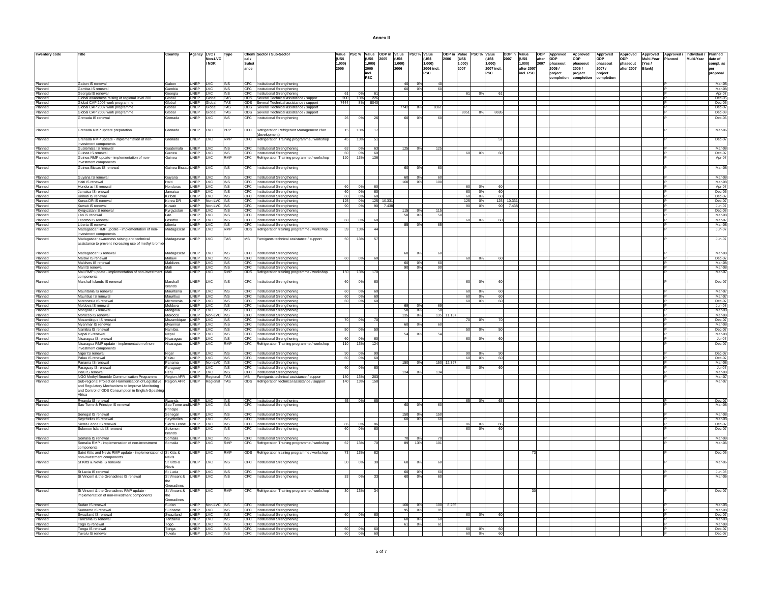| Annex II |  |
|----------|--|
|          |  |

| <b>Inventory code</b> | Title                                                                                              | Country                                    | Agency LVC/             |                   | Type                     |                       | Chemi Sector / Sub-Sector                                                                             | Value           |            | PSC % Value ODP in Value      |                 | PSC % Value |                 |            |                    | ODP in Value PSC % Value | ODP in Value | ODP                             | Approved        | Approved   | Approved              | Approved   |                     | Approved Approved / Individual / Planned |            |                   |
|-----------------------|----------------------------------------------------------------------------------------------------|--------------------------------------------|-------------------------|-------------------|--------------------------|-----------------------|-------------------------------------------------------------------------------------------------------|-----------------|------------|-------------------------------|-----------------|-------------|-----------------|------------|--------------------|--------------------------|--------------|---------------------------------|-----------------|------------|-----------------------|------------|---------------------|------------------------------------------|------------|-------------------|
|                       |                                                                                                    |                                            |                         | Non-LVC<br>/ NDR  |                          | cal /<br><b>Subst</b> |                                                                                                       | (US\$<br>1,000) |            | <b>(USS</b><br>2005<br>1,000) | (US\$<br>1,000) |             | (US\$<br>1,000) | 2006       | $($ US\$<br>1,000) | (US\$<br>1,000)          | 2007         | (US\$<br>after<br>1,000<br>2007 | ODP<br>phaseout | phaseout   | <b>ODP</b><br>phaseou | phaseout   | Multi-Year<br>(Yes/ | Planned                                  | Multi-Year | date of           |
|                       |                                                                                                    |                                            |                         |                   |                          | ance                  |                                                                                                       | 2005            |            | 2005                          | 2006            |             | 2006 incl.      |            | 2007               | 2007 incl.               |              | after 2007                      | 2005/           | 2006/      | 2007/                 | after 2007 | Blank)              |                                          |            | compl. as         |
|                       |                                                                                                    |                                            |                         |                   |                          |                       |                                                                                                       |                 |            | incl.                         |                 |             | <b>PSC</b>      |            |                    | <b>PSC</b>               |              | incl. PSC                       | roject          | roject     | project               |            |                     |                                          |            | proposal          |
|                       |                                                                                                    |                                            |                         |                   |                          |                       |                                                                                                       |                 |            | <b>IPSC</b>                   |                 |             |                 |            |                    |                          |              |                                 | completion      | completion | ompletion             |            |                     |                                          |            |                   |
| Planned               | Gabon IS renewal                                                                                   | Gabon                                      | UNEP LVC                |                   | <b>INS</b>               |                       | CFC Institutional Strengthening                                                                       |                 |            |                               | 40              | 0%          |                 |            |                    |                          |              |                                 |                 |            |                       |            |                     |                                          |            | Mar-0             |
| Planned               | Gambia IS renewal                                                                                  | Gambia                                     | UNEP LVC                |                   | INS                      |                       | CFC Institutional Strengthening                                                                       |                 |            |                               | 60              | 0%          | 60              |            |                    |                          |              |                                 |                 |            |                       |            |                     |                                          |            | Mar-0             |
| Planned<br>Planned    | Georgia IS renewal                                                                                 | Georgia<br>Global                          | UNEP LVC                | UNEP Global       | <b>INS</b><br><b>TAS</b> |                       | CFC Institutional Strengthening<br>ODS Several Technical assistance / suppor                          | 61<br>200       | 0%<br>13%  | 61<br>22(                     |                 |             |                 |            | 61                 | 0%<br>61                 |              |                                 |                 |            |                       |            |                     |                                          |            | Apr-0<br>$Dec-0$  |
| Planned               | Global awareness raising at regional level 200<br>Global CAP 2006 work programme                   | Global                                     |                         | UNEP Global TAS   |                          |                       | ODS Several Technical assistance / support                                                            | 7444            |            | 8% 8040                       |                 |             |                 |            |                    |                          |              |                                 |                 |            |                       |            |                     |                                          |            | Dec-06            |
| Planned               | Global CAP 2007 work programme                                                                     | Global                                     |                         | UNEP Global       | <b>TAS</b>               |                       | ODS Several Technical assistance / support                                                            |                 |            |                               | 7742            | 8%          | 836             |            |                    |                          |              |                                 |                 |            |                       |            |                     |                                          |            | Dec-0             |
| Planned               | Global CAP 2008 work programme                                                                     | Global                                     | UNEP Global             |                   | <b>TAS</b>               |                       | ODS Several Technical assistance / support                                                            |                 |            |                               |                 |             |                 |            | 8051               | 8%<br>8695               |              |                                 |                 |            |                       |            |                     |                                          |            | Dec-0             |
| Planned               | Grenada IS renewal                                                                                 | Grenada                                    | UNEP                    | <b>LVC</b>        | <b>INS</b>               |                       | CFC Institutional Strengthening                                                                       | 26              | 0%         |                               | 60              | 0%          |                 |            |                    |                          |              |                                 |                 |            |                       |            |                     |                                          |            | Dec-0             |
|                       |                                                                                                    |                                            |                         |                   |                          |                       |                                                                                                       |                 |            |                               |                 |             |                 |            |                    |                          |              |                                 |                 |            |                       |            |                     |                                          |            |                   |
| Planned               | Grenada RMP update preparation                                                                     | Grenada                                    | <b>UNEP</b>             | <b>LVC</b>        | PRP                      |                       | CFC Refrigeration Refrigerant Management Plan                                                         | 15              | 13%        |                               |                 |             |                 |            |                    |                          |              |                                 |                 |            |                       |            |                     |                                          |            | Mar-06            |
| Planned               | Grenada RMP update - implementation of non-                                                        | Grenada                                    | UNEP                    | <b>LVC</b>        | <b>RMP</b>               | CFC.                  | (development)                                                                                         | 45              | 13%        |                               |                 |             |                 |            |                    |                          |              |                                 |                 |            |                       |            |                     |                                          |            | Dec-07            |
|                       | nvestment components                                                                               |                                            |                         |                   |                          |                       | Refrigeration Training programme / workshop                                                           |                 |            |                               |                 |             |                 |            |                    |                          |              |                                 |                 |            |                       |            |                     |                                          |            |                   |
| Planned               | Guatemala IS renewal                                                                               | Guatemala                                  | <b>UNEP</b>             | LVC               | <b>INS</b>               |                       | CFC Institutional Strengthening                                                                       | 63              | 0%         |                               | 125             | 0%          | 125             |            |                    |                          |              |                                 |                 |            |                       |            |                     |                                          |            | Mar-08            |
| Planned<br>Planned    | Guinea IS renewal                                                                                  | Guinea                                     | UNEP LVC                |                   | INS                      |                       | CFC Institutional Strengthening                                                                       | 60              | 0%         | 60                            |                 |             |                 |            | 60                 | $0\%$<br>60              |              |                                 |                 |            |                       |            |                     |                                          |            | $Dec-0$           |
|                       | Guinea RMP update - implementation of non-<br>vestment components                                  | Guinea                                     | <b>UNEP</b>             | LVC               | RMF                      |                       | CFC Refrigeration Training programme / workshop                                                       | 120             | 13%        | 13                            |                 |             |                 |            |                    |                          |              |                                 |                 |            |                       |            |                     |                                          |            | Apr-0             |
| Planned               | Guinea Bissau IS renewal                                                                           | Guinea Bissau UNEP                         |                         | LVC               | <b>INS</b>               |                       | CFC Institutional Strengthening                                                                       |                 |            |                               | 60              | 0%          |                 |            |                    |                          |              |                                 |                 |            |                       |            |                     |                                          |            | Mar-08            |
|                       |                                                                                                    |                                            |                         |                   |                          |                       |                                                                                                       |                 |            |                               |                 |             |                 |            |                    |                          |              |                                 |                 |            |                       |            |                     |                                          |            |                   |
| Planned               | Guyana IS renewal                                                                                  | Guyana                                     | <b>UNEP</b>             | LVC               | <b>INS</b>               |                       | CFC Institutional Strengthening                                                                       |                 |            |                               | 60              | 0%          |                 |            |                    |                          |              |                                 |                 |            |                       |            |                     |                                          |            | Mar-08            |
| Planned               | Haiti IS renewal                                                                                   | Haiti                                      | UNEP LVC                |                   | INS                      |                       | CFC Institutional Strengthening                                                                       |                 |            |                               | 100             | 0%          | 100             |            |                    |                          |              |                                 |                 |            |                       |            |                     |                                          |            | Mar-08            |
| Planned<br>Planned    | Honduras IS renewal<br>Jamaica IS renewal                                                          | Honduras<br>Jamaica                        | <b>UNEP</b><br>UNEP LVC | <b>ILVC</b>       | INS<br><b>INS</b>        |                       | CFC Institutional Strengthening<br>CFC Institutional Strengthening                                    | 60<br>60        | 0%<br>0%   | 60                            |                 |             |                 |            | 60<br>60           | 0%<br>60<br>0%<br>60     |              |                                 |                 |            |                       |            |                     |                                          |            | Apr-0<br>Dec-06   |
| Planned               | Kiribati IS renewal                                                                                | Kiribati                                   | UNEP LVC                |                   | IN <sub>S</sub>          |                       | CFC Institutional Strengthening                                                                       | 60              | 0%         | - Rí                          |                 |             |                 |            | 60                 | - 0%<br>60               |              |                                 |                 |            |                       |            |                     |                                          |            | Dec-0             |
| Planned               | Korea DR IS renewal                                                                                | Korea DR                                   |                         | UNEP Non-LVC INS  |                          |                       | CFC Institutional Strengthening                                                                       | 125             | 0%         | 125 10.33                     |                 |             |                 |            | 125                | - 0%                     | 125 10.331   |                                 |                 |            |                       |            |                     |                                          |            | Dec-0             |
| Planned               | Kuwait IS renewal                                                                                  | Kuwait                                     |                         | UNEP Non-LVC INS  |                          |                       | CFC Institutional Strengthening                                                                       | 90              | 0%         | 90<br>7.43                    |                 |             |                 |            | 90                 | $_{0\%}$                 | 90 7.438     |                                 |                 |            |                       |            |                     |                                          |            | $Jun-0$           |
| Planned               | Kyrgyzstan IS renewal                                                                              | Kyrgyzstan                                 | UNEP IVC                |                   | INS                      |                       | CFC Institutional Strengthening                                                                       |                 |            |                               | 115             | - 0%        | 115             |            |                    |                          |              |                                 |                 |            |                       |            |                     |                                          |            | $Dec-0$<br>Mar-08 |
| Planned<br>Planned    | Lao IS renewal<br>Lesotho IS renewal                                                               | Lao<br>Lesotho                             | UNEP LVC<br>UNEP LVC    |                   | <b>INS</b><br>INS        |                       | CFC Institutional Strengthening<br>CFC Institutional Strengthening                                    | 60              | 0%         | 60                            | 50              | 0%          | 50              |            | 60                 | 0%<br>60                 |              |                                 |                 |            |                       |            |                     |                                          |            | Mar-0             |
| Planned               | Liberia IS renewal                                                                                 | l iheria                                   | UNEP LIVC               |                   | INS                      |                       | CFC Institutional Strengthening                                                                       |                 |            |                               | 85              | 0%          |                 |            |                    |                          |              |                                 |                 |            |                       |            |                     |                                          |            | Mar-08            |
| Planned               | Madagascar RMP update - implementation of non-                                                     | Madagascar                                 | <b>UNEP</b>             | LVC               | <b>RMP</b>               |                       | ODS Refrigeration training programme / workshop                                                       | 39              | 13%        |                               |                 |             |                 |            |                    |                          |              |                                 |                 |            |                       |            |                     |                                          |            | $Jun-0$           |
|                       | nvestment components                                                                               |                                            |                         |                   |                          |                       |                                                                                                       |                 |            |                               |                 |             |                 |            |                    |                          |              |                                 |                 |            |                       |            |                     |                                          |            |                   |
| Planned               | Madagascar awareness raising and technical<br>assistance to prevent increasing use of methyl bromi | Madagascar                                 | <b>UNEP</b>             | <b>LVC</b>        | TAS                      | MB                    | Fumigants technical assistance / support                                                              | 50              | 13%        |                               |                 |             |                 |            |                    |                          |              |                                 |                 |            |                       |            |                     |                                          |            | $Jun-07$          |
|                       |                                                                                                    |                                            |                         |                   |                          |                       |                                                                                                       |                 |            |                               |                 |             |                 |            |                    |                          |              |                                 |                 |            |                       |            |                     |                                          |            |                   |
| Planned               | Madagascar IS renewal                                                                              | Madagascar UNEP LVC                        |                         |                   | <b>INS</b>               |                       | CFC Institutional Strengthening                                                                       |                 |            |                               | 60              | 0%          |                 |            |                    |                          |              |                                 |                 |            |                       |            |                     |                                          |            | Mar-08            |
| Planned               | Malawi IS renewal                                                                                  | Malawi                                     | UNEP LVC                |                   | <b>INS</b>               |                       | CFC Institutional Strengthening                                                                       | 60              | 0%         |                               |                 |             |                 |            | 60                 | 0%<br>60                 |              |                                 |                 |            |                       |            |                     |                                          |            | Dec-0             |
| Planned               | Maldives IS renewal                                                                                | Maldives                                   | UNEP LVC                |                   | <b>INS</b>               |                       | CFC Institutional Strengthening                                                                       |                 |            |                               | 60              | 0%          |                 |            |                    |                          |              |                                 |                 |            |                       |            |                     |                                          |            | Mar-08            |
| Planned<br>Planned    | Mali IS renewal<br>Mali RMP update - implementation of non-investment Mali                         | Mali                                       | UNEP LVC<br>UNEP        | <b>LVC</b>        | <b>INS</b><br><b>RMF</b> |                       | CFC Institutional Strengthening                                                                       | 150             | 13%        |                               | 90              | 0%          |                 |            |                    |                          |              |                                 |                 |            |                       |            |                     |                                          |            | Mar-0<br>Mar-0    |
|                       | components                                                                                         |                                            |                         |                   |                          |                       | ODS Refrigeration training programme / workshop                                                       |                 |            |                               |                 |             |                 |            |                    |                          |              |                                 |                 |            |                       |            |                     |                                          |            |                   |
| Planned               | Marshall Islands IS renewal                                                                        | Marshall                                   | <b>UNEP</b>             | <b>LVC</b>        | <b>INS</b>               |                       | CFC Institutional Strengthening                                                                       | 60              | 0%         |                               |                 |             |                 |            | 60                 | O%                       |              |                                 |                 |            |                       |            |                     |                                          |            | Dec-07            |
|                       |                                                                                                    | Islands                                    |                         |                   |                          |                       |                                                                                                       |                 |            |                               |                 |             |                 |            |                    |                          |              |                                 |                 |            |                       |            |                     |                                          |            |                   |
| Planned               | Mauritania IS renewal                                                                              | Mauritania                                 | UNEP LVC                |                   | INS                      |                       | CFC Institutional Strengthening                                                                       | 60              | 0%         | 60                            |                 |             |                 |            | 60                 | 0%<br>60                 |              |                                 |                 |            |                       |            |                     |                                          |            | $Mar-07$          |
| Planned<br>Planned    | Mauritius IS renewal<br>Micronesia IS renewal                                                      | Mauritius<br>Micronesia                    | UNEP IVC<br>UNEP LVC    |                   | INS<br><b>INS</b>        |                       | CFC Institutional Strengthening<br>CFC Institutional Strengthening                                    | 60<br>60        | 0%<br>0%   | 60<br>60                      |                 |             |                 |            | 60<br>60           | 0%<br>60<br>- 0%<br>60   |              |                                 |                 |            |                       |            |                     |                                          |            | Mar-0<br>$Dec-0$  |
| Planned               | Moldova IS renewal                                                                                 | Moldova                                    | LINEP LVC               |                   | <b>INS</b>               |                       | CFC Institutional Strengthening                                                                       |                 |            |                               | 69              | 0%          |                 |            |                    |                          |              |                                 |                 |            |                       |            |                     |                                          |            | .lun-0            |
| Planned               | Mongolia IS renewal                                                                                | Mongolia                                   | <b>UNEP</b>             |                   | INS                      |                       | CFC Institutional Strengthening                                                                       |                 |            |                               | 58              | 0%          |                 |            |                    |                          |              |                                 |                 |            |                       |            |                     |                                          |            | Mar-08            |
| Planned               | Morocco IS renewal                                                                                 | Morocco                                    | <b>UNEP</b>             | Non-LVC INS       |                          |                       | CFC Institutional Strengthening                                                                       |                 |            |                               | 135             | 0%          | 135             | 11.15      |                    |                          |              |                                 |                 |            |                       |            |                     |                                          |            | Mar-08            |
| Planned<br>Planned    | Mozambique IS renewal                                                                              | Mozambique UNEP                            | UNEP LVC                | <b>LVC</b>        | <b>INS</b><br><b>INS</b> |                       | CFC Institutional Strengthening<br>CFC Institutional Strengthening                                    | 70              | 0%         |                               | 60              | 0%          |                 |            | 70                 | 0%                       |              |                                 |                 |            |                       |            |                     |                                          |            | Dec-0<br>Mar-08   |
| Planned               | Myanmar IS renewal<br>Namibia IS renewal                                                           | Myanmar<br>Namibia                         | UNEP LVC                |                   | INS                      |                       | CFC Institutional Strengthening                                                                       | 50              | 0%         | 50                            |                 |             |                 |            | 50                 | 0%<br>50                 |              |                                 |                 |            |                       |            |                     |                                          |            | Dec-07            |
| Planned               | Nepal IS renewal                                                                                   | Nepal                                      | UNEP LVC                |                   | INS                      |                       | CFC Institutional Strengthening                                                                       |                 |            |                               | 54              | 0%          |                 |            |                    |                          |              |                                 |                 |            |                       |            |                     |                                          |            | Mar-08            |
| Planned               | Nicaragua IS renewal                                                                               | Nicaragua                                  | UNEP LVC                |                   | INS                      |                       | CFC Institutional Strengthening                                                                       | 60              | 0%         |                               |                 |             |                 |            | 60                 | 0%<br>60                 |              |                                 |                 |            |                       |            |                     |                                          |            | $Jul-0$           |
| Planned               | Nicaragua RMP update - implementation of non-                                                      | Nicaragua                                  | <b>UNEP</b>             | LVC               | <b>RMF</b>               |                       | CFC Refrigeration Training programme / workshop                                                       | 110             | 13%        |                               |                 |             |                 |            |                    |                          |              |                                 |                 |            |                       |            |                     |                                          |            | Dec-0             |
|                       | investment components                                                                              |                                            |                         |                   |                          |                       |                                                                                                       |                 |            |                               |                 |             |                 |            |                    |                          |              |                                 |                 |            |                       |            |                     |                                          |            |                   |
| Planned<br>Planned    | Niger IS renewal<br>Palau IS renewal                                                               | Niger<br>Palau                             | UNEP LVC<br>UNEP LVC    |                   | <b>INS</b><br>INS        |                       | CFC Institutional Strengthening<br>CFC Institutional Strengthening                                    | 90<br>60        | 0%<br>0%   | 60                            |                 |             |                 |            | 90<br>60           | 0%<br>90<br>0%<br>60     |              |                                 |                 |            |                       |            |                     |                                          |            | Dec-07<br>$Dec-0$ |
| Planned               | Panama IS renewal                                                                                  | Panama                                     |                         | UNEP Non-LVC INS  |                          |                       | CFC Institutional Strengthening                                                                       |                 |            |                               | 150             | 0%          |                 | 150 12.397 |                    |                          |              |                                 |                 |            |                       |            |                     |                                          |            | Mar-08            |
| Planned               | Paraguay IS renewal                                                                                | Paraguay                                   | UNEP LVC                |                   | <b>INS</b>               |                       | CFC Institutional Strengthening                                                                       | 60              | 0%         | 60                            |                 |             |                 |            | 60                 | 0%<br>60                 |              |                                 |                 |            |                       |            |                     |                                          |            | $Jul-0$           |
| Planned               | Peru IS renewal                                                                                    | Peru                                       | UNEP LVC                |                   | <b>INS</b>               |                       | CFC Institutional Strengthening                                                                       |                 |            |                               | 134             | - 0%        | 134             |            |                    |                          |              |                                 |                 |            |                       |            |                     |                                          |            | $Mar-08$          |
| Planned<br>Planned    | NGO Methyl Bromide Communication Programme<br>Sub-regional Project on Harmonisation of Legislative | Region AFR UNEP Regional TAS<br>Region AFR |                         | UNEP Regional TAS |                          |                       | MB Fumigants technical assistance / suppor<br>ODS Refrigeration technical assistance / support        | 180<br>140      | 13%<br>13% | 203                           |                 |             |                 |            |                    |                          |              |                                 |                 |            |                       |            |                     |                                          |            | Mar-0<br>Mar-0    |
|                       | and Regulatory Mechanisms to Improve Monitoring                                                    |                                            |                         |                   |                          |                       |                                                                                                       |                 |            |                               |                 |             |                 |            |                    |                          |              |                                 |                 |            |                       |            |                     |                                          |            |                   |
|                       | and Control of ODS Consumption in English-Speakin                                                  |                                            |                         |                   |                          |                       |                                                                                                       |                 |            |                               |                 |             |                 |            |                    |                          |              |                                 |                 |            |                       |            |                     |                                          |            |                   |
|                       | Africa                                                                                             |                                            |                         |                   |                          |                       |                                                                                                       |                 |            |                               |                 |             |                 |            |                    |                          |              |                                 |                 |            |                       |            |                     |                                          |            |                   |
| Planned<br>Planned    | Rwanda IS renewal                                                                                  | Rwanda<br>Sao Tome and UNEP                | UNEP LVC                | I VC              | $\frac{1}{1}$ INS        | CFC                   | CFC Institutional Strengthening                                                                       | 65              | 0%         |                               | 60              | - 0%        |                 |            | 65                 | 0%                       |              |                                 |                 |            |                       |            |                     |                                          |            | $Dec-0$<br>Mar-0  |
|                       | Sao Tome & Principe IS renewal                                                                     | Principe                                   |                         |                   |                          |                       | Institutional Strengthening                                                                           |                 |            |                               |                 |             |                 |            |                    |                          |              |                                 |                 |            |                       |            |                     |                                          |            |                   |
| Planned               | Senegal IS renewal                                                                                 | Senegal                                    | UNEP LVC                |                   | <b>INS</b>               |                       | CFC Institutional Strengthening                                                                       |                 |            |                               | 150             | 0%          | 150             |            |                    |                          |              |                                 |                 |            |                       |            |                     |                                          |            | $Mar-08$          |
| Planned               | Sevchelles IS renewal                                                                              | Sevchelles                                 | UNEP IVC                |                   | <b>INS</b>               |                       | CFC Institutional Strengthening                                                                       |                 |            |                               | 60              | 0%          | 60              |            |                    |                          |              |                                 |                 |            |                       |            |                     |                                          |            | $Mar-08$          |
| Planned               | Sierra Leone IS renewal                                                                            | Sierra Leone UNEP LVC                      |                         |                   | <b>INS</b><br><b>INS</b> | CFC                   | CFC Institutional Strengthening                                                                       | 86              | 0%         | 86                            |                 |             |                 |            | 86                 | 0%<br>86                 |              |                                 |                 |            |                       |            |                     |                                          |            | Dec-0             |
| Planned               | Solomon Islands IS renewal                                                                         | Solomon<br>Islands                         | UNEP                    | LVC               |                          |                       | Institutional Strengthening                                                                           | 60              | 0%         |                               |                 |             |                 |            |                    | 0%                       |              |                                 |                 |            |                       |            |                     |                                          |            | Dec-0             |
| Planned               | Somalia IS renewal                                                                                 | Somalia                                    | UNEP LVC                |                   | <b>INS</b>               |                       | CFC Institutional Strengthening                                                                       |                 |            |                               | 70              | 0%          |                 |            |                    |                          |              |                                 |                 |            |                       |            |                     |                                          |            | Mar-08            |
| Planned               | Somalia RMP - implementation of non-investment                                                     | Somalia                                    | UNEP                    | <b>LVC</b>        | RMP                      |                       | CFC Refrigeration Training programme / workshop                                                       | 62              | 13%        |                               | 89              | 13%         | 10              |            |                    |                          |              |                                 |                 |            |                       |            |                     |                                          |            | Mar-06            |
|                       | components                                                                                         |                                            |                         |                   |                          |                       |                                                                                                       |                 |            |                               |                 |             |                 |            |                    |                          |              |                                 |                 |            |                       |            |                     |                                          |            |                   |
| Planned               | Saint Kitts and Nevis RMP update - implementation of St Kitts &                                    |                                            | UNEP                    | LVC               | <b>RMP</b>               |                       | ODS Refrigeration training programme / workshop                                                       | 73              | 13%        |                               |                 |             |                 |            |                    |                          |              |                                 |                 |            |                       |            |                     |                                          |            | Dec-06            |
| Planned               | non-investment components<br>St Kitts & Nevis IS renewal                                           | Vevis<br>St Kitts &                        | UNEP                    | LVC               | <b>INS</b>               | CFC                   | Institutional Strengthening                                                                           |                 | 0%         |                               | 60              | 0%          |                 |            |                    |                          |              |                                 |                 |            |                       |            |                     |                                          |            | Mar-06            |
|                       |                                                                                                    | Nevis                                      |                         |                   |                          |                       |                                                                                                       |                 |            |                               |                 |             |                 |            |                    |                          |              |                                 |                 |            |                       |            |                     |                                          |            |                   |
| Planned               | St Lucia IS renewal                                                                                | St Lucia                                   | UNEP LVC                |                   | <b>INS</b>               |                       | CFC Institutional Strengthening                                                                       |                 |            |                               | 60              | 0%          | 60              |            |                    |                          |              |                                 |                 |            |                       |            |                     |                                          |            | $Jun-08$          |
| Planned               | St Vincent & the Grenadines IS renewal                                                             | St Vincent &                               | UNEP LVC                |                   | <b>INS</b>               | CFC                   | Institutional Strengthening                                                                           |                 | 0%         |                               |                 | 0%          |                 |            |                    |                          |              |                                 |                 |            |                       |            |                     |                                          |            | Mar-06            |
|                       |                                                                                                    | Grenadines                                 |                         |                   |                          |                       |                                                                                                       |                 |            |                               |                 |             |                 |            |                    |                          |              |                                 |                 |            |                       |            |                     |                                          |            |                   |
| Planned               | St Vincent & the Grenadines RMP update -                                                           | St Vincent &                               | UNEP LVC                |                   | RMP                      |                       | CFC Refrigeration Training programme / workshop                                                       | 30              | 13%        |                               |                 |             |                 |            |                    |                          |              |                                 |                 |            |                       |            |                     |                                          |            | Dec-07            |
|                       | mplementation of non-investment components                                                         |                                            |                         |                   |                          |                       |                                                                                                       |                 |            |                               |                 |             |                 |            |                    |                          |              |                                 |                 |            |                       |            |                     |                                          |            |                   |
|                       |                                                                                                    | Grenadines                                 |                         |                   |                          |                       |                                                                                                       |                 |            |                               |                 |             |                 |            |                    |                          |              |                                 |                 |            |                       |            |                     |                                          |            |                   |
| Planned               | Sudan IS renewal                                                                                   | Sudan                                      |                         | UNEP Non-LVC INS  |                          |                       | CFC Institutional Strengthening                                                                       |                 |            |                               | 100             | 0%          | 100             | 8.265      |                    |                          |              |                                 |                 |            |                       |            |                     |                                          |            | Mar-08            |
| Planned<br>Planned    | Suriname IS renewal<br>Swaziland IS renewal                                                        | Suriname<br>Swaziland                      | UNEP IVC<br>UNEP LVC    |                   | <b>INS</b><br><b>INS</b> |                       | CFC Institutional Strengthening                                                                       | 60              | 0%         | -60                           | 95              | 0%          | 95              |            | 60L                | $0\%$<br>60              |              |                                 |                 |            |                       |            |                     |                                          |            | $Mar-08$<br>Dec-0 |
| Planned               | Tanzania IS renewal                                                                                | Tanzania                                   | UNEP IVC                |                   | <b>IINS</b>              |                       | CFC Institutional Strengthening<br>CFC Institutional Strengthening                                    |                 |            |                               | 60              | 0%          | 60              |            |                    |                          |              |                                 |                 |            |                       |            |                     |                                          |            | Mar-08            |
| Planned               | Togo IS renewal                                                                                    | Togo                                       | UNEP LIVC               |                   | <b>INS</b>               |                       | CFC Institutional Strengthening                                                                       |                 |            |                               | 61              | 0%          | 61              |            |                    |                          |              |                                 |                 |            |                       |            |                     |                                          |            | Mar-08            |
| Planned<br>Planned    | Tonga IS renewal                                                                                   | Tonga                                      | UNEP LVC                |                   | <b>INS</b>               |                       | CFC Institutional Strengthening<br>CFC Institutional Strengthening<br>CFC Institutional Strengthening | 60              | 0%         | 60                            |                 |             |                 |            | 60                 | 0%<br>60                 |              |                                 |                 |            |                       |            |                     |                                          |            | Dec-0             |
|                       | Tuvalu IS renewal                                                                                  | Tuvalu                                     | UNEP LVC                |                   | <b>TINS</b>              |                       |                                                                                                       | 60              | 0%         | 60                            |                 |             |                 |            | 60                 | 0%<br>60                 |              |                                 |                 |            |                       |            |                     |                                          |            | Dec-07            |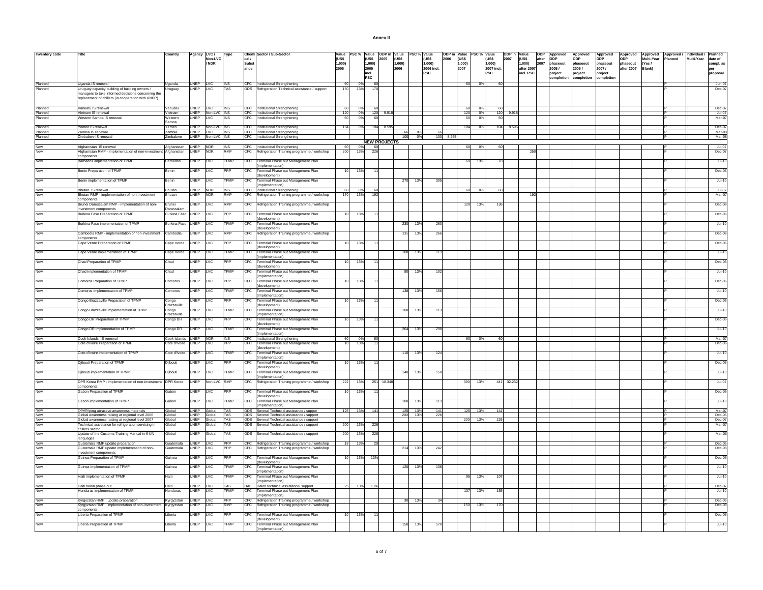| Inventory code                 | Title                                                                                                                                                                           | Country                             |                            | Agency LVC /<br>Non-LVC<br>/ NDR | Type               | cal /<br>Subst<br>lance | Chemi Sector / Sub-Sector                                                                      | <b>CUSS</b><br>1.000)<br>2005 | Value PSC % Value ODP in Value | (US\$ 2005<br>1.000)<br>2005<br>incl.<br><b>PSC</b> | <b><i>ILISS</i></b><br>1.000)<br>2006 | PSC % Value | (US\$<br>1.000)<br>2006 incl.<br><b>PSC</b> | ODP in Value PSC % Value<br>lruss<br>2006<br>1.000)<br>2007 |                        | <b>AUSS</b><br>1.000)<br>2007 incl.<br><b>PSC</b> | ODP in Value<br>2007 | <b><i>ILISS</i></b><br>1.000)<br>after 2007<br>incl. PSC | after ODP | ODP Approved<br>2007 phaseout<br>2005/<br>project<br>completion | Approved<br>ODP<br>phaseout<br>2006/<br>project<br>completion | Approved<br>ODP<br>phaseout<br>2007/<br>project<br>completion | ODP<br>phaseout<br>after 2007 | Multi-Year Planned<br>IYes/<br>Blank) | Approved Approved Approved Individual Planned<br>Multi-Year date of<br>compl. as<br>lper<br>proposal |
|--------------------------------|---------------------------------------------------------------------------------------------------------------------------------------------------------------------------------|-------------------------------------|----------------------------|----------------------------------|--------------------|-------------------------|------------------------------------------------------------------------------------------------|-------------------------------|--------------------------------|-----------------------------------------------------|---------------------------------------|-------------|---------------------------------------------|-------------------------------------------------------------|------------------------|---------------------------------------------------|----------------------|----------------------------------------------------------|-----------|-----------------------------------------------------------------|---------------------------------------------------------------|---------------------------------------------------------------|-------------------------------|---------------------------------------|------------------------------------------------------------------------------------------------------|
| Planned<br>Planned             | Uganda IS renewal<br>Uruguay capacity building of building owners /<br>managers to take informed decisions concerning the<br>replacement of chillers (in cooperation with UNDP) | Uganda<br>Uruguay                   | UNEP LVC<br>UNEP           | LVC                              | <b>INS</b><br>TAS  |                         | CFC Institutional Strengthening<br>ODS Refrigeration Technical assistance / support            | 60<br>150                     | 0%<br>13%                      | 60<br>170                                           |                                       |             |                                             | 60                                                          | 0%                     | -60                                               |                      |                                                          |           |                                                                 |                                                               |                                                               |                               |                                       | Jun-07<br>Dec-07                                                                                     |
| Planned                        | Vanuatu IS renewal<br>Vietnam IS renewal                                                                                                                                        | Vanuatu<br><b>Vietnam</b>           | UNEP LVC                   | UNEP Non-LVC INS                 | <b>INS</b>         |                         | CFC Institutional Strengthening<br>CFC Institutional Strengthening                             | 60<br>120                     | 0%<br>0%                       | -60<br>120 9.918                                    |                                       |             |                                             | 60<br>120                                                   | O <sup>2</sup><br>- 0% | 60<br>120                                         | 9.918                |                                                          |           |                                                                 |                                                               |                                                               |                               |                                       | $Dec-07$<br>$-lul-07$                                                                                |
| r ianned<br>Planned<br>Planned | Western Samoa IS renewal                                                                                                                                                        | Nestern<br>Samoa                    | UNEP                       | <b>LVC</b>                       | <b>INS</b>         |                         | CFC Institutional Strengthening                                                                | 60                            | n                              | 60                                                  |                                       |             |                                             | 60                                                          | 0 <sup>9</sup>         | 61                                                |                      |                                                          |           |                                                                 |                                                               |                                                               |                               |                                       | Mar-07                                                                                               |
| Planned                        | Yemen IS renewal                                                                                                                                                                | Yemen                               |                            | UNEP Non-LVC INS                 |                    |                         | CFC Institutional Strengthening                                                                | 104                           | 0%                             | 104 8.595                                           |                                       |             |                                             | 104                                                         | - 0%                   | 104                                               | 8.595                |                                                          |           |                                                                 |                                                               |                                                               |                               |                                       | $Dec-07$                                                                                             |
| Planned<br>Planned             | Zambia IS renewal<br>Zimbabwe IS renewal                                                                                                                                        | <b>Zamhia</b><br>Zimbabwe           |                            | UNEP LVC<br>UNEP Non-LVC INS     | <b>INS</b>         |                         | CFC Institutional Strengthening<br>CFC Institutional Strengthening                             |                               |                                |                                                     | 66<br>100                             | 0%<br>0%    | 66                                          | 100 8.265                                                   |                        |                                                   |                      |                                                          |           |                                                                 |                                                               |                                                               |                               |                                       | $Mar-08$<br>Mar-08                                                                                   |
| New                            |                                                                                                                                                                                 |                                     |                            |                                  |                    |                         |                                                                                                |                               |                                | <b>NEW PROJECTS</b>                                 |                                       |             |                                             |                                                             |                        |                                                   |                      |                                                          |           |                                                                 |                                                               |                                                               |                               |                                       |                                                                                                      |
| New                            | Afghanistan IS renewal<br>Afghanistan RMP - implementation of non-investment<br>components                                                                                      | Afghanistan UNEP NDR<br>Afghanistan | <b>UNEP</b>                | <b>NDR</b>                       | <b>INS</b><br>RMP  | CFC                     | CFC Institutional Strengthening<br>Refrigeration Training programme / workshop                 | 60<br>200                     | 0%<br>13%                      | 60<br>226                                           |                                       |             |                                             | 60                                                          | 0%                     | 60                                                |                      |                                                          |           |                                                                 |                                                               |                                                               |                               |                                       | $Jul-07$<br>Dec-07                                                                                   |
| New                            | Barbados implementation of TPMP                                                                                                                                                 | Barbados                            | <b>UNEP</b>                | <b>LVC</b>                       | TPMP               |                         | CFC Terminal Phase out Management Plan<br>(implementation)                                     |                               |                                |                                                     |                                       |             |                                             |                                                             | 13%                    |                                                   |                      |                                                          |           |                                                                 |                                                               |                                                               |                               |                                       | $Jul-10$                                                                                             |
| New                            | Benin Preparation of TPMP                                                                                                                                                       | Benin                               | <b>UNEP</b>                | <b>LVC</b>                       | PRP                | CFC.                    | Terminal Phase out Management Plan<br>(development)                                            | 10                            | 13%                            |                                                     |                                       |             |                                             |                                                             |                        |                                                   |                      |                                                          |           |                                                                 |                                                               |                                                               |                               |                                       | Dec-06                                                                                               |
| New                            | Benin implementation of TPMP                                                                                                                                                    | Benin                               | <b>UNEP</b>                | <b>LVC</b>                       | TPMP               | <b>CFC</b>              | Terminal Phase out Management Plan<br>(implementation)                                         |                               |                                |                                                     | 270                                   | 13%         | 305                                         |                                                             |                        |                                                   |                      |                                                          |           |                                                                 |                                                               |                                                               |                               |                                       | $Jul-10$                                                                                             |
| New<br>New                     | Bhutan IS renewal<br>Bhutan RMP - implementation of non-investment                                                                                                              | Bhutan<br>Bhutan                    | UNEP NDR<br><b>UNEP</b>    | <b>NDR</b>                       | <b>INS</b><br>RMP  |                         | CFC Institutional Strengthening<br>CFC Refrigeration Training programme / workshop             | 60<br>170                     | 0%<br>13%                      | 60<br>192                                           |                                       |             |                                             | 60                                                          | 0%                     | 60                                                |                      | 19                                                       |           |                                                                 |                                                               |                                                               |                               |                                       | Jul-07<br>Mar-07                                                                                     |
| New                            | components<br>Brunei Darussalam RMP - implementation of non-                                                                                                                    | <b>Brunei</b>                       | <b>UNEP</b>                |                                  | RMP                |                         |                                                                                                |                               |                                |                                                     |                                       |             |                                             |                                                             |                        | 136                                               |                      |                                                          |           |                                                                 |                                                               |                                                               |                               |                                       | Dec-09                                                                                               |
|                                | investment components                                                                                                                                                           | Darussalam                          |                            | LVC                              |                    |                         | CFC Refrigeration Training programme / workshop                                                |                               |                                |                                                     |                                       |             |                                             | 120                                                         | 13%                    |                                                   |                      |                                                          |           |                                                                 |                                                               |                                                               |                               |                                       |                                                                                                      |
| New                            | Burkina Faso Preparation of TPMP                                                                                                                                                | Burkina Faso UNEP                   |                            | <b>LVC</b>                       | PRP                | CFC                     | Terminal Phase out Management Plan<br>(development)                                            | 10                            | 13%                            |                                                     |                                       |             |                                             |                                                             |                        |                                                   |                      |                                                          |           |                                                                 |                                                               |                                                               |                               |                                       | Dec-06                                                                                               |
| New                            | Burkina Faso implementation of TPMP                                                                                                                                             | Burkina Faso UNEP                   |                            | LVC                              | TPMP               | <b>CFC</b>              | Terminal Phase out Management Plan<br>(development)                                            |                               |                                |                                                     | 230                                   | 13%         | 260                                         |                                                             |                        |                                                   |                      |                                                          |           |                                                                 |                                                               |                                                               |                               |                                       | $Jul-10$                                                                                             |
| New                            | Cambodia RMP - implementation of non-investment<br>components                                                                                                                   | Camhodia                            | <b>UNFP</b>                | I VC.                            | RMP                |                         | CFC Refrigeration Training programme / workshop                                                |                               |                                |                                                     | 235                                   | 13%         | 266                                         |                                                             |                        |                                                   |                      |                                                          |           |                                                                 |                                                               |                                                               |                               |                                       | Dec-08                                                                                               |
| New                            | Cape Verde Preparation of TPMP                                                                                                                                                  | Cape Verde                          | <b>UNEP</b>                | <b>LVC</b>                       | PRP                |                         | CFC Terminal Phase out Management Plan<br>(development)                                        | 10                            | 13%                            |                                                     |                                       |             |                                             |                                                             |                        |                                                   |                      |                                                          |           |                                                                 |                                                               |                                                               |                               |                                       | Dec-06                                                                                               |
| New                            | Cape Verde implementation of TPMP                                                                                                                                               | Cape Verde                          | <b>UNFP</b>                | I VC                             | TPMP               | CFC.                    | Terminal Phase out Management Plan<br>(implementation)                                         |                               |                                |                                                     | 100                                   | 13%         | 113                                         |                                                             |                        |                                                   |                      |                                                          |           |                                                                 |                                                               |                                                               |                               |                                       | $Jul-10$                                                                                             |
| New                            | Chad Preparation of TPMP                                                                                                                                                        | Chad                                | <b>UNEP</b>                | LVC                              | PRP                | CFC.                    | Terminal Phase out Management Plan<br>(development)                                            | 10                            | 13%                            |                                                     |                                       |             |                                             |                                                             |                        |                                                   |                      |                                                          |           |                                                                 |                                                               |                                                               |                               |                                       | Dec-06                                                                                               |
| New                            | Chad implementation of TPMP                                                                                                                                                     | Chad                                | <b>UNEP</b>                | LVC                              | TPMP               |                         | CFC Terminal Phase out Management Plan<br>(implementation)                                     |                               |                                |                                                     | 90                                    | 13%         | 102                                         |                                                             |                        |                                                   |                      |                                                          |           |                                                                 |                                                               |                                                               |                               |                                       | $Jul-10$                                                                                             |
| New                            | Comoros Preparation of TPMP                                                                                                                                                     | Comoros                             | <b>UNEP</b>                | LVC                              | PRP                |                         | CFC Terminal Phase out Management Plan<br>(development)                                        | 10                            | 13%                            |                                                     |                                       |             |                                             |                                                             |                        |                                                   |                      |                                                          |           |                                                                 |                                                               |                                                               |                               |                                       | Dec-06                                                                                               |
| New                            | Comoros implementation of TPMP                                                                                                                                                  | Comoros                             | <b>UNEP</b>                | LVC                              | TPMP               |                         | CFC Terminal Phase out Management Plan<br>(implementation)                                     |                               |                                |                                                     | 138                                   | 13%         | 156                                         |                                                             |                        |                                                   |                      |                                                          |           |                                                                 |                                                               |                                                               |                               |                                       | $Jul-10$                                                                                             |
| New                            | Congo Brazzaville Preparation of TPMP                                                                                                                                           | Congo<br>razzaville                 | <b>UNEP</b>                | <b>LVC</b>                       | PRP                | CFC                     | Terminal Phase out Management Plan<br>(development)                                            | 10                            | 13%                            |                                                     |                                       |             |                                             |                                                             |                        |                                                   |                      |                                                          |           |                                                                 |                                                               |                                                               |                               |                                       | Dec-06                                                                                               |
| New                            | Congo Brazzaville implementation of TPMP                                                                                                                                        | Congo<br>Brazzaville                | UNEP                       | LVC                              | TPMP<br>PRP        | CFC                     | Terminal Phase out Management Plan<br>(implementation)                                         |                               |                                |                                                     | 100                                   | 13%         | 113                                         |                                                             |                        |                                                   |                      |                                                          |           |                                                                 |                                                               |                                                               |                               |                                       | $Jul-10$                                                                                             |
| New<br>New                     | Congo DR Preparation of TPMP                                                                                                                                                    | Congo DR                            | <b>UNEP</b>                | <b>LVC</b>                       |                    | CFC                     | Terminal Phase out Management Plan<br>(development)                                            | 10                            | 13%                            |                                                     |                                       |             |                                             |                                                             |                        |                                                   |                      |                                                          |           |                                                                 |                                                               |                                                               |                               |                                       | Dec-06                                                                                               |
| New                            | Congo DR implementation of TPMP<br>Cook Islands IS renewal                                                                                                                      | Congo DR<br>Cook Islands UNEP NDR   | <b>UNEP</b>                | <b>LVC</b>                       | TPMP<br><b>INS</b> | <b>CFC</b>              | Terminal Phase out Management Plan<br>(implementation)<br>CFC Institutional Strengthening      | 60                            | 0%                             | 60                                                  | 264                                   | 13%         | 298                                         |                                                             | 60 0%                  |                                                   |                      |                                                          |           |                                                                 |                                                               |                                                               |                               |                                       | $Jul-10$<br>Mar-07                                                                                   |
| New                            | Cote d'Ivoire Preparation of TPMP                                                                                                                                               | Cote d'Ivoire                       | <b>UNEP</b>                | <b>LVC</b>                       | PRP                | CFC                     | Terminal Phase out Management Plan<br>(development)                                            | 10                            | 13%                            | 11                                                  |                                       |             |                                             |                                                             |                        |                                                   |                      |                                                          |           |                                                                 |                                                               |                                                               |                               |                                       | $Dec-06$                                                                                             |
| New                            | Cote d'Ivoire implementation of TPMP                                                                                                                                            | Cote d'Ivoire                       | <b>UNEP</b>                | LVC                              | <b>PMP</b>         | CFC                     | Terminal Phase out Management Plan<br>(implementation)                                         |                               |                                |                                                     | 110                                   | 13%         | 124                                         |                                                             |                        |                                                   |                      |                                                          |           |                                                                 |                                                               |                                                               |                               |                                       | $Jul-10$                                                                                             |
| New                            | Djibouti Preparation of TPMP                                                                                                                                                    | Diibouti                            | <b>UNEP</b>                | LVC                              | PRP                |                         | CFC Terminal Phase out Management Plan<br>(development)                                        | 10                            | 13%                            | 11                                                  |                                       |             |                                             |                                                             |                        |                                                   |                      |                                                          |           |                                                                 |                                                               |                                                               |                               |                                       | Dec-06                                                                                               |
| New                            | Djibouti implementation of TPMP                                                                                                                                                 | Diibouti                            | <b>UNEP</b>                | <b>LVC</b>                       | <b>PMP</b>         | <b>CFC</b>              | Terminal Phase out Management Plan<br>(implementation)                                         |                               |                                |                                                     | 140                                   | 13%         | 158                                         |                                                             |                        |                                                   |                      |                                                          |           |                                                                 |                                                               |                                                               |                               |                                       | $Jul-10$                                                                                             |
| New                            | DPR Korea RMP : implementation of non-investment DPR Korea<br>components                                                                                                        |                                     | <b>UNFP</b>                | Non-LVC                          | <b>RMP</b>         |                         | CFC Refrigeration Training programme / workshop                                                | 222                           | 13%                            | 251 18,348                                          |                                       |             |                                             | 390                                                         | 13%                    | 441                                               | 32.23                |                                                          |           |                                                                 |                                                               |                                                               |                               |                                       | $.\n ul-07$                                                                                          |
| New                            | Gabon Preparation of TPMP                                                                                                                                                       | Gabon                               | <b>UNFP</b>                | I VC.                            | PRP                | CEC.                    | Terminal Phase out Management Plan<br>(development)                                            | 10                            | 13%                            |                                                     |                                       |             |                                             |                                                             |                        |                                                   |                      |                                                          |           |                                                                 |                                                               |                                                               |                               |                                       | Dec-06                                                                                               |
| New                            | Gabon implementation of TPMP                                                                                                                                                    | Gabon                               | <b>UNEP</b>                | <b>LVC</b>                       | TPMP               | <b>ICFC</b>             | Terminal Phase out Management Plan<br>(implementation)                                         |                               |                                |                                                     | 100                                   | 13%         | 113                                         |                                                             |                        |                                                   |                      |                                                          |           |                                                                 |                                                               |                                                               |                               |                                       | $Jul-10$                                                                                             |
| New<br>New                     | Developing attractive awareness materials<br>Global awareness raising at regional level 2006                                                                                    | Global<br>Global                    | <b>UNFP</b><br><b>UNEP</b> | Global<br>Global                 | TAS<br><b>TAS</b>  |                         | ODS Several Technical assistance / suppor<br>ODS Several Technical assistance / support        | 125                           | 13%                            | 141                                                 | 125<br>200                            | 13%<br>13%  | 141<br>226                                  |                                                             | 125 13%                | 14'                                               |                      |                                                          |           |                                                                 |                                                               |                                                               |                               |                                       | Mar-07<br>Dec-06                                                                                     |
| New<br>New                     | Global awareness raising at regional level 2007                                                                                                                                 | Global<br>Global                    | <b>UNEP</b>                | UNEP Global TAS<br>Global        | <b>TAS</b>         |                         | ODS Several Technical assistance / support                                                     | 200                           | 13%                            | 226                                                 |                                       |             |                                             |                                                             | 200 13%                | 226                                               |                      |                                                          |           |                                                                 |                                                               |                                                               |                               |                                       | $Dec-07$<br>Mar-07                                                                                   |
| New <sup>-</sup>               | Technical assistance for refrigeration servicing in<br>chillers sector<br>Update of the Customs Training Manual in 6 UN                                                         | Global                              | <b>UNEP</b>                | Global                           | TAS                |                         | ODS Several Technical assistance / support<br>ODS Several Technical assistance / support       | 200                           | 13%                            | 226                                                 |                                       |             |                                             |                                                             |                        |                                                   |                      |                                                          |           |                                                                 |                                                               |                                                               |                               |                                       | Mar-06                                                                                               |
| New                            | languages<br>Guatemala RMP update preparation                                                                                                                                   | Guatemala UNEP LVC                  |                            |                                  | PRP                |                         | CFC Refrigeration Training programme / workshop                                                | 18                            | 13%                            | 20                                                  |                                       |             |                                             |                                                             |                        |                                                   |                      |                                                          |           |                                                                 |                                                               |                                                               |                               |                                       | $Dec-05$                                                                                             |
| New                            | Guatemala RMP update implementation of non-<br>investment components                                                                                                            | Guatemala                           | <b>UNEP</b>                | <b>LVC</b>                       | PRP                | <b>CFC</b>              | Refrigeration Training programme / workshop                                                    |                               |                                |                                                     | 214                                   | 13%         | 242                                         |                                                             |                        |                                                   |                      |                                                          |           |                                                                 |                                                               |                                                               |                               |                                       | Dec-08                                                                                               |
| New                            | Guinea Preparation of TPMP                                                                                                                                                      | Guinea                              | <b>UNEP</b>                | LVC                              | PRP                |                         | CFC Terminal Phase out Management Plan<br>(development)                                        | 10                            | 13%                            | 13%                                                 |                                       |             |                                             |                                                             |                        |                                                   |                      |                                                          |           |                                                                 |                                                               |                                                               |                               |                                       | Dec-06                                                                                               |
| New                            | Guinea implementation of TPMP                                                                                                                                                   | Guinea                              | <b>UNEP</b>                | LVC                              | <b>PMP</b>         | CFC                     | Terminal Phase out Management Plan<br>(implementation)                                         |                               |                                |                                                     | 120                                   | 13%         | 136                                         |                                                             |                        |                                                   |                      |                                                          |           |                                                                 |                                                               |                                                               |                               |                                       | $Jul-10$                                                                                             |
| New                            | Haiti implementation of TPMP                                                                                                                                                    | Haiti                               | UNEP                       | LVC                              | TPMP               | CFC                     | Terminal Phase out Management Plan<br>(implementation)                                         |                               |                                |                                                     |                                       |             |                                             | 95                                                          | 13%                    | $10^{1}$                                          |                      |                                                          |           |                                                                 |                                                               |                                                               |                               |                                       | $Jul-10$                                                                                             |
| New<br>New                     | Haiti halon phase out<br>Honduras implementation of TPMP                                                                                                                        | Haiti<br>Honduras                   | <b>UNEP</b><br>UNEP        | LVC<br><b>LVC</b>                | TAS<br>TPMP        | <b>CFC</b>              | HAL Halon technical assistance/ support<br>Terminal Phase out Management Plan                  |                               | 25 13% 13%                     |                                                     |                                       |             |                                             | 137                                                         | 13%                    | 155                                               |                      |                                                          |           |                                                                 |                                                               |                                                               |                               |                                       | Dec-07<br>$Jul-10$                                                                                   |
| New                            | Kyrgyzstan RMP : update preparation                                                                                                                                             |                                     |                            |                                  | <b>PRP</b>         |                         | (implementation)                                                                               |                               |                                |                                                     |                                       |             |                                             |                                                             |                        |                                                   |                      |                                                          |           |                                                                 |                                                               |                                                               |                               |                                       | $Dec-06$                                                                                             |
| New                            | Kyrgyzstan RMP : implementation of non-investment                                                                                                                               | Kyrgyzstan UNEP LVC<br>Kyrgyzstan   | <b>UNEP</b>                | <b>LVC</b>                       | RMP                | <b>ICFC</b>             | CFC Refrigeration Training programme / workshop<br>Refrigeration Training programme / workshop |                               |                                |                                                     | 30                                    | 13%         |                                             | 150                                                         | 13%                    | 17                                                |                      |                                                          |           |                                                                 |                                                               |                                                               |                               |                                       | Dec-08                                                                                               |
| New                            | components<br>Liberia Preparation of TPMP                                                                                                                                       | Liberia                             | <b>UNEP</b>                | <b>LVC</b>                       | PRP                | CFC                     | Terminal Phase out Management Plan                                                             | 10                            | 13%                            |                                                     |                                       |             |                                             |                                                             |                        |                                                   |                      |                                                          |           |                                                                 |                                                               |                                                               |                               |                                       | Dec-06                                                                                               |
| New                            | Liberia Preparation of TPMP                                                                                                                                                     | Liberia                             | UNEP LVC                   |                                  | TPMP               |                         | (development)<br>CFC Terminal Phase out Management Plan                                        |                               |                                |                                                     |                                       | 150 13%     | 170                                         |                                                             |                        |                                                   |                      |                                                          |           |                                                                 |                                                               |                                                               |                               |                                       | $.$ lul-10                                                                                           |

(implementation)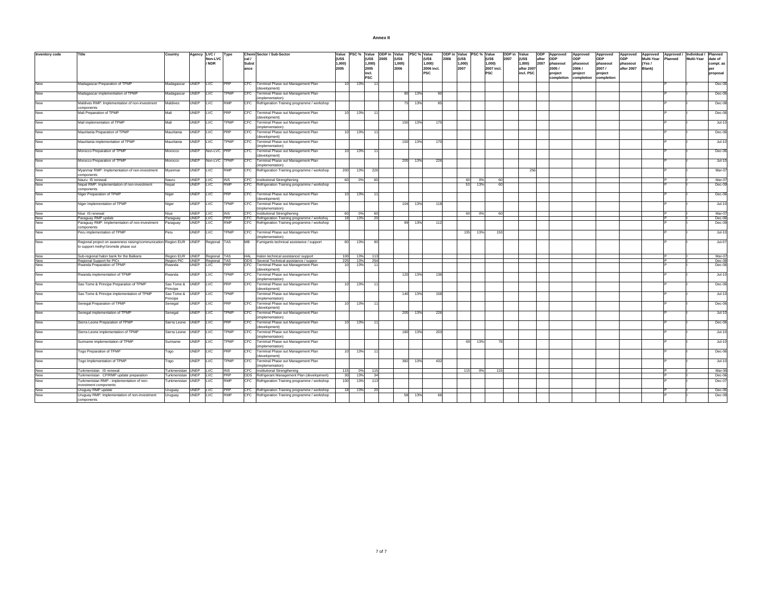| Annex II |  |
|----------|--|
|          |  |

| Inventory code    |                                                                                        | Country                                | Agency      | LVC/         | Type                      |                      | Chemi Sector / Sub-Sector                                                                      | Value           | PSC %                 | Value ODP in Value | PSC % Value |                     |      | ODP in Value PSC % Value |     |                     | ODP in Value<br>ODP         | Approved          | Approved          | Approved          | Approved               | Approved        | Approved / Individual / |            | Planned            |
|-------------------|----------------------------------------------------------------------------------------|----------------------------------------|-------------|--------------|---------------------------|----------------------|------------------------------------------------------------------------------------------------|-----------------|-----------------------|--------------------|-------------|---------------------|------|--------------------------|-----|---------------------|-----------------------------|-------------------|-------------------|-------------------|------------------------|-----------------|-------------------------|------------|--------------------|
|                   |                                                                                        |                                        |             | Non-LVC      |                           | cal /                |                                                                                                | (US\$           | (US\$                 | 2005<br>(US\$      |             | (US\$               | 2006 | (US\$                    |     | (US\$               | 2007<br>(US\$<br>after      | ODP               | <b>ODP</b>        | ODP               | lone                   | Multi-Year      | Planned                 | Multi-Year | date of            |
|                   |                                                                                        |                                        |             | / NDR        |                           | <b>Subst</b><br>ance |                                                                                                | 1,000)<br>2005  | 1,000)<br>2005        | 1,000)<br>2006     |             | 1,000<br>2006 incl. |      | (000,1<br>2007           |     | 1,000<br>2007 incl. | 1,000<br>2007<br>after 2007 | phaseout<br>2005/ | phaseout<br>2006/ | phaseout<br>2007/ | phaseout<br>after 2007 | (Yes/<br>Blank) |                         |            | compl. as          |
|                   |                                                                                        |                                        |             |              |                           |                      |                                                                                                |                 | incl.                 |                    |             | <b>PSC</b>          |      |                          |     | <b>PSC</b>          | incl. PSC                   | project           | project           | project           |                        |                 |                         |            | proposal           |
|                   |                                                                                        |                                        |             |              |                           |                      |                                                                                                |                 | <b>PSC</b>            |                    |             |                     |      |                          |     |                     |                             | completion        | completion        | completion        |                        |                 |                         |            |                    |
| New               | Madagascar Preparation of TPMP                                                         | Madagascar                             | <b>UNEP</b> | LVC          | PRP                       | CFC                  | Terminal Phase out Management Plan                                                             |                 | 13%                   |                    |             |                     |      |                          |     |                     |                             |                   |                   |                   |                        |                 |                         |            | Dec-06             |
|                   |                                                                                        |                                        |             |              |                           |                      | (development)                                                                                  |                 |                       |                    |             |                     |      |                          |     |                     |                             |                   |                   |                   |                        |                 |                         |            |                    |
| New               | Madagascar implementation of TPMP                                                      | Madagascar                             | <b>UNEP</b> | LVC          | <b>TPMP</b>               | CFC.                 | Terminal Phase out Management Plan                                                             |                 |                       |                    | 80<br>13%   | -90                 |      |                          |     |                     |                             |                   |                   |                   |                        |                 |                         |            | Dec-06             |
|                   |                                                                                        |                                        |             |              |                           |                      | implementation)                                                                                |                 |                       |                    |             |                     |      |                          |     |                     |                             |                   |                   |                   |                        |                 |                         |            |                    |
| New               | Maldives RMP: Implementation of non-investment<br>components                           | Maldives                               | <b>UNEP</b> | LVC          | RMP                       |                      | CFC Refrigeration Training programme / workshop                                                |                 |                       |                    | 75<br>13%   | 85                  |      |                          |     |                     |                             |                   |                   |                   |                        |                 |                         |            | Dec-08             |
| New               | Mali Preparation of TPMP                                                               | Mali                                   | <b>UNEP</b> | LVC          | PRP                       | CFC                  | Terminal Phase out Management Plan                                                             |                 | 13%                   |                    |             |                     |      |                          |     |                     |                             |                   |                   |                   |                        |                 |                         |            | Dec-06             |
|                   |                                                                                        |                                        |             |              |                           |                      | development)                                                                                   |                 |                       |                    |             |                     |      |                          |     |                     |                             |                   |                   |                   |                        |                 |                         |            |                    |
| New               | Mali implementation of TPMP                                                            | Mali                                   | <b>UNEP</b> | LVC          | TPMP                      | CFC                  | erminal Phase out Management Plan                                                              |                 |                       |                    | 13%<br>150  | 170                 |      |                          |     |                     |                             |                   |                   |                   |                        |                 |                         |            | $Jul-10$           |
| New               |                                                                                        | Mauritania                             |             |              | PRP                       |                      | implementation)                                                                                |                 |                       |                    |             |                     |      |                          |     |                     |                             |                   |                   |                   |                        |                 |                         |            |                    |
|                   | Mauritania Preparation of TPMP                                                         |                                        | <b>UNEP</b> | LVC          |                           | CFC                  | Terminal Phase out Management Plan<br>development)                                             | -10             | 13%                   |                    |             |                     |      |                          |     |                     |                             |                   |                   |                   |                        |                 |                         |            | Dec-06             |
| New               | Mauritania implementation of TPMP                                                      | Mauritania                             | <b>UNEP</b> | LVC          | <b>TPMP</b>               | CFC                  | erminal Phase out Management Plan                                                              |                 |                       |                    | 150<br>13%  | 170                 |      |                          |     |                     |                             |                   |                   |                   |                        |                 |                         |            | Jul-10             |
|                   |                                                                                        |                                        |             |              |                           |                      | implementation)                                                                                |                 |                       |                    |             |                     |      |                          |     |                     |                             |                   |                   |                   |                        |                 |                         |            |                    |
| New               | Morocco Preparation of TPMP                                                            | Morocco                                | <b>UNEP</b> | Non-LVC PRP  |                           | CFC                  | erminal Phase out Management Plan                                                              |                 | 13%<br>11             |                    |             |                     |      |                          |     |                     |                             |                   |                   |                   |                        |                 |                         |            | Dec-06             |
| New               |                                                                                        |                                        |             | Non-LVC TPMP |                           | CFC                  | development)                                                                                   |                 |                       |                    | 200 13%     | 226                 |      |                          |     |                     |                             |                   |                   |                   |                        |                 |                         |            |                    |
|                   | Morocco Preparation of TPMP                                                            | Morocco                                | <b>UNEP</b> |              |                           |                      | Terminal Phase out Management Plan<br>implementation)                                          |                 |                       |                    |             |                     |      |                          |     |                     |                             |                   |                   |                   |                        |                 |                         |            | Jul-10             |
| New               | Myanmar RMP: Implementation of non-investment                                          | Myanmar                                | <b>UNEP</b> | LVC          | <b>RMP</b>                | CFC                  | Refrigeration Training programme / workshop                                                    | 200             | 13%<br>226            |                    |             |                     |      |                          |     |                     | 256                         |                   |                   |                   |                        |                 |                         |            | Mar-07             |
|                   | components                                                                             |                                        |             |              |                           |                      |                                                                                                |                 |                       |                    |             |                     |      |                          |     |                     |                             |                   |                   |                   |                        |                 |                         |            |                    |
| New               | Nauru IS renewal                                                                       | Nauru                                  | <b>UNEP</b> | <b>LVC</b>   | <b>INS</b>                |                      | CFC Institutional Strengthening                                                                | 60              | 0%<br>60              |                    |             |                     |      | 60                       | 0%  | 60                  |                             |                   |                   |                   |                        |                 |                         |            | Mar-07             |
| New               | Nepal RMP: Implementation of non-investment<br>components                              | Nepal                                  | <b>UNEP</b> | <b>LVC</b>   | <b>RMP</b>                |                      | CFC Refrigeration Training programme / workshop                                                |                 |                       |                    |             |                     |      | 53                       | 13% | 60                  |                             |                   |                   |                   |                        |                 |                         |            | Dec-09             |
| New               | Niger Preparation of TPMP                                                              | Niger                                  | <b>UNEP</b> | <b>LAC</b>   | PRP                       | <b>CFC</b>           | Terminal Phase out Management Plan                                                             | 10              | 13%                   |                    |             |                     |      |                          |     |                     |                             |                   |                   |                   |                        |                 |                         |            | Dec-06             |
|                   |                                                                                        |                                        |             |              |                           |                      | development)                                                                                   |                 |                       |                    |             |                     |      |                          |     |                     |                             |                   |                   |                   |                        |                 |                         |            |                    |
| New               | Niger implementation of TPMP                                                           | Niger                                  | <b>UNEP</b> | <b>LVC</b>   | TPMP                      | CFC.                 | erminal Phase out Management Plan                                                              |                 |                       |                    | 104<br>13%  | 118                 |      |                          |     |                     |                             |                   |                   |                   |                        |                 |                         |            | $Jul-10$           |
|                   |                                                                                        |                                        | <b>UNEP</b> |              |                           | CFC.                 | 'implementation'                                                                               |                 |                       |                    |             |                     |      |                          |     |                     |                             |                   |                   |                   |                        |                 |                         |            | Mar-07             |
| New<br>New        | Niue IS renewal<br>Paraguay RMP update                                                 | Niue<br>Paraguay                       | UNEP LVC    | LVC          | <b>INS</b><br><b>IPRP</b> |                      | Institutional Strengthening<br>CFC Refrigeration Training programme / workshop                 | 60<br>18        | 0%<br>60<br>13%<br>20 |                    |             |                     |      | 60                       | 0%  | 60                  |                             |                   |                   |                   |                        |                 |                         |            | Dec-06             |
| New               | Paraguay RMP: Implementation of non-investment                                         | Paraguay                               | <b>UNEP</b> | <b>LVC</b>   | <b>RMP</b>                |                      | CFC Refrigeration Training programme / workshop                                                |                 |                       |                    | 13%<br>99   | 112                 |      |                          |     |                     |                             |                   |                   |                   |                        |                 |                         |            | $Dec-09$           |
|                   | components                                                                             |                                        |             |              |                           |                      |                                                                                                |                 |                       |                    |             |                     |      |                          |     |                     |                             |                   |                   |                   |                        |                 |                         |            |                    |
| New               | Peru implementation of TPMP                                                            | Peru                                   | UNEP        | LVC          | TPMP                      | CFC                  | Terminal Phase out Management Plan                                                             |                 |                       |                    |             |                     |      | 135                      | 13% | 153                 |                             |                   |                   |                   |                        |                 |                         |            | $Jul-10$           |
| New               | Regional project on awareness raising/communication Region EUR   UNEP   Regional   TAS |                                        |             |              |                           | M <sub>B</sub>       | implementation)<br>Fumigants technical assistance / support                                    | 80              | 13%<br>90             |                    |             |                     |      |                          |     |                     |                             |                   |                   |                   |                        |                 |                         |            | $Jul-07$           |
|                   | to support methyl bromide phase out                                                    |                                        |             |              |                           |                      |                                                                                                |                 |                       |                    |             |                     |      |                          |     |                     |                             |                   |                   |                   |                        |                 |                         |            |                    |
|                   |                                                                                        |                                        |             |              |                           |                      |                                                                                                |                 |                       |                    |             |                     |      |                          |     |                     |                             |                   |                   |                   |                        |                 |                         |            |                    |
|                   | Sub-regional halon bank for the Balkans                                                | Region EUR UNEP Regional TAS           |             |              |                           | HAI                  | Halon technical assistance/ support                                                            | 100             | 13%<br>113            |                    |             |                     |      |                          |     |                     |                             |                   |                   |                   |                        |                 |                         |            | Mar-0              |
| New<br>New<br>New | Regional Support for PICs<br>Rwanda Preparation of TPMP                                | Region PIC UNEP Regional TAS<br>Rwanda | UNEP        | <b>LVC</b>   | PRP                       | CFC                  | ODS Several Technical assistance / suppor<br>Terminal Phase out Management Plan                | 225             | 254<br>13%<br>13%     |                    |             |                     |      |                          |     |                     |                             |                   |                   |                   |                        |                 |                         |            | $Dec-08$<br>Dec-06 |
|                   |                                                                                        |                                        |             |              |                           |                      | development)                                                                                   |                 |                       |                    |             |                     |      |                          |     |                     |                             |                   |                   |                   |                        |                 |                         |            |                    |
| New               | Rwanda implementation of TPMP                                                          | Rwanda                                 | <b>UNEP</b> | LVC          | TPMP                      | CFC                  | Terminal Phase out Management Plan                                                             |                 |                       |                    | 120<br>13%  | 136                 |      |                          |     |                     |                             |                   |                   |                   |                        |                 |                         |            | Jul-10             |
|                   |                                                                                        |                                        |             |              |                           |                      | (implementation)                                                                               |                 |                       |                    |             |                     |      |                          |     |                     |                             |                   |                   |                   |                        |                 |                         |            |                    |
| Nev               | Sao Tome & Principe Preparation of TPMP                                                | Sao Tome &<br>Principe                 | <b>UNEP</b> | LVC          | PRP                       | CFC                  | Terminal Phase out Management Plan<br>(development)                                            |                 | 13%                   |                    |             |                     |      |                          |     |                     |                             |                   |                   |                   |                        |                 |                         |            | Dec-06             |
| New               | Sao Tome & Principe implementation of TPMP                                             | Sao Tome &                             | <b>UNEP</b> | <b>LAC</b>   | <b>TPMP</b>               |                      | Terminal Phase out Management Plan                                                             |                 |                       |                    | 140<br>13%  | 158                 |      |                          |     |                     |                             |                   |                   |                   |                        |                 |                         |            | $Jul-10$           |
|                   |                                                                                        | Principe                               |             |              |                           |                      | (implementation)                                                                               |                 |                       |                    |             |                     |      |                          |     |                     |                             |                   |                   |                   |                        |                 |                         |            |                    |
| Now               | Senegal Preparation of TPMP                                                            | Senegal                                | <b>UNEP</b> | LVC          | PRP                       | CFC                  | Terminal Phase out Management Plan                                                             | 10              | 13%                   |                    |             |                     |      |                          |     |                     |                             |                   |                   |                   |                        |                 |                         |            | Dec-06             |
| New               | Senegal implementation of TPMP                                                         | Senegal                                | <b>UNEP</b> | LVC          | TPMP                      | CFC                  | (development)<br>Terminal Phase out Management Plan                                            |                 |                       |                    | 200 13%     | 226                 |      |                          |     |                     |                             |                   |                   |                   |                        |                 |                         |            | Jul-10             |
|                   |                                                                                        |                                        |             |              |                           |                      | mplementation)                                                                                 |                 |                       |                    |             |                     |      |                          |     |                     |                             |                   |                   |                   |                        |                 |                         |            |                    |
| New               | Sierra Leone Preparation of TPMP                                                       | Sierra Leone UNEP                      |             | LVC          | PRP                       | CFC                  | erminal Phase out Management Plan                                                              | 10 <sup>1</sup> | 13%                   |                    |             |                     |      |                          |     |                     |                             |                   |                   |                   |                        |                 |                         |            | Dec-06             |
|                   |                                                                                        |                                        |             |              |                           |                      | development)                                                                                   |                 |                       |                    |             |                     |      |                          |     |                     |                             |                   |                   |                   |                        |                 |                         |            |                    |
| New               | Sierra Leone implementation of TPMP                                                    | Sierra Leone UNEP                      |             | LVC          | <b>TPMP</b>               | CFC                  | erminal Phase out Management Plan<br>implementation)                                           |                 |                       | 180                | 13%         | 203                 |      |                          |     |                     |                             |                   |                   |                   |                        |                 |                         |            | $Jul-10$           |
| New               | Suriname implementation of TPMP                                                        | Suriname                               | UNEP        | LVC          | TPMP                      | CFC                  | Terminal Phase out Management Plan                                                             |                 |                       |                    |             |                     |      | 69                       | 13% | 78                  |                             |                   |                   |                   |                        |                 |                         |            | $Jul-10$           |
|                   |                                                                                        |                                        |             |              |                           |                      | implementation)                                                                                |                 |                       |                    |             |                     |      |                          |     |                     |                             |                   |                   |                   |                        |                 |                         |            |                    |
| New               | Togo Preparation of TPMP                                                               | Togo                                   | <b>UNEP</b> | LVC          | PRP                       | <b>CFC</b>           | erminal Phase out Management Plan                                                              | 10              | 13%                   |                    |             |                     |      |                          |     |                     |                             |                   |                   |                   |                        |                 |                         |            | Dec-06             |
| New               | Togo Implementation of TPMP                                                            |                                        | <b>UNEP</b> | LVC          | <b>FPMP</b>               | CFC                  | development)<br>Ferminal Phase out Management Plan                                             |                 |                       |                    | 382<br>13%  | 432                 |      |                          |     |                     |                             |                   |                   |                   |                        |                 |                         |            | Jul-10             |
|                   |                                                                                        | Togo                                   |             |              |                           |                      | (implementation)                                                                               |                 |                       |                    |             |                     |      |                          |     |                     |                             |                   |                   |                   |                        |                 |                         |            |                    |
| New               | Turkmenistan IS renewal                                                                | Furkmenistan UNEP                      |             | LVC          | INS                       | CFC                  | nstitutional Strengthening                                                                     | 115             | 0%<br>115             |                    |             |                     |      | 115                      | 0%  | 115                 |                             |                   |                   |                   |                        |                 |                         |            | Mar-06             |
| New               | Turkmenistan CP/RMP update preparation                                                 | Turkmenistan UNEP                      |             | LVC          | PRP                       | ODS                  | Refrigerant Management Plan (development)                                                      | 30              | 13%<br>34             |                    |             |                     |      |                          |     |                     |                             |                   |                   |                   |                        |                 |                         |            | Dec-06             |
| <b>New</b>        | Turkmenistan RMP - implementation of non-                                              | Turkmenistan UNEP                      |             | LVC          | <b>RMP</b>                |                      | CFC Refrigeration Training programme / workshop                                                | 100             | 13%<br>113            |                    |             |                     |      |                          |     |                     |                             |                   |                   |                   |                        |                 |                         |            | Dec-07             |
| New               | investment components<br>Uruguay RMP update                                            |                                        | <b>UNFP</b> | LVC          | PRP                       | CFC.                 |                                                                                                | 18              | 13%<br>20             |                    |             |                     |      |                          |     |                     |                             |                   |                   |                   |                        |                 |                         |            | Dec-06             |
| New               | Uruguay RMP: Implementation of non-investment                                          | Uruguay<br>Uruguay                     | <b>UNEP</b> | <b>LVC</b>   | <b>RMP</b>                |                      | Refrigeration Training programme / workshop<br>CFC Refrigeration Training programme / workshop |                 |                       |                    | 13%<br>58   |                     |      |                          |     |                     |                             |                   |                   |                   |                        |                 |                         |            | Dec-09             |
|                   | components                                                                             |                                        |             |              |                           |                      |                                                                                                |                 |                       |                    |             |                     |      |                          |     |                     |                             |                   |                   |                   |                        |                 |                         |            |                    |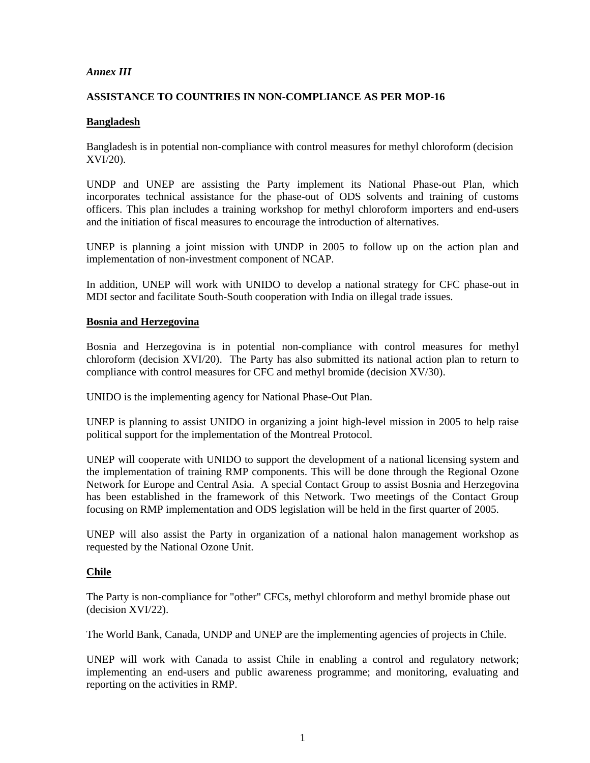## *Annex III*

## **ASSISTANCE TO COUNTRIES IN NON-COMPLIANCE AS PER MOP-16**

## **Bangladesh**

Bangladesh is in potential non-compliance with control measures for methyl chloroform (decision XVI/20).

UNDP and UNEP are assisting the Party implement its National Phase-out Plan, which incorporates technical assistance for the phase-out of ODS solvents and training of customs officers. This plan includes a training workshop for methyl chloroform importers and end-users and the initiation of fiscal measures to encourage the introduction of alternatives.

UNEP is planning a joint mission with UNDP in 2005 to follow up on the action plan and implementation of non-investment component of NCAP.

In addition, UNEP will work with UNIDO to develop a national strategy for CFC phase-out in MDI sector and facilitate South-South cooperation with India on illegal trade issues.

## **Bosnia and Herzegovina**

Bosnia and Herzegovina is in potential non-compliance with control measures for methyl chloroform (decision XVI/20). The Party has also submitted its national action plan to return to compliance with control measures for CFC and methyl bromide (decision XV/30).

UNIDO is the implementing agency for National Phase-Out Plan.

UNEP is planning to assist UNIDO in organizing a joint high-level mission in 2005 to help raise political support for the implementation of the Montreal Protocol.

UNEP will cooperate with UNIDO to support the development of a national licensing system and the implementation of training RMP components. This will be done through the Regional Ozone Network for Europe and Central Asia. A special Contact Group to assist Bosnia and Herzegovina has been established in the framework of this Network. Two meetings of the Contact Group focusing on RMP implementation and ODS legislation will be held in the first quarter of 2005.

UNEP will also assist the Party in organization of a national halon management workshop as requested by the National Ozone Unit.

## **Chile**

The Party is non-compliance for "other" CFCs, methyl chloroform and methyl bromide phase out (decision XVI/22).

The World Bank, Canada, UNDP and UNEP are the implementing agencies of projects in Chile.

UNEP will work with Canada to assist Chile in enabling a control and regulatory network; implementing an end-users and public awareness programme; and monitoring, evaluating and reporting on the activities in RMP.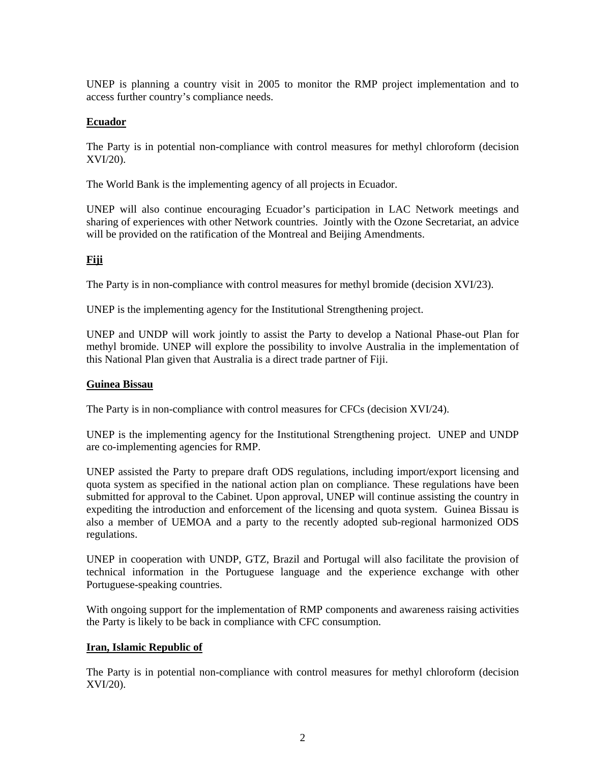UNEP is planning a country visit in 2005 to monitor the RMP project implementation and to access further country's compliance needs.

## **Ecuador**

The Party is in potential non-compliance with control measures for methyl chloroform (decision XVI/20).

The World Bank is the implementing agency of all projects in Ecuador.

UNEP will also continue encouraging Ecuador's participation in LAC Network meetings and sharing of experiences with other Network countries. Jointly with the Ozone Secretariat, an advice will be provided on the ratification of the Montreal and Beijing Amendments.

# **Fiji**

The Party is in non-compliance with control measures for methyl bromide (decision XVI/23).

UNEP is the implementing agency for the Institutional Strengthening project.

UNEP and UNDP will work jointly to assist the Party to develop a National Phase-out Plan for methyl bromide. UNEP will explore the possibility to involve Australia in the implementation of this National Plan given that Australia is a direct trade partner of Fiji.

## **Guinea Bissau**

The Party is in non-compliance with control measures for CFCs (decision XVI/24).

UNEP is the implementing agency for the Institutional Strengthening project. UNEP and UNDP are co-implementing agencies for RMP.

UNEP assisted the Party to prepare draft ODS regulations, including import/export licensing and quota system as specified in the national action plan on compliance. These regulations have been submitted for approval to the Cabinet. Upon approval, UNEP will continue assisting the country in expediting the introduction and enforcement of the licensing and quota system. Guinea Bissau is also a member of UEMOA and a party to the recently adopted sub-regional harmonized ODS regulations.

UNEP in cooperation with UNDP, GTZ, Brazil and Portugal will also facilitate the provision of technical information in the Portuguese language and the experience exchange with other Portuguese-speaking countries.

With ongoing support for the implementation of RMP components and awareness raising activities the Party is likely to be back in compliance with CFC consumption.

## **Iran, Islamic Republic of**

The Party is in potential non-compliance with control measures for methyl chloroform (decision XVI/20).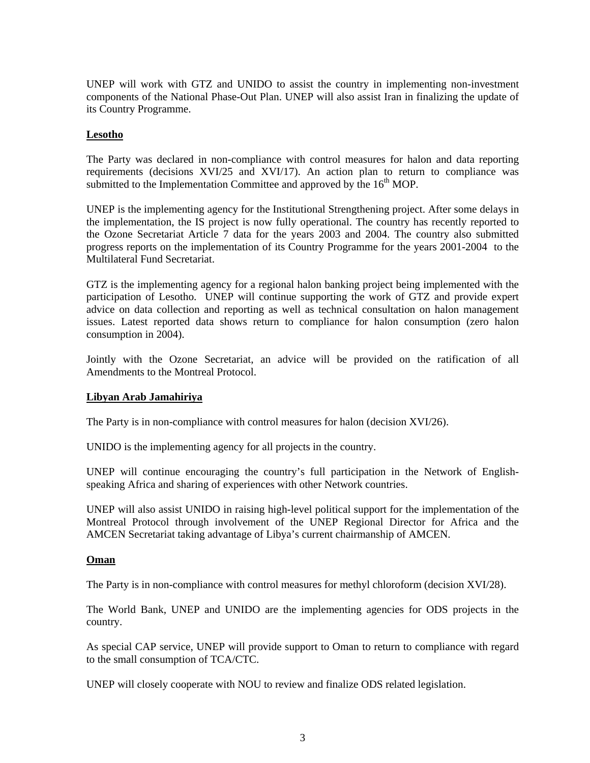UNEP will work with GTZ and UNIDO to assist the country in implementing non-investment components of the National Phase-Out Plan. UNEP will also assist Iran in finalizing the update of its Country Programme.

## **Lesotho**

The Party was declared in non-compliance with control measures for halon and data reporting requirements (decisions XVI/25 and XVI/17). An action plan to return to compliance was submitted to the Implementation Committee and approved by the  $16<sup>th</sup>$  MOP.

UNEP is the implementing agency for the Institutional Strengthening project. After some delays in the implementation, the IS project is now fully operational. The country has recently reported to the Ozone Secretariat Article 7 data for the years 2003 and 2004. The country also submitted progress reports on the implementation of its Country Programme for the years 2001-2004 to the Multilateral Fund Secretariat.

GTZ is the implementing agency for a regional halon banking project being implemented with the participation of Lesotho. UNEP will continue supporting the work of GTZ and provide expert advice on data collection and reporting as well as technical consultation on halon management issues. Latest reported data shows return to compliance for halon consumption (zero halon consumption in 2004).

Jointly with the Ozone Secretariat, an advice will be provided on the ratification of all Amendments to the Montreal Protocol.

## **Libyan Arab Jamahiriya**

The Party is in non-compliance with control measures for halon (decision XVI/26).

UNIDO is the implementing agency for all projects in the country.

UNEP will continue encouraging the country's full participation in the Network of Englishspeaking Africa and sharing of experiences with other Network countries.

UNEP will also assist UNIDO in raising high-level political support for the implementation of the Montreal Protocol through involvement of the UNEP Regional Director for Africa and the AMCEN Secretariat taking advantage of Libya's current chairmanship of AMCEN.

## **Oman**

The Party is in non-compliance with control measures for methyl chloroform (decision XVI/28).

The World Bank, UNEP and UNIDO are the implementing agencies for ODS projects in the country.

As special CAP service, UNEP will provide support to Oman to return to compliance with regard to the small consumption of TCA/CTC.

UNEP will closely cooperate with NOU to review and finalize ODS related legislation.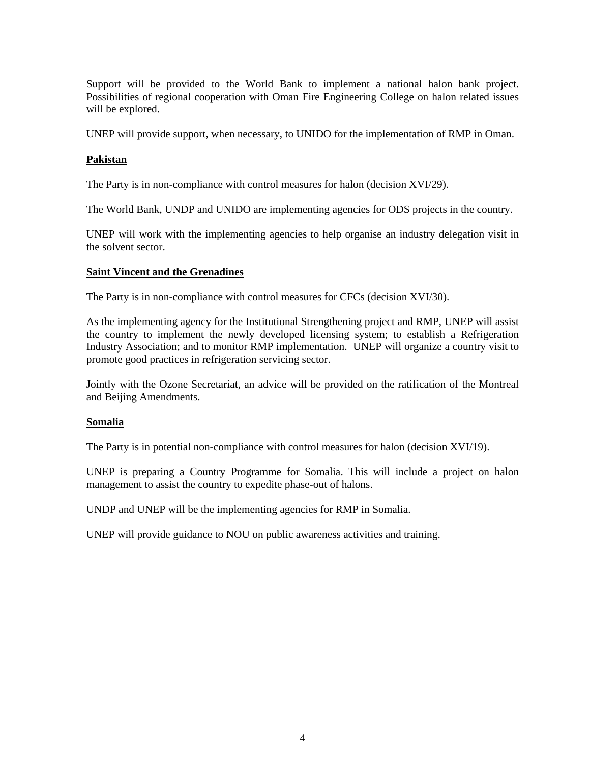Support will be provided to the World Bank to implement a national halon bank project. Possibilities of regional cooperation with Oman Fire Engineering College on halon related issues will be explored.

UNEP will provide support, when necessary, to UNIDO for the implementation of RMP in Oman.

## **Pakistan**

The Party is in non-compliance with control measures for halon (decision XVI/29).

The World Bank, UNDP and UNIDO are implementing agencies for ODS projects in the country.

UNEP will work with the implementing agencies to help organise an industry delegation visit in the solvent sector.

#### **Saint Vincent and the Grenadines**

The Party is in non-compliance with control measures for CFCs (decision XVI/30).

As the implementing agency for the Institutional Strengthening project and RMP, UNEP will assist the country to implement the newly developed licensing system; to establish a Refrigeration Industry Association; and to monitor RMP implementation. UNEP will organize a country visit to promote good practices in refrigeration servicing sector.

Jointly with the Ozone Secretariat, an advice will be provided on the ratification of the Montreal and Beijing Amendments.

#### **Somalia**

The Party is in potential non-compliance with control measures for halon (decision XVI/19).

UNEP is preparing a Country Programme for Somalia. This will include a project on halon management to assist the country to expedite phase-out of halons.

UNDP and UNEP will be the implementing agencies for RMP in Somalia.

UNEP will provide guidance to NOU on public awareness activities and training.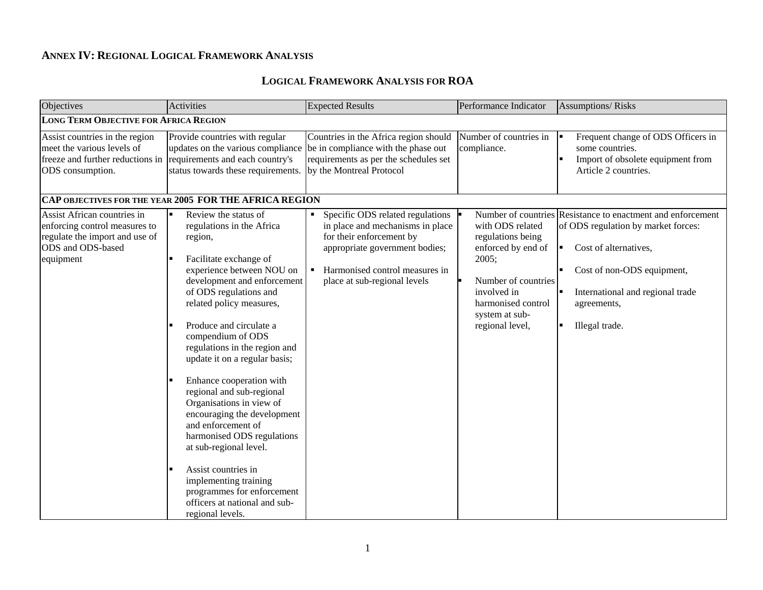## **ANNEX IV: REGIONAL LOGICAL FRAMEWORK ANALYSIS**

### **LOGICAL FRAMEWORK ANALYSIS FOR ROA**

| Objectives                                                                                                                       | Activities                                                                                                                                                                                                                                                                                                                                                                                                                                                                                                                                                                                                                                                      | <b>Expected Results</b>                                                                                                                                                                                | Performance Indicator                                                                                                                                                 | <b>Assumptions/Risks</b>                                                                                                                                                                                                                          |
|----------------------------------------------------------------------------------------------------------------------------------|-----------------------------------------------------------------------------------------------------------------------------------------------------------------------------------------------------------------------------------------------------------------------------------------------------------------------------------------------------------------------------------------------------------------------------------------------------------------------------------------------------------------------------------------------------------------------------------------------------------------------------------------------------------------|--------------------------------------------------------------------------------------------------------------------------------------------------------------------------------------------------------|-----------------------------------------------------------------------------------------------------------------------------------------------------------------------|---------------------------------------------------------------------------------------------------------------------------------------------------------------------------------------------------------------------------------------------------|
| <b>LONG TERM OBJECTIVE FOR AFRICA REGION</b>                                                                                     |                                                                                                                                                                                                                                                                                                                                                                                                                                                                                                                                                                                                                                                                 |                                                                                                                                                                                                        |                                                                                                                                                                       |                                                                                                                                                                                                                                                   |
| Assist countries in the region<br>meet the various levels of<br>freeze and further reductions in<br>ODS consumption.             | Provide countries with regular<br>updates on the various compliance<br>requirements and each country's<br>status towards these requirements.<br>CAP OBJECTIVES FOR THE YEAR 2005 FOR THE AFRICA REGION                                                                                                                                                                                                                                                                                                                                                                                                                                                          | Countries in the Africa region should<br>be in compliance with the phase out<br>requirements as per the schedules set<br>by the Montreal Protocol                                                      | Number of countries in<br>compliance.                                                                                                                                 | Frequent change of ODS Officers in<br>some countries.<br>Import of obsolete equipment from<br>Article 2 countries.                                                                                                                                |
| Assist African countries in<br>enforcing control measures to<br>regulate the import and use of<br>ODS and ODS-based<br>equipment | Review the status of<br>regulations in the Africa<br>region,<br>Facilitate exchange of<br>experience between NOU on<br>development and enforcement<br>of ODS regulations and<br>related policy measures,<br>Produce and circulate a<br>compendium of ODS<br>regulations in the region and<br>update it on a regular basis;<br>Enhance cooperation with<br>regional and sub-regional<br>Organisations in view of<br>encouraging the development<br>and enforcement of<br>harmonised ODS regulations<br>at sub-regional level.<br>Assist countries in<br>implementing training<br>programmes for enforcement<br>officers at national and sub-<br>regional levels. | Specific ODS related regulations<br>in place and mechanisms in place<br>for their enforcement by<br>appropriate government bodies;<br>• Harmonised control measures in<br>place at sub-regional levels | with ODS related<br>regulations being<br>enforced by end of<br>2005;<br>Number of countries<br>involved in<br>harmonised control<br>system at sub-<br>regional level, | Number of countries Resistance to enactment and enforcement<br>of ODS regulation by market forces:<br>Cost of alternatives,<br>l m<br>Cost of non-ODS equipment,<br>International and regional trade<br>I٠<br>agreements,<br>Illegal trade.<br>▎▆ |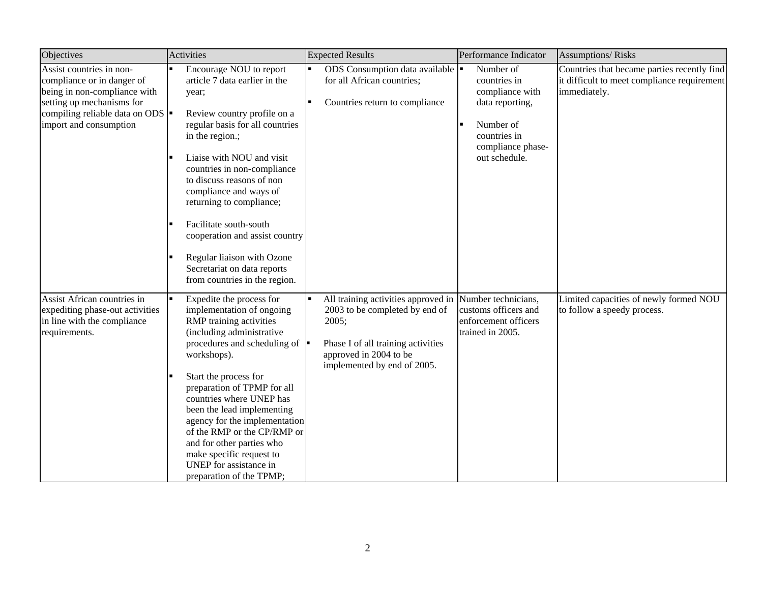| Objectives                                                                                                                                                                        | Activities                                                                                                                                                                                                                                                                                                                                                                                                                                                                                  | <b>Expected Results</b>                                                                                                                                                       | Performance Indicator                                                                                                              | <b>Assumptions/Risks</b>                                                                                   |
|-----------------------------------------------------------------------------------------------------------------------------------------------------------------------------------|---------------------------------------------------------------------------------------------------------------------------------------------------------------------------------------------------------------------------------------------------------------------------------------------------------------------------------------------------------------------------------------------------------------------------------------------------------------------------------------------|-------------------------------------------------------------------------------------------------------------------------------------------------------------------------------|------------------------------------------------------------------------------------------------------------------------------------|------------------------------------------------------------------------------------------------------------|
| Assist countries in non-<br>compliance or in danger of<br>being in non-compliance with<br>setting up mechanisms for<br>compiling reliable data on ODS  <br>import and consumption | Encourage NOU to report<br>$\blacksquare$<br>article 7 data earlier in the<br>year;<br>Review country profile on a<br>regular basis for all countries<br>in the region.;<br>Liaise with NOU and visit<br>countries in non-compliance<br>to discuss reasons of non<br>compliance and ways of<br>returning to compliance;<br>Facilitate south-south<br>п<br>cooperation and assist country<br>Regular liaison with Ozone<br>п<br>Secretariat on data reports<br>from countries in the region. | ODS Consumption data available<br>for all African countries;<br>Countries return to compliance                                                                                | Number of<br>countries in<br>compliance with<br>data reporting,<br>Number of<br>countries in<br>compliance phase-<br>out schedule. | Countries that became parties recently find<br>it difficult to meet compliance requirement<br>immediately. |
| Assist African countries in<br>expediting phase-out activities<br>in line with the compliance<br>requirements.                                                                    | l.<br>Expedite the process for<br>implementation of ongoing<br>RMP training activities<br>(including administrative<br>procedures and scheduling of<br>workshops).<br>Start the process for<br>preparation of TPMP for all<br>countries where UNEP has<br>been the lead implementing<br>agency for the implementation<br>of the RMP or the CP/RMP or<br>and for other parties who<br>make specific request to<br>UNEP for assistance in<br>preparation of the TPMP;                         | All training activities approved in<br>2003 to be completed by end of<br>2005;<br>Phase I of all training activities<br>approved in 2004 to be<br>implemented by end of 2005. | Number technicians,<br>customs officers and<br>enforcement officers<br>trained in 2005.                                            | Limited capacities of newly formed NOU<br>to follow a speedy process.                                      |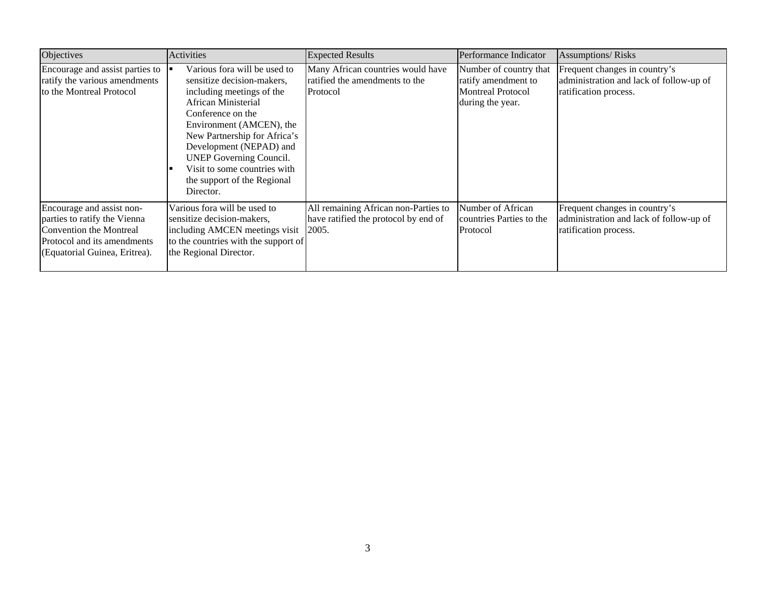| Objectives                                                                                                                                           | Activities                                                                                                                                                                                                                                                                                                                               | <b>Expected Results</b>                                                         | Performance Indicator                                                                         | <b>Assumptions/Risks</b>                                                                          |
|------------------------------------------------------------------------------------------------------------------------------------------------------|------------------------------------------------------------------------------------------------------------------------------------------------------------------------------------------------------------------------------------------------------------------------------------------------------------------------------------------|---------------------------------------------------------------------------------|-----------------------------------------------------------------------------------------------|---------------------------------------------------------------------------------------------------|
| Encourage and assist parties to<br>ratify the various amendments<br>to the Montreal Protocol                                                         | Various fora will be used to<br>sensitize decision-makers,<br>including meetings of the<br>African Ministerial<br>Conference on the<br>Environment (AMCEN), the<br>New Partnership for Africa's<br>Development (NEPAD) and<br><b>UNEP Governing Council.</b><br>Visit to some countries with<br>the support of the Regional<br>Director. | Many African countries would have<br>ratified the amendments to the<br>Protocol | Number of country that<br>ratify amendment to<br><b>Montreal Protocol</b><br>during the year. | Frequent changes in country's<br>administration and lack of follow-up of<br>ratification process. |
| Encourage and assist non-<br>parties to ratify the Vienna<br>Convention the Montreal<br>Protocol and its amendments<br>(Equatorial Guinea, Eritrea). | Various fora will be used to<br>sensitize decision-makers,<br>including AMCEN meetings visit 2005.<br>to the countries with the support of<br>the Regional Director.                                                                                                                                                                     | All remaining African non-Parties to<br>have ratified the protocol by end of    | Number of African<br>countries Parties to the<br>Protocol                                     | Frequent changes in country's<br>administration and lack of follow-up of<br>ratification process. |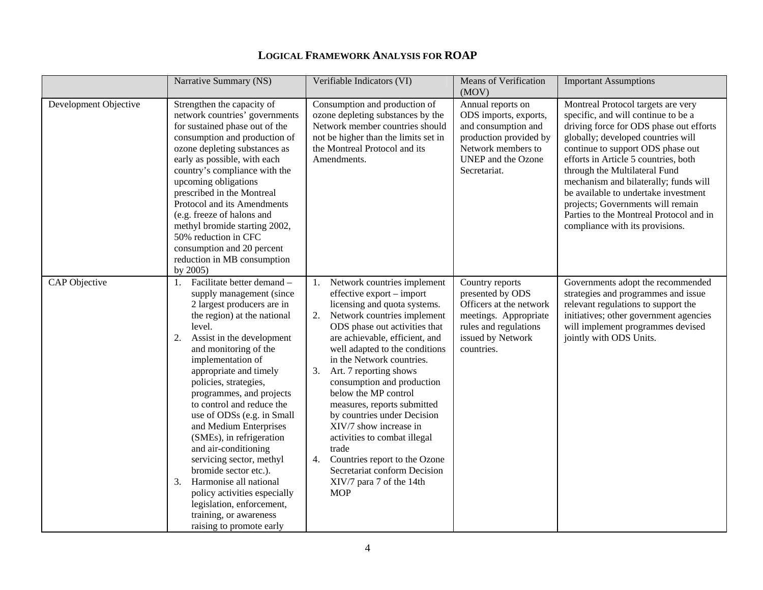|                       | Narrative Summary (NS)                                                                                                                                                                                                                                                                                                                                                                                                                                                                                                                                                                                                                               | Verifiable Indicators (VI)                                                                                                                                                                                                                                                                                                                                                                                                                                                                                                                                                                           | <b>Means of Verification</b><br>(MOV)                                                                                                                   | <b>Important Assumptions</b>                                                                                                                                                                                                                                                                                                                                                                                                                                                 |
|-----------------------|------------------------------------------------------------------------------------------------------------------------------------------------------------------------------------------------------------------------------------------------------------------------------------------------------------------------------------------------------------------------------------------------------------------------------------------------------------------------------------------------------------------------------------------------------------------------------------------------------------------------------------------------------|------------------------------------------------------------------------------------------------------------------------------------------------------------------------------------------------------------------------------------------------------------------------------------------------------------------------------------------------------------------------------------------------------------------------------------------------------------------------------------------------------------------------------------------------------------------------------------------------------|---------------------------------------------------------------------------------------------------------------------------------------------------------|------------------------------------------------------------------------------------------------------------------------------------------------------------------------------------------------------------------------------------------------------------------------------------------------------------------------------------------------------------------------------------------------------------------------------------------------------------------------------|
| Development Objective | Strengthen the capacity of<br>network countries' governments<br>for sustained phase out of the<br>consumption and production of<br>ozone depleting substances as<br>early as possible, with each<br>country's compliance with the<br>upcoming obligations<br>prescribed in the Montreal<br>Protocol and its Amendments<br>(e.g. freeze of halons and<br>methyl bromide starting 2002,<br>50% reduction in CFC<br>consumption and 20 percent<br>reduction in MB consumption<br>by 2005)                                                                                                                                                               | Consumption and production of<br>ozone depleting substances by the<br>Network member countries should<br>not be higher than the limits set in<br>the Montreal Protocol and its<br>Amendments.                                                                                                                                                                                                                                                                                                                                                                                                        | Annual reports on<br>ODS imports, exports,<br>and consumption and<br>production provided by<br>Network members to<br>UNEP and the Ozone<br>Secretariat. | Montreal Protocol targets are very<br>specific, and will continue to be a<br>driving force for ODS phase out efforts<br>globally; developed countries will<br>continue to support ODS phase out<br>efforts in Article 5 countries, both<br>through the Multilateral Fund<br>mechanism and bilaterally; funds will<br>be available to undertake investment<br>projects; Governments will remain<br>Parties to the Montreal Protocol and in<br>compliance with its provisions. |
| CAP Objective         | Facilitate better demand -<br>1.<br>supply management (since<br>2 largest producers are in<br>the region) at the national<br>level.<br>Assist in the development<br>2.<br>and monitoring of the<br>implementation of<br>appropriate and timely<br>policies, strategies,<br>programmes, and projects<br>to control and reduce the<br>use of ODSs (e.g. in Small<br>and Medium Enterprises<br>(SMEs), in refrigeration<br>and air-conditioning<br>servicing sector, methyl<br>bromide sector etc.).<br>Harmonise all national<br>3.<br>policy activities especially<br>legislation, enforcement,<br>training, or awareness<br>raising to promote early | 1. Network countries implement<br>effective export – import<br>licensing and quota systems.<br>2. Network countries implement<br>ODS phase out activities that<br>are achievable, efficient, and<br>well adapted to the conditions<br>in the Network countries.<br>3. Art. 7 reporting shows<br>consumption and production<br>below the MP control<br>measures, reports submitted<br>by countries under Decision<br>XIV/7 show increase in<br>activities to combat illegal<br>trade<br>Countries report to the Ozone<br>4.<br>Secretariat conform Decision<br>XIV/7 para 7 of the 14th<br><b>MOP</b> | Country reports<br>presented by ODS<br>Officers at the network<br>meetings. Appropriate<br>rules and regulations<br>issued by Network<br>countries.     | Governments adopt the recommended<br>strategies and programmes and issue<br>relevant regulations to support the<br>initiatives; other government agencies<br>will implement programmes devised<br>jointly with ODS Units.                                                                                                                                                                                                                                                    |

## **LOGICAL FRAMEWORK ANALYSIS FOR ROAP**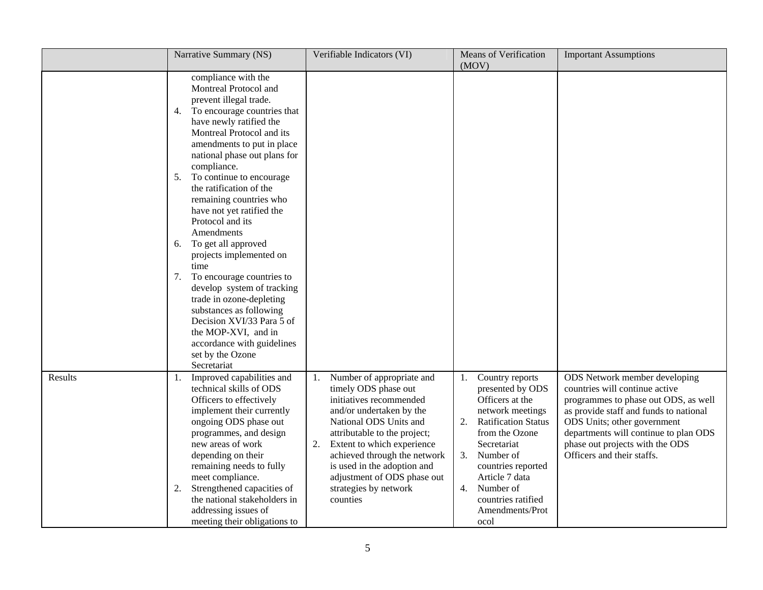|         | Narrative Summary (NS)                                                                                                                                                                                                                                                                                                                                                                                                                                                                                                                                                                                                                                                                                | Verifiable Indicators (VI)                                                                                                                                                                                                                                                                                                                      | <b>Means of Verification</b><br>(MOV)                                                                                                                                                                                                                                                | <b>Important Assumptions</b>                                                                                                                                                                                                                                                               |
|---------|-------------------------------------------------------------------------------------------------------------------------------------------------------------------------------------------------------------------------------------------------------------------------------------------------------------------------------------------------------------------------------------------------------------------------------------------------------------------------------------------------------------------------------------------------------------------------------------------------------------------------------------------------------------------------------------------------------|-------------------------------------------------------------------------------------------------------------------------------------------------------------------------------------------------------------------------------------------------------------------------------------------------------------------------------------------------|--------------------------------------------------------------------------------------------------------------------------------------------------------------------------------------------------------------------------------------------------------------------------------------|--------------------------------------------------------------------------------------------------------------------------------------------------------------------------------------------------------------------------------------------------------------------------------------------|
|         | compliance with the<br>Montreal Protocol and<br>prevent illegal trade.<br>To encourage countries that<br>4.<br>have newly ratified the<br>Montreal Protocol and its<br>amendments to put in place<br>national phase out plans for<br>compliance.<br>To continue to encourage<br>5.<br>the ratification of the<br>remaining countries who<br>have not yet ratified the<br>Protocol and its<br>Amendments<br>To get all approved<br>6.<br>projects implemented on<br>time<br>To encourage countries to<br>7.<br>develop system of tracking<br>trade in ozone-depleting<br>substances as following<br>Decision XVI/33 Para 5 of<br>the MOP-XVI, and in<br>accordance with guidelines<br>set by the Ozone |                                                                                                                                                                                                                                                                                                                                                 |                                                                                                                                                                                                                                                                                      |                                                                                                                                                                                                                                                                                            |
| Results | Secretariat<br>Improved capabilities and<br>1.<br>technical skills of ODS<br>Officers to effectively<br>implement their currently<br>ongoing ODS phase out<br>programmes, and design<br>new areas of work<br>depending on their<br>remaining needs to fully<br>meet compliance.<br>Strengthened capacities of<br>2.<br>the national stakeholders in<br>addressing issues of<br>meeting their obligations to                                                                                                                                                                                                                                                                                           | Number of appropriate and<br>1.<br>timely ODS phase out<br>initiatives recommended<br>and/or undertaken by the<br>National ODS Units and<br>attributable to the project;<br>Extent to which experience<br>2.<br>achieved through the network<br>is used in the adoption and<br>adjustment of ODS phase out<br>strategies by network<br>counties | Country reports<br>1.<br>presented by ODS<br>Officers at the<br>network meetings<br><b>Ratification Status</b><br>2.<br>from the Ozone<br>Secretariat<br>Number of<br>3.<br>countries reported<br>Article 7 data<br>Number of<br>4.<br>countries ratified<br>Amendments/Prot<br>ocol | ODS Network member developing<br>countries will continue active<br>programmes to phase out ODS, as well<br>as provide staff and funds to national<br>ODS Units; other government<br>departments will continue to plan ODS<br>phase out projects with the ODS<br>Officers and their staffs. |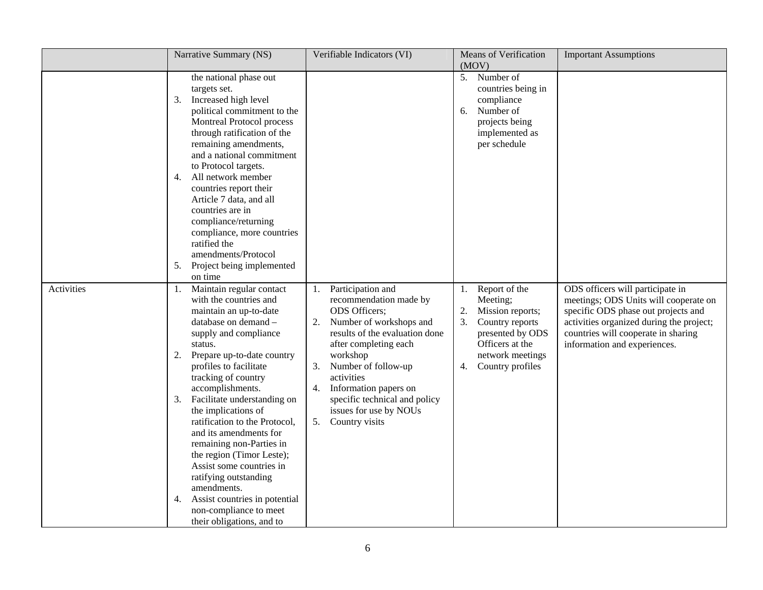|            | Narrative Summary (NS)                                                                                                                                                                                                                                                                                                                                                                                                                                                                                                                                                                                               | Verifiable Indicators (VI)                                                                                                                                                                                                                                                                                                              | <b>Means of Verification</b><br>(MOV)                                                                                                                                   | <b>Important Assumptions</b>                                                                                                                                                                                                        |
|------------|----------------------------------------------------------------------------------------------------------------------------------------------------------------------------------------------------------------------------------------------------------------------------------------------------------------------------------------------------------------------------------------------------------------------------------------------------------------------------------------------------------------------------------------------------------------------------------------------------------------------|-----------------------------------------------------------------------------------------------------------------------------------------------------------------------------------------------------------------------------------------------------------------------------------------------------------------------------------------|-------------------------------------------------------------------------------------------------------------------------------------------------------------------------|-------------------------------------------------------------------------------------------------------------------------------------------------------------------------------------------------------------------------------------|
|            | the national phase out<br>targets set.<br>Increased high level<br>3.<br>political commitment to the<br>Montreal Protocol process<br>through ratification of the<br>remaining amendments,<br>and a national commitment<br>to Protocol targets.<br>All network member<br>4.<br>countries report their<br>Article 7 data, and all<br>countries are in<br>compliance/returning<br>compliance, more countries<br>ratified the<br>amendments/Protocol<br>Project being implemented<br>5.                                                                                                                                   |                                                                                                                                                                                                                                                                                                                                         | 5. Number of<br>countries being in<br>compliance<br>Number of<br>6.<br>projects being<br>implemented as<br>per schedule                                                 |                                                                                                                                                                                                                                     |
| Activities | on time<br>Maintain regular contact<br>1.<br>with the countries and<br>maintain an up-to-date<br>database on demand -<br>supply and compliance<br>status.<br>Prepare up-to-date country<br>2.<br>profiles to facilitate<br>tracking of country<br>accomplishments.<br>Facilitate understanding on<br>3.<br>the implications of<br>ratification to the Protocol,<br>and its amendments for<br>remaining non-Parties in<br>the region (Timor Leste);<br>Assist some countries in<br>ratifying outstanding<br>amendments.<br>Assist countries in potential<br>4.<br>non-compliance to meet<br>their obligations, and to | Participation and<br>1.<br>recommendation made by<br>ODS Officers;<br>Number of workshops and<br>2.<br>results of the evaluation done<br>after completing each<br>workshop<br>Number of follow-up<br>3.<br>activities<br>Information papers on<br>4.<br>specific technical and policy<br>issues for use by NOUs<br>Country visits<br>5. | Report of the<br>1.<br>Meeting;<br>Mission reports;<br>2.<br>Country reports<br>3.<br>presented by ODS<br>Officers at the<br>network meetings<br>Country profiles<br>4. | ODS officers will participate in<br>meetings; ODS Units will cooperate on<br>specific ODS phase out projects and<br>activities organized during the project;<br>countries will cooperate in sharing<br>information and experiences. |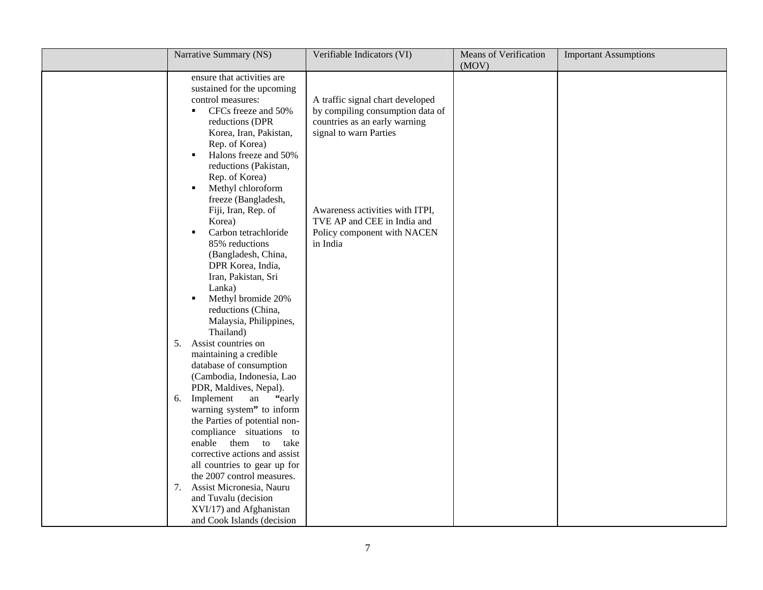| Narrative Summary (NS)                                                                                                                                                                                                                                                                                   | Verifiable Indicators (VI)                                                                                                      | Means of Verification<br>(MOV) | <b>Important Assumptions</b> |
|----------------------------------------------------------------------------------------------------------------------------------------------------------------------------------------------------------------------------------------------------------------------------------------------------------|---------------------------------------------------------------------------------------------------------------------------------|--------------------------------|------------------------------|
| ensure that activities are<br>sustained for the upcoming<br>control measures:<br>CFCs freeze and 50%<br>reductions (DPR<br>Korea, Iran, Pakistan,<br>Rep. of Korea)<br>Halons freeze and 50%<br>٠<br>reductions (Pakistan,<br>Rep. of Korea)<br>Methyl chloroform                                        | A traffic signal chart developed<br>by compiling consumption data of<br>countries as an early warning<br>signal to warn Parties |                                |                              |
| freeze (Bangladesh,<br>Fiji, Iran, Rep. of<br>Korea)<br>Carbon tetrachloride<br>$\blacksquare$<br>85% reductions<br>(Bangladesh, China,<br>DPR Korea, India,<br>Iran, Pakistan, Sri<br>Lanka)<br>Methyl bromide 20%<br>reductions (China,<br>Malaysia, Philippines,<br>Thailand)                         | Awareness activities with ITPI,<br>TVE AP and CEE in India and<br>Policy component with NACEN<br>in India                       |                                |                              |
| Assist countries on<br>5.<br>maintaining a credible<br>database of consumption<br>(Cambodia, Indonesia, Lao<br>PDR, Maldives, Nepal).<br>Implement<br>"early"<br>${\rm an}$<br>6.<br>warning system" to inform                                                                                           |                                                                                                                                 |                                |                              |
| the Parties of potential non-<br>compliance situations to<br>enable<br>them to<br>take<br>corrective actions and assist<br>all countries to gear up for<br>the 2007 control measures.<br>Assist Micronesia, Nauru<br>7.<br>and Tuvalu (decision<br>XVI/17) and Afghanistan<br>and Cook Islands (decision |                                                                                                                                 |                                |                              |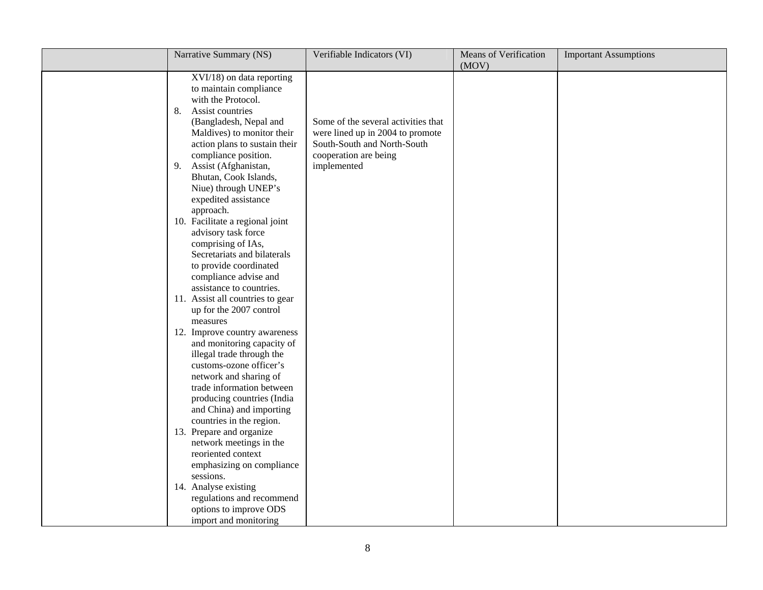| Narrative Summary (NS)                                                                                                                                                                                                                                                                                                                                                                                                                                                                                                                                                                                                                                                                                                                                                                                                                                                                                                                                                                                                                                                                                               | Verifiable Indicators (VI)                                                                                                                     | Means of Verification<br>(MOV) | <b>Important Assumptions</b> |
|----------------------------------------------------------------------------------------------------------------------------------------------------------------------------------------------------------------------------------------------------------------------------------------------------------------------------------------------------------------------------------------------------------------------------------------------------------------------------------------------------------------------------------------------------------------------------------------------------------------------------------------------------------------------------------------------------------------------------------------------------------------------------------------------------------------------------------------------------------------------------------------------------------------------------------------------------------------------------------------------------------------------------------------------------------------------------------------------------------------------|------------------------------------------------------------------------------------------------------------------------------------------------|--------------------------------|------------------------------|
| XVI/18) on data reporting<br>to maintain compliance<br>with the Protocol.<br>8.<br>Assist countries<br>(Bangladesh, Nepal and<br>Maldives) to monitor their<br>action plans to sustain their<br>compliance position.<br>9.<br>Assist (Afghanistan,<br>Bhutan, Cook Islands,<br>Niue) through UNEP's<br>expedited assistance<br>approach.<br>10. Facilitate a regional joint<br>advisory task force<br>comprising of IAs,<br>Secretariats and bilaterals<br>to provide coordinated<br>compliance advise and<br>assistance to countries.<br>11. Assist all countries to gear<br>up for the 2007 control<br>measures<br>12. Improve country awareness<br>and monitoring capacity of<br>illegal trade through the<br>customs-ozone officer's<br>network and sharing of<br>trade information between<br>producing countries (India<br>and China) and importing<br>countries in the region.<br>13. Prepare and organize<br>network meetings in the<br>reoriented context<br>emphasizing on compliance<br>sessions.<br>14. Analyse existing<br>regulations and recommend<br>options to improve ODS<br>import and monitoring | Some of the several activities that<br>were lined up in 2004 to promote<br>South-South and North-South<br>cooperation are being<br>implemented |                                |                              |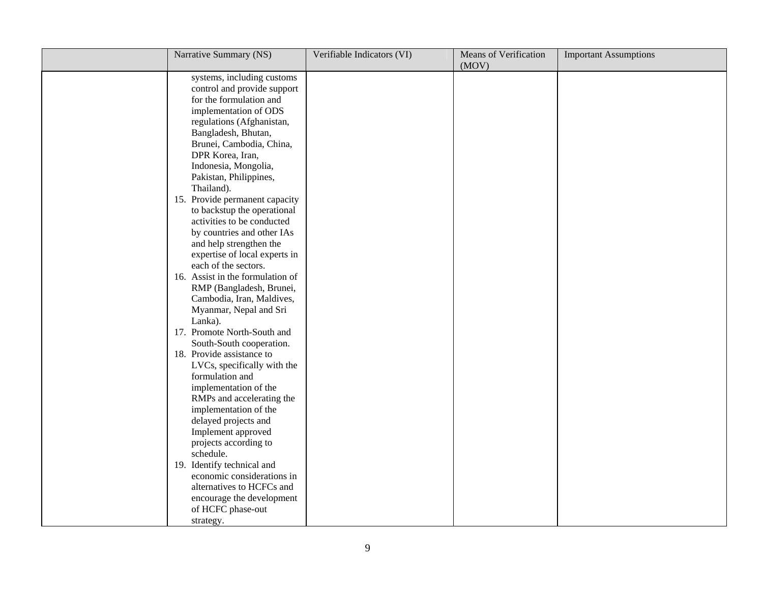| Narrative Summary (NS)                                                                                                                                                                                                                                                                                                                                                                                                                                                                                                                                                                                                                                                                                                                                                                                                                                                                                                                                                          | Verifiable Indicators (VI) | <b>Means of Verification</b><br>(MOV) | <b>Important Assumptions</b> |
|---------------------------------------------------------------------------------------------------------------------------------------------------------------------------------------------------------------------------------------------------------------------------------------------------------------------------------------------------------------------------------------------------------------------------------------------------------------------------------------------------------------------------------------------------------------------------------------------------------------------------------------------------------------------------------------------------------------------------------------------------------------------------------------------------------------------------------------------------------------------------------------------------------------------------------------------------------------------------------|----------------------------|---------------------------------------|------------------------------|
| systems, including customs<br>control and provide support<br>for the formulation and<br>implementation of ODS<br>regulations (Afghanistan,<br>Bangladesh, Bhutan,<br>Brunei, Cambodia, China,<br>DPR Korea, Iran,<br>Indonesia, Mongolia,<br>Pakistan, Philippines,<br>Thailand).<br>15. Provide permanent capacity<br>to backstup the operational<br>activities to be conducted<br>by countries and other IAs<br>and help strengthen the<br>expertise of local experts in<br>each of the sectors.<br>16. Assist in the formulation of<br>RMP (Bangladesh, Brunei,<br>Cambodia, Iran, Maldives,<br>Myanmar, Nepal and Sri<br>Lanka).<br>17. Promote North-South and<br>South-South cooperation.<br>18. Provide assistance to<br>LVCs, specifically with the<br>formulation and<br>implementation of the<br>RMPs and accelerating the<br>implementation of the<br>delayed projects and<br>Implement approved<br>projects according to<br>schedule.<br>19. Identify technical and |                            |                                       |                              |
| economic considerations in<br>alternatives to HCFCs and<br>encourage the development<br>of HCFC phase-out<br>strategy.                                                                                                                                                                                                                                                                                                                                                                                                                                                                                                                                                                                                                                                                                                                                                                                                                                                          |                            |                                       |                              |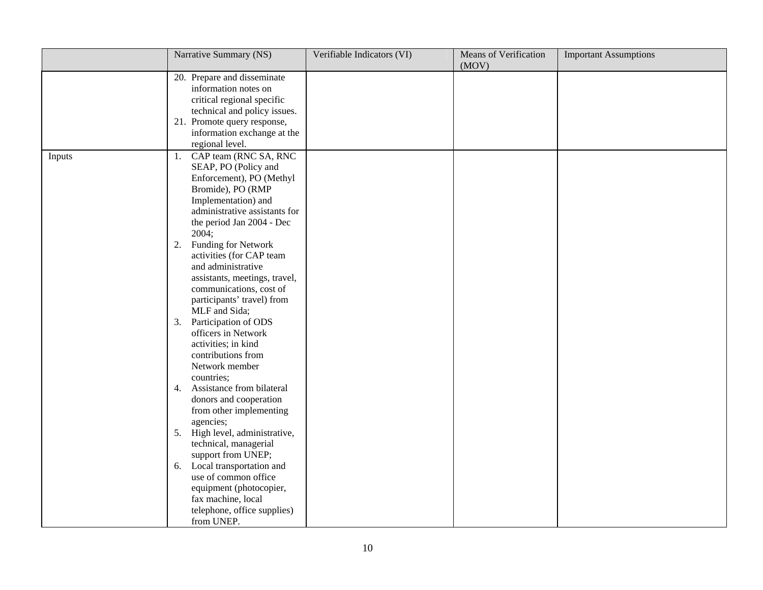|        | Narrative Summary (NS)                                                                                                                                                                             | Verifiable Indicators (VI) | Means of Verification<br>(MOV) | <b>Important Assumptions</b> |
|--------|----------------------------------------------------------------------------------------------------------------------------------------------------------------------------------------------------|----------------------------|--------------------------------|------------------------------|
|        | 20. Prepare and disseminate<br>information notes on<br>critical regional specific<br>technical and policy issues.<br>21. Promote query response,<br>information exchange at the<br>regional level. |                            |                                |                              |
| Inputs | CAP team (RNC SA, RNC<br>1.<br>SEAP, PO (Policy and<br>Enforcement), PO (Methyl<br>Bromide), PO (RMP<br>Implementation) and<br>administrative assistants for<br>the period Jan 2004 - Dec<br>2004; |                            |                                |                              |
|        | Funding for Network<br>2.<br>activities (for CAP team<br>and administrative<br>assistants, meetings, travel,<br>communications, cost of<br>participants' travel) from<br>MLF and Sida;             |                            |                                |                              |
|        | Participation of ODS<br>3.<br>officers in Network<br>activities; in kind<br>contributions from<br>Network member<br>countries;                                                                     |                            |                                |                              |
|        | Assistance from bilateral<br>4.<br>donors and cooperation<br>from other implementing<br>agencies;                                                                                                  |                            |                                |                              |
|        | 5. High level, administrative,<br>technical, managerial<br>support from UNEP;                                                                                                                      |                            |                                |                              |
|        | 6. Local transportation and<br>use of common office<br>equipment (photocopier,<br>fax machine, local<br>telephone, office supplies)<br>from UNEP.                                                  |                            |                                |                              |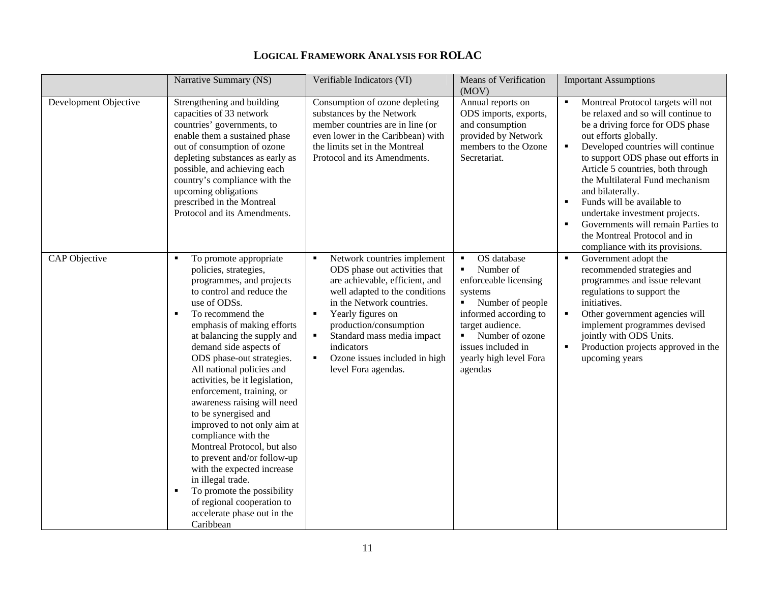|                       | Narrative Summary (NS)                                                                                                                                                                                                                                                                                                                                                                                                                                                                                                                                                                                                                                                                                  | Verifiable Indicators (VI)                                                                                                                                                                                                                                                                                                                                                               | <b>Means of Verification</b><br>(MOV)                                                                                                                                                                                                                              | <b>Important Assumptions</b>                                                                                                                                                                                                                                                                                                                                                                                                                                                                                                                 |
|-----------------------|---------------------------------------------------------------------------------------------------------------------------------------------------------------------------------------------------------------------------------------------------------------------------------------------------------------------------------------------------------------------------------------------------------------------------------------------------------------------------------------------------------------------------------------------------------------------------------------------------------------------------------------------------------------------------------------------------------|------------------------------------------------------------------------------------------------------------------------------------------------------------------------------------------------------------------------------------------------------------------------------------------------------------------------------------------------------------------------------------------|--------------------------------------------------------------------------------------------------------------------------------------------------------------------------------------------------------------------------------------------------------------------|----------------------------------------------------------------------------------------------------------------------------------------------------------------------------------------------------------------------------------------------------------------------------------------------------------------------------------------------------------------------------------------------------------------------------------------------------------------------------------------------------------------------------------------------|
| Development Objective | Strengthening and building<br>capacities of 33 network<br>countries' governments, to<br>enable them a sustained phase<br>out of consumption of ozone<br>depleting substances as early as<br>possible, and achieving each<br>country's compliance with the<br>upcoming obligations<br>prescribed in the Montreal<br>Protocol and its Amendments.                                                                                                                                                                                                                                                                                                                                                         | Consumption of ozone depleting<br>substances by the Network<br>member countries are in line (or<br>even lower in the Caribbean) with<br>the limits set in the Montreal<br>Protocol and its Amendments.                                                                                                                                                                                   | Annual reports on<br>ODS imports, exports,<br>and consumption<br>provided by Network<br>members to the Ozone<br>Secretariat.                                                                                                                                       | Montreal Protocol targets will not<br>$\blacksquare$<br>be relaxed and so will continue to<br>be a driving force for ODS phase<br>out efforts globally.<br>Developed countries will continue<br>$\blacksquare$<br>to support ODS phase out efforts in<br>Article 5 countries, both through<br>the Multilateral Fund mechanism<br>and bilaterally.<br>Funds will be available to<br>$\blacksquare$<br>undertake investment projects.<br>Governments will remain Parties to<br>the Montreal Protocol and in<br>compliance with its provisions. |
| CAP Objective         | To promote appropriate<br>policies, strategies,<br>programmes, and projects<br>to control and reduce the<br>use of ODSs.<br>To recommend the<br>л<br>emphasis of making efforts<br>at balancing the supply and<br>demand side aspects of<br>ODS phase-out strategies.<br>All national policies and<br>activities, be it legislation,<br>enforcement, training, or<br>awareness raising will need<br>to be synergised and<br>improved to not only aim at<br>compliance with the<br>Montreal Protocol, but also<br>to prevent and/or follow-up<br>with the expected increase<br>in illegal trade.<br>To promote the possibility<br>of regional cooperation to<br>accelerate phase out in the<br>Caribbean | Network countries implement<br>$\blacksquare$<br>ODS phase out activities that<br>are achievable, efficient, and<br>well adapted to the conditions<br>in the Network countries.<br>Yearly figures on<br>$\blacksquare$<br>production/consumption<br>Standard mass media impact<br>$\blacksquare$<br>indicators<br>Ozone issues included in high<br>$\blacksquare$<br>level Fora agendas. | OS database<br>$\blacksquare$<br>Number of<br>enforceable licensing<br>systems<br>Number of people<br>$\mathbf{m}_{\mathrm{max}}$<br>informed according to<br>target audience.<br>Number of ozone<br>٠.<br>issues included in<br>yearly high level Fora<br>agendas | Government adopt the<br>$\blacksquare$<br>recommended strategies and<br>programmes and issue relevant<br>regulations to support the<br>initiatives.<br>$\blacksquare$<br>Other government agencies will<br>implement programmes devised<br>jointly with ODS Units.<br>Production projects approved in the<br>$\blacksquare$<br>upcoming years                                                                                                                                                                                                |

## **LOGICAL FRAMEWORK ANALYSIS FOR ROLAC**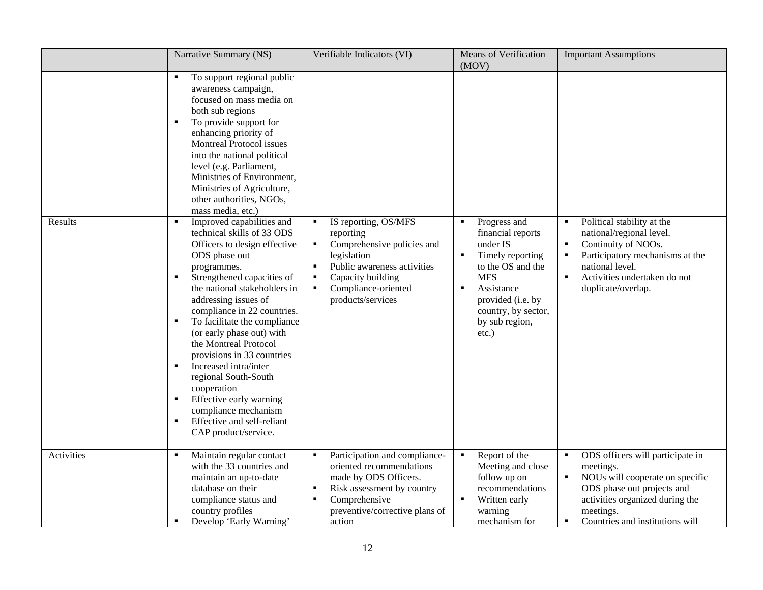|            | Narrative Summary (NS)                                                                                                                                                                                                                                                                                                                                                                                                                                                                                                                                                                                                                                                                                                                                                                                                                                                                                                                                                                                           | Verifiable Indicators (VI)                                                                                                                                                                                                                                               | <b>Means of Verification</b><br>(MOV)                                                                                                                                                                                            | <b>Important Assumptions</b>                                                                                                                                                                                                                            |
|------------|------------------------------------------------------------------------------------------------------------------------------------------------------------------------------------------------------------------------------------------------------------------------------------------------------------------------------------------------------------------------------------------------------------------------------------------------------------------------------------------------------------------------------------------------------------------------------------------------------------------------------------------------------------------------------------------------------------------------------------------------------------------------------------------------------------------------------------------------------------------------------------------------------------------------------------------------------------------------------------------------------------------|--------------------------------------------------------------------------------------------------------------------------------------------------------------------------------------------------------------------------------------------------------------------------|----------------------------------------------------------------------------------------------------------------------------------------------------------------------------------------------------------------------------------|---------------------------------------------------------------------------------------------------------------------------------------------------------------------------------------------------------------------------------------------------------|
| Results    | To support regional public<br>awareness campaign,<br>focused on mass media on<br>both sub regions<br>To provide support for<br>$\blacksquare$<br>enhancing priority of<br>Montreal Protocol issues<br>into the national political<br>level (e.g. Parliament,<br>Ministries of Environment,<br>Ministries of Agriculture,<br>other authorities, NGOs,<br>mass media, etc.)<br>Improved capabilities and<br>$\blacksquare$<br>technical skills of 33 ODS<br>Officers to design effective<br>ODS phase out<br>programmes.<br>Strengthened capacities of<br>the national stakeholders in<br>addressing issues of<br>compliance in 22 countries.<br>To facilitate the compliance<br>$\blacksquare$<br>(or early phase out) with<br>the Montreal Protocol<br>provisions in 33 countries<br>Increased intra/inter<br>$\blacksquare$<br>regional South-South<br>cooperation<br>Effective early warning<br>$\blacksquare$<br>compliance mechanism<br>Effective and self-reliant<br>$\blacksquare$<br>CAP product/service. | IS reporting, OS/MFS<br>$\blacksquare$<br>reporting<br>Comprehensive policies and<br>$\blacksquare$<br>legislation<br>Public awareness activities<br>$\blacksquare$<br>Capacity building<br>$\blacksquare$<br>Compliance-oriented<br>$\blacksquare$<br>products/services | Progress and<br>financial reports<br>under IS<br>Timely reporting<br>$\blacksquare$<br>to the OS and the<br><b>MFS</b><br>Assistance<br>$\blacksquare$<br>provided (i.e. by<br>country, by sector,<br>by sub region,<br>$etc.$ ) | Political stability at the<br>$\blacksquare$<br>national/regional level.<br>Continuity of NOOs.<br>П<br>Participatory mechanisms at the<br>national level.<br>Activities undertaken do not<br>$\blacksquare$<br>duplicate/overlap.                      |
| Activities | Maintain regular contact<br>$\blacksquare$<br>with the 33 countries and<br>maintain an up-to-date<br>database on their<br>compliance status and<br>country profiles<br>Develop 'Early Warning'                                                                                                                                                                                                                                                                                                                                                                                                                                                                                                                                                                                                                                                                                                                                                                                                                   | Participation and compliance-<br>$\blacksquare$<br>oriented recommendations<br>made by ODS Officers.<br>Risk assessment by country<br>$\blacksquare$<br>Comprehensive<br>$\blacksquare$<br>preventive/corrective plans of<br>action                                      | Report of the<br>$\blacksquare$<br>Meeting and close<br>follow up on<br>recommendations<br>Written early<br>$\blacksquare$<br>warning<br>mechanism for                                                                           | ODS officers will participate in<br>$\blacksquare$<br>meetings.<br>NOUs will cooperate on specific<br>$\blacksquare$<br>ODS phase out projects and<br>activities organized during the<br>meetings.<br>Countries and institutions will<br>$\blacksquare$ |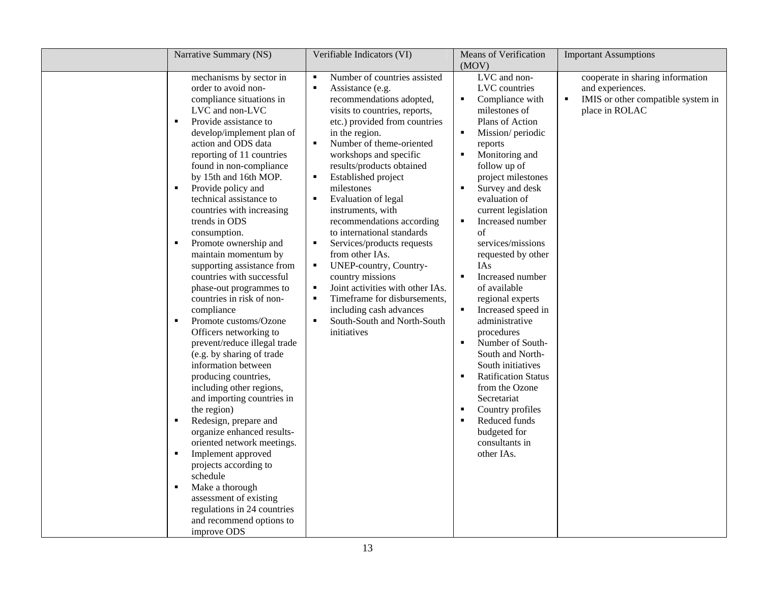|                                                                                                                            | Narrative Summary (NS)                                                                                                                                                                                                                                                                                                                                                                                                                                                                                                                                                                                                                                                                                                                                                                                                                                                                                                                                                                                                                                                      | Verifiable Indicators (VI)                                                                                                                                                                                                                                                                                                                                                                                                                                                                                                                                                                                                                                                                                                                                                                       | Means of Verification<br>(MOV)                                                                                                                                                                                                                                                                                                                                                                                                                                                                                                                                                                                                                                                                                                                                                                                              | <b>Important Assumptions</b>                                                                                 |
|----------------------------------------------------------------------------------------------------------------------------|-----------------------------------------------------------------------------------------------------------------------------------------------------------------------------------------------------------------------------------------------------------------------------------------------------------------------------------------------------------------------------------------------------------------------------------------------------------------------------------------------------------------------------------------------------------------------------------------------------------------------------------------------------------------------------------------------------------------------------------------------------------------------------------------------------------------------------------------------------------------------------------------------------------------------------------------------------------------------------------------------------------------------------------------------------------------------------|--------------------------------------------------------------------------------------------------------------------------------------------------------------------------------------------------------------------------------------------------------------------------------------------------------------------------------------------------------------------------------------------------------------------------------------------------------------------------------------------------------------------------------------------------------------------------------------------------------------------------------------------------------------------------------------------------------------------------------------------------------------------------------------------------|-----------------------------------------------------------------------------------------------------------------------------------------------------------------------------------------------------------------------------------------------------------------------------------------------------------------------------------------------------------------------------------------------------------------------------------------------------------------------------------------------------------------------------------------------------------------------------------------------------------------------------------------------------------------------------------------------------------------------------------------------------------------------------------------------------------------------------|--------------------------------------------------------------------------------------------------------------|
| $\blacksquare$<br>$\blacksquare$<br>$\blacksquare$<br>$\blacksquare$<br>$\blacksquare$<br>$\blacksquare$<br>$\blacksquare$ | mechanisms by sector in<br>order to avoid non-<br>compliance situations in<br>LVC and non-LVC<br>Provide assistance to<br>develop/implement plan of<br>action and ODS data<br>reporting of 11 countries<br>found in non-compliance<br>by 15th and 16th MOP.<br>Provide policy and<br>technical assistance to<br>countries with increasing<br>trends in ODS<br>consumption.<br>Promote ownership and<br>maintain momentum by<br>supporting assistance from<br>countries with successful<br>phase-out programmes to<br>countries in risk of non-<br>compliance<br>Promote customs/Ozone<br>Officers networking to<br>prevent/reduce illegal trade<br>(e.g. by sharing of trade<br>information between<br>producing countries,<br>including other regions,<br>and importing countries in<br>the region)<br>Redesign, prepare and<br>organize enhanced results-<br>oriented network meetings.<br>Implement approved<br>projects according to<br>schedule<br>Make a thorough<br>assessment of existing<br>regulations in 24 countries<br>and recommend options to<br>improve ODS | Number of countries assisted<br>$\blacksquare$<br>$\blacksquare$<br>Assistance (e.g.<br>recommendations adopted,<br>visits to countries, reports,<br>etc.) provided from countries<br>in the region.<br>Number of theme-oriented<br>$\blacksquare$<br>workshops and specific<br>results/products obtained<br>Established project<br>$\blacksquare$<br>milestones<br>Evaluation of legal<br>$\blacksquare$<br>instruments, with<br>recommendations according<br>to international standards<br>Services/products requests<br>from other IAs.<br>UNEP-country, Country-<br>$\blacksquare$<br>country missions<br>Joint activities with other IAs.<br>$\blacksquare$<br>Timeframe for disbursements,<br>٠<br>including cash advances<br>$\blacksquare$<br>South-South and North-South<br>initiatives | LVC and non-<br>LVC countries<br>Compliance with<br>$\blacksquare$<br>milestones of<br>Plans of Action<br>Mission/ periodic<br>reports<br>Monitoring and<br>$\blacksquare$<br>follow up of<br>project milestones<br>Survey and desk<br>$\blacksquare$<br>evaluation of<br>current legislation<br>Increased number<br>$\blacksquare$<br>of<br>services/missions<br>requested by other<br><b>IAs</b><br>Increased number<br>$\blacksquare$<br>of available<br>regional experts<br>Increased speed in<br>$\blacksquare$<br>administrative<br>procedures<br>Number of South-<br>$\blacksquare$<br>South and North-<br>South initiatives<br><b>Ratification Status</b><br>$\blacksquare$<br>from the Ozone<br>Secretariat<br>Country profiles<br>$\blacksquare$<br>Reduced funds<br>budgeted for<br>consultants in<br>other IAs. | cooperate in sharing information<br>and experiences.<br>IMIS or other compatible system in<br>place in ROLAC |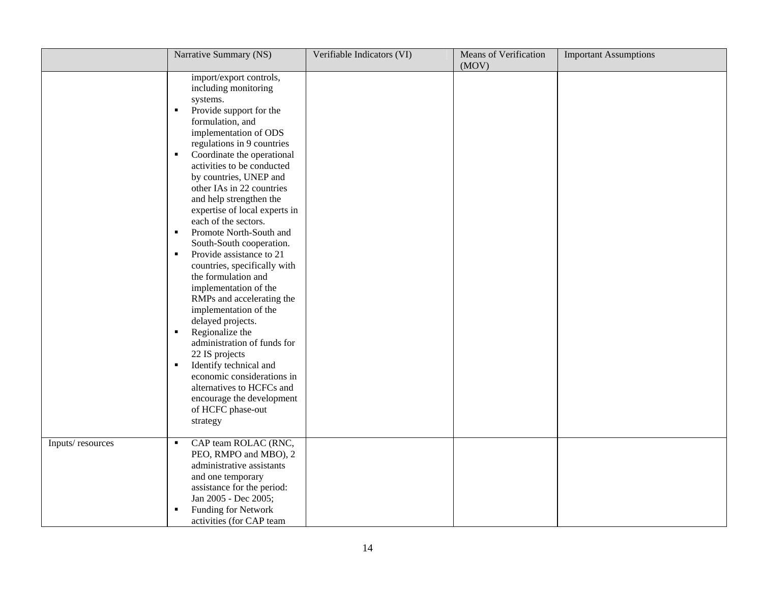|                  | Narrative Summary (NS)                                                                                                                                                                                                                                                                                                                                                                                                                                                                                                                                                                                                                                                                                                                                                                                                                                                                                                          | Verifiable Indicators (VI) | Means of Verification<br>(MOV) | <b>Important Assumptions</b> |
|------------------|---------------------------------------------------------------------------------------------------------------------------------------------------------------------------------------------------------------------------------------------------------------------------------------------------------------------------------------------------------------------------------------------------------------------------------------------------------------------------------------------------------------------------------------------------------------------------------------------------------------------------------------------------------------------------------------------------------------------------------------------------------------------------------------------------------------------------------------------------------------------------------------------------------------------------------|----------------------------|--------------------------------|------------------------------|
|                  | import/export controls,<br>including monitoring<br>systems.<br>Provide support for the<br>٠<br>formulation, and<br>implementation of ODS<br>regulations in 9 countries<br>Coordinate the operational<br>$\blacksquare$<br>activities to be conducted<br>by countries, UNEP and<br>other IAs in 22 countries<br>and help strengthen the<br>expertise of local experts in<br>each of the sectors.<br>Promote North-South and<br>$\blacksquare$<br>South-South cooperation.<br>Provide assistance to 21<br>$\blacksquare$<br>countries, specifically with<br>the formulation and<br>implementation of the<br>RMPs and accelerating the<br>implementation of the<br>delayed projects.<br>Regionalize the<br>٠<br>administration of funds for<br>22 IS projects<br>Identify technical and<br>$\blacksquare$<br>economic considerations in<br>alternatives to HCFCs and<br>encourage the development<br>of HCFC phase-out<br>strategy |                            |                                |                              |
| Inputs/resources | CAP team ROLAC (RNC,<br>٠<br>PEO, RMPO and MBO), 2<br>administrative assistants<br>and one temporary<br>assistance for the period:<br>Jan 2005 - Dec 2005;<br>Funding for Network<br>$\blacksquare$<br>activities (for CAP team                                                                                                                                                                                                                                                                                                                                                                                                                                                                                                                                                                                                                                                                                                 |                            |                                |                              |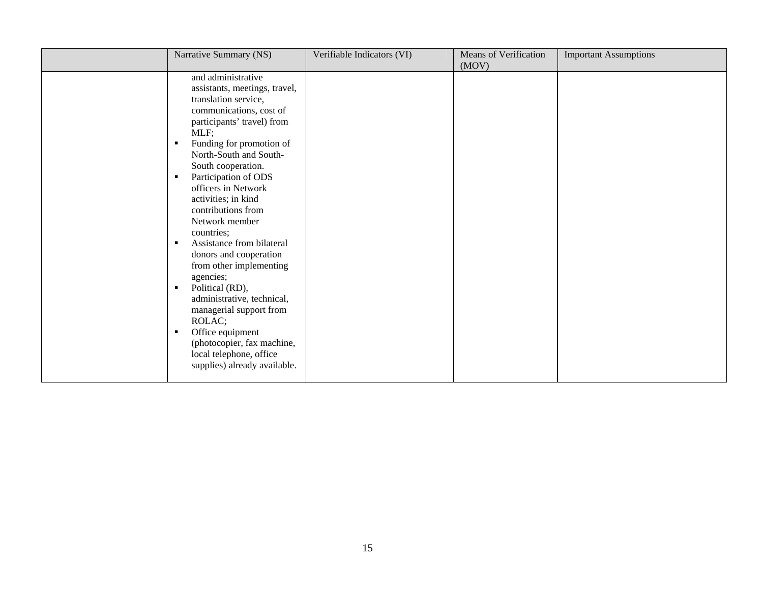| Narrative Summary (NS)                                                                                                                                                                                                                                                                                                                                                                                                                                                                                                                                                                                                                                                                       | Verifiable Indicators (VI) | <b>Means of Verification</b><br>(MOV) | <b>Important Assumptions</b> |
|----------------------------------------------------------------------------------------------------------------------------------------------------------------------------------------------------------------------------------------------------------------------------------------------------------------------------------------------------------------------------------------------------------------------------------------------------------------------------------------------------------------------------------------------------------------------------------------------------------------------------------------------------------------------------------------------|----------------------------|---------------------------------------|------------------------------|
| and administrative<br>assistants, meetings, travel,<br>translation service,<br>communications, cost of<br>participants' travel) from<br>MLF;<br>Funding for promotion of<br>٠<br>North-South and South-<br>South cooperation.<br>Participation of ODS<br>٠<br>officers in Network<br>activities; in kind<br>contributions from<br>Network member<br>countries;<br>Assistance from bilateral<br>$\blacksquare$<br>donors and cooperation<br>from other implementing<br>agencies;<br>Political (RD),<br>٠<br>administrative, technical,<br>managerial support from<br>ROLAC;<br>Office equipment<br>٠<br>(photocopier, fax machine,<br>local telephone, office<br>supplies) already available. |                            |                                       |                              |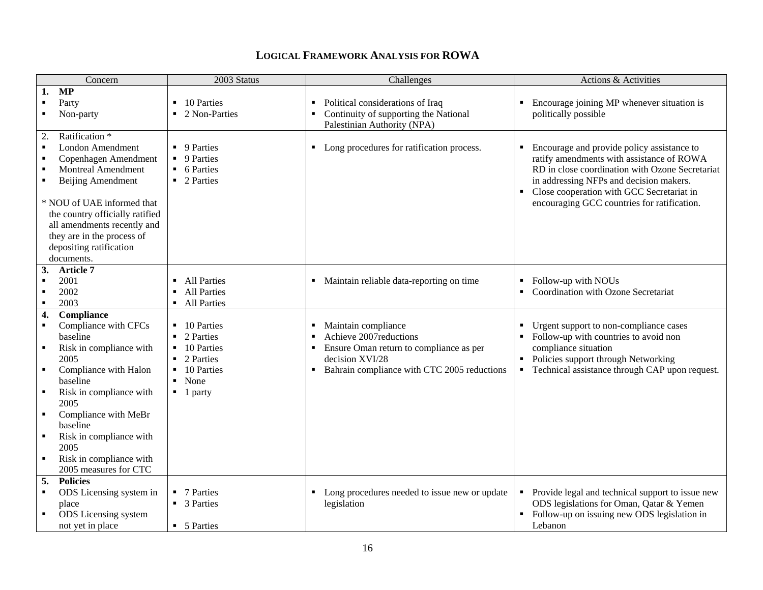| Concern                                          | 2003 Status                  | Challenges                                     | Actions & Activities                                                                     |
|--------------------------------------------------|------------------------------|------------------------------------------------|------------------------------------------------------------------------------------------|
| MP<br>1.                                         |                              |                                                |                                                                                          |
| Party                                            | 10 Parties                   | Political considerations of Iraq               | Encourage joining MP whenever situation is                                               |
| Non-party                                        | 2 Non-Parties                | Continuity of supporting the National<br>٠     | politically possible                                                                     |
|                                                  |                              | Palestinian Authority (NPA)                    |                                                                                          |
| 2.<br>Ratification *                             |                              |                                                |                                                                                          |
| London Amendment<br>$\blacksquare$               | • 9 Parties                  | Long procedures for ratification process.<br>٠ | Encourage and provide policy assistance to<br>٠                                          |
| Copenhagen Amendment<br>$\blacksquare$           | • 9 Parties                  |                                                | ratify amendments with assistance of ROWA                                                |
| <b>Montreal Amendment</b><br>п<br>$\blacksquare$ | • 6 Parties                  |                                                | RD in close coordination with Ozone Secretariat                                          |
| Beijing Amendment                                | ■ 2 Parties                  |                                                | in addressing NFPs and decision makers.                                                  |
| * NOU of UAE informed that                       |                              |                                                | Close cooperation with GCC Secretariat in<br>encouraging GCC countries for ratification. |
| the country officially ratified                  |                              |                                                |                                                                                          |
| all amendments recently and                      |                              |                                                |                                                                                          |
| they are in the process of                       |                              |                                                |                                                                                          |
| depositing ratification                          |                              |                                                |                                                                                          |
| documents.                                       |                              |                                                |                                                                                          |
| 3.<br>Article 7                                  |                              |                                                |                                                                                          |
| 2001                                             | <b>All Parties</b>           | Maintain reliable data-reporting on time       | Follow-up with NOUs                                                                      |
| 2002<br>$\blacksquare$                           | <b>All Parties</b>           |                                                | Coordination with Ozone Secretariat                                                      |
| 2003<br>$\blacksquare$                           | • All Parties                |                                                |                                                                                          |
| Compliance<br>4.                                 |                              |                                                |                                                                                          |
| Compliance with CFCs<br>$\blacksquare$           | ■ 10 Parties                 | Maintain compliance                            | Urgent support to non-compliance cases                                                   |
| baseline                                         | 2 Parties                    | Achieve 2007 reductions                        | Follow-up with countries to avoid non                                                    |
| Risk in compliance with<br>$\blacksquare$        | 10 Parties<br>$\blacksquare$ | Ensure Oman return to compliance as per<br>٠   | compliance situation                                                                     |
| 2005                                             | $\blacksquare$ 2 Parties     | decision XVI/28                                | Policies support through Networking                                                      |
| Compliance with Halon<br>$\blacksquare$          | $\blacksquare$ 10 Parties    | Bahrain compliance with CTC 2005 reductions    | • Technical assistance through CAP upon request.                                         |
| baseline                                         | None                         |                                                |                                                                                          |
| Risk in compliance with<br>$\blacksquare$        | $\blacksquare$ 1 party       |                                                |                                                                                          |
| 2005                                             |                              |                                                |                                                                                          |
| Compliance with MeBr<br>$\blacksquare$           |                              |                                                |                                                                                          |
| baseline                                         |                              |                                                |                                                                                          |
| Risk in compliance with<br>$\blacksquare$        |                              |                                                |                                                                                          |
| 2005<br>$\blacksquare$                           |                              |                                                |                                                                                          |
| Risk in compliance with<br>2005 measures for CTC |                              |                                                |                                                                                          |
| <b>Policies</b><br>5.                            |                              |                                                |                                                                                          |
| ODS Licensing system in<br>$\blacksquare$        | • 7 Parties                  | Long procedures needed to issue new or update  | Provide legal and technical support to issue new<br>٠                                    |
| place                                            | • 3 Parties                  | legislation                                    | ODS legislations for Oman, Qatar & Yemen                                                 |
| ODS Licensing system                             |                              |                                                | Follow-up on issuing new ODS legislation in                                              |
| not yet in place                                 | • 5 Parties                  |                                                | Lebanon                                                                                  |
|                                                  |                              |                                                |                                                                                          |

## **LOGICAL FRAMEWORK ANALYSIS FOR ROWA**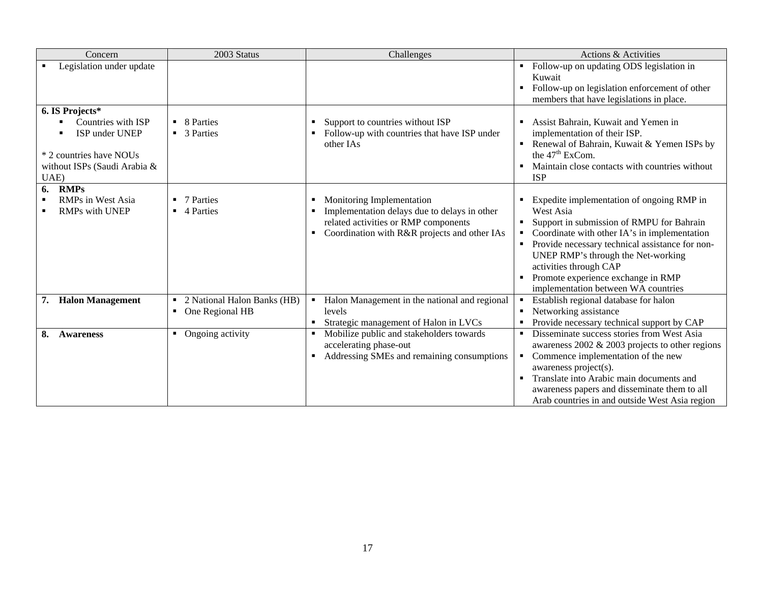| Concern                                                 | 2003 Status                   | Challenges                                                                                                                           | Actions & Activities                                                                                                                                                                                                                                                                                                                      |
|---------------------------------------------------------|-------------------------------|--------------------------------------------------------------------------------------------------------------------------------------|-------------------------------------------------------------------------------------------------------------------------------------------------------------------------------------------------------------------------------------------------------------------------------------------------------------------------------------------|
| Legislation under update                                |                               |                                                                                                                                      | Follow-up on updating ODS legislation in<br>Kuwait                                                                                                                                                                                                                                                                                        |
|                                                         |                               |                                                                                                                                      | Follow-up on legislation enforcement of other<br>members that have legislations in place.                                                                                                                                                                                                                                                 |
| 6. IS Projects*                                         |                               |                                                                                                                                      |                                                                                                                                                                                                                                                                                                                                           |
| Countries with ISP<br>ISP under UNEP                    | • 8 Parties<br>• 3 Parties    | Support to countries without ISP<br>Follow-up with countries that have ISP under<br>other IAs                                        | Assist Bahrain, Kuwait and Yemen in<br>implementation of their ISP.<br>Renewal of Bahrain, Kuwait & Yemen ISPs by<br>٠                                                                                                                                                                                                                    |
| * 2 countries have NOUs<br>without ISPs (Saudi Arabia & |                               |                                                                                                                                      | the 47 <sup>th</sup> ExCom.<br>Maintain close contacts with countries without                                                                                                                                                                                                                                                             |
| UAE)                                                    |                               |                                                                                                                                      | <b>ISP</b>                                                                                                                                                                                                                                                                                                                                |
| <b>RMPs</b><br>6.<br><b>RMPs in West Asia</b>           | 7 Parties                     | Monitoring Implementation                                                                                                            | Expedite implementation of ongoing RMP in                                                                                                                                                                                                                                                                                                 |
| <b>RMPs with UNEP</b>                                   | 4 Parties                     | Implementation delays due to delays in other<br>related activities or RMP components<br>Coordination with R&R projects and other IAs | West Asia<br>Support in submission of RMPU for Bahrain<br>Coordinate with other IA's in implementation<br>٠<br>Provide necessary technical assistance for non-<br>UNEP RMP's through the Net-working<br>activities through CAP<br>Promote experience exchange in RMP<br>implementation between WA countries                               |
| <b>Halon Management</b><br>7.                           | • 2 National Halon Banks (HB) | Halon Management in the national and regional<br>$\blacksquare$                                                                      | Establish regional database for halon<br>$\blacksquare$                                                                                                                                                                                                                                                                                   |
|                                                         | • One Regional HB             | levels<br>Strategic management of Halon in LVCs                                                                                      | Networking assistance<br>Provide necessary technical support by CAP<br>٠                                                                                                                                                                                                                                                                  |
| 8.<br><b>Awareness</b>                                  | • Ongoing activity            | Mobilize public and stakeholders towards<br>accelerating phase-out<br>Addressing SMEs and remaining consumptions<br>٠                | Disseminate success stories from West Asia<br>$\blacksquare$<br>awareness $2002 \& 2003$ projects to other regions<br>Commence implementation of the new<br>٠<br>awareness project(s).<br>Translate into Arabic main documents and<br>٠<br>awareness papers and disseminate them to all<br>Arab countries in and outside West Asia region |